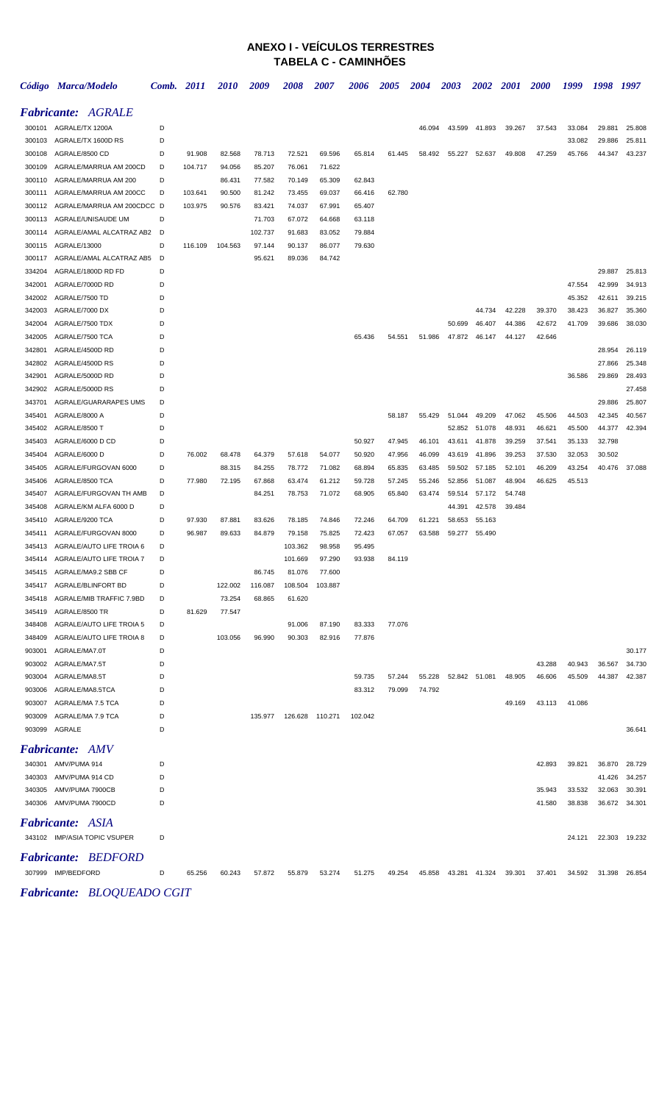## **ANEXO I - VEÍCULOS TERRESTRES TABELA C - CAMINHÕES**

|                  | Código Marca/Modelo                       | Comb.  | <b>2011</b> | 2010    | 2009             | 2008             | <i><b>2007</b></i> | 2006             | 2005             | 2004             | <b>2003</b>      | <b>2002</b>      | <b>2001</b>      | <b>2000</b> | 1999   | 1998             | 1997             |
|------------------|-------------------------------------------|--------|-------------|---------|------------------|------------------|--------------------|------------------|------------------|------------------|------------------|------------------|------------------|-------------|--------|------------------|------------------|
|                  | <b>Fabricante: AGRALE</b>                 |        |             |         |                  |                  |                    |                  |                  |                  |                  |                  |                  |             |        |                  |                  |
|                  | 300101 AGRALE/TX 1200A                    | D      |             |         |                  |                  |                    |                  |                  | 46.094           | 43.599           | 41.893           | 39.267           | 37.543      | 33.084 | 29.881           | 25.808           |
|                  | 300103 AGRALE/TX 1600D RS                 | D      |             |         |                  |                  |                    |                  |                  |                  |                  |                  |                  |             | 33.082 | 29.886           | 25.811           |
| 300108           | AGRALE/8500 CD                            | D      | 91.908      | 82.568  | 78.713           | 72.521           | 69.596             | 65.814           | 61.445           | 58.492           | 55.227           | 52.637           | 49.808           | 47.259      | 45.766 | 44.347           | 43.237           |
| 300109           | AGRALE/MARRUA AM 200CD                    | D      | 104.717     | 94.056  | 85.207           | 76.061           | 71.622             |                  |                  |                  |                  |                  |                  |             |        |                  |                  |
| 300110           | AGRALE/MARRUA AM 200                      | D      |             | 86.431  | 77.582           | 70.149           | 65.309             | 62.843           |                  |                  |                  |                  |                  |             |        |                  |                  |
| 300111           | AGRALE/MARRUA AM 200CC                    | D      | 103.641     | 90.500  | 81.242           | 73.455           | 69.037             | 66.416           | 62.780           |                  |                  |                  |                  |             |        |                  |                  |
| 300112           | AGRALE/MARRUA AM 200CDCC D                |        | 103.975     | 90.576  | 83.421           | 74.037           | 67.991             | 65.407           |                  |                  |                  |                  |                  |             |        |                  |                  |
| 300113           | AGRALE/UNISAUDE UM                        | D      |             |         | 71.703           | 67.072           | 64.668             | 63.118           |                  |                  |                  |                  |                  |             |        |                  |                  |
| 300114           | AGRALE/AMAL ALCATRAZ AB2                  | D      |             |         | 102.737          | 91.683           | 83.052             | 79.884           |                  |                  |                  |                  |                  |             |        |                  |                  |
| 300115           | AGRALE/13000                              | D      | 116.109     | 104.563 | 97.144           | 90.137           | 86.077             | 79.630           |                  |                  |                  |                  |                  |             |        |                  |                  |
| 300117           | AGRALE/AMAL ALCATRAZ AB5                  | D      |             |         | 95.621           | 89.036           | 84.742             |                  |                  |                  |                  |                  |                  |             |        |                  |                  |
| 334204           | AGRALE/1800D RD FD                        | D      |             |         |                  |                  |                    |                  |                  |                  |                  |                  |                  |             |        | 29.887           | 25.813           |
| 342001           | AGRALE/7000D RD                           | D      |             |         |                  |                  |                    |                  |                  |                  |                  |                  |                  |             | 47.554 | 42.999           | 34.913           |
| 342002           | AGRALE/7500 TD                            | D      |             |         |                  |                  |                    |                  |                  |                  |                  |                  |                  |             | 45.352 | 42.611           | 39.215           |
| 342003           | AGRALE/7000 DX                            | D      |             |         |                  |                  |                    |                  |                  |                  |                  | 44.734           | 42.228           | 39.370      | 38.423 | 36.827           | 35.360           |
| 342004           | AGRALE/7500 TDX                           | D      |             |         |                  |                  |                    |                  |                  |                  | 50.699           | 46.407           | 44.386           | 42.672      | 41.709 | 39.686           | 38.030           |
| 342005           | AGRALE/7500 TCA                           | D      |             |         |                  |                  |                    | 65.436           | 54.551           | 51.986           | 47.872           | 46.147           | 44.127           | 42.646      |        |                  |                  |
| 342801           | AGRALE/4500D RD                           | D      |             |         |                  |                  |                    |                  |                  |                  |                  |                  |                  |             |        | 28.954           | 26.119           |
| 342802           | AGRALE/4500D RS                           | D      |             |         |                  |                  |                    |                  |                  |                  |                  |                  |                  |             |        | 27.866           | 25.348           |
| 342901           | AGRALE/5000D RD                           | D      |             |         |                  |                  |                    |                  |                  |                  |                  |                  |                  |             | 36.586 | 29.869           | 28.493           |
| 342902           | AGRALE/5000D RS                           | D      |             |         |                  |                  |                    |                  |                  |                  |                  |                  |                  |             |        |                  | 27.458           |
| 343701           | AGRALE/GUARARAPES UMS                     | D      |             |         |                  |                  |                    |                  |                  |                  |                  |                  |                  |             |        | 29.886           | 25.807           |
| 345401           | AGRALE/8000 A                             | D      |             |         |                  |                  |                    |                  | 58.187           | 55.429           | 51.044           | 49.209           | 47.062           | 45.506      | 44.503 | 42.345           | 40.567           |
| 345402           | AGRALE/8500 T                             | D      |             |         |                  |                  |                    |                  |                  |                  | 52.852           | 51.078           | 48.931           | 46.621      | 45.500 | 44.377           | 42.394           |
| 345403           | AGRALE/6000 D CD                          | D      |             |         |                  |                  |                    | 50.927           | 47.945           | 46.101           | 43.611           | 41.878           | 39.259           | 37.541      | 35.133 | 32.798           |                  |
| 345404           | AGRALE/6000 D                             | D      | 76.002      | 68.478  | 64.379           | 57.618           | 54.077             | 50.920           | 47.956           | 46.099           | 43.619           | 41.896           | 39.253           | 37.530      | 32.053 | 30.502           |                  |
| 345405           | AGRALE/FURGOVAN 6000                      | D<br>D |             | 88.315  | 84.255           | 78.772           | 71.082             | 68.894           | 65.835           | 63.485           | 59.502           | 57.185<br>51.087 | 52.101           | 46.209      | 43.254 | 40.476           | 37.088           |
| 345406<br>345407 | AGRALE/8500 TCA<br>AGRALE/FURGOVAN TH AMB | D      | 77.980      | 72.195  | 67.868<br>84.251 | 63.474<br>78.753 | 61.212<br>71.072   | 59.728<br>68.905 | 57.245<br>65.840 | 55.246<br>63.474 | 52.856<br>59.514 | 57.172           | 48.904<br>54.748 | 46.625      | 45.513 |                  |                  |
| 345408           | AGRALE/KM ALFA 6000 D                     | D      |             |         |                  |                  |                    |                  |                  |                  | 44.391           | 42.578           | 39.484           |             |        |                  |                  |
| 345410           | AGRALE/9200 TCA                           | D      | 97.930      | 87.881  | 83.626           | 78.185           | 74.846             | 72.246           | 64.709           | 61.221           | 58.653           | 55.163           |                  |             |        |                  |                  |
| 345411           | AGRALE/FURGOVAN 8000                      | D      | 96.987      | 89.633  | 84.879           | 79.158           | 75.825             | 72.423           | 67.057           | 63.588           | 59.277           | 55.490           |                  |             |        |                  |                  |
| 345413           | AGRALE/AUTO LIFE TROIA 6                  | D      |             |         |                  | 103.362          | 98.958             | 95.495           |                  |                  |                  |                  |                  |             |        |                  |                  |
| 345414           | AGRALE/AUTO LIFE TROIA 7                  | D      |             |         |                  | 101.669          | 97.290             | 93.938           | 84.119           |                  |                  |                  |                  |             |        |                  |                  |
|                  | 345415 AGRALE/MA9.2 SBB CF                |        |             |         | 86.745           | 81.076           | 77.600             |                  |                  |                  |                  |                  |                  |             |        |                  |                  |
|                  | 345417 AGRALE/BLINFORT BD                 | D      |             | 122.002 | 116.087          |                  | 108.504 103.887    |                  |                  |                  |                  |                  |                  |             |        |                  |                  |
|                  | 345418 AGRALE/MIB TRAFFIC 7.9BD           | D      |             | 73.254  | 68.865           | 61.620           |                    |                  |                  |                  |                  |                  |                  |             |        |                  |                  |
|                  | 345419 AGRALE/8500 TR                     | D      | 81.629      | 77.547  |                  |                  |                    |                  |                  |                  |                  |                  |                  |             |        |                  |                  |
|                  | 348408 AGRALE/AUTO LIFE TROIA 5           | D      |             |         |                  | 91.006           | 87.190             | 83.333           | 77.076           |                  |                  |                  |                  |             |        |                  |                  |
|                  | 348409 AGRALE/AUTO LIFE TROIA 8           | D      |             | 103.056 | 96.990           | 90.303           | 82.916             | 77.876           |                  |                  |                  |                  |                  |             |        |                  |                  |
| 903001           | AGRALE/MA7.0T                             | D      |             |         |                  |                  |                    |                  |                  |                  |                  |                  |                  |             |        |                  | 30.177           |
|                  | 903002 AGRALE/MA7.5T                      | D      |             |         |                  |                  |                    |                  |                  |                  |                  |                  |                  | 43.288      | 40.943 | 36.567           | 34.730           |
|                  | 903004 AGRALE/MA8.5T                      | D      |             |         |                  |                  |                    | 59.735           | 57.244           | 55.228           |                  | 52.842 51.081    | 48.905           | 46.606      | 45.509 | 44.387           | 42.387           |
|                  | 903006 AGRALE/MA8.5TCA                    | D      |             |         |                  |                  |                    | 83.312           | 79.099           | 74.792           |                  |                  |                  |             |        |                  |                  |
|                  | 903007 AGRALE/MA 7.5 TCA                  | D      |             |         |                  |                  |                    |                  |                  |                  |                  |                  | 49.169           | 43.113      | 41.086 |                  |                  |
|                  | 903009 AGRALE/MA 7.9 TCA                  | D      |             |         | 135.977          | 126.628 110.271  |                    | 102.042          |                  |                  |                  |                  |                  |             |        |                  |                  |
|                  | 903099 AGRALE                             | D      |             |         |                  |                  |                    |                  |                  |                  |                  |                  |                  |             |        |                  | 36.641           |
|                  | <b>Fabricante: AMV</b>                    |        |             |         |                  |                  |                    |                  |                  |                  |                  |                  |                  |             |        |                  |                  |
|                  | 340301 AMV/PUMA 914                       | D      |             |         |                  |                  |                    |                  |                  |                  |                  |                  |                  | 42.893      | 39.821 | 36.870           | 28.729           |
|                  | 340303 AMV/PUMA 914 CD                    | D      |             |         |                  |                  |                    |                  |                  |                  |                  |                  |                  |             |        |                  |                  |
|                  | 340305 AMV/PUMA 7900CB                    | D      |             |         |                  |                  |                    |                  |                  |                  |                  |                  |                  | 35.943      | 33.532 | 41.426<br>32.063 | 34.257<br>30.391 |
|                  | 340306 AMV/PUMA 7900CD                    | D      |             |         |                  |                  |                    |                  |                  |                  |                  |                  |                  | 41.580      | 38.838 | 36.672           | 34.301           |
|                  |                                           |        |             |         |                  |                  |                    |                  |                  |                  |                  |                  |                  |             |        |                  |                  |
|                  | <b>Fabricante: ASIA</b>                   |        |             |         |                  |                  |                    |                  |                  |                  |                  |                  |                  |             |        |                  |                  |
|                  | 343102 IMP/ASIA TOPIC VSUPER              | D      |             |         |                  |                  |                    |                  |                  |                  |                  |                  |                  |             | 24.121 |                  | 22.303 19.232    |
|                  | <b>Fabricante: BEDFORD</b>                |        |             |         |                  |                  |                    |                  |                  |                  |                  |                  |                  |             |        |                  |                  |
|                  | 307999 IMP/BEDFORD                        | D      | 65.256      | 60.243  | 57.872           | 55.879           | 53.274             | 51.275           | 49.254           | 45.858           |                  | 43.281 41.324    | 39.301           | 37.401      | 34.592 | 31.398           | 26.854           |
|                  |                                           |        |             |         |                  |                  |                    |                  |                  |                  |                  |                  |                  |             |        |                  |                  |

*Fabricante: BLOQUEADO CGIT*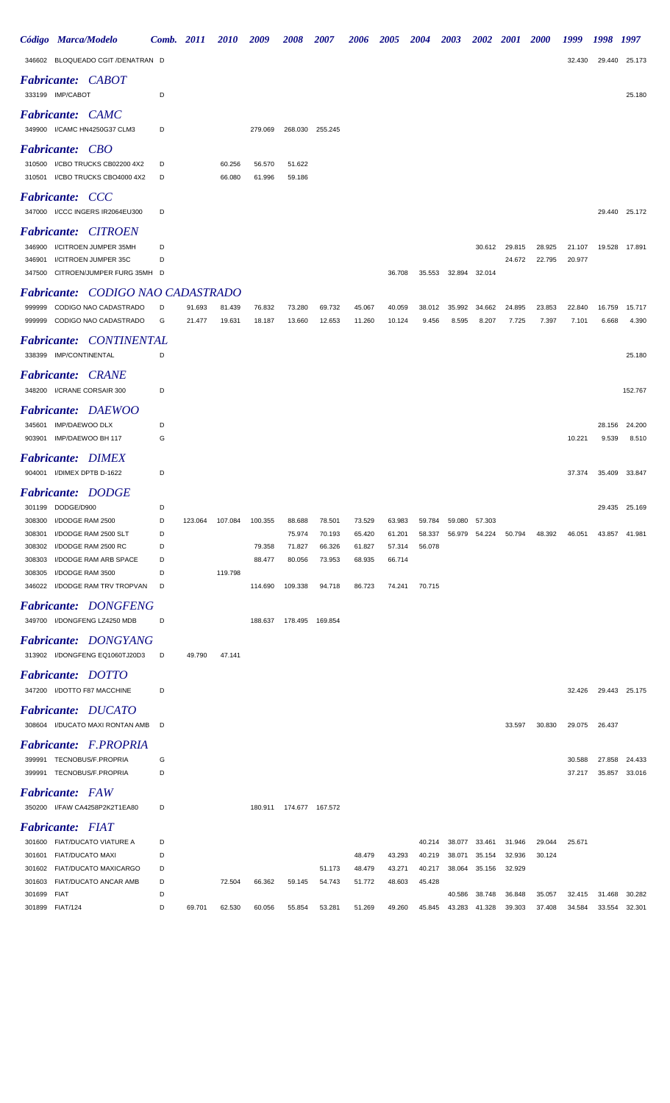|                                      | Código Marca/Modelo                                                                                                                                                        | Comb. 2011                      |                  | <b>2010</b>        | 2009                                   | <b>2008</b>                                     | 2007                                 | 2006                                 | <i><b>2005</b></i>                             | <b>2004</b>                | <b>2003</b>      | <b>2002</b>      | <b>2001</b>      | <b>2000</b>      | 1999             | 1998             | 1997                           |
|--------------------------------------|----------------------------------------------------------------------------------------------------------------------------------------------------------------------------|---------------------------------|------------------|--------------------|----------------------------------------|-------------------------------------------------|--------------------------------------|--------------------------------------|------------------------------------------------|----------------------------|------------------|------------------|------------------|------------------|------------------|------------------|--------------------------------|
|                                      | 346602 BLOQUEADO CGIT /DENATRAN D                                                                                                                                          |                                 |                  |                    |                                        |                                                 |                                      |                                      |                                                |                            |                  |                  |                  |                  | 32.430           | 29.440           | 25.173                         |
|                                      | <b>Fabricante: CABOT</b><br>333199 IMP/CABOT                                                                                                                               | D                               |                  |                    |                                        |                                                 |                                      |                                      |                                                |                            |                  |                  |                  |                  |                  |                  | 25.180                         |
|                                      | <b>Fabricante: CAMC</b><br>349900 I/CAMC HN4250G37 CLM3                                                                                                                    | D                               |                  |                    | 279.069                                |                                                 | 268.030 255.245                      |                                      |                                                |                            |                  |                  |                  |                  |                  |                  |                                |
|                                      | <b>Fabricante: CBO</b><br>310500 I/CBO TRUCKS CB02200 4X2<br>310501 I/CBO TRUCKS CBO4000 4X2                                                                               | D<br>D                          |                  | 60.256<br>66.080   | 56.570<br>61.996                       | 51.622<br>59.186                                |                                      |                                      |                                                |                            |                  |                  |                  |                  |                  |                  |                                |
|                                      | <b>Fabricante: CCC</b><br>347000 I/CCC INGERS IR2064EU300                                                                                                                  | D                               |                  |                    |                                        |                                                 |                                      |                                      |                                                |                            |                  |                  |                  |                  |                  |                  | 29.440 25.172                  |
| 346900<br>346901<br>347500           | <b>Fabricante: CITROEN</b><br>I/CITROEN JUMPER 35MH<br>I/CITROEN JUMPER 35C<br>CITROEN/JUMPER FURG 35MH D                                                                  | D<br>D                          |                  |                    |                                        |                                                 |                                      |                                      | 36.708                                         | 35.553                     | 32.894           | 30.612<br>32.014 | 29.815<br>24.672 | 28.925<br>22.795 | 21.107<br>20.977 | 19.528           | 17.891                         |
|                                      | <b>Fabricante: CODIGO NAO CADASTRADO</b>                                                                                                                                   |                                 |                  |                    |                                        |                                                 |                                      |                                      |                                                |                            |                  |                  |                  |                  |                  |                  |                                |
| 999999<br>999999                     | CODIGO NAO CADASTRADO<br>CODIGO NAO CADASTRADO                                                                                                                             | D<br>G                          | 91.693<br>21.477 | 81.439<br>19.631   | 76.832<br>18.187                       | 73.280<br>13.660                                | 69.732<br>12.653                     | 45.067<br>11.260                     | 40.059<br>10.124                               | 38.012<br>9.456            | 35.992<br>8.595  | 34.662<br>8.207  | 24.895<br>7.725  | 23.853<br>7.397  | 22.840<br>7.101  | 16.759<br>6.668  | 15.717<br>4.390                |
|                                      | <b>Fabricante: CONTINENTAL</b><br>338399 IMP/CONTINENTAL                                                                                                                   | D                               |                  |                    |                                        |                                                 |                                      |                                      |                                                |                            |                  |                  |                  |                  |                  |                  | 25.180                         |
|                                      | <b>Fabricante: CRANE</b><br>348200 I/CRANE CORSAIR 300                                                                                                                     | D                               |                  |                    |                                        |                                                 |                                      |                                      |                                                |                            |                  |                  |                  |                  |                  |                  | 152.767                        |
| 345601                               | Fabricante: DAEWOO<br><b>IMP/DAEWOO DLX</b><br>903901 IMP/DAEWOO BH 117                                                                                                    | D<br>G                          |                  |                    |                                        |                                                 |                                      |                                      |                                                |                            |                  |                  |                  |                  | 10.221           | 28.156<br>9.539  | 24.200<br>8.510                |
|                                      | <b>Fabricante: DIMEX</b><br>904001 I/DIMEX DPTB D-1622                                                                                                                     | D                               |                  |                    |                                        |                                                 |                                      |                                      |                                                |                            |                  |                  |                  |                  | 37.374           | 35.409           | 33.847                         |
|                                      | <b>Fabricante: DODGE</b>                                                                                                                                                   |                                 |                  |                    |                                        |                                                 |                                      |                                      |                                                |                            |                  |                  |                  |                  |                  |                  |                                |
| 308301<br>308302<br>308303<br>308305 | 301199 DODGE/D900<br>308300 I/DODGE RAM 2500<br>I/DODGE RAM 2500 SLT<br>I/DODGE RAM 2500 RC<br>I/DODGE RAM ARB SPACE<br>I/DODGE RAM 3500<br>346022 I/DODGE RAM TRV TROPVAN | D<br>D<br>D<br>D<br>D<br>D<br>D | 123.064          | 107.084<br>119.798 | 100.355<br>79.358<br>88.477<br>114.690 | 88.688<br>75.974<br>71.827<br>80.056<br>109.338 | 78.501<br>70.193<br>66.326<br>73.953 | 73.529<br>65.420<br>61.827<br>68.935 | 63.983<br>61.201<br>57.314<br>66.714<br>74.241 | 59.784<br>58.337<br>56.078 | 59.080<br>56.979 | 57.303<br>54.224 | 50.794           | 48.392           | 46.051           | 43.857           | 29.435 25.169<br>41.981        |
|                                      | <b>Fabricante: DONGFENG</b>                                                                                                                                                |                                 |                  |                    |                                        |                                                 | 94.718                               | 86.723                               |                                                | 70.715                     |                  |                  |                  |                  |                  |                  |                                |
|                                      | 349700 I/DONGFENG LZ4250 MDB<br><b>Fabricante: DONGYANG</b><br>313902 I/DONGFENG EQ1060TJ20D3                                                                              | D<br>D                          | 49.790           | 47.141             | 188.637                                | 178.495  169.854                                |                                      |                                      |                                                |                            |                  |                  |                  |                  |                  |                  |                                |
|                                      | <b>Fabricante: DOTTO</b><br>347200 I/DOTTO F87 MACCHINE                                                                                                                    | D                               |                  |                    |                                        |                                                 |                                      |                                      |                                                |                            |                  |                  |                  |                  | 32.426           |                  | 29.443 25.175                  |
|                                      | <b>Fabricante: DUCATO</b><br>308604 I/DUCATO MAXI RONTAN AMB                                                                                                               | D                               |                  |                    |                                        |                                                 |                                      |                                      |                                                |                            |                  |                  | 33.597           | 30.830           | 29.075           | 26.437           |                                |
|                                      | Fabricante: F.PROPRIA<br>399991 TECNOBUS/F.PROPRIA<br>399991 TECNOBUS/F.PROPRIA                                                                                            | G<br>D                          |                  |                    |                                        |                                                 |                                      |                                      |                                                |                            |                  |                  |                  |                  | 30.588<br>37.217 |                  | 27.858 24.433<br>35.857 33.016 |
|                                      | <b>Fabricante:</b> FAW<br>350200 I/FAW CA4258P2K2T1EA80                                                                                                                    | D                               |                  |                    |                                        | 180.911  174.677  167.572                       |                                      |                                      |                                                |                            |                  |                  |                  |                  |                  |                  |                                |
|                                      | <b>Fabricante: FIAT</b><br>301600 FIAT/DUCATO VIATURE A                                                                                                                    | D                               |                  |                    |                                        |                                                 |                                      |                                      |                                                | 40.214                     | 38.077           | 33.461           | 31.946           | 29.044           | 25.671           |                  |                                |
| 301601<br>301603                     | FIAT/DUCATO MAXI<br>301602 FIAT/DUCATO MAXICARGO<br>FIAT/DUCATO ANCAR AMB                                                                                                  | D<br>D<br>D                     |                  | 72.504             | 66.362                                 | 59.145                                          | 51.173<br>54.743                     | 48.479<br>48.479<br>51.772           | 43.293<br>43.271<br>48.603                     | 40.219<br>40.217<br>45.428 | 38.071<br>38.064 | 35.154<br>35.156 | 32.936<br>32.929 | 30.124           |                  |                  |                                |
| 301699 FIAT                          | 301899 FIAT/124                                                                                                                                                            | D<br>D                          | 69.701           | 62.530             | 60.056                                 | 55.854                                          | 53.281                               | 51.269                               | 49.260                                         | 45.845                     | 40.586<br>43.283 | 38.748<br>41.328 | 36.848<br>39.303 | 35.057<br>37.408 | 32.415<br>34.584 | 31.468<br>33.554 | 30.282<br>32.301               |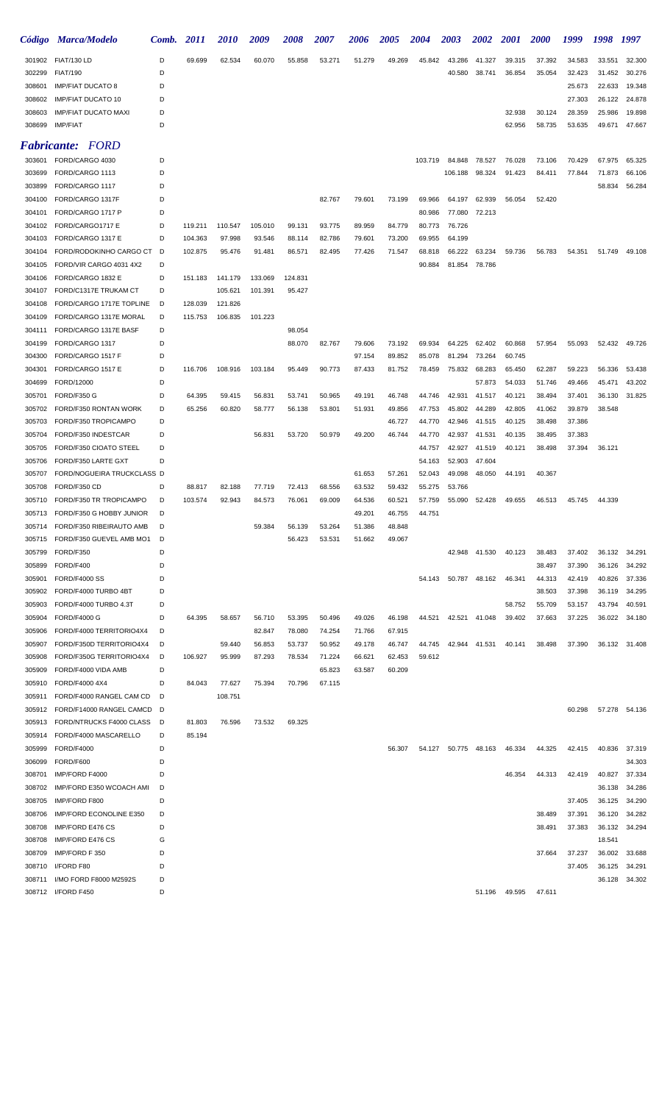|                  | Código Marca/Modelo                                | Comb.  | 2011              | <i>2010</i>       | 2009    | 2008    | 2007             | 2006             | <i><b>2005</b></i> | 2004             | 2003             | <i><b>2002</b></i> | <i>2001</i> | <i>2000</i> | 1999   | 1998   | 1997          |
|------------------|----------------------------------------------------|--------|-------------------|-------------------|---------|---------|------------------|------------------|--------------------|------------------|------------------|--------------------|-------------|-------------|--------|--------|---------------|
|                  | 301902 FIAT/130 LD                                 | D      | 69.699            | 62.534            | 60.070  | 55.858  | 53.271           | 51.279           | 49.269             | 45.842           | 43.286           | 41.327             | 39.315      | 37.392      | 34.583 | 33.551 | 32.300        |
| 302299           | <b>FIAT/190</b>                                    | D      |                   |                   |         |         |                  |                  |                    |                  | 40.580           | 38.741             | 36.854      | 35.054      | 32.423 | 31.452 | 30.276        |
| 308601           | <b>IMP/FIAT DUCATO 8</b>                           | D      |                   |                   |         |         |                  |                  |                    |                  |                  |                    |             |             | 25.673 | 22.633 | 19.348        |
| 308602           | <b>IMP/FIAT DUCATO 10</b>                          | D      |                   |                   |         |         |                  |                  |                    |                  |                  |                    |             |             | 27.303 | 26.122 | 24.878        |
| 308603           | <b>IMP/FIAT DUCATO MAXI</b>                        | D      |                   |                   |         |         |                  |                  |                    |                  |                  |                    | 32.938      | 30.124      | 28.359 | 25.986 | 19.898        |
| 308699           | <b>IMP/FIAT</b>                                    | D      |                   |                   |         |         |                  |                  |                    |                  |                  |                    | 62.956      | 58.735      | 53.635 | 49.671 | 47.667        |
|                  | <b>Fabricante: FORD</b>                            |        |                   |                   |         |         |                  |                  |                    |                  |                  |                    |             |             |        |        |               |
| 303601           | FORD/CARGO 4030                                    | D      |                   |                   |         |         |                  |                  |                    | 103.719          | 84.848           | 78.527             | 76.028      | 73.106      | 70.429 | 67.975 | 65.325        |
| 303699           | FORD/CARGO 1113                                    | D      |                   |                   |         |         |                  |                  |                    |                  | 106.188          | 98.324             | 91.423      | 84.411      | 77.844 | 71.873 | 66.106        |
| 303899           | FORD/CARGO 1117                                    | D      |                   |                   |         |         |                  |                  |                    |                  |                  |                    |             |             |        | 58.834 | 56.284        |
| 304100           | FORD/CARGO 1317F                                   | D      |                   |                   |         |         | 82.767           | 79.601           | 73.199             | 69.966           | 64.197           | 62.939             | 56.054      | 52.420      |        |        |               |
| 304101           | FORD/CARGO 1717 P                                  | D      |                   |                   |         |         |                  |                  |                    | 80.986           | 77.080           | 72.213             |             |             |        |        |               |
| 304102           | FORD/CARGO1717 E                                   | D      | 119.211           | 110.547           | 105.010 | 99.131  | 93.775           | 89.959           | 84.779             | 80.773           | 76.726           |                    |             |             |        |        |               |
| 304103           | FORD/CARGO 1317 E                                  | D      | 104.363           | 97.998            | 93.546  | 88.114  | 82.786           | 79.601           | 73.200             | 69.955           | 64.199           |                    |             |             |        |        |               |
| 304104           | FORD/RODOKINHO CARGO CT<br>FORD/VIR CARGO 4031 4X2 | D<br>D | 102.875           | 95.476            | 91.481  | 86.571  | 82.495           | 77.426           | 71.547             | 68.818           | 66.222           | 63.234             | 59.736      | 56.783      | 54.351 | 51.749 | 49.108        |
| 304105<br>304106 | FORD/CARGO 1832 E                                  | D      | 151.183           | 141.179           | 133.069 | 124.831 |                  |                  |                    | 90.884           | 81.854           | 78.786             |             |             |        |        |               |
| 304107           | FORD/C1317E TRUKAM CT                              | D      |                   | 105.621           | 101.391 | 95.427  |                  |                  |                    |                  |                  |                    |             |             |        |        |               |
| 304108           | FORD/CARGO 1717E TOPLINE                           | D      | 128.039           | 121.826           |         |         |                  |                  |                    |                  |                  |                    |             |             |        |        |               |
| 304109           | FORD/CARGO 1317E MORAL                             | D      | 115.753           | 106.835           | 101.223 |         |                  |                  |                    |                  |                  |                    |             |             |        |        |               |
| 304111           | FORD/CARGO 1317E BASF                              | D      |                   |                   |         | 98.054  |                  |                  |                    |                  |                  |                    |             |             |        |        |               |
| 304199           | FORD/CARGO 1317                                    | D      |                   |                   |         | 88.070  | 82.767           | 79.606           | 73.192             | 69.934           | 64.225           | 62.402             | 60.868      | 57.954      | 55.093 | 52.432 | 49.726        |
| 304300           | FORD/CARGO 1517 F                                  | D      |                   |                   |         |         |                  | 97.154           | 89.852             | 85.078           | 81.294           | 73.264             | 60.745      |             |        |        |               |
| 304301           | FORD/CARGO 1517 E                                  | D      | 116.706           | 108.916           | 103.184 | 95.449  | 90.773           | 87.433           | 81.752             | 78.459           | 75.832           | 68.283             | 65.450      | 62.287      | 59.223 | 56.336 | 53.438        |
| 304699           | FORD/12000                                         | D      |                   |                   |         |         |                  |                  |                    |                  |                  | 57.873             | 54.033      | 51.746      | 49.466 | 45.471 | 43.202        |
| 305701           | FORD/F350 G                                        | D      | 64.395            | 59.415            | 56.831  | 53.741  | 50.965           | 49.191           | 46.748             | 44.746           | 42.931           | 41.517             | 40.121      | 38.494      | 37.401 | 36.130 | 31.825        |
| 305702           | FORD/F350 RONTAN WORK                              | D      | 65.256            | 60.820            | 58.777  | 56.138  | 53.801           | 51.931           | 49.856             | 47.753           | 45.802           | 44.289             | 42.805      | 41.062      | 39.879 | 38.548 |               |
| 305703           | FORD/F350 TROPICAMPO                               | D      |                   |                   |         |         |                  |                  | 46.727             | 44.770           | 42.946           | 41.515             | 40.125      | 38.498      | 37.386 |        |               |
| 305704           | FORD/F350 INDESTCAR                                | D      |                   |                   | 56.831  | 53.720  | 50.979           | 49.200           | 46.744             | 44.770           | 42.937           | 41.531             | 40.135      | 38.495      | 37.383 |        |               |
| 305705           | FORD/F350 CIOATO STEEL                             | D      |                   |                   |         |         |                  |                  |                    | 44.757           | 42.927           | 41.519             | 40.121      | 38.498      | 37.394 | 36.121 |               |
| 305706           | FORD/F350 LARTE GXT                                | D      |                   |                   |         |         |                  |                  |                    | 54.163           | 52.903           | 47.604             |             |             |        |        |               |
| 305707           | FORD/NOGUEIRA TRUCKCLASS D                         |        |                   |                   |         |         |                  | 61.653           | 57.261             | 52.043           | 49.098           | 48.050             | 44.191      | 40.367      |        |        |               |
| 305708           | FORD/F350 CD<br>FORD/F350 TR TROPICAMPO            | D<br>D | 88.817<br>103.574 | 82.188            | 77.719  | 72.413  | 68.556<br>69.009 | 63.532           | 59.432             | 55.275<br>57.759 | 53.766<br>55.090 | 52.428             | 49.655      |             | 45.745 | 44.339 |               |
| 305710           | 305713 FORD/F350 G HOBBY JUNIOR                    | D      |                   | 92.943            | 84.573  | 76.061  |                  | 64.536<br>49.201 | 60.521<br>46.755   | 44.751           |                  |                    |             | 46.513      |        |        |               |
| 305714           | FORD/F350 RIBEIRAUTO AMB                           |        |                   |                   | 59.384  | 56.139  | 53.264           | 51.386           | 48.848             |                  |                  |                    |             |             |        |        |               |
|                  | 305715 FORD/F350 GUEVEL AMB MO1                    | D      |                   |                   |         | 56.423  | 53.531           | 51.662           | 49.067             |                  |                  |                    |             |             |        |        |               |
| 305799           | FORD/F350                                          | D      |                   |                   |         |         |                  |                  |                    |                  |                  | 42.948 41.530      | 40.123      | 38.483      | 37.402 | 36.132 | 34.291        |
| 305899           | FORD/F400                                          | D      |                   |                   |         |         |                  |                  |                    |                  |                  |                    |             | 38.497      | 37.390 | 36.126 | 34.292        |
| 305901           | <b>FORD/F4000 SS</b>                               | D      |                   |                   |         |         |                  |                  |                    | 54.143           |                  | 50.787 48.162      | 46.341      | 44.313      | 42.419 | 40.826 | 37.336        |
| 305902           | FORD/F4000 TURBO 4BT                               | D      |                   |                   |         |         |                  |                  |                    |                  |                  |                    |             | 38.503      | 37.398 | 36.119 | 34.295        |
| 305903           | FORD/F4000 TURBO 4.3T                              | D      |                   |                   |         |         |                  |                  |                    |                  |                  |                    | 58.752      | 55.709      | 53.157 | 43.794 | 40.591        |
| 305904           | <b>FORD/F4000 G</b>                                | D      | 64.395            | 58.657            | 56.710  | 53.395  | 50.496           | 49.026           | 46.198             | 44.521           | 42.521           | 41.048             | 39.402      | 37.663      | 37.225 | 36.022 | 34.180        |
| 305906           | FORD/F4000 TERRITORIO4X4                           | D      |                   |                   | 82.847  | 78.080  | 74.254           | 71.766           | 67.915             |                  |                  |                    |             |             |        |        |               |
| 305907           | FORD/F350D TERRITORIO4X4                           | D      |                   | 59.440            | 56.853  | 53.737  | 50.952           | 49.178           | 46.747             | 44.745           | 42.944           | 41.531             | 40.141      | 38.498      | 37.390 | 36.132 | 31.408        |
| 305908           | FORD/F350G TERRITORIO4X4                           | D      | 106.927           | 95.999            | 87.293  | 78.534  | 71.224           | 66.621           | 62.453             | 59.612           |                  |                    |             |             |        |        |               |
| 305909           | FORD/F4000 VIDA AMB                                | D      |                   |                   |         |         | 65.823           | 63.587           | 60.209             |                  |                  |                    |             |             |        |        |               |
| 305910<br>305911 | FORD/F4000 4X4<br>FORD/F4000 RANGEL CAM CD         | D<br>D | 84.043            | 77.627<br>108.751 | 75.394  | 70.796  | 67.115           |                  |                    |                  |                  |                    |             |             |        |        |               |
|                  | 305912 FORD/F14000 RANGEL CAMCD D                  |        |                   |                   |         |         |                  |                  |                    |                  |                  |                    |             |             | 60.298 |        | 57.278 54.136 |
| 305913           | FORD/NTRUCKS F4000 CLASS                           | - D    | 81.803            | 76.596            | 73.532  | 69.325  |                  |                  |                    |                  |                  |                    |             |             |        |        |               |
| 305914           | FORD/F4000 MASCARELLO                              | D      | 85.194            |                   |         |         |                  |                  |                    |                  |                  |                    |             |             |        |        |               |
| 305999           | <b>FORD/F4000</b>                                  | D      |                   |                   |         |         |                  |                  | 56.307             | 54.127           | 50.775           | 48.163             | 46.334      | 44.325      | 42.415 | 40.836 | 37.319        |
| 306099           | FORD/F600                                          | D      |                   |                   |         |         |                  |                  |                    |                  |                  |                    |             |             |        |        | 34.303        |
| 308701           | IMP/FORD F4000                                     | D      |                   |                   |         |         |                  |                  |                    |                  |                  |                    | 46.354      | 44.313      | 42.419 | 40.827 | 37.334        |
| 308702           | IMP/FORD E350 WCOACH AMI                           | D      |                   |                   |         |         |                  |                  |                    |                  |                  |                    |             |             |        | 36.138 | 34.286        |
| 308705           | IMP/FORD F800                                      | D      |                   |                   |         |         |                  |                  |                    |                  |                  |                    |             |             | 37.405 | 36.125 | 34.290        |
| 308706           | IMP/FORD ECONOLINE E350                            | D      |                   |                   |         |         |                  |                  |                    |                  |                  |                    |             | 38.489      | 37.391 | 36.120 | 34.282        |
| 308708           | IMP/FORD E476 CS                                   | D      |                   |                   |         |         |                  |                  |                    |                  |                  |                    |             | 38.491      | 37.383 | 36.132 | 34.294        |
| 308708           | IMP/FORD E476 CS                                   | G      |                   |                   |         |         |                  |                  |                    |                  |                  |                    |             |             |        | 18.541 |               |
| 308709           | IMP/FORD F 350                                     | D      |                   |                   |         |         |                  |                  |                    |                  |                  |                    |             | 37.664      | 37.237 | 36.002 | 33.688        |
| 308710           | I/FORD F80                                         | D      |                   |                   |         |         |                  |                  |                    |                  |                  |                    |             |             | 37.405 | 36.125 | 34.291        |
| 308711           | I/MO FORD F8000 M2592S                             | D      |                   |                   |         |         |                  |                  |                    |                  |                  |                    |             |             |        | 36.128 | 34.302        |
|                  | 308712 I/FORD F450                                 | D      |                   |                   |         |         |                  |                  |                    |                  |                  | 51.196             | 49.595      | 47.611      |        |        |               |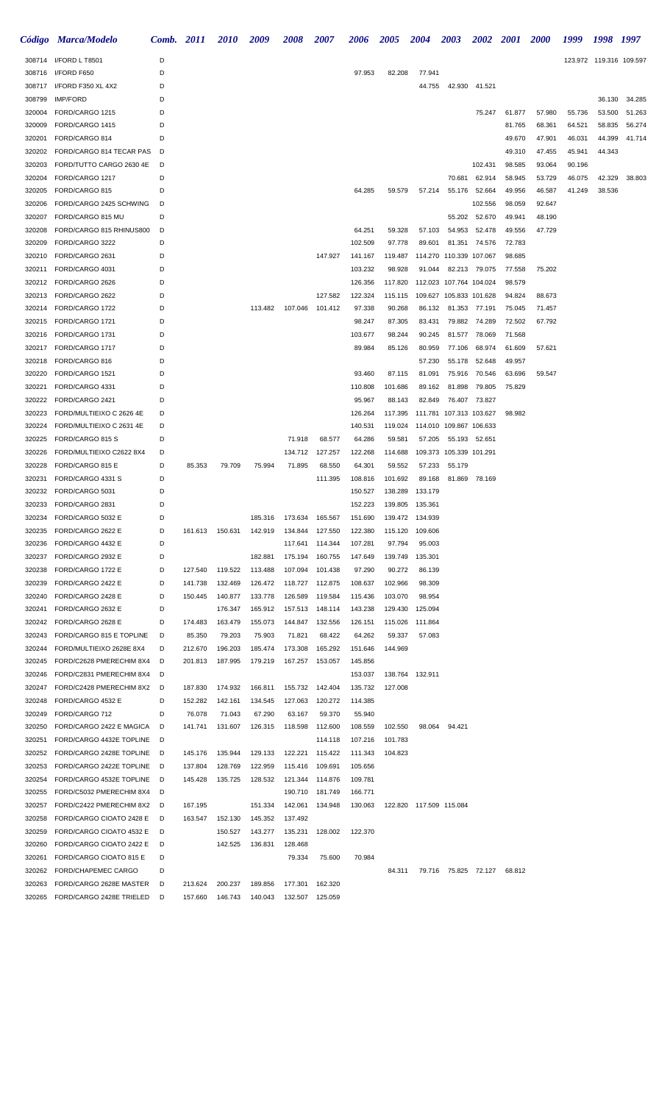|                  | Código Marca/Modelo                                  | Comb. 2011 |         | <i>2010</i> | 2009    | <b>2008</b>       | 2007    | <b>2006</b>        | 2005             | <b>2004</b>                | <b>2003</b>             | <b>2002</b>      | <b>2001</b>      | <b>2000</b>      | 1999             | 1998 1997               |        |
|------------------|------------------------------------------------------|------------|---------|-------------|---------|-------------------|---------|--------------------|------------------|----------------------------|-------------------------|------------------|------------------|------------------|------------------|-------------------------|--------|
|                  | 308714 I/FORD L T8501                                | D          |         |             |         |                   |         |                    |                  |                            |                         |                  |                  |                  |                  | 123.972 119.316 109.597 |        |
| 308716           | I/FORD F650                                          | D          |         |             |         |                   |         | 97.953             | 82.208           | 77.941                     |                         |                  |                  |                  |                  |                         |        |
| 308717           | I/FORD F350 XL 4X2                                   | D          |         |             |         |                   |         |                    |                  | 44.755                     | 42.930                  | 41.521           |                  |                  |                  |                         |        |
| 308799           | <b>IMP/FORD</b>                                      | D          |         |             |         |                   |         |                    |                  |                            |                         |                  |                  |                  |                  | 36.130                  | 34.285 |
| 320004           | FORD/CARGO 1215                                      | D          |         |             |         |                   |         |                    |                  |                            |                         | 75.247           | 61.877           | 57.980           | 55.736           | 53.500                  | 51.263 |
| 320009           | FORD/CARGO 1415                                      | D          |         |             |         |                   |         |                    |                  |                            |                         |                  | 81.765           | 68.361           | 64.521           | 58.835                  | 56.274 |
| 320201<br>320202 | FORD/CARGO 814<br>FORD/CARGO 814 TECAR PAS           | D<br>D     |         |             |         |                   |         |                    |                  |                            |                         |                  | 49.670<br>49.310 | 47.901<br>47.455 | 46.031<br>45.941 | 44.399<br>44.343        | 41.714 |
| 320203           | FORD/TUTTO CARGO 2630 4E                             | D          |         |             |         |                   |         |                    |                  |                            |                         | 102.431          | 98.585           | 93.064           | 90.196           |                         |        |
| 320204           | FORD/CARGO 1217                                      | D          |         |             |         |                   |         |                    |                  |                            | 70.681                  | 62.914           | 58.945           | 53.729           | 46.075           | 42.329                  | 38.803 |
| 320205           | FORD/CARGO 815                                       | D          |         |             |         |                   |         | 64.285             | 59.579           | 57.214                     | 55.176                  | 52.664           | 49.956           | 46.587           | 41.249           | 38.536                  |        |
| 320206           | FORD/CARGO 2425 SCHWING                              | D          |         |             |         |                   |         |                    |                  |                            |                         | 102.556          | 98.059           | 92.647           |                  |                         |        |
| 320207           | FORD/CARGO 815 MU                                    | D          |         |             |         |                   |         |                    |                  |                            | 55.202                  | 52.670           | 49.941           | 48.190           |                  |                         |        |
| 320208           | FORD/CARGO 815 RHINUS800                             | D          |         |             |         |                   |         | 64.251             | 59.328           | 57.103                     | 54.953                  | 52.478           | 49.556           | 47.729           |                  |                         |        |
| 320209           | FORD/CARGO 3222                                      | D          |         |             |         |                   |         | 102.509            | 97.778           | 89.601                     | 81.351                  | 74.576           | 72.783           |                  |                  |                         |        |
| 320210           | FORD/CARGO 2631                                      | D          |         |             |         |                   | 147.927 | 141.167            | 119.487          |                            | 114.270 110.339 107.067 |                  | 98.685           |                  |                  |                         |        |
| 320211           | FORD/CARGO 4031                                      | D          |         |             |         |                   |         | 103.232            | 98.928           | 91.044                     | 82.213                  | 79.075           | 77.558           | 75.202           |                  |                         |        |
| 320212           | FORD/CARGO 2626                                      | D          |         |             |         |                   |         | 126.356            | 117.820          |                            | 112.023 107.764 104.024 |                  | 98.579           |                  |                  |                         |        |
| 320213           | FORD/CARGO 2622                                      | D          |         |             |         |                   | 127.582 | 122.324            | 115.115          |                            | 109.627 105.833 101.628 |                  | 94.824           | 88.673           |                  |                         |        |
| 320214           | FORD/CARGO 1722                                      | D          |         |             | 113.482 | 107.046           | 101.412 | 97.338             | 90.268           | 86.132                     | 81.353                  | 77.191           | 75.045           | 71.457           |                  |                         |        |
| 320215<br>320216 | FORD/CARGO 1721<br>FORD/CARGO 1731                   | D<br>D     |         |             |         |                   |         | 98.247<br>103.677  | 87.305<br>98.244 | 83.431<br>90.245           | 79.882<br>81.577        | 74.289<br>78.069 | 72.502<br>71.568 | 67.792           |                  |                         |        |
| 320217           | FORD/CARGO 1717                                      | D          |         |             |         |                   |         | 89.984             | 85.126           | 80.959                     | 77.106                  | 68.974           | 61.609           | 57.621           |                  |                         |        |
| 320218           | FORD/CARGO 816                                       | D          |         |             |         |                   |         |                    |                  | 57.230                     | 55.178                  | 52.648           | 49.957           |                  |                  |                         |        |
| 320220           | FORD/CARGO 1521                                      | D          |         |             |         |                   |         | 93.460             | 87.115           | 81.091                     | 75.916                  | 70.546           | 63.696           | 59.547           |                  |                         |        |
| 320221           | FORD/CARGO 4331                                      | D          |         |             |         |                   |         | 110.808            | 101.686          | 89.162                     | 81.898                  | 79.805           | 75.829           |                  |                  |                         |        |
| 320222           | FORD/CARGO 2421                                      | D          |         |             |         |                   |         | 95.967             | 88.143           | 82.849                     | 76.407                  | 73.827           |                  |                  |                  |                         |        |
| 320223           | FORD/MULTIEIXO C 2626 4E                             | D          |         |             |         |                   |         | 126.264            | 117.395          |                            | 111.781 107.313 103.627 |                  | 98.982           |                  |                  |                         |        |
| 320224           | FORD/MULTIEIXO C 2631 4E                             | D          |         |             |         |                   |         | 140.531            | 119.024          |                            | 114.010 109.867 106.633 |                  |                  |                  |                  |                         |        |
| 320225           | FORD/CARGO 815 S                                     | D          |         |             |         | 71.918            | 68.577  | 64.286             | 59.581           | 57.205                     |                         | 55.193 52.651    |                  |                  |                  |                         |        |
| 320226           | FORD/MULTIEIXO C2622 8X4                             | D          |         |             |         | 134.712           | 127.257 | 122.268            | 114.688          |                            | 109.373 105.339 101.291 |                  |                  |                  |                  |                         |        |
| 320228           | FORD/CARGO 815 E                                     | D          | 85.353  | 79.709      | 75.994  | 71.895            | 68.550  | 64.301             | 59.552           | 57.233                     | 55.179                  |                  |                  |                  |                  |                         |        |
| 320231           | FORD/CARGO 4331 S                                    | D          |         |             |         |                   | 111.395 | 108.816            | 101.692          | 89.168                     | 81.869                  | 78.169           |                  |                  |                  |                         |        |
| 320232           | FORD/CARGO 5031                                      | D          |         |             |         |                   |         | 150.527            | 138.289          | 133.179                    |                         |                  |                  |                  |                  |                         |        |
| 320233<br>320234 | FORD/CARGO 2831<br>FORD/CARGO 5032 E                 | D<br>D     |         |             | 185.316 | 173.634           | 165.567 | 152.223<br>151.690 | 139.805          | 135.361<br>139.472 134.939 |                         |                  |                  |                  |                  |                         |        |
| 320235           | FORD/CARGO 2622 E                                    | D          | 161.613 | 150.631     | 142.919 | 134.844           | 127.550 | 122.380            | 115.120          | 109.606                    |                         |                  |                  |                  |                  |                         |        |
| 320236           | FORD/CARGO 4432 E                                    | D          |         |             |         | 117.641 114.344   |         | 107.281            | 97.794           | 95.003                     |                         |                  |                  |                  |                  |                         |        |
| 320237           | FORD/CARGO 2932 E                                    | D          |         |             | 182.881 | 175.194           | 160.755 | 147.649            | 139.749          | 135.301                    |                         |                  |                  |                  |                  |                         |        |
| 320238           | FORD/CARGO 1722 E                                    | D          | 127.540 | 119.522     | 113.488 | 107.094           | 101.438 | 97.290             | 90.272           | 86.139                     |                         |                  |                  |                  |                  |                         |        |
| 320239           | FORD/CARGO 2422 E                                    | D          | 141.738 | 132.469     | 126.472 | 118.727 112.875   |         | 108.637            | 102.966          | 98.309                     |                         |                  |                  |                  |                  |                         |        |
| 320240           | FORD/CARGO 2428 E                                    | D          | 150.445 | 140.877     | 133.778 | 126.589           | 119.584 | 115.436            | 103.070          | 98.954                     |                         |                  |                  |                  |                  |                         |        |
| 320241           | FORD/CARGO 2632 E                                    | D          |         | 176.347     | 165.912 | 157.513 148.114   |         | 143.238            | 129.430          | 125.094                    |                         |                  |                  |                  |                  |                         |        |
| 320242           | FORD/CARGO 2628 E                                    | D          | 174.483 | 163.479     | 155.073 | 144.847           | 132.556 | 126.151            |                  | 115.026 111.864            |                         |                  |                  |                  |                  |                         |        |
| 320243           | FORD/CARGO 815 E TOPLINE                             | D          | 85.350  | 79.203      | 75.903  | 71.821            | 68.422  | 64.262             | 59.337           | 57.083                     |                         |                  |                  |                  |                  |                         |        |
| 320244           | FORD/MULTIEIXO 2628E 8X4                             | D          | 212.670 | 196.203     | 185.474 | 173.308           | 165.292 | 151.646            | 144.969          |                            |                         |                  |                  |                  |                  |                         |        |
| 320245<br>320246 | FORD/C2628 PMERECHIM 8X4<br>FORD/C2831 PMERECHIM 8X4 | D<br>D     | 201.813 | 187.995     | 179.219 | 167.257           | 153.057 | 145.856<br>153.037 |                  | 138.764 132.911            |                         |                  |                  |                  |                  |                         |        |
| 320247           | FORD/C2428 PMERECHIM 8X2                             | D          | 187.830 | 174.932     | 166.811 | 155.732           | 142.404 | 135.732            | 127.008          |                            |                         |                  |                  |                  |                  |                         |        |
| 320248           | FORD/CARGO 4532 E                                    | D          | 152.282 | 142.161     | 134.545 | 127.063           | 120.272 | 114.385            |                  |                            |                         |                  |                  |                  |                  |                         |        |
| 320249           | FORD/CARGO 712                                       | D          | 76.078  | 71.043      | 67.290  | 63.167            | 59.370  | 55.940             |                  |                            |                         |                  |                  |                  |                  |                         |        |
| 320250           | FORD/CARGO 2422 E MAGICA                             | D          | 141.741 | 131.607     | 126.315 | 118.598           | 112.600 | 108.559            | 102.550          | 98.064                     | 94.421                  |                  |                  |                  |                  |                         |        |
| 320251           | FORD/CARGO 4432E TOPLINE                             | D          |         |             |         |                   | 114.118 | 107.216            | 101.783          |                            |                         |                  |                  |                  |                  |                         |        |
| 320252           | FORD/CARGO 2428E TOPLINE                             | - D        | 145.176 | 135.944     | 129.133 | 122.221           | 115.422 | 111.343            | 104.823          |                            |                         |                  |                  |                  |                  |                         |        |
| 320253           | FORD/CARGO 2422E TOPLINE D                           |            | 137.804 | 128.769     | 122.959 | 115.416           | 109.691 | 105.656            |                  |                            |                         |                  |                  |                  |                  |                         |        |
| 320254           | FORD/CARGO 4532E TOPLINE D                           |            | 145.428 | 135.725     | 128.532 | 121.344 114.876   |         | 109.781            |                  |                            |                         |                  |                  |                  |                  |                         |        |
| 320255           | FORD/C5032 PMERECHIM 8X4                             | D          |         |             |         | 190.710           | 181.749 | 166.771            |                  |                            |                         |                  |                  |                  |                  |                         |        |
| 320257           | FORD/C2422 PMERECHIM 8X2                             | D          | 167.195 |             | 151.334 | 142.061           | 134.948 | 130.063            |                  | 122.820  117.509  115.084  |                         |                  |                  |                  |                  |                         |        |
| 320258           | FORD/CARGO CIOATO 2428 E                             | D          | 163.547 | 152.130     | 145.352 | 137.492           |         |                    |                  |                            |                         |                  |                  |                  |                  |                         |        |
| 320259           | FORD/CARGO CIOATO 4532 E                             | D          |         | 150.527     | 143.277 | 135.231           | 128.002 | 122.370            |                  |                            |                         |                  |                  |                  |                  |                         |        |
| 320260<br>320261 | FORD/CARGO CIOATO 2422 E<br>FORD/CARGO CIOATO 815 E  | D<br>D     |         | 142.525     | 136.831 | 128.468<br>79.334 | 75.600  | 70.984             |                  |                            |                         |                  |                  |                  |                  |                         |        |
| 320262           | FORD/CHAPEMEC CARGO                                  | D          |         |             |         |                   |         |                    | 84.311           |                            | 79.716 75.825 72.127    |                  | 68.812           |                  |                  |                         |        |
| 320263           | FORD/CARGO 2628E MASTER                              | D          | 213.624 | 200.237     | 189.856 | 177.301           | 162.320 |                    |                  |                            |                         |                  |                  |                  |                  |                         |        |
| 320265           | FORD/CARGO 2428E TRIELED                             | D          | 157.660 | 146.743     | 140.043 | 132.507           | 125.059 |                    |                  |                            |                         |                  |                  |                  |                  |                         |        |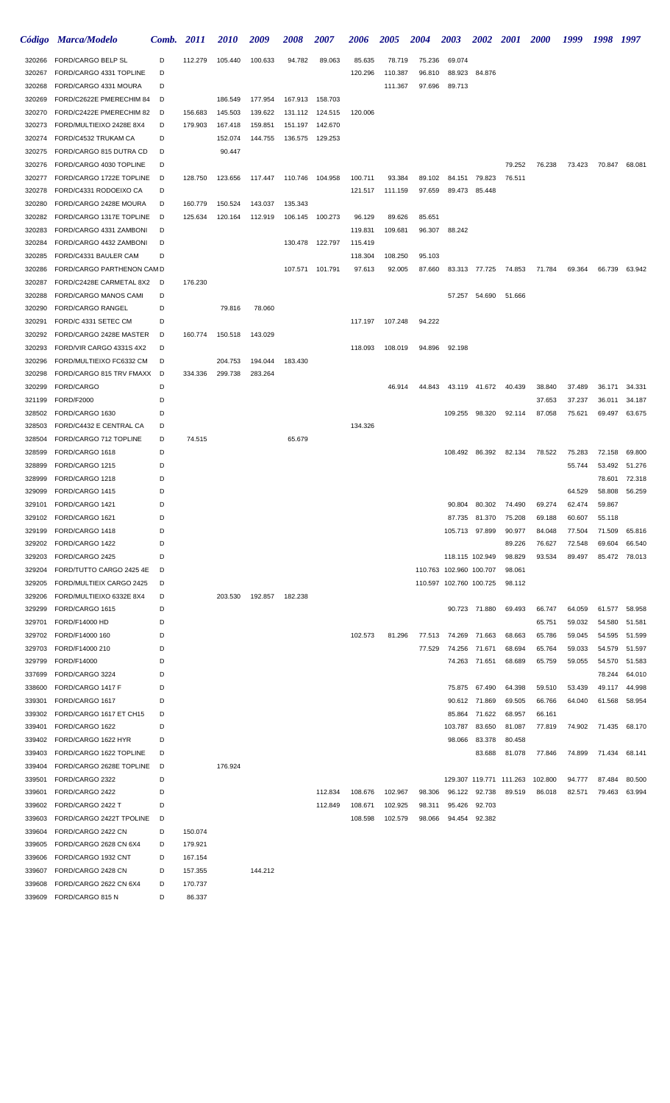|                  | Código Marca/Modelo                                    | Comb.  | <i>2011</i> | <b>2010</b>        | 2009               | <i><b>2008</b></i> | 2007            | 2006    | <b>2005</b> | <b>2004</b> | <b>2003</b>             | <b>2002</b>             | <b>2001</b>      | <b>2000</b> | 1999   | 1998   | 1997          |
|------------------|--------------------------------------------------------|--------|-------------|--------------------|--------------------|--------------------|-----------------|---------|-------------|-------------|-------------------------|-------------------------|------------------|-------------|--------|--------|---------------|
| 320266           | FORD/CARGO BELP SL                                     | D      | 112.279     | 105.440            | 100.633            | 94.782             | 89.063          | 85.635  | 78.719      | 75.236      | 69.074                  |                         |                  |             |        |        |               |
| 320267           | FORD/CARGO 4331 TOPLINE                                | D      |             |                    |                    |                    |                 | 120.296 | 110.387     | 96.810      | 88.923                  | 84.876                  |                  |             |        |        |               |
| 320268           | FORD/CARGO 4331 MOURA                                  | D      |             |                    |                    |                    |                 |         | 111.367     | 97.696      | 89.713                  |                         |                  |             |        |        |               |
| 320269           | FORD/C2622E PMERECHIM 84                               | D      |             | 186.549            | 177.954            |                    | 167.913 158.703 |         |             |             |                         |                         |                  |             |        |        |               |
| 320270           | FORD/C2422E PMERECHIM 82                               | D      | 156.683     | 145.503            | 139.622            | 131.112            | 124.515         | 120.006 |             |             |                         |                         |                  |             |        |        |               |
| 320273           | FORD/MULTIEIXO 2428E 8X4                               | D      | 179.903     | 167.418            | 159.851            | 151.197            | 142.670         |         |             |             |                         |                         |                  |             |        |        |               |
| 320274           | FORD/C4532 TRUKAM CA                                   | D      |             | 152.074            | 144.755            | 136.575            | 129.253         |         |             |             |                         |                         |                  |             |        |        |               |
| 320275           | FORD/CARGO 815 DUTRA CD                                | D      |             | 90.447             |                    |                    |                 |         |             |             |                         |                         | 79.252           | 76.238      |        |        | 68.081        |
| 320276<br>320277 | FORD/CARGO 4030 TOPLINE<br>FORD/CARGO 1722E TOPLINE    | D<br>D | 128.750     | 123.656            | 117.447            | 110.746 104.958    |                 | 100.711 | 93.384      | 89.102      | 84.151                  | 79.823                  | 76.511           |             | 73.423 | 70.847 |               |
| 320278           | FORD/C4331 RODOEIXO CA                                 | D      |             |                    |                    |                    |                 | 121.517 | 111.159     | 97.659      | 89.473                  | 85.448                  |                  |             |        |        |               |
| 320280           | FORD/CARGO 2428E MOURA                                 | D      | 160.779     | 150.524            | 143.037            | 135.343            |                 |         |             |             |                         |                         |                  |             |        |        |               |
| 320282           | FORD/CARGO 1317E TOPLINE                               | D      | 125.634     | 120.164            | 112.919            | 106.145            | 100.273         | 96.129  | 89.626      | 85.651      |                         |                         |                  |             |        |        |               |
| 320283           | FORD/CARGO 4331 ZAMBONI                                | D      |             |                    |                    |                    |                 | 119.831 | 109.681     | 96.307      | 88.242                  |                         |                  |             |        |        |               |
| 320284           | FORD/CARGO 4432 ZAMBONI                                | D      |             |                    |                    |                    | 130.478 122.797 | 115.419 |             |             |                         |                         |                  |             |        |        |               |
| 320285           | FORD/C4331 BAULER CAM                                  | D      |             |                    |                    |                    |                 | 118.304 | 108.250     | 95.103      |                         |                         |                  |             |        |        |               |
| 320286           | FORD/CARGO PARTHENON CAM D                             |        |             |                    |                    |                    | 107.571 101.791 | 97.613  | 92.005      | 87.660      |                         | 83.313 77.725           | 74.853           | 71.784      | 69.364 | 66.739 | 63.942        |
| 320287           | FORD/C2428E CARMETAL 8X2                               | D      | 176.230     |                    |                    |                    |                 |         |             |             |                         |                         |                  |             |        |        |               |
| 320288           | FORD/CARGO MANOS CAMI                                  | D      |             |                    |                    |                    |                 |         |             |             |                         | 57.257 54.690           | 51.666           |             |        |        |               |
| 320290           | FORD/CARGO RANGEL                                      | D      |             | 79.816             | 78.060             |                    |                 |         |             |             |                         |                         |                  |             |        |        |               |
| 320291           | FORD/C 4331 SETEC CM                                   | D      |             |                    |                    |                    |                 | 117.197 | 107.248     | 94.222      |                         |                         |                  |             |        |        |               |
| 320292           | FORD/CARGO 2428E MASTER                                | D      | 160.774     | 150.518            | 143.029            |                    |                 |         |             |             |                         |                         |                  |             |        |        |               |
| 320293           | FORD/VIR CARGO 4331S 4X2                               | D      |             |                    |                    |                    |                 | 118.093 | 108.019     | 94.896      | 92.198                  |                         |                  |             |        |        |               |
| 320296<br>320298 | FORD/MULTIEIXO FC6332 CM<br>FORD/CARGO 815 TRV FMAXX D | D      | 334.336     | 204.753<br>299.738 | 194.044<br>283.264 | 183.430            |                 |         |             |             |                         |                         |                  |             |        |        |               |
| 320299           | FORD/CARGO                                             | D      |             |                    |                    |                    |                 |         | 46.914      | 44.843      |                         | 43.119 41.672           | 40.439           | 38.840      | 37.489 | 36.171 | 34.331        |
| 321199           | <b>FORD/F2000</b>                                      | D      |             |                    |                    |                    |                 |         |             |             |                         |                         |                  | 37.653      | 37.237 | 36.011 | 34.187        |
| 328502           | FORD/CARGO 1630                                        | D      |             |                    |                    |                    |                 |         |             |             | 109.255                 | 98.320                  | 92.114           | 87.058      | 75.621 | 69.497 | 63.675        |
| 328503           | FORD/C4432 E CENTRAL CA                                | D      |             |                    |                    |                    |                 | 134.326 |             |             |                         |                         |                  |             |        |        |               |
| 328504           | FORD/CARGO 712 TOPLINE                                 | D      | 74.515      |                    |                    | 65.679             |                 |         |             |             |                         |                         |                  |             |        |        |               |
| 328599           | FORD/CARGO 1618                                        | D      |             |                    |                    |                    |                 |         |             |             | 108.492                 | 86.392                  | 82.134           | 78.522      | 75.283 | 72.158 | 69.800        |
| 328899           | FORD/CARGO 1215                                        | D      |             |                    |                    |                    |                 |         |             |             |                         |                         |                  |             | 55.744 | 53.492 | 51.276        |
| 328999           | FORD/CARGO 1218                                        | D      |             |                    |                    |                    |                 |         |             |             |                         |                         |                  |             |        | 78.601 | 72.318        |
| 329099           | FORD/CARGO 1415                                        | D      |             |                    |                    |                    |                 |         |             |             |                         |                         |                  |             | 64.529 | 58.808 | 56.259        |
| 329101           | FORD/CARGO 1421                                        | D      |             |                    |                    |                    |                 |         |             |             | 90.804                  | 80.302                  | 74.490           | 69.274      | 62.474 | 59.867 |               |
| 329102           | FORD/CARGO 1621                                        | D      |             |                    |                    |                    |                 |         |             |             | 87.735                  | 81.370                  | 75.208           | 69.188      | 60.607 | 55.118 |               |
| 329199           | FORD/CARGO 1418                                        | D      |             |                    |                    |                    |                 |         |             |             |                         | 105.713 97.899          | 90.977           | 84.048      | 77.504 | 71.509 | 65.816        |
| 329202           | FORD/CARGO 1422                                        | D      |             |                    |                    |                    |                 |         |             |             |                         |                         | 89.226           | 76.627      | 72.548 | 69.604 | 66.540        |
| 329203<br>329204 | FORD/CARGO 2425<br>FORD/TUTTO CARGO 2425 4E            | D<br>D |             |                    |                    |                    |                 |         |             |             | 110.763 102.960 100.707 | 118.115 102.949         | 98.829<br>98.061 | 93.534      | 89.497 | 85.472 | 78.013        |
| 329205           | FORD/MULTIEIX CARGO 2425                               | D      |             |                    |                    |                    |                 |         |             |             | 110.597 102.760 100.725 |                         | 98.112           |             |        |        |               |
| 329206           | FORD/MULTIEIXO 6332E 8X4                               | D      |             | 203.530            | 192.857            | 182.238            |                 |         |             |             |                         |                         |                  |             |        |        |               |
| 329299           | FORD/CARGO 1615                                        | D      |             |                    |                    |                    |                 |         |             |             |                         | 90.723 71.880           | 69.493           | 66.747      | 64.059 | 61.577 | 58.958        |
| 329701           | FORD/F14000 HD                                         | D      |             |                    |                    |                    |                 |         |             |             |                         |                         |                  | 65.751      | 59.032 | 54.580 | 51.581        |
| 329702           | FORD/F14000 160                                        | D      |             |                    |                    |                    |                 | 102.573 | 81.296      | 77.513      |                         | 74.269 71.663           | 68.663           | 65.786      | 59.045 | 54.595 | 51.599        |
| 329703           | FORD/F14000 210                                        | D      |             |                    |                    |                    |                 |         |             | 77.529      |                         | 74.256 71.671           | 68.694           | 65.764      | 59.033 | 54.579 | 51.597        |
| 329799           | FORD/F14000                                            | D      |             |                    |                    |                    |                 |         |             |             |                         | 74.263 71.651           | 68.689           | 65.759      | 59.055 | 54.570 | 51.583        |
| 337699           | FORD/CARGO 3224                                        | D      |             |                    |                    |                    |                 |         |             |             |                         |                         |                  |             |        | 78.244 | 64.010        |
| 338600           | FORD/CARGO 1417 F                                      | D      |             |                    |                    |                    |                 |         |             |             | 75.875                  | 67.490                  | 64.398           | 59.510      | 53.439 | 49.117 | 44.998        |
| 339301           | FORD/CARGO 1617                                        | D      |             |                    |                    |                    |                 |         |             |             |                         | 90.612 71.869           | 69.505           | 66.766      | 64.040 | 61.568 | 58.954        |
| 339302           | FORD/CARGO 1617 ET CH15                                | D      |             |                    |                    |                    |                 |         |             |             |                         | 85.864 71.622           | 68.957           | 66.161      |        |        |               |
| 339401           | FORD/CARGO 1622                                        | D      |             |                    |                    |                    |                 |         |             |             | 103.787                 | 83.650                  | 81.087           | 77.819      | 74.902 |        | 71.435 68.170 |
| 339402           | FORD/CARGO 1622 HYR<br>FORD/CARGO 1622 TOPLINE         | D<br>D |             |                    |                    |                    |                 |         |             |             | 98.066                  | 83.378                  | 80.458           |             | 74.899 | 71.434 |               |
| 339403<br>339404 | FORD/CARGO 2628E TOPLINE                               | D      |             | 176.924            |                    |                    |                 |         |             |             |                         | 83.688                  | 81.078           | 77.846      |        |        | 68.141        |
| 339501           | FORD/CARGO 2322                                        | D      |             |                    |                    |                    |                 |         |             |             |                         | 129.307 119.771 111.263 |                  | 102.800     | 94.777 | 87.484 | 80.500        |
| 339601           | FORD/CARGO 2422                                        | D      |             |                    |                    |                    | 112.834         | 108.676 | 102.967     | 98.306      |                         | 96.122 92.738           | 89.519           | 86.018      | 82.571 | 79.463 | 63.994        |
| 339602           | FORD/CARGO 2422 T                                      | D      |             |                    |                    |                    | 112.849         | 108.671 | 102.925     | 98.311      | 95.426                  | 92.703                  |                  |             |        |        |               |
| 339603           | FORD/CARGO 2422T TPOLINE                               | D      |             |                    |                    |                    |                 | 108.598 | 102.579     | 98.066      | 94.454                  | 92.382                  |                  |             |        |        |               |
| 339604           | FORD/CARGO 2422 CN                                     | D      | 150.074     |                    |                    |                    |                 |         |             |             |                         |                         |                  |             |        |        |               |
| 339605           | FORD/CARGO 2628 CN 6X4                                 | D      | 179.921     |                    |                    |                    |                 |         |             |             |                         |                         |                  |             |        |        |               |
| 339606           | FORD/CARGO 1932 CNT                                    | D      | 167.154     |                    |                    |                    |                 |         |             |             |                         |                         |                  |             |        |        |               |
| 339607           | FORD/CARGO 2428 CN                                     | D      | 157.355     |                    | 144.212            |                    |                 |         |             |             |                         |                         |                  |             |        |        |               |
| 339608           | FORD/CARGO 2622 CN 6X4                                 | D      | 170.737     |                    |                    |                    |                 |         |             |             |                         |                         |                  |             |        |        |               |
| 339609           | FORD/CARGO 815 N                                       | D      | 86.337      |                    |                    |                    |                 |         |             |             |                         |                         |                  |             |        |        |               |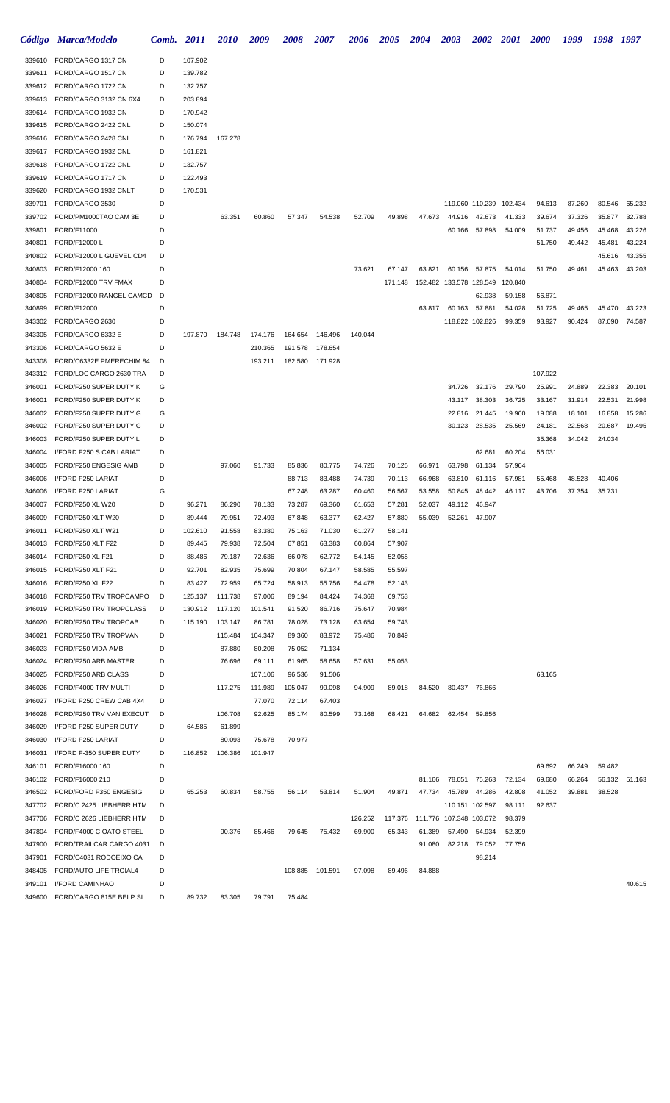|                  | Código Marca/Modelo                                 | Comb.  | <i>2011</i>      | <i>2010</i>      | 2009             | <b>2008</b>      | <b>2007</b>      | <i><b>2006</b></i> | <b>2005</b>       | <b>2004</b>      | <b>2003</b>                       | <b>2002</b>             | <b>2001</b>      | <b>2000</b> | 1999   | 1998   | 1997          |
|------------------|-----------------------------------------------------|--------|------------------|------------------|------------------|------------------|------------------|--------------------|-------------------|------------------|-----------------------------------|-------------------------|------------------|-------------|--------|--------|---------------|
| 339610           | FORD/CARGO 1317 CN                                  | D      | 107.902          |                  |                  |                  |                  |                    |                   |                  |                                   |                         |                  |             |        |        |               |
| 339611           | FORD/CARGO 1517 CN                                  | D      | 139.782          |                  |                  |                  |                  |                    |                   |                  |                                   |                         |                  |             |        |        |               |
| 339612           | FORD/CARGO 1722 CN                                  | D      | 132.757          |                  |                  |                  |                  |                    |                   |                  |                                   |                         |                  |             |        |        |               |
| 339613           | FORD/CARGO 3132 CN 6X4                              | D      | 203.894          |                  |                  |                  |                  |                    |                   |                  |                                   |                         |                  |             |        |        |               |
| 339614           | FORD/CARGO 1932 CN                                  | D      | 170.942          |                  |                  |                  |                  |                    |                   |                  |                                   |                         |                  |             |        |        |               |
| 339615           | FORD/CARGO 2422 CNL                                 | D      | 150.074          |                  |                  |                  |                  |                    |                   |                  |                                   |                         |                  |             |        |        |               |
| 339616           | FORD/CARGO 2428 CNL                                 | D      | 176.794          | 167.278          |                  |                  |                  |                    |                   |                  |                                   |                         |                  |             |        |        |               |
| 339617           | FORD/CARGO 1932 CNL                                 | D      | 161.821          |                  |                  |                  |                  |                    |                   |                  |                                   |                         |                  |             |        |        |               |
| 339618           | FORD/CARGO 1722 CNL                                 | D      | 132.757          |                  |                  |                  |                  |                    |                   |                  |                                   |                         |                  |             |        |        |               |
| 339619           | FORD/CARGO 1717 CN                                  | D<br>D | 122.493          |                  |                  |                  |                  |                    |                   |                  |                                   |                         |                  |             |        |        |               |
| 339620<br>339701 | FORD/CARGO 1932 CNLT<br>FORD/CARGO 3530             | D      | 170.531          |                  |                  |                  |                  |                    |                   |                  |                                   | 119.060 110.239 102.434 |                  | 94.613      | 87.260 | 80.546 | 65.232        |
| 339702           | FORD/PM1000TAO CAM 3E                               | D      |                  | 63.351           | 60.860           | 57.347           | 54.538           | 52.709             | 49.898            | 47.673           | 44.916                            | 42.673                  | 41.333           | 39.674      | 37.326 | 35.877 | 32.788        |
| 339801           | FORD/F11000                                         | D      |                  |                  |                  |                  |                  |                    |                   |                  | 60.166                            | 57.898                  | 54.009           | 51.737      | 49.456 | 45.468 | 43.226        |
| 340801           | FORD/F12000 L                                       | D      |                  |                  |                  |                  |                  |                    |                   |                  |                                   |                         |                  | 51.750      | 49.442 | 45.481 | 43.224        |
| 340802           | FORD/F12000 L GUEVEL CD4                            | D      |                  |                  |                  |                  |                  |                    |                   |                  |                                   |                         |                  |             |        | 45.616 | 43.355        |
| 340803           | FORD/F12000 160                                     | D      |                  |                  |                  |                  |                  | 73.621             | 67.147            | 63.821           |                                   | 60.156 57.875           | 54.014           | 51.750      | 49.461 | 45.463 | 43.203        |
| 340804           | FORD/F12000 TRV FMAX                                | D      |                  |                  |                  |                  |                  |                    | 171.148           |                  | 152.482 133.578 128.549           |                         | 120.840          |             |        |        |               |
| 340805           | FORD/F12000 RANGEL CAMCD                            | D      |                  |                  |                  |                  |                  |                    |                   |                  |                                   | 62.938                  | 59.158           | 56.871      |        |        |               |
| 340899           | FORD/F12000                                         | D      |                  |                  |                  |                  |                  |                    |                   | 63.817           |                                   | 60.163 57.881           | 54.028           | 51.725      | 49.465 | 45.470 | 43.223        |
| 343302           | FORD/CARGO 2630                                     | D      |                  |                  |                  |                  |                  |                    |                   |                  |                                   | 118.822 102.826         | 99.359           | 93.927      | 90.424 | 87.090 | 74.587        |
| 343305           | FORD/CARGO 6332 E                                   | D      | 197.870          | 184.748          | 174.176          | 164.654          | 146.496          | 140.044            |                   |                  |                                   |                         |                  |             |        |        |               |
| 343306           | FORD/CARGO 5632 E                                   | D      |                  |                  | 210.365          | 191.578          | 178.654          |                    |                   |                  |                                   |                         |                  |             |        |        |               |
| 343308           | FORD/C6332E PMERECHIM 84                            | D      |                  |                  | 193.211          |                  | 182.580 171.928  |                    |                   |                  |                                   |                         |                  |             |        |        |               |
| 343312           | FORD/LOC CARGO 2630 TRA                             | D      |                  |                  |                  |                  |                  |                    |                   |                  |                                   |                         |                  | 107.922     |        |        |               |
| 346001           | FORD/F250 SUPER DUTY K                              | G      |                  |                  |                  |                  |                  |                    |                   |                  | 34.726                            | 32.176                  | 29.790           | 25.991      | 24.889 | 22.383 | 20.101        |
| 346001           | FORD/F250 SUPER DUTY K                              | D      |                  |                  |                  |                  |                  |                    |                   |                  | 43.117                            | 38.303                  | 36.725           | 33.167      | 31.914 | 22.531 | 21.998        |
| 346002           | FORD/F250 SUPER DUTY G                              | G      |                  |                  |                  |                  |                  |                    |                   |                  | 22.816                            | 21.445                  | 19.960           | 19.088      | 18.101 | 16.858 | 15.286        |
| 346002           | FORD/F250 SUPER DUTY G                              | D      |                  |                  |                  |                  |                  |                    |                   |                  | 30.123                            | 28.535                  | 25.569           | 24.181      | 22.568 | 20.687 | 19.495        |
| 346003           | FORD/F250 SUPER DUTY L                              | D      |                  |                  |                  |                  |                  |                    |                   |                  |                                   |                         |                  | 35.368      | 34.042 | 24.034 |               |
| 346004           | I/FORD F250 S.CAB LARIAT                            | D      |                  |                  |                  |                  |                  |                    |                   |                  |                                   | 62.681                  | 60.204           | 56.031      |        |        |               |
| 346005           | FORD/F250 ENGESIG AMB                               | D      |                  | 97.060           | 91.733           | 85.836           | 80.775           | 74.726             | 70.125            | 66.971           | 63.798                            | 61.134                  | 57.964           |             |        |        |               |
| 346006           | I/FORD F250 LARIAT                                  | D      |                  |                  |                  | 88.713           | 83.488           | 74.739             | 70.113            | 66.968           | 63.810                            | 61.116                  | 57.981           | 55.468      | 48.528 | 40.406 |               |
| 346006           | I/FORD F250 LARIAT                                  | G      |                  |                  |                  | 67.248           | 63.287           | 60.460             | 56.567            | 53.558           | 50.845                            | 48.442                  | 46.117           | 43.706      | 37.354 | 35.731 |               |
| 346007<br>346009 | FORD/F250 XL W20<br>FORD/F250 XLT W20               | D<br>D | 96.271<br>89.444 | 86.290<br>79.951 | 78.133<br>72.493 | 73.287<br>67.848 | 69.360<br>63.377 | 61.653<br>62.427   | 57.281<br>57.880  | 52.037<br>55.039 | 49.112<br>52.261                  | 46.947<br>47.907        |                  |             |        |        |               |
| 346011           | FORD/F250 XLT W21                                   | D      | 102.610          | 91.558           | 83.380           | 75.163           | 71.030           | 61.277             | 58.141            |                  |                                   |                         |                  |             |        |        |               |
| 346013           | FORD/F250 XLT F22                                   | D      | 89.445           | 79.938           | 72.504           | 67.851           | 63.383           | 60.864             | 57.907            |                  |                                   |                         |                  |             |        |        |               |
| 346014           | FORD/F250 XL F21                                    | D      | 88.486           | 79.187           | 72.636           | 66.078           | 62.772           | 54.145             | 52.055            |                  |                                   |                         |                  |             |        |        |               |
| 346015           | FORD/F250 XLT F21                                   | D      | 92.701           | 82.935           | 75.699           | 70.804           | 67.147           | 58.585             | 55.597            |                  |                                   |                         |                  |             |        |        |               |
| 346016           | FORD/F250 XL F22                                    | D      | 83.427           | 72.959           | 65.724           | 58.913           | 55.756           | 54.478             | 52.143            |                  |                                   |                         |                  |             |        |        |               |
| 346018           | FORD/F250 TRV TROPCAMPO                             | D      | 125.137          | 111.738          | 97.006           | 89.194           | 84.424           | 74.368             | 69.753            |                  |                                   |                         |                  |             |        |        |               |
| 346019           | FORD/F250 TRV TROPCLASS                             | D      | 130.912          | 117.120          | 101.541          | 91.520           | 86.716           | 75.647             | 70.984            |                  |                                   |                         |                  |             |        |        |               |
| 346020           | FORD/F250 TRV TROPCAB                               | D      | 115.190          | 103.147          | 86.781           | 78.028           | 73.128           | 63.654             | 59.743            |                  |                                   |                         |                  |             |        |        |               |
| 346021           | FORD/F250 TRV TROPVAN                               | D      |                  | 115.484          | 104.347          | 89.360           | 83.972           | 75.486             | 70.849            |                  |                                   |                         |                  |             |        |        |               |
| 346023           | FORD/F250 VIDA AMB                                  | D      |                  | 87.880           | 80.208           | 75.052           | 71.134           |                    |                   |                  |                                   |                         |                  |             |        |        |               |
| 346024           | FORD/F250 ARB MASTER                                | D      |                  | 76.696           | 69.111           | 61.965           | 58.658           | 57.631             | 55.053            |                  |                                   |                         |                  |             |        |        |               |
| 346025           | FORD/F250 ARB CLASS                                 | D      |                  |                  | 107.106          | 96.536           | 91.506           |                    |                   |                  |                                   |                         |                  | 63.165      |        |        |               |
| 346026           | FORD/F4000 TRV MULTI                                | D      |                  | 117.275          | 111.989          | 105.047          | 99.098           | 94.909             | 89.018            | 84.520           |                                   | 80.437 76.866           |                  |             |        |        |               |
| 346027           | I/FORD F250 CREW CAB 4X4                            | D      |                  |                  | 77.070           | 72.114           | 67.403           |                    |                   |                  |                                   |                         |                  |             |        |        |               |
| 346028           | FORD/F250 TRV VAN EXECUT                            | D      |                  | 106.708          | 92.625           | 85.174           | 80.599           | 73.168             | 68.421            | 64.682           | 62.454                            | 59.856                  |                  |             |        |        |               |
| 346029           | I/FORD F250 SUPER DUTY                              | D      | 64.585           | 61.899           |                  |                  |                  |                    |                   |                  |                                   |                         |                  |             |        |        |               |
| 346030           | I/FORD F250 LARIAT                                  | D      |                  | 80.093           | 75.678           | 70.977           |                  |                    |                   |                  |                                   |                         |                  |             |        |        |               |
| 346031           | I/FORD F-350 SUPER DUTY                             | D      | 116.852          | 106.386          | 101.947          |                  |                  |                    |                   |                  |                                   |                         |                  |             |        |        |               |
| 346101           | FORD/F16000 160                                     | D      |                  |                  |                  |                  |                  |                    |                   |                  |                                   |                         |                  | 69.692      | 66.249 | 59.482 |               |
| 346102           | FORD/F16000 210                                     | D      |                  |                  |                  |                  |                  |                    |                   | 81.166           | 78.051                            | 75.263                  | 72.134           | 69.680      | 66.264 |        | 56.132 51.163 |
| 346502           | FORD/FORD F350 ENGESIG                              | D      | 65.253           | 60.834           | 58.755           | 56.114           | 53.814           | 51.904             | 49.871            | 47.734           | 45.789                            | 44.286                  | 42.808           | 41.052      | 39.881 | 38.528 |               |
| 347702           | FORD/C 2425 LIEBHERR HTM                            | D<br>D |                  |                  |                  |                  |                  |                    |                   |                  | 110.151 102.597                   |                         | 98.111           | 92.637      |        |        |               |
| 347706<br>347804 | FORD/C 2626 LIEBHERR HTM<br>FORD/F4000 CIOATO STEEL | D      |                  | 90.376           | 85.466           | 79.645           | 75.432           | 126.252<br>69.900  | 117.376<br>65.343 | 61.389           | 111.776 107.348 103.672<br>57.490 | 54.934                  | 98.379<br>52.399 |             |        |        |               |
| 347900           | FORD/TRAILCAR CARGO 4031                            | D      |                  |                  |                  |                  |                  |                    |                   | 91.080           | 82.218                            | 79.052                  | 77.756           |             |        |        |               |
| 347901           | FORD/C4031 RODOEIXO CA                              | D      |                  |                  |                  |                  |                  |                    |                   |                  |                                   | 98.214                  |                  |             |        |        |               |
| 348405           | FORD/AUTO LIFE TROIAL4                              | D      |                  |                  |                  | 108.885          | 101.591          | 97.098             | 89.496            | 84.888           |                                   |                         |                  |             |        |        |               |
| 349101           | <b>I/FORD CAMINHAO</b>                              | D      |                  |                  |                  |                  |                  |                    |                   |                  |                                   |                         |                  |             |        |        | 40.615        |
| 349600           | FORD/CARGO 815E BELP SL                             | D      | 89.732           | 83.305           | 79.791           | 75.484           |                  |                    |                   |                  |                                   |                         |                  |             |        |        |               |
|                  |                                                     |        |                  |                  |                  |                  |                  |                    |                   |                  |                                   |                         |                  |             |        |        |               |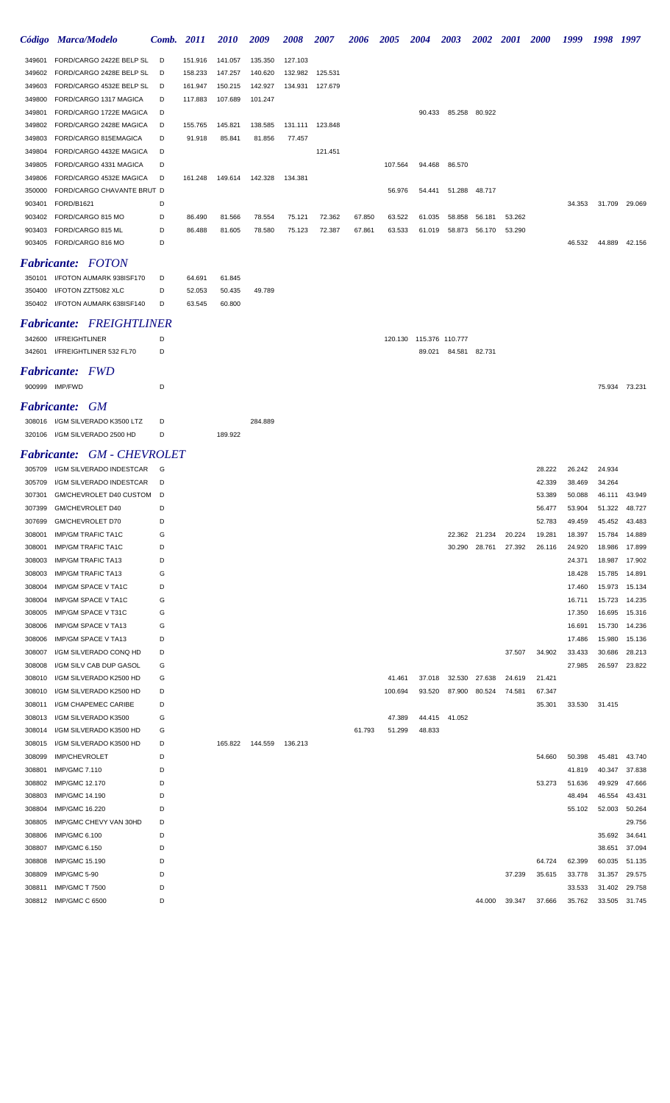|                           | Código Marca/Modelo                              | <b>Comb.</b> 2011 |                   | <i>2010</i>       | 2009              | 2008              | <i><b>2007</b></i> | 2006   | <i><b>2005</b></i> | 2004   | 2003            | <i><b>2002</b></i> | <i>2001</i> | <i><b>2000</b></i> | 1999             | 1998             | 1997                    |
|---------------------------|--------------------------------------------------|-------------------|-------------------|-------------------|-------------------|-------------------|--------------------|--------|--------------------|--------|-----------------|--------------------|-------------|--------------------|------------------|------------------|-------------------------|
| 349601                    | FORD/CARGO 2422E BELP SL                         | D                 | 151.916           | 141.057           | 135.350           | 127.103           |                    |        |                    |        |                 |                    |             |                    |                  |                  |                         |
| 349602                    | FORD/CARGO 2428E BELP SL                         | D                 | 158.233           | 147.257           | 140.620           | 132.982           | 125.531            |        |                    |        |                 |                    |             |                    |                  |                  |                         |
| 349603                    | FORD/CARGO 4532E BELP SL                         | D                 | 161.947           | 150.215           | 142.927           | 134.931           | 127.679            |        |                    |        |                 |                    |             |                    |                  |                  |                         |
| 349800                    | FORD/CARGO 1317 MAGICA                           | D                 | 117.883           | 107.689           | 101.247           |                   |                    |        |                    |        |                 |                    |             |                    |                  |                  |                         |
| 349801                    | FORD/CARGO 1722E MAGICA                          | D                 |                   |                   |                   |                   |                    |        |                    | 90.433 |                 | 85.258 80.922      |             |                    |                  |                  |                         |
| 349802<br>349803          | FORD/CARGO 2428E MAGICA<br>FORD/CARGO 815EMAGICA | D<br>D            | 155.765<br>91.918 | 145.821<br>85.841 | 138.585<br>81.856 | 131.111<br>77.457 | 123.848            |        |                    |        |                 |                    |             |                    |                  |                  |                         |
| 349804                    | FORD/CARGO 4432E MAGICA                          | D                 |                   |                   |                   |                   | 121.451            |        |                    |        |                 |                    |             |                    |                  |                  |                         |
| 349805                    | FORD/CARGO 4331 MAGICA                           | D                 |                   |                   |                   |                   |                    |        | 107.564            | 94.468 | 86.570          |                    |             |                    |                  |                  |                         |
| 349806                    | FORD/CARGO 4532E MAGICA                          | D                 | 161.248           | 149.614           | 142.328           | 134.381           |                    |        |                    |        |                 |                    |             |                    |                  |                  |                         |
| 350000                    | FORD/CARGO CHAVANTE BRUT D                       |                   |                   |                   |                   |                   |                    |        | 56.976             | 54.441 | 51.288          | 48.717             |             |                    |                  |                  |                         |
| 903401                    | FORD/B1621                                       | D                 |                   |                   |                   |                   |                    |        |                    |        |                 |                    |             |                    | 34.353           | 31.709           | 29.069                  |
| 903402                    | FORD/CARGO 815 MO                                | D                 | 86.490            | 81.566            | 78.554            | 75.121            | 72.362             | 67.850 | 63.522             | 61.035 | 58.858          | 56.181             | 53.262      |                    |                  |                  |                         |
| 903403                    | FORD/CARGO 815 ML                                | D                 | 86.488            | 81.605            | 78.580            | 75.123            | 72.387             | 67.861 | 63.533             | 61.019 | 58.873          | 56.170             | 53.290      |                    |                  |                  |                         |
| 903405                    | FORD/CARGO 816 MO                                | D                 |                   |                   |                   |                   |                    |        |                    |        |                 |                    |             |                    | 46.532           | 44.889           | 42.156                  |
|                           | <b>Fabricante:</b> FOTON                         |                   |                   |                   |                   |                   |                    |        |                    |        |                 |                    |             |                    |                  |                  |                         |
| 350101                    | I/FOTON AUMARK 938ISF170                         | D                 | 64.691            | 61.845            |                   |                   |                    |        |                    |        |                 |                    |             |                    |                  |                  |                         |
| 350400                    | I/FOTON ZZT5082 XLC                              | D                 | 52.053            | 50.435            | 49.789            |                   |                    |        |                    |        |                 |                    |             |                    |                  |                  |                         |
|                           | 350402 I/FOTON AUMARK 638ISF140                  | D                 | 63.545            | 60.800            |                   |                   |                    |        |                    |        |                 |                    |             |                    |                  |                  |                         |
|                           | <b>Fabricante: FREIGHTLINER</b>                  |                   |                   |                   |                   |                   |                    |        |                    |        |                 |                    |             |                    |                  |                  |                         |
| 342600                    | I/FREIGHTLINER                                   | D                 |                   |                   |                   |                   |                    |        | 120.130            |        | 115.376 110.777 |                    |             |                    |                  |                  |                         |
| 342601                    | I/FREIGHTLINER 532 FL70                          | D                 |                   |                   |                   |                   |                    |        |                    | 89.021 | 84.581          | 82.731             |             |                    |                  |                  |                         |
| <i><b>Fabricante:</b></i> | <b>FWD</b>                                       |                   |                   |                   |                   |                   |                    |        |                    |        |                 |                    |             |                    |                  |                  |                         |
|                           | 900999 IMP/FWD                                   | D                 |                   |                   |                   |                   |                    |        |                    |        |                 |                    |             |                    |                  |                  | 75.934 73.231           |
|                           |                                                  |                   |                   |                   |                   |                   |                    |        |                    |        |                 |                    |             |                    |                  |                  |                         |
|                           | <b>Fabricante: GM</b>                            |                   |                   |                   |                   |                   |                    |        |                    |        |                 |                    |             |                    |                  |                  |                         |
|                           | 308016 I/GM SILVERADO K3500 LTZ                  | D                 |                   |                   | 284.889           |                   |                    |        |                    |        |                 |                    |             |                    |                  |                  |                         |
|                           | 320106 I/GM SILVERADO 2500 HD                    | D                 |                   | 189.922           |                   |                   |                    |        |                    |        |                 |                    |             |                    |                  |                  |                         |
|                           | <b>Fabricante:</b> GM - CHEVROLET                |                   |                   |                   |                   |                   |                    |        |                    |        |                 |                    |             |                    |                  |                  |                         |
|                           | 305709 I/GM SILVERADO INDESTCAR                  | G                 |                   |                   |                   |                   |                    |        |                    |        |                 |                    |             | 28.222             | 26.242           | 24.934           |                         |
| 305709                    | I/GM SILVERADO INDESTCAR                         | D                 |                   |                   |                   |                   |                    |        |                    |        |                 |                    |             | 42.339             | 38.469           | 34.264           |                         |
| 307301                    | GM/CHEVROLET D40 CUSTOM                          | D                 |                   |                   |                   |                   |                    |        |                    |        |                 |                    |             | 53.389             | 50.088           | 46.111           | 43.949                  |
| 307399<br>307699          | GM/CHEVROLET D40<br>GM/CHEVROLET D70             | D<br>D            |                   |                   |                   |                   |                    |        |                    |        |                 |                    |             | 56.477<br>52.783   | 53.904<br>49.459 | 51.322<br>45.452 | 48.727<br>43.483        |
| 308001                    | <b>IMP/GM TRAFIC TA1C</b>                        | G                 |                   |                   |                   |                   |                    |        |                    |        | 22.362          | 21.234             | 20.224      | 19.281             | 18.397           |                  | 15.784 14.889           |
| 308001                    | <b>IMP/GM TRAFIC TA1C</b>                        | D                 |                   |                   |                   |                   |                    |        |                    |        | 30.290          | 28.761             | 27.392      | 26.116             | 24.920           | 18.986           | 17.899                  |
| 308003                    | <b>IMP/GM TRAFIC TA13</b>                        | D                 |                   |                   |                   |                   |                    |        |                    |        |                 |                    |             |                    | 24.371           | 18.987           | 17.902                  |
| 308003                    | <b>IMP/GM TRAFIC TA13</b>                        | G                 |                   |                   |                   |                   |                    |        |                    |        |                 |                    |             |                    | 18.428           | 15.785           | 14.891                  |
| 308004                    | <b>IMP/GM SPACE V TA1C</b>                       | D                 |                   |                   |                   |                   |                    |        |                    |        |                 |                    |             |                    | 17.460           | 15.973           | 15.134                  |
| 308004                    | IMP/GM SPACE V TA1C                              | G                 |                   |                   |                   |                   |                    |        |                    |        |                 |                    |             |                    | 16.711           | 15.723           | 14.235                  |
| 308005                    | IMP/GM SPACE V T31C                              | G                 |                   |                   |                   |                   |                    |        |                    |        |                 |                    |             |                    | 17.350           | 16.695           | 15.316                  |
| 308006<br>308006          | IMP/GM SPACE V TA13<br>IMP/GM SPACE V TA13       | G<br>D            |                   |                   |                   |                   |                    |        |                    |        |                 |                    |             |                    | 16.691<br>17.486 | 15.730<br>15.980 | 14.236<br>15.136        |
| 308007                    | I/GM SILVERADO CONQ HD                           | D                 |                   |                   |                   |                   |                    |        |                    |        |                 |                    | 37.507      | 34.902             | 33.433           | 30.686           | 28.213                  |
| 308008                    | I/GM SILV CAB DUP GASOL                          | G                 |                   |                   |                   |                   |                    |        |                    |        |                 |                    |             |                    | 27.985           | 26.597           | 23.822                  |
| 308010                    | I/GM SILVERADO K2500 HD                          | G                 |                   |                   |                   |                   |                    |        | 41.461             | 37.018 | 32.530          | 27.638             | 24.619      | 21.421             |                  |                  |                         |
| 308010                    | I/GM SILVERADO K2500 HD                          | D                 |                   |                   |                   |                   |                    |        | 100.694            | 93.520 | 87.900          | 80.524             | 74.581      | 67.347             |                  |                  |                         |
| 308011                    | I/GM CHAPEMEC CARIBE                             | D                 |                   |                   |                   |                   |                    |        |                    |        |                 |                    |             | 35.301             | 33.530           | 31.415           |                         |
| 308013                    | I/GM SILVERADO K3500                             | G                 |                   |                   |                   |                   |                    |        | 47.389             | 44.415 | 41.052          |                    |             |                    |                  |                  |                         |
| 308014                    | I/GM SILVERADO K3500 HD                          | G                 |                   |                   |                   |                   |                    | 61.793 | 51.299             | 48.833 |                 |                    |             |                    |                  |                  |                         |
| 308015                    | I/GM SILVERADO K3500 HD                          | D<br>D            |                   | 165.822           | 144.559           | 136.213           |                    |        |                    |        |                 |                    |             |                    |                  |                  |                         |
| 308099<br>308801          | <b>IMP/CHEVROLET</b><br><b>IMP/GMC 7.110</b>     | D                 |                   |                   |                   |                   |                    |        |                    |        |                 |                    |             | 54.660             | 50.398<br>41.819 | 45.481<br>40.347 | 43.740<br>37.838        |
| 308802                    | IMP/GMC 12.170                                   | D                 |                   |                   |                   |                   |                    |        |                    |        |                 |                    |             | 53.273             | 51.636           | 49.929           | 47.666                  |
| 308803                    | IMP/GMC 14.190                                   | D                 |                   |                   |                   |                   |                    |        |                    |        |                 |                    |             |                    | 48.494           | 46.554           | 43.431                  |
| 308804                    | IMP/GMC 16.220                                   | D                 |                   |                   |                   |                   |                    |        |                    |        |                 |                    |             |                    | 55.102           | 52.003           | 50.264                  |
| 308805                    | IMP/GMC CHEVY VAN 30HD                           | D                 |                   |                   |                   |                   |                    |        |                    |        |                 |                    |             |                    |                  |                  | 29.756                  |
| 308806                    | <b>IMP/GMC 6.100</b>                             | D                 |                   |                   |                   |                   |                    |        |                    |        |                 |                    |             |                    |                  | 35.692           | 34.641                  |
| 308807                    | <b>IMP/GMC 6.150</b>                             | D                 |                   |                   |                   |                   |                    |        |                    |        |                 |                    |             |                    |                  | 38.651           | 37.094                  |
| 308808                    | IMP/GMC 15.190                                   | D                 |                   |                   |                   |                   |                    |        |                    |        |                 |                    |             | 64.724             | 62.399           | 60.035           | 51.135                  |
| 308809                    | IMP/GMC 5-90                                     | D                 |                   |                   |                   |                   |                    |        |                    |        |                 |                    | 37.239      | 35.615             | 33.778           | 31.357           | 29.575                  |
| 308811                    | <b>IMP/GMC T 7500</b><br>308812 IMP/GMC C 6500   | D<br>D            |                   |                   |                   |                   |                    |        |                    |        |                 | 44.000             | 39.347      | 37.666             | 33.533<br>35.762 | 31.402           | 29.758<br>33.505 31.745 |
|                           |                                                  |                   |                   |                   |                   |                   |                    |        |                    |        |                 |                    |             |                    |                  |                  |                         |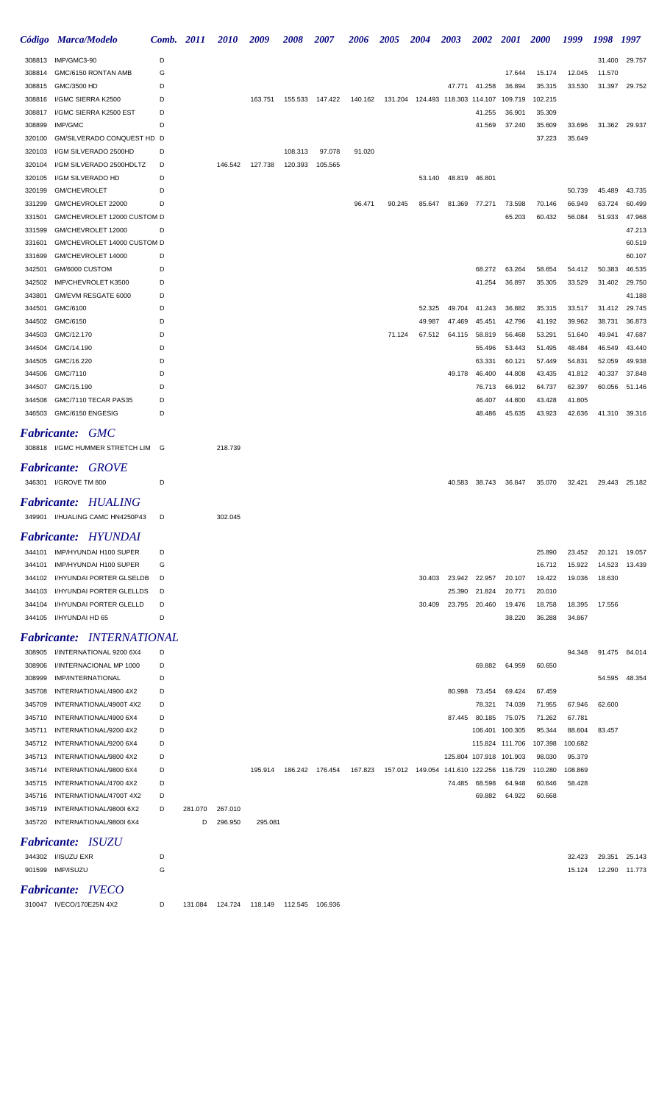|                  | Código Marca/Modelo                               | Comb.  | <i>2011</i> | <i>2010</i> | 2009    | 2008    | 2007            | <b>2006</b> | <b>2005</b> | <b>2004</b>                             | 2003   | <b>2002</b>   | <b>2001</b>             | <b>2000</b> | 1999    | 1998   | 1997             |
|------------------|---------------------------------------------------|--------|-------------|-------------|---------|---------|-----------------|-------------|-------------|-----------------------------------------|--------|---------------|-------------------------|-------------|---------|--------|------------------|
| 308813           | IMP/GMC3-90                                       | D      |             |             |         |         |                 |             |             |                                         |        |               |                         |             |         | 31.400 | 29.757           |
| 308814           | GMC/6150 RONTAN AMB                               | G      |             |             |         |         |                 |             |             |                                         |        |               | 17.644                  | 15.174      | 12.045  | 11.570 |                  |
| 308815           | GMC/3500 HD                                       | D      |             |             |         |         |                 |             |             |                                         | 47.771 | 41.258        | 36.894                  | 35.315      | 33.530  | 31.397 | 29.752           |
| 308816           | I/GMC SIERRA K2500                                | D      |             |             | 163.751 | 155.533 | 147.422         | 140.162     |             |                                         |        |               | 109.719                 | 102.215     |         |        |                  |
| 308817           | I/GMC SIERRA K2500 EST                            | D      |             |             |         |         |                 |             |             |                                         |        | 41.255        | 36.901                  | 35.309      |         |        |                  |
| 308899           | IMP/GMC                                           | D      |             |             |         |         |                 |             |             |                                         |        | 41.569        | 37.240                  | 35.609      | 33.696  | 31.362 | 29.937           |
| 320100           | GM/SILVERADO CONQUEST HD D                        |        |             |             |         |         |                 |             |             |                                         |        |               |                         | 37.223      | 35.649  |        |                  |
| 320103           | I/GM SILVERADO 2500HD                             | D      |             |             |         | 108.313 | 97.078          | 91.020      |             |                                         |        |               |                         |             |         |        |                  |
| 320104           | I/GM SILVERADO 2500HDLTZ                          | D      |             | 146.542     | 127.738 | 120.393 | 105.565         |             |             |                                         |        |               |                         |             |         |        |                  |
| 320105           | I/GM SILVERADO HD                                 | D      |             |             |         |         |                 |             |             | 53.140                                  |        | 48.819 46.801 |                         |             |         |        |                  |
| 320199           | GM/CHEVROLET                                      | D      |             |             |         |         |                 |             |             |                                         |        |               |                         |             | 50.739  | 45.489 | 43.735           |
| 331299           | GM/CHEVROLET 22000                                | D      |             |             |         |         |                 | 96.471      | 90.245      | 85.647                                  |        | 81.369 77.271 | 73.598                  | 70.146      | 66.949  | 63.724 | 60.499           |
| 331501<br>331599 | GM/CHEVROLET 12000 CUSTOM D<br>GM/CHEVROLET 12000 | D      |             |             |         |         |                 |             |             |                                         |        |               | 65.203                  | 60.432      | 56.084  | 51.933 | 47.968<br>47.213 |
| 331601           | GM/CHEVROLET 14000 CUSTOM D                       |        |             |             |         |         |                 |             |             |                                         |        |               |                         |             |         |        | 60.519           |
| 331699           | GM/CHEVROLET 14000                                | D      |             |             |         |         |                 |             |             |                                         |        |               |                         |             |         |        | 60.107           |
| 342501           | GM/6000 CUSTOM                                    | D      |             |             |         |         |                 |             |             |                                         |        | 68.272        | 63.264                  | 58.654      | 54.412  | 50.383 | 46.535           |
| 342502           | IMP/CHEVROLET K3500                               | D      |             |             |         |         |                 |             |             |                                         |        | 41.254        | 36.897                  | 35.305      | 33.529  | 31.402 | 29.750           |
| 343801           | GM/EVM RESGATE 6000                               | D      |             |             |         |         |                 |             |             |                                         |        |               |                         |             |         |        | 41.188           |
| 344501           | GMC/6100                                          | D      |             |             |         |         |                 |             |             | 52.325                                  | 49.704 | 41.243        | 36.882                  | 35.315      | 33.517  | 31.412 | 29.745           |
| 344502           | GMC/6150                                          | D      |             |             |         |         |                 |             |             | 49.987                                  | 47.469 | 45.451        | 42.796                  | 41.192      | 39.962  | 38.731 | 36.873           |
| 344503           | GMC/12.170                                        | D      |             |             |         |         |                 |             | 71.124      | 67.512                                  | 64.115 | 58.819        | 56.468                  | 53.291      | 51.640  | 49.941 | 47.687           |
| 344504           | GMC/14.190                                        | D      |             |             |         |         |                 |             |             |                                         |        | 55.496        | 53.443                  | 51.495      | 48.484  | 46.549 | 43.440           |
| 344505           | GMC/16.220                                        | D      |             |             |         |         |                 |             |             |                                         |        | 63.331        | 60.121                  | 57.449      | 54.831  | 52.059 | 49.938           |
| 344506           | GMC/7110                                          | D      |             |             |         |         |                 |             |             |                                         | 49.178 | 46.400        | 44.808                  | 43.435      | 41.812  | 40.337 | 37.848           |
| 344507           | GMC/15.190                                        | D      |             |             |         |         |                 |             |             |                                         |        | 76.713        | 66.912                  | 64.737      | 62.397  | 60.056 | 51.146           |
| 344508           | GMC/7110 TECAR PAS35                              | D      |             |             |         |         |                 |             |             |                                         |        | 46.407        | 44.800                  | 43.428      | 41.805  |        |                  |
| 346503           | GMC/6150 ENGESIG                                  | D      |             |             |         |         |                 |             |             |                                         |        | 48.486        | 45.635                  | 43.923      | 42.636  |        | 41.310 39.316    |
|                  | <b>Fabricante: GMC</b>                            |        |             |             |         |         |                 |             |             |                                         |        |               |                         |             |         |        |                  |
|                  | 308818 I/GMC HUMMER STRETCH LIM                   | G      |             | 218.739     |         |         |                 |             |             |                                         |        |               |                         |             |         |        |                  |
|                  |                                                   |        |             |             |         |         |                 |             |             |                                         |        |               |                         |             |         |        |                  |
| Fabricante:      | <b>GROVE</b>                                      |        |             |             |         |         |                 |             |             |                                         |        |               |                         |             |         |        |                  |
|                  | 346301 I/GROVE TM 800                             | D      |             |             |         |         |                 |             |             |                                         | 40.583 | 38.743        | 36.847                  | 35.070      | 32.421  | 29.443 | 25.182           |
|                  | <b>Fabricante: HUALING</b>                        |        |             |             |         |         |                 |             |             |                                         |        |               |                         |             |         |        |                  |
|                  | 349901 I/HUALING CAMC HN4250P43                   | D      |             | 302.045     |         |         |                 |             |             |                                         |        |               |                         |             |         |        |                  |
|                  | Fabricante: HYUNDAI                               |        |             |             |         |         |                 |             |             |                                         |        |               |                         |             |         |        |                  |
|                  | 344101 IMP/HYUNDAI H100 SUPER                     | D      |             |             |         |         |                 |             |             |                                         |        |               |                         | 25.890      | 23.452  |        | 20.121 19.057    |
| 344101           | IMP/HYUNDAI H100 SUPER                            | G      |             |             |         |         |                 |             |             |                                         |        |               |                         | 16.712      | 15.922  | 14.523 | 13.439           |
| 344102           | I/HYUNDAI PORTER GLSELDB                          | D      |             |             |         |         |                 |             |             | 30.403                                  |        | 23.942 22.957 | 20.107                  | 19.422      | 19.036  | 18.630 |                  |
| 344103           | I/HYUNDAI PORTER GLELLDS                          | D      |             |             |         |         |                 |             |             |                                         | 25.390 | 21.824        | 20.771                  | 20.010      |         |        |                  |
| 344104           | I/HYUNDAI PORTER GLELLD                           | D      |             |             |         |         |                 |             |             | 30.409                                  |        | 23.795 20.460 | 19.476                  | 18.758      | 18.395  | 17.556 |                  |
|                  | 344105 I/HYUNDAI HD 65                            | D      |             |             |         |         |                 |             |             |                                         |        |               | 38.220                  | 36.288      | 34.867  |        |                  |
|                  | <b>Fabricante: INTERNATIONAL</b>                  |        |             |             |         |         |                 |             |             |                                         |        |               |                         |             |         |        |                  |
|                  |                                                   |        |             |             |         |         |                 |             |             |                                         |        |               |                         |             |         |        |                  |
|                  | 308905 I/INTERNATIONAL 9200 6X4                   | D<br>D |             |             |         |         |                 |             |             |                                         |        |               |                         |             | 94.348  |        | 91.475 84.014    |
| 308906<br>308999 | I/INTERNACIONAL MP 1000<br>IMP/INTERNATIONAL      | D      |             |             |         |         |                 |             |             |                                         |        | 69.882        | 64.959                  | 60.650      |         | 54.595 | 48.354           |
| 345708           | INTERNATIONAL/4900 4X2                            | D      |             |             |         |         |                 |             |             |                                         | 80.998 | 73.454        | 69.424                  | 67.459      |         |        |                  |
| 345709           | INTERNATIONAL/4900T 4X2                           | D      |             |             |         |         |                 |             |             |                                         |        | 78.321        | 74.039                  | 71.955      | 67.946  | 62.600 |                  |
| 345710           | INTERNATIONAL/4900 6X4                            | D      |             |             |         |         |                 |             |             |                                         |        | 87.445 80.185 | 75.075                  | 71.262      | 67.781  |        |                  |
| 345711           | INTERNATIONAL/9200 4X2                            | D      |             |             |         |         |                 |             |             |                                         |        |               | 106.401 100.305         | 95.344      | 88.604  | 83.457 |                  |
| 345712           | INTERNATIONAL/9200 6X4                            | D      |             |             |         |         |                 |             |             |                                         |        |               | 115.824 111.706         | 107.398     | 100.682 |        |                  |
| 345713           | INTERNATIONAL/9800 4X2                            | D      |             |             |         |         |                 |             |             |                                         |        |               | 125.804 107.918 101.903 | 98.030      | 95.379  |        |                  |
| 345714           | INTERNATIONAL/9800 6X4                            | D      |             |             | 195.914 |         | 186.242 176.454 | 167.823     |             | 157.012 149.054 141.610 122.256 116.729 |        |               |                         | 110.280     | 108.869 |        |                  |
| 345715           | INTERNATIONAL/4700 4X2                            | D      |             |             |         |         |                 |             |             |                                         | 74.485 | 68.598        | 64.948                  | 60.646      | 58.428  |        |                  |
| 345716           | INTERNATIONAL/4700T 4X2                           | D      |             |             |         |         |                 |             |             |                                         |        | 69.882        | 64.922                  | 60.668      |         |        |                  |
| 345719           | INTERNATIONAL/9800I 6X2                           | D      | 281.070     | 267.010     |         |         |                 |             |             |                                         |        |               |                         |             |         |        |                  |
| 345720           | INTERNATIONAL/9800I 6X4                           |        | D           | 296.950     | 295.081 |         |                 |             |             |                                         |        |               |                         |             |         |        |                  |
|                  | <b>Fabricante: ISUZU</b>                          |        |             |             |         |         |                 |             |             |                                         |        |               |                         |             |         |        |                  |
|                  | 344302 I/ISUZU EXR                                | D      |             |             |         |         |                 |             |             |                                         |        |               |                         |             | 32.423  | 29.351 | 25.143           |
|                  | 901599 IMP/ISUZU                                  | G      |             |             |         |         |                 |             |             |                                         |        |               |                         |             | 15.124  |        | 12.290 11.773    |
|                  |                                                   |        |             |             |         |         |                 |             |             |                                         |        |               |                         |             |         |        |                  |

## *Fabricante: IVECO*

IVECO/170E25N 4X2 D 131.084 124.724 118.149 112.545 106.936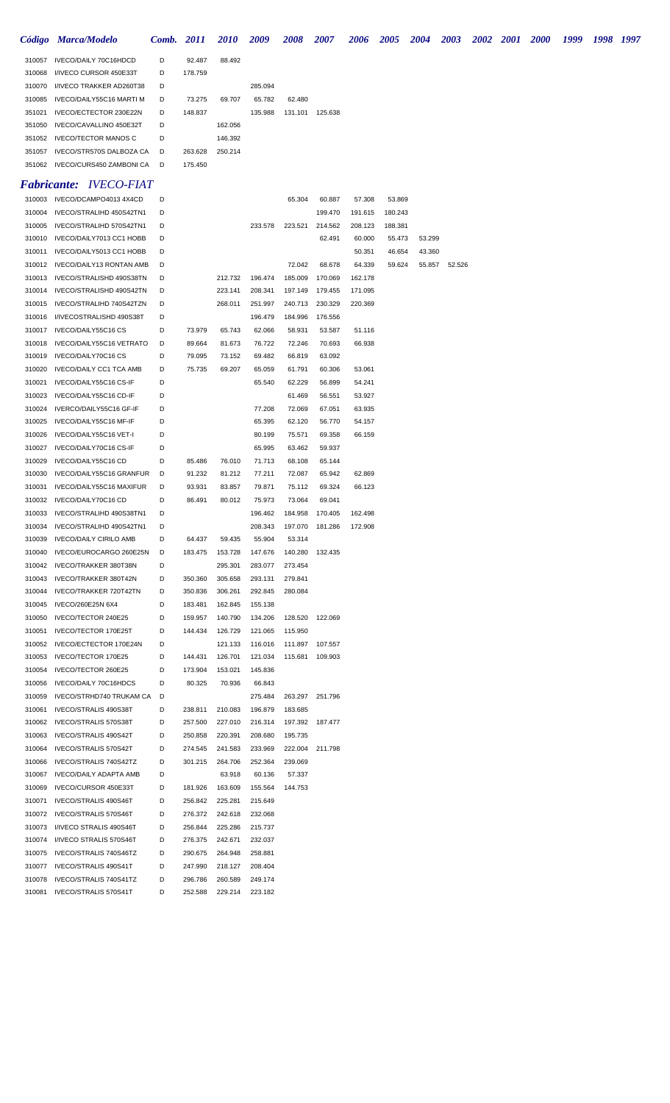|                  | Código Marca/Modelo                                      | Comb.  | 2011               | <i>2010</i>        | 2009               | 2008               | <i><b>2007</b></i>        | 2006    | <i><b>2005</b></i> | 2004   | 2003   | 2002 | <b>2001</b> | <b>2000</b> | 1999 | 1998 1997 |  |
|------------------|----------------------------------------------------------|--------|--------------------|--------------------|--------------------|--------------------|---------------------------|---------|--------------------|--------|--------|------|-------------|-------------|------|-----------|--|
| 310057           | IVECO/DAILY 70C16HDCD                                    | D      | 92.487             | 88.492             |                    |                    |                           |         |                    |        |        |      |             |             |      |           |  |
| 310068           | I/IVECO CURSOR 450E33T                                   | D      | 178.759            |                    |                    |                    |                           |         |                    |        |        |      |             |             |      |           |  |
| 310070           | I/IVECO TRAKKER AD260T38                                 | D      |                    |                    | 285.094            |                    |                           |         |                    |        |        |      |             |             |      |           |  |
| 310085           | IVECO/DAILY55C16 MARTI M                                 | D      | 73.275             | 69.707             | 65.782             | 62.480             |                           |         |                    |        |        |      |             |             |      |           |  |
| 351021           | IVECO/ECTECTOR 230E22N                                   | D      | 148.837            |                    | 135.988            | 131.101            | 125.638                   |         |                    |        |        |      |             |             |      |           |  |
| 351050           | IVECO/CAVALLINO 450E32T                                  | D      |                    | 162.056            |                    |                    |                           |         |                    |        |        |      |             |             |      |           |  |
| 351052           | <b>IVECO/TECTOR MANOS C</b>                              | D      |                    | 146.392            |                    |                    |                           |         |                    |        |        |      |             |             |      |           |  |
| 351057           | IVECO/STR570S DALBOZA CA                                 | D      | 263.628            | 250.214            |                    |                    |                           |         |                    |        |        |      |             |             |      |           |  |
|                  | 351062 IVECO/CURS450 ZAMBONI CA                          | D      | 175.450            |                    |                    |                    |                           |         |                    |        |        |      |             |             |      |           |  |
|                  | <b>Fabricante: IVECO-FIAT</b>                            |        |                    |                    |                    |                    |                           |         |                    |        |        |      |             |             |      |           |  |
| 310003           | IVECO/DCAMPO4013 4X4CD                                   | D      |                    |                    |                    | 65.304             | 60.887                    | 57.308  | 53.869             |        |        |      |             |             |      |           |  |
| 310004           | IVECO/STRALIHD 450S42TN1                                 | D      |                    |                    |                    |                    | 199.470                   | 191.615 | 180.243            |        |        |      |             |             |      |           |  |
| 310005           | IVECO/STRALIHD 570S42TN1                                 | D      |                    |                    | 233.578            | 223.521            | 214.562                   | 208.123 | 188.381            |        |        |      |             |             |      |           |  |
| 310010           | IVECO/DAILY7013 CC1 HOBB                                 | D      |                    |                    |                    |                    | 62.491                    | 60.000  | 55.473             | 53.299 |        |      |             |             |      |           |  |
| 310011           | IVECO/DAILY5013 CC1 HOBB                                 | D      |                    |                    |                    |                    |                           | 50.351  | 46.654             | 43.360 |        |      |             |             |      |           |  |
| 310012           | IVECO/DAILY13 RONTAN AMB                                 | D      |                    |                    |                    | 72.042             | 68.678                    | 64.339  | 59.624             | 55.857 | 52.526 |      |             |             |      |           |  |
| 310013           | IVECO/STRALISHD 490S38TN                                 | D      |                    | 212.732            | 196.474            | 185.009            | 170.069                   | 162.178 |                    |        |        |      |             |             |      |           |  |
| 310014           | IVECO/STRALISHD 490S42TN                                 | D      |                    | 223.141            | 208.341            | 197.149            | 179.455                   | 171.095 |                    |        |        |      |             |             |      |           |  |
| 310015           | IVECO/STRALIHD 740S42TZN                                 | D      |                    | 268.011            | 251.997            | 240.713            | 230.329                   | 220.369 |                    |        |        |      |             |             |      |           |  |
| 310016           | I/IVECOSTRALISHD 490S38T                                 | D      |                    |                    | 196.479            | 184.996            | 176.556                   |         |                    |        |        |      |             |             |      |           |  |
| 310017           | IVECO/DAILY55C16 CS<br>IVECO/DAILY55C16 VETRATO          | D      | 73.979             | 65.743             | 62.066             | 58.931             | 53.587                    | 51.116  |                    |        |        |      |             |             |      |           |  |
| 310018<br>310019 | IVECO/DAILY70C16 CS                                      | D<br>D | 89.664<br>79.095   | 81.673<br>73.152   | 76.722<br>69.482   | 72.246<br>66.819   | 70.693<br>63.092          | 66.938  |                    |        |        |      |             |             |      |           |  |
| 310020           | <b>IVECO/DAILY CC1 TCA AMB</b>                           | D      | 75.735             | 69.207             | 65.059             | 61.791             | 60.306                    | 53.061  |                    |        |        |      |             |             |      |           |  |
| 310021           | IVECO/DAILY55C16 CS-IF                                   | D      |                    |                    | 65.540             | 62.229             | 56.899                    | 54.241  |                    |        |        |      |             |             |      |           |  |
| 310023           | IVECO/DAILY55C16 CD-IF                                   | D      |                    |                    |                    | 61.469             | 56.551                    | 53.927  |                    |        |        |      |             |             |      |           |  |
| 310024           | IVERCO/DAILY55C16 GF-IF                                  | D      |                    |                    | 77.208             | 72.069             | 67.051                    | 63.935  |                    |        |        |      |             |             |      |           |  |
| 310025           | IVECO/DAILY55C16 MF-IF                                   | D      |                    |                    | 65.395             | 62.120             | 56.770                    | 54.157  |                    |        |        |      |             |             |      |           |  |
| 310026           | IVECO/DAILY55C16 VET-I                                   | D      |                    |                    | 80.199             | 75.571             | 69.358                    | 66.159  |                    |        |        |      |             |             |      |           |  |
| 310027           | IVECO/DAILY70C16 CS-IF                                   | D      |                    |                    | 65.995             | 63.462             | 59.937                    |         |                    |        |        |      |             |             |      |           |  |
| 310029           | IVECO/DAILY55C16 CD                                      | D      | 85.486             | 76.010             | 71.713             | 68.108             | 65.144                    |         |                    |        |        |      |             |             |      |           |  |
| 310030           | IVECO/DAILY55C16 GRANFUR                                 | D      | 91.232             | 81.212             | 77.211             | 72.087             | 65.942                    | 62.869  |                    |        |        |      |             |             |      |           |  |
| 310031           | IVECO/DAILY55C16 MAXIFUR                                 | D      | 93.931             | 83.857             | 79.871             | 75.112             | 69.324                    | 66.123  |                    |        |        |      |             |             |      |           |  |
| 310032           | IVECO/DAILY70C16 CD                                      | D      | 86.491             | 80.012             | 75.973             | 73.064             | 69.041                    |         |                    |        |        |      |             |             |      |           |  |
|                  | 310033 IVECO/STRALIHD 490S38TN1                          | D      |                    |                    | 196.462            | 184.958            | 170.405                   | 162.498 |                    |        |        |      |             |             |      |           |  |
| 310034           | IVECO/STRALIHD 490S42TN1                                 |        |                    |                    | 208.343            |                    | 197.070  181.286  172.908 |         |                    |        |        |      |             |             |      |           |  |
| 310039<br>310040 | <b>IVECO/DAILY CIRILO AMB</b><br>IVECO/EUROCARGO 260E25N | D<br>D | 64.437<br>183.475  | 59.435<br>153.728  | 55.904<br>147.676  | 53.314<br>140.280  | 132.435                   |         |                    |        |        |      |             |             |      |           |  |
| 310042           | IVECO/TRAKKER 380T38N                                    | D      |                    | 295.301            | 283.077            | 273.454            |                           |         |                    |        |        |      |             |             |      |           |  |
| 310043           | IVECO/TRAKKER 380T42N                                    | D      | 350.360            | 305.658            | 293.131            | 279.841            |                           |         |                    |        |        |      |             |             |      |           |  |
| 310044           | IVECO/TRAKKER 720T42TN                                   | D      | 350.836            | 306.261            | 292.845            | 280.084            |                           |         |                    |        |        |      |             |             |      |           |  |
| 310045           | IVECO/260E25N 6X4                                        | D      | 183.481            | 162.845            | 155.138            |                    |                           |         |                    |        |        |      |             |             |      |           |  |
| 310050           | IVECO/TECTOR 240E25                                      | D      | 159.957            | 140.790            | 134.206            | 128.520            | 122.069                   |         |                    |        |        |      |             |             |      |           |  |
| 310051           | IVECO/TECTOR 170E25T                                     | D      | 144.434            | 126.729            | 121.065            | 115.950            |                           |         |                    |        |        |      |             |             |      |           |  |
| 310052           | IVECO/ECTECTOR 170E24N                                   | D      |                    | 121.133            | 116.016            | 111.897            | 107.557                   |         |                    |        |        |      |             |             |      |           |  |
| 310053           | IVECO/TECTOR 170E25                                      | D      | 144.431            | 126.701            | 121.034            | 115.681            | 109.903                   |         |                    |        |        |      |             |             |      |           |  |
| 310054           | IVECO/TECTOR 260E25                                      | D      | 173.904            | 153.021            | 145.836            |                    |                           |         |                    |        |        |      |             |             |      |           |  |
| 310056           | IVECO/DAILY 70C16HDCS                                    | D      | 80.325             | 70.936             | 66.843             |                    |                           |         |                    |        |        |      |             |             |      |           |  |
| 310059           | IVECO/STRHD740 TRUKAM CA                                 | D      |                    |                    | 275.484            | 263.297            | 251.796                   |         |                    |        |        |      |             |             |      |           |  |
| 310061           | IVECO/STRALIS 490S38T                                    | D      | 238.811            | 210.083            | 196.879            | 183.685            |                           |         |                    |        |        |      |             |             |      |           |  |
| 310062<br>310063 | IVECO/STRALIS 570S38T<br>IVECO/STRALIS 490S42T           | D<br>D | 257.500<br>250.858 | 227.010<br>220.391 | 216.314<br>208.680 | 197.392<br>195.735 | 187.477                   |         |                    |        |        |      |             |             |      |           |  |
| 310064           | IVECO/STRALIS 570S42T                                    | D      | 274.545            | 241.583            | 233.969            | 222.004            | 211.798                   |         |                    |        |        |      |             |             |      |           |  |
| 310066           | IVECO/STRALIS 740S42TZ                                   | D      | 301.215            | 264.706            | 252.364            | 239.069            |                           |         |                    |        |        |      |             |             |      |           |  |
| 310067           | <b>IVECO/DAILY ADAPTA AMB</b>                            | D      |                    | 63.918             | 60.136             | 57.337             |                           |         |                    |        |        |      |             |             |      |           |  |
| 310069           | IVECO/CURSOR 450E33T                                     | D      | 181.926            | 163.609            | 155.564            | 144.753            |                           |         |                    |        |        |      |             |             |      |           |  |
| 310071           | IVECO/STRALIS 490S46T                                    | D      | 256.842            | 225.281            | 215.649            |                    |                           |         |                    |        |        |      |             |             |      |           |  |
| 310072           | IVECO/STRALIS 570S46T                                    | D      | 276.372            | 242.618            | 232.068            |                    |                           |         |                    |        |        |      |             |             |      |           |  |
| 310073           | I/IVECO STRALIS 490S46T                                  | D      | 256.844            | 225.286            | 215.737            |                    |                           |         |                    |        |        |      |             |             |      |           |  |
| 310074           | I/IVECO STRALIS 570S46T                                  | D      | 276.375            | 242.671            | 232.037            |                    |                           |         |                    |        |        |      |             |             |      |           |  |
| 310075           | IVECO/STRALIS 740S46TZ                                   | D      | 290.675            | 264.948            | 258.881            |                    |                           |         |                    |        |        |      |             |             |      |           |  |
| 310077           | IVECO/STRALIS 490S41T                                    | D      | 247.990            | 218.127            | 208.404            |                    |                           |         |                    |        |        |      |             |             |      |           |  |
| 310078           | IVECO/STRALIS 740S41TZ                                   | D      | 296.786            | 260.589            | 249.174            |                    |                           |         |                    |        |        |      |             |             |      |           |  |
| 310081           | IVECO/STRALIS 570S41T                                    | D      | 252.588            | 229.214            | 223.182            |                    |                           |         |                    |        |        |      |             |             |      |           |  |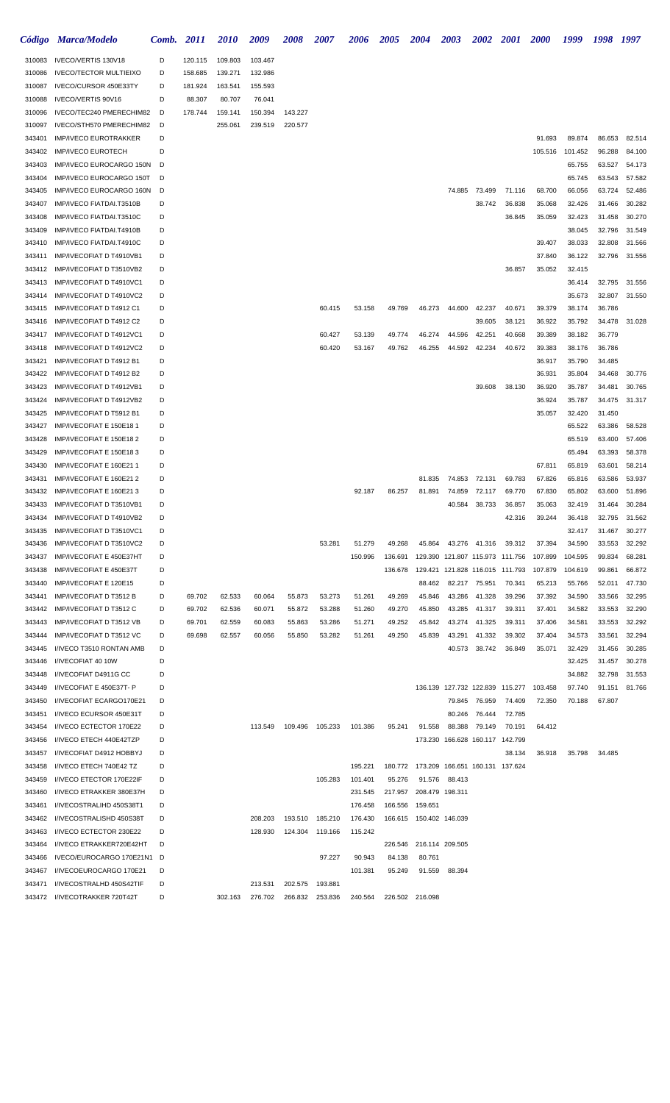|                  | Código Marca/Modelo                                   | Comb.  | <b>2011</b> | <i>2010</i> | 2009    | <i><b>2008</b></i> | <i><b>2007</b></i> | 2006    | <b>2005</b>       | <b>2004</b>                             | <b>2003</b>                     | <b>2002 2001</b> |                  | <b>2000</b>      | 1999              | 1998             | 1997             |
|------------------|-------------------------------------------------------|--------|-------------|-------------|---------|--------------------|--------------------|---------|-------------------|-----------------------------------------|---------------------------------|------------------|------------------|------------------|-------------------|------------------|------------------|
| 310083           | IVECO/VERTIS 130V18                                   | D      | 120.115     | 109.803     | 103.467 |                    |                    |         |                   |                                         |                                 |                  |                  |                  |                   |                  |                  |
| 310086           | <b>IVECO/TECTOR MULTIEIXO</b>                         | D      | 158.685     | 139.271     | 132.986 |                    |                    |         |                   |                                         |                                 |                  |                  |                  |                   |                  |                  |
| 310087           | IVECO/CURSOR 450E33TY                                 | D      | 181.924     | 163.541     | 155.593 |                    |                    |         |                   |                                         |                                 |                  |                  |                  |                   |                  |                  |
| 310088           | IVECO/VERTIS 90V16                                    | D      | 88.307      | 80.707      | 76.041  |                    |                    |         |                   |                                         |                                 |                  |                  |                  |                   |                  |                  |
| 310096           | IVECO/TEC240 PMERECHIM82                              | D      | 178.744     | 159.141     | 150.394 | 143.227            |                    |         |                   |                                         |                                 |                  |                  |                  |                   |                  |                  |
| 310097           | IVECO/STH570 PMERECHIM82                              | D      |             | 255.061     | 239.519 | 220.577            |                    |         |                   |                                         |                                 |                  |                  |                  |                   |                  |                  |
| 343401           | <b>IMP/IVECO EUROTRAKKER</b>                          | D      |             |             |         |                    |                    |         |                   |                                         |                                 |                  |                  | 91.693           | 89.874            | 86.653           | 82.514           |
| 343402<br>343403 | <b>IMP/IVECO EUROTECH</b><br>IMP/IVECO EUROCARGO 150N | D<br>D |             |             |         |                    |                    |         |                   |                                         |                                 |                  |                  | 105.516          | 101.452<br>65.755 | 96.288<br>63.527 | 84.100<br>54.173 |
| 343404           | IMP/IVECO EUROCARGO 150T                              | D      |             |             |         |                    |                    |         |                   |                                         |                                 |                  |                  |                  | 65.745            | 63.543           | 57.582           |
| 343405           | IMP/IVECO EUROCARGO 160N                              | D      |             |             |         |                    |                    |         |                   |                                         | 74.885                          | 73.499           | 71.116           | 68.700           | 66.056            | 63.724           | 52.486           |
| 343407           | IMP/IVECO FIATDAI.T3510B                              | D      |             |             |         |                    |                    |         |                   |                                         |                                 | 38.742           | 36.838           | 35.068           | 32.426            | 31.466           | 30.282           |
| 343408           | IMP/IVECO FIATDAI.T3510C                              | D      |             |             |         |                    |                    |         |                   |                                         |                                 |                  | 36.845           | 35.059           | 32.423            | 31.458           | 30.270           |
| 343409           | IMP/IVECO FIATDAI.T4910B                              | D      |             |             |         |                    |                    |         |                   |                                         |                                 |                  |                  |                  | 38.045            | 32.796           | 31.549           |
| 343410           | IMP/IVECO FIATDAI.T4910C                              | D      |             |             |         |                    |                    |         |                   |                                         |                                 |                  |                  | 39.407           | 38.033            | 32.808           | 31.566           |
| 343411           | IMP/IVECOFIAT D T4910VB1                              | D      |             |             |         |                    |                    |         |                   |                                         |                                 |                  |                  | 37.840           | 36.122            | 32.796           | 31.556           |
| 343412           | IMP/IVECOFIAT D T3510VB2                              | D      |             |             |         |                    |                    |         |                   |                                         |                                 |                  | 36.857           | 35.052           | 32.415            |                  |                  |
| 343413           | IMP/IVECOFIAT D T4910VC1                              | D      |             |             |         |                    |                    |         |                   |                                         |                                 |                  |                  |                  | 36.414            | 32.795           | 31.556           |
| 343414           | IMP/IVECOFIAT D T4910VC2                              | D      |             |             |         |                    |                    |         |                   |                                         |                                 |                  |                  |                  | 35.673            | 32.807           | 31.550           |
| 343415           | IMP/IVECOFIAT D T4912 C1                              | D      |             |             |         |                    | 60.415             | 53.158  | 49.769            | 46.273                                  | 44.600                          | 42.237           | 40.671           | 39.379           | 38.174            | 36.786           |                  |
| 343416<br>343417 | IMP/IVECOFIAT D T4912 C2<br>IMP/IVECOFIAT D T4912VC1  | D<br>D |             |             |         |                    | 60.427             | 53.139  | 49.774            | 46.274                                  |                                 | 39.605<br>42.251 | 38.121<br>40.668 | 36.922<br>39.389 | 35.792<br>38.182  | 34.478<br>36.779 | 31.028           |
| 343418           | IMP/IVECOFIAT D T4912VC2                              | D      |             |             |         |                    | 60.420             | 53.167  | 49.762            | 46.255                                  | 44.596<br>44.592                | 42.234           | 40.672           | 39.383           | 38.176            | 36.786           |                  |
| 343421           | IMP/IVECOFIAT D T4912 B1                              | D      |             |             |         |                    |                    |         |                   |                                         |                                 |                  |                  | 36.917           | 35.790            | 34.485           |                  |
| 343422           | IMP/IVECOFIAT D T4912 B2                              | D      |             |             |         |                    |                    |         |                   |                                         |                                 |                  |                  | 36.931           | 35.804            | 34.468           | 30.776           |
| 343423           | IMP/IVECOFIAT D T4912VB1                              | D      |             |             |         |                    |                    |         |                   |                                         |                                 | 39.608           | 38.130           | 36.920           | 35.787            | 34.481           | 30.765           |
| 343424           | IMP/IVECOFIAT D T4912VB2                              | D      |             |             |         |                    |                    |         |                   |                                         |                                 |                  |                  | 36.924           | 35.787            | 34.475           | 31.317           |
| 343425           | IMP/IVECOFIAT D T5912 B1                              | D      |             |             |         |                    |                    |         |                   |                                         |                                 |                  |                  | 35.057           | 32.420            | 31.450           |                  |
| 343427           | IMP/IVECOFIAT E 150E18 1                              | D      |             |             |         |                    |                    |         |                   |                                         |                                 |                  |                  |                  | 65.522            | 63.386           | 58.528           |
| 343428           | IMP/IVECOFIAT E 150E18 2                              | D      |             |             |         |                    |                    |         |                   |                                         |                                 |                  |                  |                  | 65.519            | 63.400           | 57.406           |
| 343429           | IMP/IVECOFIAT E 150E18 3                              | D      |             |             |         |                    |                    |         |                   |                                         |                                 |                  |                  |                  | 65.494            | 63.393           | 58.378           |
| 343430           | IMP/IVECOFIAT E 160E21 1                              | D      |             |             |         |                    |                    |         |                   |                                         |                                 |                  |                  | 67.811           | 65.819            | 63.601           | 58.214           |
| 343431           | IMP/IVECOFIAT E 160E21 2                              | D      |             |             |         |                    |                    |         |                   | 81.835                                  | 74.853                          | 72.131           | 69.783           | 67.826           | 65.816            | 63.586           | 53.937           |
| 343432           | IMP/IVECOFIAT E 160E213                               | D      |             |             |         |                    |                    | 92.187  | 86.257            | 81.891                                  | 74.859                          | 72.117           | 69.770           | 67.830           | 65.802            | 63.600           | 51.896           |
| 343433           | IMP/IVECOFIAT D T3510VB1<br>IMP/IVECOFIAT D T4910VB2  | D      |             |             |         |                    |                    |         |                   |                                         | 40.584                          | 38.733           | 36.857           | 35.063           | 32.419            | 31.464           | 30.284<br>31.562 |
| 343434<br>343435 | IMP/IVECOFIAT D T3510VC1                              | D<br>D |             |             |         |                    |                    |         |                   |                                         |                                 |                  | 42.316           | 39.244           | 36.418<br>32.417  | 32.795<br>31.467 | 30.277           |
| 343436           | IMP/IVECOFIAT D T3510VC2                              | D      |             |             |         |                    | 53.281             | 51.279  | 49.268            | 45.864                                  |                                 | 43.276 41.316    | 39.312           | 37.394           | 34.590            | 33.553           | 32.292           |
| 343437           | IMP/IVECOFIAT E 450E37HT                              | D      |             |             |         |                    |                    | 150.996 | 136.691           |                                         | 129.390 121.807 115.973 111.756 |                  |                  | 107.899          | 104.595           | 99.834           | 68.281           |
| 343438           | IMP/IVECOFIAT E 450E37T                               | D      |             |             |         |                    |                    |         | 136.678           |                                         | 129.421 121.828 116.015 111.793 |                  |                  | 107.879          | 104.619           | 99.861           | 66.872           |
| 343440           | IMP/IVECOFIAT E 120E15                                | D      |             |             |         |                    |                    |         |                   | 88.462                                  |                                 | 82.217 75.951    | 70.341           | 65.213           | 55.766            | 52.011           | 47.730           |
| 343441           | IMP/IVECOFIAT D T3512 B                               | D      | 69.702      | 62.533      | 60.064  | 55.873             | 53.273             | 51.261  | 49.269            | 45.846                                  | 43.286                          | 41.328           | 39.296           | 37.392           | 34.590            | 33.566           | 32.295           |
| 343442           | IMP/IVECOFIAT D T3512 C                               | D      | 69.702      | 62.536      | 60.071  | 55.872             | 53.288             | 51.260  | 49.270            | 45.850                                  | 43.285                          | 41.317           | 39.311           | 37.401           | 34.582            | 33.553           | 32.290           |
| 343443           | IMP/IVECOFIAT D T3512 VB                              | D      | 69.701      | 62.559      | 60.083  | 55.863             | 53.286             | 51.271  | 49.252            | 45.842                                  | 43.274                          | 41.325           | 39.311           | 37.406           | 34.581            | 33.553           | 32.292           |
| 343444           | IMP/IVECOFIAT D T3512 VC                              | D      | 69.698      | 62.557      | 60.056  | 55.850             | 53.282             | 51.261  | 49.250            | 45.839                                  | 43.291                          | 41.332           | 39.302           | 37.404           | 34.573            | 33.561           | 32.294           |
| 343445           | I/IVECO T3510 RONTAN AMB                              | D      |             |             |         |                    |                    |         |                   |                                         | 40.573                          | 38.742           | 36.849           | 35.071           | 32.429            | 31.456           | 30.285           |
| 343446           | I/IVECOFIAT 40 10W                                    | D<br>D |             |             |         |                    |                    |         |                   |                                         |                                 |                  |                  |                  | 32.425            | 31.457           | 30.278           |
| 343448<br>343449 | I/IVECOFIAT D4911G CC<br>I/IVECOFIAT E 450E37T- P     | D      |             |             |         |                    |                    |         |                   |                                         | 136.139 127.732 122.839 115.277 |                  |                  | 103.458          | 34.882<br>97.740  | 32.798<br>91.151 | 31.553<br>81.766 |
| 343450           | I/IVECOFIAT ECARGO170E21                              | D      |             |             |         |                    |                    |         |                   |                                         | 79.845                          | 76.959           | 74.409           | 72.350           | 70.188            | 67.807           |                  |
| 343451           | I/IVECO ECURSOR 450E31T                               | D      |             |             |         |                    |                    |         |                   |                                         | 80.246                          | 76.444           | 72.785           |                  |                   |                  |                  |
| 343454           | I/IVECO ECTECTOR 170E22                               | D      |             |             | 113.549 | 109.496            | 105.233            | 101.386 | 95.241            | 91.558                                  | 88.388                          | 79.149           | 70.191           | 64.412           |                   |                  |                  |
| 343456           | I/IVECO ETECH 440E42TZP                               | D      |             |             |         |                    |                    |         |                   |                                         | 173.230 166.628 160.117 142.799 |                  |                  |                  |                   |                  |                  |
| 343457           | I/IVECOFIAT D4912 HOBBYJ                              | D      |             |             |         |                    |                    |         |                   |                                         |                                 |                  | 38.134           | 36.918           | 35.798            | 34.485           |                  |
| 343458           | I/IVECO ETECH 740E42 TZ                               | D      |             |             |         |                    |                    | 195.221 |                   | 180.772 173.209 166.651 160.131 137.624 |                                 |                  |                  |                  |                   |                  |                  |
| 343459           | I/IVECO ETECTOR 170E22IF                              | D      |             |             |         |                    | 105.283            | 101.401 | 95.276            | 91.576                                  | 88.413                          |                  |                  |                  |                   |                  |                  |
| 343460           | I/IVECO ETRAKKER 380E37H                              | D      |             |             |         |                    |                    | 231.545 | 217.957           |                                         | 208.479 198.311                 |                  |                  |                  |                   |                  |                  |
| 343461           | I/IVECOSTRALIHD 450S38T1                              | D      |             |             |         |                    |                    | 176.458 | 166.556           | 159.651                                 |                                 |                  |                  |                  |                   |                  |                  |
| 343462           | I/IVECOSTRALISHD 450S38T                              | D      |             |             | 208.203 | 193.510            | 185.210            | 176.430 |                   | 166.615  150.402  146.039               |                                 |                  |                  |                  |                   |                  |                  |
| 343463           | I/IVECO ECTECTOR 230E22                               | D<br>D |             |             | 128.930 | 124.304            | 119.166            | 115.242 |                   |                                         |                                 |                  |                  |                  |                   |                  |                  |
| 343464<br>343466 | I/IVECO ETRAKKER720E42HT<br>IVECO/EUROCARGO 170E21N1  | D      |             |             |         |                    | 97.227             | 90.943  | 226.546<br>84.138 | 80.761                                  | 216.114 209.505                 |                  |                  |                  |                   |                  |                  |
| 343467           | I/IVECOEUROCARGO 170E21                               | D      |             |             |         |                    |                    | 101.381 | 95.249            | 91.559                                  | 88.394                          |                  |                  |                  |                   |                  |                  |
| 343471           | I/IVECOSTRALHD 450S42TIF                              | D      |             |             | 213.531 | 202.575            | 193.881            |         |                   |                                         |                                 |                  |                  |                  |                   |                  |                  |
| 343472           | I/IVECOTRAKKER 720T42T                                | D      |             | 302.163     | 276.702 | 266.832            | 253.836            | 240.564 |                   | 226.502 216.098                         |                                 |                  |                  |                  |                   |                  |                  |
|                  |                                                       |        |             |             |         |                    |                    |         |                   |                                         |                                 |                  |                  |                  |                   |                  |                  |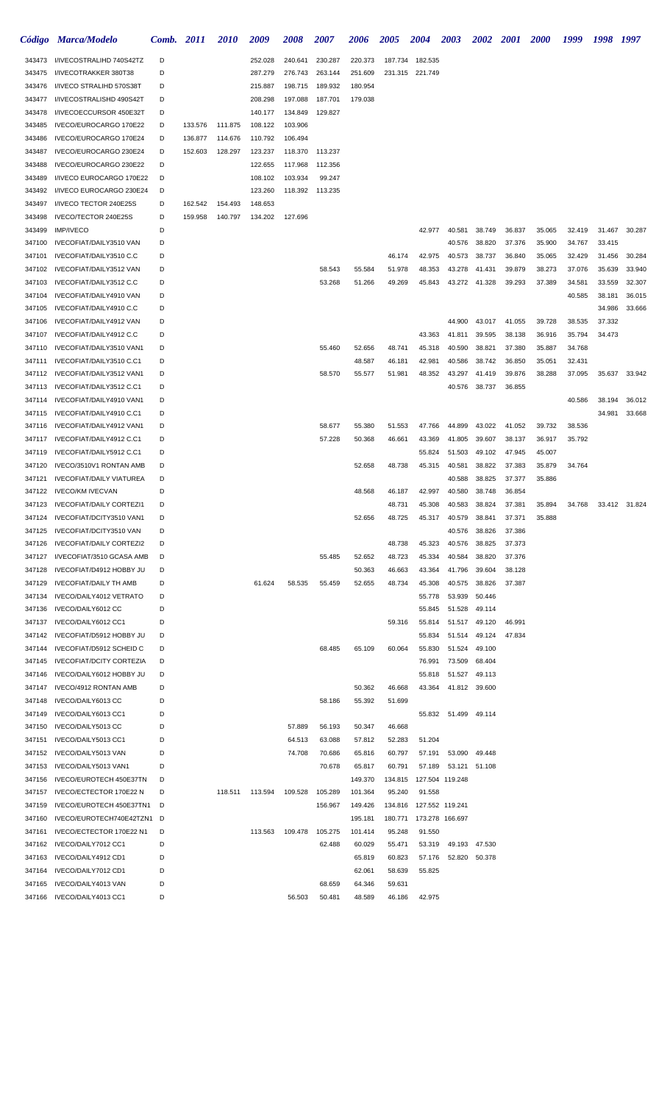|                  | Código Marca/Modelo                                        | Comb.  | <i>2011</i> | 2010    | 2009               | 2008    | <i><b>2007</b></i> | 2006              | <i><b>2005</b></i> | <b>2004</b>               | <b>2003</b>      | <b>2002</b>      | <b>2001</b>      | <b>2000</b>      | 1999   | 1998   | 1997          |
|------------------|------------------------------------------------------------|--------|-------------|---------|--------------------|---------|--------------------|-------------------|--------------------|---------------------------|------------------|------------------|------------------|------------------|--------|--------|---------------|
| 343473           | I/IVECOSTRALIHD 740S42TZ                                   | D      |             |         | 252.028            | 240.641 | 230.287            | 220.373           | 187.734            | 182.535                   |                  |                  |                  |                  |        |        |               |
| 343475           | I/IVECOTRAKKER 380T38                                      | D      |             |         | 287.279            | 276.743 | 263.144            | 251.609           | 231.315            | 221.749                   |                  |                  |                  |                  |        |        |               |
| 343476           | I/IVECO STRALIHD 570S38T                                   | D      |             |         | 215.887            | 198.715 | 189.932            | 180.954           |                    |                           |                  |                  |                  |                  |        |        |               |
| 343477           | I/IVECOSTRALISHD 490S42T                                   | D      |             |         | 208.298            | 197.088 | 187.701            | 179.038           |                    |                           |                  |                  |                  |                  |        |        |               |
| 343478           | I/IVECOECCURSOR 450E32T                                    | D      |             |         | 140.177            | 134.849 | 129.827            |                   |                    |                           |                  |                  |                  |                  |        |        |               |
| 343485           | IVECO/EUROCARGO 170E22                                     | D      | 133.576     | 111.875 | 108.122            | 103.906 |                    |                   |                    |                           |                  |                  |                  |                  |        |        |               |
| 343486           | IVECO/EUROCARGO 170E24                                     | D      | 136.877     | 114.676 | 110.792            | 106.494 |                    |                   |                    |                           |                  |                  |                  |                  |        |        |               |
| 343487           | IVECO/EUROCARGO 230E24                                     | D      | 152.603     | 128.297 | 123.237            | 118.370 | 113.237            |                   |                    |                           |                  |                  |                  |                  |        |        |               |
| 343488           | IVECO/EUROCARGO 230E22                                     | D      |             |         | 122.655            | 117.968 | 112.356            |                   |                    |                           |                  |                  |                  |                  |        |        |               |
| 343489           | I/IVECO EUROCARGO 170E22                                   | D      |             |         | 108.102            | 103.934 | 99.247             |                   |                    |                           |                  |                  |                  |                  |        |        |               |
| 343492<br>343497 | I/IVECO EUROCARGO 230E24<br>I/IVECO TECTOR 240E25S         | D<br>D | 162.542     | 154.493 | 123.260<br>148.653 | 118.392 | 113.235            |                   |                    |                           |                  |                  |                  |                  |        |        |               |
| 343498           | IVECO/TECTOR 240E25S                                       | D      | 159.958     | 140.797 | 134.202            | 127.696 |                    |                   |                    |                           |                  |                  |                  |                  |        |        |               |
| 343499           | <b>IMP/IVECO</b>                                           | D      |             |         |                    |         |                    |                   |                    | 42.977                    | 40.581           | 38.749           | 36.837           | 35.065           | 32.419 | 31.467 | 30.287        |
| 347100           | IVECOFIAT/DAILY3510 VAN                                    | D      |             |         |                    |         |                    |                   |                    |                           | 40.576           | 38.820           | 37.376           | 35.900           | 34.767 | 33.415 |               |
| 347101           | IVECOFIAT/DAILY3510 C.C                                    | D      |             |         |                    |         |                    |                   | 46.174             | 42.975                    | 40.573           | 38.737           | 36.840           | 35.065           | 32.429 | 31.456 | 30.284        |
| 347102           | IVECOFIAT/DAILY3512 VAN                                    | D      |             |         |                    |         | 58.543             | 55.584            | 51.978             | 48.353                    | 43.278           | 41.431           | 39.879           | 38.273           | 37.076 | 35.639 | 33.940        |
| 347103           | IVECOFIAT/DAILY3512 C.C                                    | D      |             |         |                    |         | 53.268             | 51.266            | 49.269             | 45.843                    | 43.272           | 41.328           | 39.293           | 37.389           | 34.581 | 33.559 | 32.307        |
| 347104           | IVECOFIAT/DAILY4910 VAN                                    | D      |             |         |                    |         |                    |                   |                    |                           |                  |                  |                  |                  | 40.585 | 38.181 | 36.015        |
| 347105           | IVECOFIAT/DAILY4910 C.C                                    | D      |             |         |                    |         |                    |                   |                    |                           |                  |                  |                  |                  |        | 34.986 | 33.666        |
| 347106           | IVECOFIAT/DAILY4912 VAN                                    | D      |             |         |                    |         |                    |                   |                    |                           | 44.900           | 43.017           | 41.055           | 39.728           | 38.535 | 37.332 |               |
| 347107           | IVECOFIAT/DAILY4912 C.C                                    | D      |             |         |                    |         |                    |                   |                    | 43.363                    | 41.811           | 39.595           | 38.138           | 36.916           | 35.794 | 34.473 |               |
| 347110           | IVECOFIAT/DAILY3510 VAN1                                   | D      |             |         |                    |         | 55.460             | 52.656            | 48.741             | 45.318                    | 40.590           | 38.821           | 37.380           | 35.887           | 34.768 |        |               |
| 347111           | IVECOFIAT/DAILY3510 C.C1                                   | D      |             |         |                    |         |                    | 48.587            | 46.181             | 42.981                    | 40.586           | 38.742           | 36.850           | 35.051           | 32.431 |        |               |
| 347112           | IVECOFIAT/DAILY3512 VAN1                                   | D      |             |         |                    |         | 58.570             | 55.577            | 51.981             | 48.352                    | 43.297           | 41.419           | 39.876           | 38.288           | 37.095 | 35.637 | 33.942        |
| 347113           | IVECOFIAT/DAILY3512 C.C1                                   | D      |             |         |                    |         |                    |                   |                    |                           | 40.576           | 38.737           | 36.855           |                  |        |        |               |
| 347114           | IVECOFIAT/DAILY4910 VAN1                                   | D      |             |         |                    |         |                    |                   |                    |                           |                  |                  |                  |                  | 40.586 | 38.194 | 36.012        |
| 347115           | IVECOFIAT/DAILY4910 C.C1                                   | D      |             |         |                    |         |                    |                   |                    |                           |                  |                  |                  |                  |        | 34.981 | 33.668        |
| 347116           | IVECOFIAT/DAILY4912 VAN1                                   | D      |             |         |                    |         | 58.677             | 55.380            | 51.553             | 47.766                    | 44.899           | 43.022           | 41.052           | 39.732           | 38.536 |        |               |
| 347117           | IVECOFIAT/DAILY4912 C.C1                                   | D      |             |         |                    |         | 57.228             | 50.368            | 46.661             | 43.369                    | 41.805           | 39.607           | 38.137           | 36.917           | 35.792 |        |               |
| 347119           | IVECOFIAT/DAILY5912 C.C1                                   | D      |             |         |                    |         |                    |                   |                    | 55.824                    | 51.503           | 49.102           | 47.945           | 45.007           |        |        |               |
| 347120           | IVECO/3510V1 RONTAN AMB                                    | D      |             |         |                    |         |                    | 52.658            | 48.738             | 45.315                    | 40.581           | 38.822           | 37.383           | 35.879           | 34.764 |        |               |
| 347121           | <b>IVECOFIAT/DAILY VIATUREA</b>                            | D<br>D |             |         |                    |         |                    |                   |                    |                           | 40.588           | 38.825           | 37.377           | 35.886           |        |        |               |
| 347122<br>347123 | <b>IVECO/KM IVECVAN</b><br><b>IVECOFIAT/DAILY CORTEZI1</b> | D      |             |         |                    |         |                    | 48.568            | 46.187             | 42.997                    | 40.580<br>40.583 | 38.748<br>38.824 | 36.854           |                  |        |        | 33.412 31.824 |
| 347124           | IVECOFIAT/DCITY3510 VAN1                                   | D      |             |         |                    |         |                    | 52.656            | 48.731<br>48.725   | 45.308<br>45.317          | 40.579           | 38.841           | 37.381<br>37.371 | 35.894<br>35.888 | 34.768 |        |               |
| 347125           | IVECOFIAT/DCITY3510 VAN                                    | D      |             |         |                    |         |                    |                   |                    |                           | 40.576           | 38.826           | 37.386           |                  |        |        |               |
| 347126           | <b>IVECOFIAT/DAILY CORTEZI2</b>                            | D      |             |         |                    |         |                    |                   | 48.738             | 45.323                    | 40.576           | 38.825           | 37.373           |                  |        |        |               |
| 347127           | I/VECOFIAT/3510 GCASA AMB                                  | D      |             |         |                    |         | 55.485             | 52.652            | 48.723             | 45.334                    | 40.584           | 38.820           | 37.376           |                  |        |        |               |
| 347128           | IVECOFIAT/D4912 HOBBY JU                                   | D      |             |         |                    |         |                    | 50.363            | 46.663             | 43.364                    | 41.796           | 39.604           | 38.128           |                  |        |        |               |
| 347129           | IVECOFIAT/DAILY TH AMB                                     | D      |             |         | 61.624             | 58.535  | 55.459             | 52.655            | 48.734             | 45.308                    | 40.575           | 38.826           | 37.387           |                  |        |        |               |
| 347134           | IVECO/DAILY4012 VETRATO                                    | D      |             |         |                    |         |                    |                   |                    | 55.778                    | 53.939           | 50.446           |                  |                  |        |        |               |
| 347136           | IVECO/DAILY6012 CC                                         | D      |             |         |                    |         |                    |                   |                    | 55.845                    |                  | 51.528 49.114    |                  |                  |        |        |               |
| 347137           | IVECO/DAILY6012 CC1                                        | D      |             |         |                    |         |                    |                   | 59.316             | 55.814                    | 51.517           | 49.120           | 46.991           |                  |        |        |               |
| 347142           | IVECOFIAT/D5912 HOBBY JU                                   | D      |             |         |                    |         |                    |                   |                    | 55.834                    | 51.514           | 49.124           | 47.834           |                  |        |        |               |
| 347144           | IVECOFIAT/D5912 SCHEID C                                   | D      |             |         |                    |         | 68.485             | 65.109            | 60.064             | 55.830                    | 51.524           | 49.100           |                  |                  |        |        |               |
| 347145           | <b>IVECOFIAT/DCITY CORTEZIA</b>                            | D      |             |         |                    |         |                    |                   |                    | 76.991                    | 73.509           | 68.404           |                  |                  |        |        |               |
| 347146           | IVECO/DAILY6012 HOBBY JU                                   | D      |             |         |                    |         |                    |                   |                    | 55.818                    | 51.527           | 49.113           |                  |                  |        |        |               |
| 347147           | IVECO/4912 RONTAN AMB                                      | D      |             |         |                    |         |                    | 50.362            | 46.668             | 43.364                    | 41.812           | 39.600           |                  |                  |        |        |               |
| 347148           | IVECO/DAILY6013 CC                                         | D      |             |         |                    |         | 58.186             | 55.392            | 51.699             |                           |                  |                  |                  |                  |        |        |               |
| 347149           | IVECO/DAILY6013 CC1                                        | D      |             |         |                    |         |                    |                   |                    | 55.832                    | 51.499 49.114    |                  |                  |                  |        |        |               |
| 347150           | IVECO/DAILY5013 CC                                         | D      |             |         |                    | 57.889  | 56.193             | 50.347            | 46.668             |                           |                  |                  |                  |                  |        |        |               |
| 347151           | IVECO/DAILY5013 CC1                                        | D      |             |         |                    | 64.513  | 63.088             | 57.812            | 52.283             | 51.204                    |                  |                  |                  |                  |        |        |               |
| 347152           | IVECO/DAILY5013 VAN                                        | D<br>D |             |         |                    | 74.708  | 70.686             | 65.816            | 60.797             | 57.191                    |                  | 53.090 49.448    |                  |                  |        |        |               |
| 347153<br>347156 | IVECO/DAILY5013 VAN1                                       | D      |             |         |                    |         | 70.678             | 65.817<br>149.370 | 60.791             | 57.189<br>127.504 119.248 |                  | 53.121 51.108    |                  |                  |        |        |               |
| 347157           | IVECO/EUROTECH 450E37TN                                    | D      |             |         | 118.511  113.594   | 109.528 | 105.289            | 101.364           | 134.815            | 91.558                    |                  |                  |                  |                  |        |        |               |
| 347159           | IVECO/ECTECTOR 170E22 N<br>IVECO/EUROTECH 450E37TN1        | D      |             |         |                    |         | 156.967            | 149.426           | 95.240             | 134.816  127.552  119.241 |                  |                  |                  |                  |        |        |               |
| 347160           | IVECO/EUROTECH740E42TZN1 D                                 |        |             |         |                    |         |                    | 195.181           | 180.771            |                           | 173.278 166.697  |                  |                  |                  |        |        |               |
| 347161           | IVECO/ECTECTOR 170E22 N1                                   | D      |             |         | 113.563            | 109.478 | 105.275            | 101.414           | 95.248             | 91.550                    |                  |                  |                  |                  |        |        |               |
| 347162           | IVECO/DAILY7012 CC1                                        | D      |             |         |                    |         | 62.488             | 60.029            | 55.471             | 53.319                    | 49.193           | 47.530           |                  |                  |        |        |               |
| 347163           | IVECO/DAILY4912 CD1                                        | D      |             |         |                    |         |                    | 65.819            | 60.823             | 57.176                    |                  | 52.820 50.378    |                  |                  |        |        |               |
| 347164           | IVECO/DAILY7012 CD1                                        | D      |             |         |                    |         |                    | 62.061            | 58.639             | 55.825                    |                  |                  |                  |                  |        |        |               |
| 347165           | IVECO/DAILY4013 VAN                                        | D      |             |         |                    |         | 68.659             | 64.346            | 59.631             |                           |                  |                  |                  |                  |        |        |               |
|                  | 347166 IVECO/DAILY4013 CC1                                 | D      |             |         |                    | 56.503  | 50.481             | 48.589            | 46.186             | 42.975                    |                  |                  |                  |                  |        |        |               |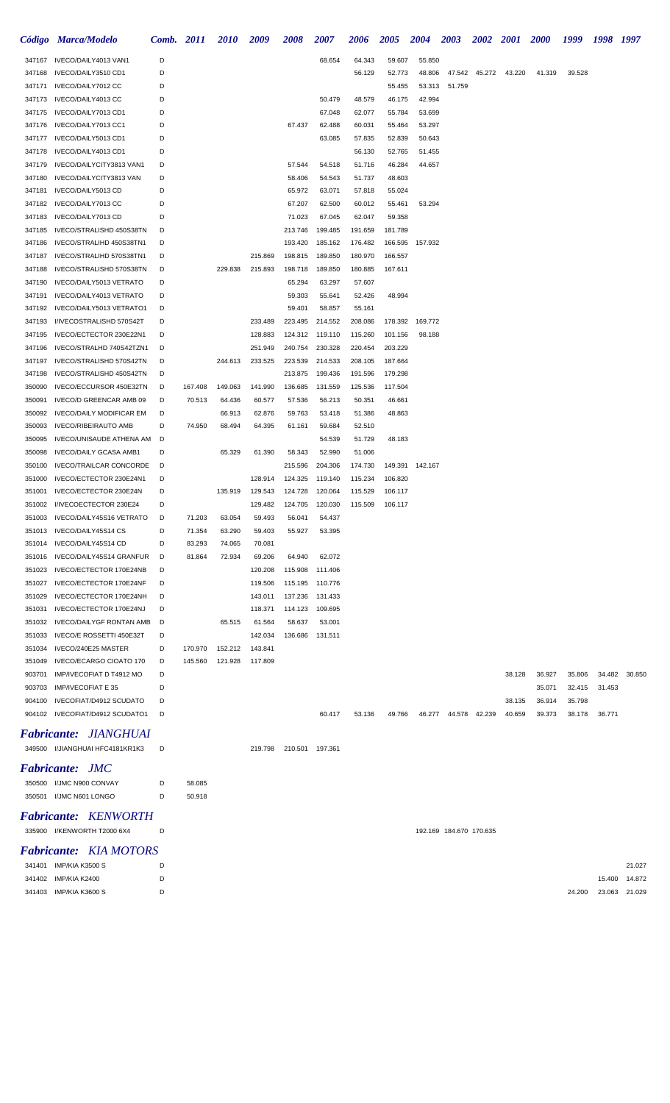|                  | Código Marca/Modelo                                  | Comb. 2011 |         | <i>2010</i> | 2009               | 2008               | 2007               | 2006               | <b>2005</b>        | 2004             | <b>2003</b>             | <b>2002</b> 2001 |        | <b>2000</b> | 1999   | 1998 1997 |               |
|------------------|------------------------------------------------------|------------|---------|-------------|--------------------|--------------------|--------------------|--------------------|--------------------|------------------|-------------------------|------------------|--------|-------------|--------|-----------|---------------|
| 347167           | IVECO/DAILY4013 VAN1                                 | D          |         |             |                    |                    | 68.654             | 64.343             | 59.607             | 55.850           |                         |                  |        |             |        |           |               |
| 347168           | IVECO/DAILY3510 CD1                                  | D          |         |             |                    |                    |                    | 56.129             | 52.773             | 48.806           | 47.542                  | 45.272           | 43.220 | 41.319      | 39.528 |           |               |
| 347171           | IVECO/DAILY7012 CC                                   | D          |         |             |                    |                    |                    |                    | 55.455             | 53.313           | 51.759                  |                  |        |             |        |           |               |
| 347173           | IVECO/DAILY4013 CC                                   | D          |         |             |                    |                    | 50.479             | 48.579             | 46.175             | 42.994           |                         |                  |        |             |        |           |               |
| 347175           | IVECO/DAILY7013 CD1                                  | D          |         |             |                    |                    | 67.048             | 62.077             | 55.784             | 53.699           |                         |                  |        |             |        |           |               |
| 347176           | IVECO/DAILY7013 CC1                                  | D          |         |             |                    | 67.437             | 62.488             | 60.031             | 55.464             | 53.297           |                         |                  |        |             |        |           |               |
| 347177           | IVECO/DAILY5013 CD1                                  | D<br>D     |         |             |                    |                    | 63.085             | 57.835             | 52.839             | 50.643           |                         |                  |        |             |        |           |               |
| 347178<br>347179 | IVECO/DAILY4013 CD1<br>IVECO/DAILYCITY3813 VAN1      | D          |         |             |                    | 57.544             | 54.518             | 56.130<br>51.716   | 52.765<br>46.284   | 51.455<br>44.657 |                         |                  |        |             |        |           |               |
| 347180           | IVECO/DAILYCITY3813 VAN                              | D          |         |             |                    | 58.406             | 54.543             | 51.737             | 48.603             |                  |                         |                  |        |             |        |           |               |
| 347181           | IVECO/DAILY5013 CD                                   | D          |         |             |                    | 65.972             | 63.071             | 57.818             | 55.024             |                  |                         |                  |        |             |        |           |               |
| 347182           | IVECO/DAILY7013 CC                                   | D          |         |             |                    | 67.207             | 62.500             | 60.012             | 55.461             | 53.294           |                         |                  |        |             |        |           |               |
| 347183           | IVECO/DAILY7013 CD                                   | D          |         |             |                    | 71.023             | 67.045             | 62.047             | 59.358             |                  |                         |                  |        |             |        |           |               |
| 347185           | IVECO/STRALISHD 450S38TN                             | D          |         |             |                    | 213.746            | 199.485            | 191.659            | 181.789            |                  |                         |                  |        |             |        |           |               |
| 347186           | IVECO/STRALIHD 450S38TN1                             | D          |         |             |                    | 193.420            | 185.162            | 176.482            | 166.595            | 157.932          |                         |                  |        |             |        |           |               |
| 347187           | IVECO/STRALIHD 570S38TN1                             | D          |         |             | 215.869            | 198.815            | 189.850            | 180.970            | 166.557            |                  |                         |                  |        |             |        |           |               |
| 347188           | IVECO/STRALISHD 570S38TN                             | D          |         | 229.838     | 215.893            | 198.718            | 189.850            | 180.885            | 167.611            |                  |                         |                  |        |             |        |           |               |
| 347190           | IVECO/DAILY5013 VETRATO                              | D          |         |             |                    | 65.294             | 63.297             | 57.607             |                    |                  |                         |                  |        |             |        |           |               |
| 347191           | IVECO/DAILY4013 VETRATO                              | D          |         |             |                    | 59.303             | 55.641             | 52.426             | 48.994             |                  |                         |                  |        |             |        |           |               |
| 347192           | IVECO/DAILY5013 VETRATO1                             | D          |         |             |                    | 59.401             | 58.857             | 55.161             |                    |                  |                         |                  |        |             |        |           |               |
| 347193           | I/IVECOSTRALISHD 570S42T                             | D          |         |             | 233.489            | 223.495            | 214.552            | 208.086            | 178.392            | 169.772          |                         |                  |        |             |        |           |               |
| 347195           | IVECO/ECTECTOR 230E22N1                              | D          |         |             | 128.883            | 124.312            | 119.110            | 115.260            | 101.156            | 98.188           |                         |                  |        |             |        |           |               |
| 347196           | IVECO/STRALHD 740S42TZN1                             | D<br>D     |         |             | 251.949            | 240.754            | 230.328            | 220.454            | 203.229            |                  |                         |                  |        |             |        |           |               |
| 347197<br>347198 | IVECO/STRALISHD 570S42TN<br>IVECO/STRALISHD 450S42TN | D          |         | 244.613     | 233.525            | 223.539<br>213.875 | 214.533<br>199.436 | 208.105<br>191.596 | 187.664<br>179.298 |                  |                         |                  |        |             |        |           |               |
| 350090           | IVECO/ECCURSOR 450E32TN                              | D          | 167.408 | 149.063     | 141.990            | 136.685            | 131.559            | 125.536            | 117.504            |                  |                         |                  |        |             |        |           |               |
| 350091           | IVECO/D GREENCAR AMB 09                              | D          | 70.513  | 64.436      | 60.577             | 57.536             | 56.213             | 50.351             | 46.661             |                  |                         |                  |        |             |        |           |               |
| 350092           | <b>IVECO/DAILY MODIFICAR EM</b>                      | D          |         | 66.913      | 62.876             | 59.763             | 53.418             | 51.386             | 48.863             |                  |                         |                  |        |             |        |           |               |
| 350093           | <b>IVECO/RIBEIRAUTO AMB</b>                          | D          | 74.950  | 68.494      | 64.395             | 61.161             | 59.684             | 52.510             |                    |                  |                         |                  |        |             |        |           |               |
| 350095           | IVECO/UNISAUDE ATHENA AM                             | D          |         |             |                    |                    | 54.539             | 51.729             | 48.183             |                  |                         |                  |        |             |        |           |               |
| 350098           | <b>IVECO/DAILY GCASA AMB1</b>                        | D          |         | 65.329      | 61.390             | 58.343             | 52.990             | 51.006             |                    |                  |                         |                  |        |             |        |           |               |
| 350100           | <b>IVECO/TRAILCAR CONCORDE</b>                       | D          |         |             |                    | 215.596            | 204.306            | 174.730            |                    | 149.391 142.167  |                         |                  |        |             |        |           |               |
| 351000           | IVECO/ECTECTOR 230E24N1                              | D          |         |             | 128.914            | 124.325            | 119.140            | 115.234            | 106.820            |                  |                         |                  |        |             |        |           |               |
| 351001           | IVECO/ECTECTOR 230E24N                               | D          |         | 135.919     | 129.543            | 124.728            | 120.064            | 115.529            | 106.117            |                  |                         |                  |        |             |        |           |               |
|                  | 351002 I/IVECOECTECTOR 230E24                        | D          |         |             | 129.482            | 124.705            | 120.030            | 115.509            | 106.117            |                  |                         |                  |        |             |        |           |               |
| 351003           | IVECO/DAILY45S16 VETRATO                             | D          | 71.203  | 63.054      | 59.493             | 56.041             | 54.437             |                    |                    |                  |                         |                  |        |             |        |           |               |
| 351013           | IVECO/DAILY45S14 CS                                  | D          | 71.354  | 63.290      | 59.403             | 55.927             | 53.395             |                    |                    |                  |                         |                  |        |             |        |           |               |
| 351014           | IVECO/DAILY45S14 CD                                  | D          | 83.293  | 74.065      | 70.081             |                    |                    |                    |                    |                  |                         |                  |        |             |        |           |               |
| 351016           | IVECO/DAILY45S14 GRANFUR                             | D          | 81.864  | 72.934      | 69.206             | 64.940             | 62.072             |                    |                    |                  |                         |                  |        |             |        |           |               |
| 351023           | IVECO/ECTECTOR 170E24NB                              | D<br>D     |         |             | 120.208            | 115.908            | 111.406<br>110.776 |                    |                    |                  |                         |                  |        |             |        |           |               |
| 351027<br>351029 | IVECO/ECTECTOR 170E24NF<br>IVECO/ECTECTOR 170E24NH   | D          |         |             | 119.506<br>143.011 | 115.195<br>137.236 | 131.433            |                    |                    |                  |                         |                  |        |             |        |           |               |
| 351031           | IVECO/ECTECTOR 170E24NJ                              | D          |         |             | 118.371            | 114.123            | 109.695            |                    |                    |                  |                         |                  |        |             |        |           |               |
| 351032           | IVECO/DAILYGF RONTAN AMB                             | D          |         | 65.515      | 61.564             | 58.637             | 53.001             |                    |                    |                  |                         |                  |        |             |        |           |               |
| 351033           | IVECO/E ROSSETTI 450E32T                             | D          |         |             | 142.034            | 136.686            | 131.511            |                    |                    |                  |                         |                  |        |             |        |           |               |
| 351034           | IVECO/240E25 MASTER                                  | D          | 170.970 | 152.212     | 143.841            |                    |                    |                    |                    |                  |                         |                  |        |             |        |           |               |
| 351049           | IVECO/ECARGO CIOATO 170                              | D          | 145.560 | 121.928     | 117.809            |                    |                    |                    |                    |                  |                         |                  |        |             |        |           |               |
| 903701           | IMP/IVECOFIAT D T4912 MO                             | D          |         |             |                    |                    |                    |                    |                    |                  |                         |                  | 38.128 | 36.927      | 35.806 |           | 34.482 30.850 |
| 903703           | IMP/IVECOFIAT E 35                                   | D          |         |             |                    |                    |                    |                    |                    |                  |                         |                  |        | 35.071      | 32.415 | 31.453    |               |
| 904100           | IVECOFIAT/D4912 SCUDATO                              | D          |         |             |                    |                    |                    |                    |                    |                  |                         |                  | 38.135 | 36.914      | 35.798 |           |               |
|                  | 904102 IVECOFIAT/D4912 SCUDATO1                      | D          |         |             |                    |                    | 60.417             | 53.136             | 49.766             | 46.277           | 44.578                  | 42.239           | 40.659 | 39.373      | 38.178 | 36.771    |               |
|                  | <b>Fabricante: JIANGHUAI</b>                         |            |         |             |                    |                    |                    |                    |                    |                  |                         |                  |        |             |        |           |               |
|                  | 349500 I/JIANGHUAI HFC4181KR1K3                      | D          |         |             | 219.798            | 210.501 197.361    |                    |                    |                    |                  |                         |                  |        |             |        |           |               |
|                  | <b>Fabricante: JMC</b>                               |            |         |             |                    |                    |                    |                    |                    |                  |                         |                  |        |             |        |           |               |
|                  | 350500 I/JMC N900 CONVAY                             | D          | 58.085  |             |                    |                    |                    |                    |                    |                  |                         |                  |        |             |        |           |               |
|                  | 350501 I/JMC N601 LONGO                              | D          | 50.918  |             |                    |                    |                    |                    |                    |                  |                         |                  |        |             |        |           |               |
|                  |                                                      |            |         |             |                    |                    |                    |                    |                    |                  |                         |                  |        |             |        |           |               |
|                  | <b>Fabricante: KENWORTH</b>                          |            |         |             |                    |                    |                    |                    |                    |                  |                         |                  |        |             |        |           |               |
|                  | 335900 I/KENWORTH T2000 6X4                          | D          |         |             |                    |                    |                    |                    |                    |                  | 192.169 184.670 170.635 |                  |        |             |        |           |               |
|                  | <b>Fabricante: KIA MOTORS</b>                        |            |         |             |                    |                    |                    |                    |                    |                  |                         |                  |        |             |        |           |               |
|                  | 341401 IMP/KIA K3500 S                               | D          |         |             |                    |                    |                    |                    |                    |                  |                         |                  |        |             |        |           | 21.027        |
|                  | 341402 IMP/KIA K2400                                 | D          |         |             |                    |                    |                    |                    |                    |                  |                         |                  |        |             |        | 15.400    | 14.872        |
|                  | 341403 IMP/KIA K3600 S                               | D          |         |             |                    |                    |                    |                    |                    |                  |                         |                  |        |             | 24.200 |           | 23.063 21.029 |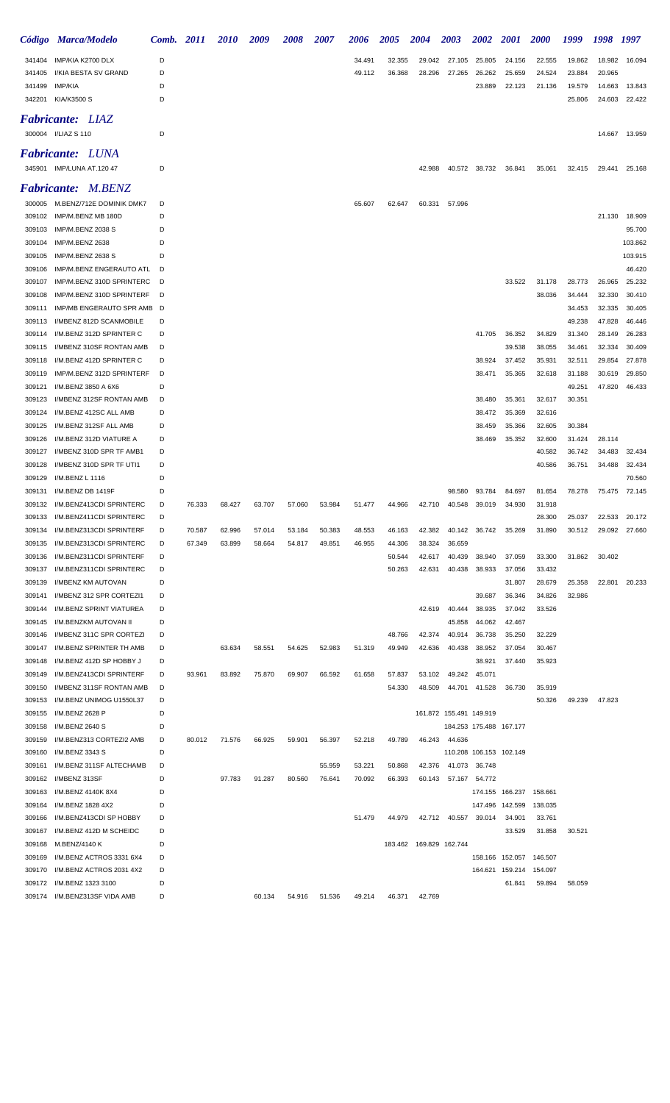|                  | Código Marca/Modelo                                   | Comb. 2011 |        | <i>2010</i> | 2009   | <b>2008</b> | 2007   | 2006   | <b>2005</b> | <b>2004</b>               | 2003                    | <b>2002</b>   | <b>2001</b>             | <b>2000</b>             | 1999             | 1998 1997        |                  |
|------------------|-------------------------------------------------------|------------|--------|-------------|--------|-------------|--------|--------|-------------|---------------------------|-------------------------|---------------|-------------------------|-------------------------|------------------|------------------|------------------|
| 341404           | IMP/KIA K2700 DLX                                     | D          |        |             |        |             |        | 34.491 | 32.355      | 29.042                    | 27.105                  | 25.805        | 24.156                  | 22.555                  | 19.862           | 18.982           | 16.094           |
| 341405           | I/KIA BESTA SV GRAND                                  | D          |        |             |        |             |        | 49.112 | 36.368      | 28.296                    | 27.265                  | 26.262        | 25.659                  | 24.524                  | 23.884           | 20.965           |                  |
| 341499           | IMP/KIA                                               | D          |        |             |        |             |        |        |             |                           |                         | 23.889        | 22.123                  | 21.136                  | 19.579           | 14.663           | 13.843           |
|                  | 342201 KIA/K3500 S                                    | D          |        |             |        |             |        |        |             |                           |                         |               |                         |                         | 25.806           | 24.603           | 22.422           |
|                  | <b>Fabricante: LIAZ</b>                               |            |        |             |        |             |        |        |             |                           |                         |               |                         |                         |                  |                  |                  |
|                  | 300004 I/LIAZ S 110                                   | D          |        |             |        |             |        |        |             |                           |                         |               |                         |                         |                  | 14.667           | 13.959           |
|                  | <b>Fabricante: LUNA</b>                               |            |        |             |        |             |        |        |             |                           |                         |               |                         |                         |                  |                  |                  |
|                  | 345901 IMP/LUNA AT.120 47                             | D          |        |             |        |             |        |        |             | 42.988                    |                         | 40.572 38.732 | 36.841                  | 35.061                  | 32.415           | 29.441           | 25.168           |
|                  |                                                       |            |        |             |        |             |        |        |             |                           |                         |               |                         |                         |                  |                  |                  |
|                  | Fabricante: M.BENZ                                    |            |        |             |        |             |        |        |             |                           |                         |               |                         |                         |                  |                  |                  |
| 309102           | 300005 M.BENZ/712E DOMINIK DMK7<br>IMP/M.BENZ MB 180D | D<br>D     |        |             |        |             |        | 65.607 | 62.647      | 60.331                    | 57.996                  |               |                         |                         |                  | 21.130           | 18.909           |
| 309103           | IMP/M.BENZ 2038 S                                     | D          |        |             |        |             |        |        |             |                           |                         |               |                         |                         |                  |                  | 95.700           |
| 309104           | IMP/M.BENZ 2638                                       | D          |        |             |        |             |        |        |             |                           |                         |               |                         |                         |                  |                  | 103.862          |
| 309105           | IMP/M.BENZ 2638 S                                     | D          |        |             |        |             |        |        |             |                           |                         |               |                         |                         |                  |                  | 103.915          |
| 309106           | IMP/M.BENZ ENGERAUTO ATL                              | D          |        |             |        |             |        |        |             |                           |                         |               |                         |                         |                  |                  | 46.420           |
| 309107           | IMP/M.BENZ 310D SPRINTERC                             | D          |        |             |        |             |        |        |             |                           |                         |               | 33.522                  | 31.178                  | 28.773           | 26.965           | 25.232           |
| 309108           | IMP/M.BENZ 310D SPRINTERF                             | D          |        |             |        |             |        |        |             |                           |                         |               |                         | 38.036                  | 34.444           | 32.330           | 30.410           |
| 309111           | IMP/MB ENGERAUTO SPR AMB                              | D          |        |             |        |             |        |        |             |                           |                         |               |                         |                         | 34.453           | 32.335           | 30.405           |
| 309113           | I/MBENZ 812D SCANMOBILE                               | D          |        |             |        |             |        |        |             |                           |                         |               |                         |                         | 49.238           | 47.828           | 46.446           |
| 309114           | I/M.BENZ 312D SPRINTER C                              | D          |        |             |        |             |        |        |             |                           |                         | 41.705        | 36.352                  | 34.829                  | 31.340           | 28.149           | 26.283           |
| 309115           | I/MBENZ 310SF RONTAN AMB                              | D          |        |             |        |             |        |        |             |                           |                         |               | 39.538                  | 38.055                  | 34.461           | 32.334           | 30.409           |
| 309118           | I/M.BENZ 412D SPRINTER C                              | D<br>D     |        |             |        |             |        |        |             |                           |                         | 38.924        | 37.452                  | 35.931                  | 32.511           | 29.854           | 27.878           |
| 309119<br>309121 | IMP/M.BENZ 312D SPRINTERF<br>I/M.BENZ 3850 A 6X6      | D          |        |             |        |             |        |        |             |                           |                         | 38.471        | 35.365                  | 32.618                  | 31.188<br>49.251 | 30.619<br>47.820 | 29.850<br>46.433 |
| 309123           | I/MBENZ 312SF RONTAN AMB                              | D          |        |             |        |             |        |        |             |                           |                         | 38.480        | 35.361                  | 32.617                  | 30.351           |                  |                  |
| 309124           | I/M.BENZ 412SC ALL AMB                                | D          |        |             |        |             |        |        |             |                           |                         | 38.472        | 35.369                  | 32.616                  |                  |                  |                  |
| 309125           | I/M.BENZ 312SF ALL AMB                                | D          |        |             |        |             |        |        |             |                           |                         | 38.459        | 35.366                  | 32.605                  | 30.384           |                  |                  |
| 309126           | I/M.BENZ 312D VIATURE A                               | D          |        |             |        |             |        |        |             |                           |                         | 38.469        | 35.352                  | 32.600                  | 31.424           | 28.114           |                  |
| 309127           | I/MBENZ 310D SPR TF AMB1                              | D          |        |             |        |             |        |        |             |                           |                         |               |                         | 40.582                  | 36.742           | 34.483           | 32.434           |
| 309128           | I/MBENZ 310D SPR TF UTI1                              | D          |        |             |        |             |        |        |             |                           |                         |               |                         | 40.586                  | 36.751           | 34.488           | 32.434           |
| 309129           | I/M.BENZ L 1116                                       | D          |        |             |        |             |        |        |             |                           |                         |               |                         |                         |                  |                  | 70.560           |
| 309131           | I/M.BENZ DB 1419F                                     | D          |        |             |        |             |        |        |             |                           | 98.580                  | 93.784        | 84.697                  | 81.654                  | 78.278           | 75.475           | 72.145           |
| 309132           | I/M.BENZ413CDI SPRINTERC                              | D          | 76.333 | 68.427      | 63.707 | 57.060      | 53.984 | 51.477 | 44.966      | 42.710                    | 40.548                  | 39.019        | 34.930                  | 31.918                  |                  |                  |                  |
| 309133           | I/M.BENZ411CDI SPRINTERC                              | D          |        |             |        |             |        |        |             |                           |                         |               |                         | 28.300                  | 25.037           | 22.533           | 20.172           |
| 309134           | I/M.BENZ313CDI SPRINTERF                              | D          | 70.587 | 62.996      | 57.014 | 53.184      | 50.383 | 48.553 | 46.163      | 42.382                    | 40.142                  |               | 36.742 35.269           | 31.890                  | 30.512           |                  | 29.092 27.660    |
| 309135           | I/M.BENZ313CDI SPRINTERC                              | D          | 67.349 | 63.899      | 58.664 | 54.817      | 49.851 | 46.955 | 44.306      | 38.324                    | 36.659                  |               |                         |                         |                  |                  |                  |
| 309136           | I/M.BENZ311CDI SPRINTERF                              | D          |        |             |        |             |        |        | 50.544      | 42.617                    | 40.439                  | 38.940        | 37.059                  | 33.300                  | 31.862           | 30.402           |                  |
| 309137           | I/M.BENZ311CDI SPRINTERC                              | D          |        |             |        |             |        |        | 50.263      | 42.631                    | 40.438                  | 38.933        | 37.056                  | 33.432                  |                  |                  |                  |
| 309139<br>309141 | I/MBENZ KM AUTOVAN<br>I/MBENZ 312 SPR CORTEZI1        | D<br>D     |        |             |        |             |        |        |             |                           |                         | 39.687        | 31.807<br>36.346        | 28.679<br>34.826        | 25.358<br>32.986 | 22.801           | 20.233           |
| 309144           | I/M.BENZ SPRINT VIATUREA                              | D          |        |             |        |             |        |        |             | 42.619                    | 40.444                  | 38.935        | 37.042                  | 33.526                  |                  |                  |                  |
| 309145           | I/M.BENZKM AUTOVAN II                                 | D          |        |             |        |             |        |        |             |                           | 45.858                  | 44.062        | 42.467                  |                         |                  |                  |                  |
| 309146           | I/MBENZ 311C SPR CORTEZI                              | D          |        |             |        |             |        |        | 48.766      | 42.374                    | 40.914                  | 36.738        | 35.250                  | 32.229                  |                  |                  |                  |
| 309147           | I/M.BENZ SPRINTER TH AMB                              | D          |        | 63.634      | 58.551 | 54.625      | 52.983 | 51.319 | 49.949      | 42.636                    | 40.438                  | 38.952        | 37.054                  | 30.467                  |                  |                  |                  |
| 309148           | I/M.BENZ 412D SP HOBBY J                              | D          |        |             |        |             |        |        |             |                           |                         | 38.921        | 37.440                  | 35.923                  |                  |                  |                  |
| 309149           | I/M.BENZ413CDI SPRINTERF                              | D          | 93.961 | 83.892      | 75.870 | 69.907      | 66.592 | 61.658 | 57.837      | 53.102                    | 49.242                  | 45.071        |                         |                         |                  |                  |                  |
| 309150           | I/MBENZ 311SF RONTAN AMB                              | D          |        |             |        |             |        |        | 54.330      | 48.509                    | 44.701                  | 41.528        | 36.730                  | 35.919                  |                  |                  |                  |
| 309153           | I/M.BENZ UNIMOG U1550L37                              | D          |        |             |        |             |        |        |             |                           |                         |               |                         | 50.326                  | 49.239           | 47.823           |                  |
| 309155           | I/M.BENZ 2628 P                                       | D          |        |             |        |             |        |        |             |                           | 161.872 155.491 149.919 |               |                         |                         |                  |                  |                  |
| 309158           | I/M.BENZ 2640 S                                       | D          |        |             |        |             |        |        |             |                           |                         |               | 184.253 175.488 167.177 |                         |                  |                  |                  |
| 309159           | I/M.BENZ313 CORTEZI2 AMB                              | D          | 80.012 | 71.576      | 66.925 | 59.901      | 56.397 | 52.218 | 49.789      | 46.243                    | 44.636                  |               |                         |                         |                  |                  |                  |
| 309160           | I/M.BENZ 3343 S                                       | D          |        |             |        |             |        |        |             |                           |                         |               | 110.208 106.153 102.149 |                         |                  |                  |                  |
| 309161           | I/M.BENZ 311SF ALTECHAMB                              | D          |        |             |        |             | 55.959 | 53.221 | 50.868      | 42.376                    | 41.073                  | 36.748        |                         |                         |                  |                  |                  |
| 309163           | 309162 I/MBENZ 313SF<br>I/M.BENZ 4140K 8X4            | D<br>D     |        | 97.783      | 91.287 | 80.560      | 76.641 | 70.092 | 66.393      | 60.143                    |                         | 57.167 54.772 |                         | 174.155 166.237 158.661 |                  |                  |                  |
| 309164           | I/M.BENZ 1828 4X2                                     | D          |        |             |        |             |        |        |             |                           |                         |               | 147.496 142.599         | 138.035                 |                  |                  |                  |
| 309166           | I/M.BENZ413CDI SP HOBBY                               | D          |        |             |        |             |        | 51.479 | 44.979      |                           | 42.712  40.557  39.014  |               | 34.901                  | 33.761                  |                  |                  |                  |
| 309167           | I/M.BENZ 412D M SCHEIDC                               | D          |        |             |        |             |        |        |             |                           |                         |               | 33.529                  | 31.858                  | 30.521           |                  |                  |
| 309168           | M.BENZ/4140 K                                         | D          |        |             |        |             |        |        |             | 183.462  169.829  162.744 |                         |               |                         |                         |                  |                  |                  |
| 309169           | I/M.BENZ ACTROS 3331 6X4                              | D          |        |             |        |             |        |        |             |                           |                         |               | 158.166 152.057         | 146.507                 |                  |                  |                  |
| 309170           | I/M.BENZ ACTROS 2031 4X2                              | D          |        |             |        |             |        |        |             |                           |                         |               |                         | 164.621 159.214 154.097 |                  |                  |                  |
|                  | 309172 I/M.BENZ 1323 3100                             | D          |        |             |        |             |        |        |             |                           |                         |               | 61.841                  | 59.894                  | 58.059           |                  |                  |
|                  | 309174 I/M.BENZ313SF VIDA AMB                         | D          |        |             | 60.134 | 54.916      | 51.536 | 49.214 | 46.371      | 42.769                    |                         |               |                         |                         |                  |                  |                  |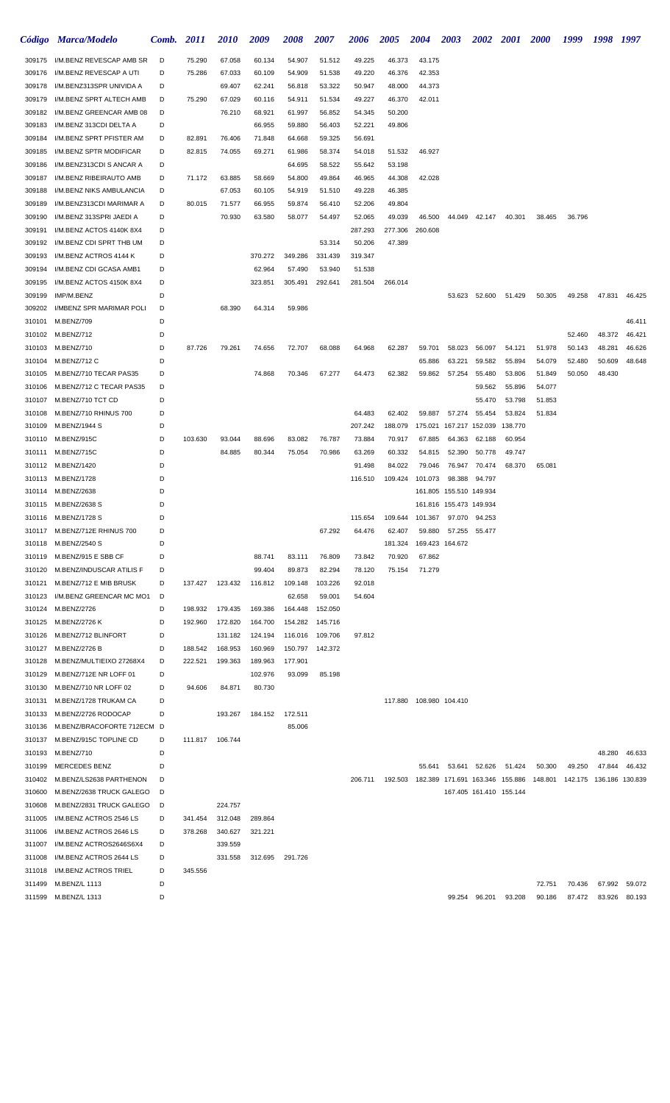|                  | Código Marca/Modelo                                               | Comb.  | <i>2011</i> | <i>2010</i>        | 2009               | <b>2008</b>                        | 2007             | <b>2006</b>       | <b>2005</b>      | <b>2004</b>               | <b>2003</b>             | <b>2002</b>             | <b>2001</b> | <b>2000</b>                                                                     | 1999   | 1998   | 1997             |
|------------------|-------------------------------------------------------------------|--------|-------------|--------------------|--------------------|------------------------------------|------------------|-------------------|------------------|---------------------------|-------------------------|-------------------------|-------------|---------------------------------------------------------------------------------|--------|--------|------------------|
| 309175           | I/M.BENZ REVESCAP AMB SR                                          | D      | 75.290      | 67.058             | 60.134             | 54.907                             | 51.512           | 49.225            | 46.373           | 43.175                    |                         |                         |             |                                                                                 |        |        |                  |
| 309176           | I/M.BENZ REVESCAP A UTI                                           | D      | 75.286      | 67.033             | 60.109             | 54.909                             | 51.538           | 49.220            | 46.376           | 42.353                    |                         |                         |             |                                                                                 |        |        |                  |
| 309178           | I/M.BENZ313SPR UNIVIDA A                                          | D      |             | 69.407             | 62.241             | 56.818                             | 53.322           | 50.947            | 48.000           | 44.373                    |                         |                         |             |                                                                                 |        |        |                  |
| 309179           | I/M.BENZ SPRT ALTECH AMB                                          | D      | 75.290      | 67.029             | 60.116             | 54.911                             | 51.534           | 49.227            | 46.370           | 42.011                    |                         |                         |             |                                                                                 |        |        |                  |
| 309182           | I/M.BENZ GREENCAR AMB 08                                          | D      |             | 76.210             | 68.921             | 61.997                             | 56.852           | 54.345            | 50.200           |                           |                         |                         |             |                                                                                 |        |        |                  |
| 309183           | I/M.BENZ 313CDI DELTA A                                           | D      |             |                    | 66.955             | 59.880                             | 56.403           | 52.221            | 49.806           |                           |                         |                         |             |                                                                                 |        |        |                  |
| 309184<br>309185 | I/M.BENZ SPRT PFISTER AM                                          | D      | 82.891      | 76.406             | 71.848             | 64.668                             | 59.325           | 56.691            |                  |                           |                         |                         |             |                                                                                 |        |        |                  |
| 309186           | I/M.BENZ SPTR MODIFICAR<br>I/M.BENZ313CDI S ANCAR A               | D<br>D | 82.815      | 74.055             | 69.271             | 61.986<br>64.695                   | 58.374<br>58.522 | 54.018<br>55.642  | 51.532<br>53.198 | 46.927                    |                         |                         |             |                                                                                 |        |        |                  |
| 309187           | I/M.BENZ RIBEIRAUTO AMB                                           | D      | 71.172      | 63.885             | 58.669             | 54.800                             | 49.864           | 46.965            | 44.308           | 42.028                    |                         |                         |             |                                                                                 |        |        |                  |
| 309188           | I/M.BENZ NIKS AMBULANCIA                                          | D      |             | 67.053             | 60.105             | 54.919                             | 51.510           | 49.228            | 46.385           |                           |                         |                         |             |                                                                                 |        |        |                  |
| 309189           | I/M.BENZ313CDI MARIMAR A                                          | D      | 80.015      | 71.577             | 66.955             | 59.874                             | 56.410           | 52.206            | 49.804           |                           |                         |                         |             |                                                                                 |        |        |                  |
| 309190           | I/M.BENZ 313SPRI JAEDI A                                          | D      |             | 70.930             | 63.580             | 58.077                             | 54.497           | 52.065            | 49.039           | 46.500                    | 44.049                  | 42.147                  | 40.301      | 38.465                                                                          | 36.796 |        |                  |
| 309191           | I/M.BENZ ACTOS 4140K 8X4                                          | D      |             |                    |                    |                                    |                  | 287.293           | 277.306          | 260.608                   |                         |                         |             |                                                                                 |        |        |                  |
| 309192           | I/M.BENZ CDI SPRT THB UM                                          | D      |             |                    |                    |                                    | 53.314           | 50.206            | 47.389           |                           |                         |                         |             |                                                                                 |        |        |                  |
| 309193           | I/M.BENZ ACTROS 4144 K                                            | D      |             |                    | 370.272            | 349.286                            | 331.439          | 319.347           |                  |                           |                         |                         |             |                                                                                 |        |        |                  |
| 309194           | I/M.BENZ CDI GCASA AMB1                                           | D      |             |                    | 62.964             | 57.490                             | 53.940           | 51.538            |                  |                           |                         |                         |             |                                                                                 |        |        |                  |
| 309195           | I/M.BENZ ACTOS 4150K 8X4                                          | D      |             |                    | 323.851            | 305.491                            | 292.641          | 281.504           | 266.014          |                           |                         |                         |             |                                                                                 |        |        |                  |
| 309199           | IMP/M.BENZ                                                        | D      |             |                    |                    |                                    |                  |                   |                  |                           | 53.623                  | 52.600                  | 51.429      | 50.305                                                                          | 49.258 | 47.831 | 46.425           |
| 309202           | I/MBENZ SPR MARIMAR POLI                                          | D<br>D |             | 68.390             | 64.314             | 59.986                             |                  |                   |                  |                           |                         |                         |             |                                                                                 |        |        |                  |
| 310101           | M.BENZ/709<br>310102 M.BENZ/712                                   | D      |             |                    |                    |                                    |                  |                   |                  |                           |                         |                         |             |                                                                                 | 52.460 | 48.372 | 46.411<br>46.421 |
|                  | 310103 M.BENZ/710                                                 | D      | 87.726      | 79.261             | 74.656             | 72.707                             | 68.088           | 64.968            | 62.287           | 59.701                    | 58.023                  | 56.097                  | 54.121      | 51.978                                                                          | 50.143 | 48.281 | 46.626           |
| 310104           | M.BENZ/712 C                                                      | D      |             |                    |                    |                                    |                  |                   |                  | 65.886                    | 63.221                  | 59.582                  | 55.894      | 54.079                                                                          | 52.480 | 50.609 | 48.648           |
| 310105           | M.BENZ/710 TECAR PAS35                                            | D      |             |                    | 74.868             | 70.346                             | 67.277           | 64.473            | 62.382           | 59.862                    | 57.254                  | 55.480                  | 53.806      | 51.849                                                                          | 50.050 | 48.430 |                  |
| 310106           | M.BENZ/712 C TECAR PAS35                                          | D      |             |                    |                    |                                    |                  |                   |                  |                           |                         | 59.562                  | 55.896      | 54.077                                                                          |        |        |                  |
|                  | 310107 M.BENZ/710 TCT CD                                          | D      |             |                    |                    |                                    |                  |                   |                  |                           |                         | 55.470                  | 53.798      | 51.853                                                                          |        |        |                  |
| 310108           | M.BENZ/710 RHINUS 700                                             | D      |             |                    |                    |                                    |                  | 64.483            | 62.402           | 59.887                    | 57.274                  | 55.454                  | 53.824      | 51.834                                                                          |        |        |                  |
| 310109           | M.BENZ/1944 S                                                     | D      |             |                    |                    |                                    |                  | 207.242           | 188.079          | 175.021                   |                         | 167.217 152.039         | 138.770     |                                                                                 |        |        |                  |
| 310110           | M.BENZ/915C                                                       | D      | 103.630     | 93.044             | 88.696             | 83.082                             | 76.787           | 73.884            | 70.917           | 67.885                    | 64.363                  | 62.188                  | 60.954      |                                                                                 |        |        |                  |
|                  | 310111 M.BENZ/715C                                                | D      |             | 84.885             | 80.344             | 75.054                             | 70.986           | 63.269            | 60.332           | 54.815                    | 52.390                  | 50.778                  | 49.747      |                                                                                 |        |        |                  |
|                  | 310112 M.BENZ/1420                                                | D<br>D |             |                    |                    |                                    |                  | 91.498<br>116.510 | 84.022           | 79.046                    | 76.947<br>98.388        | 70.474<br>94.797        | 68.370      | 65.081                                                                          |        |        |                  |
|                  | 310113 M.BENZ/1728<br>310114 M.BENZ/2638                          | D      |             |                    |                    |                                    |                  |                   | 109.424          | 101.073                   | 161.805 155.510 149.934 |                         |             |                                                                                 |        |        |                  |
| 310115           | M.BENZ/2638 S                                                     | D      |             |                    |                    |                                    |                  |                   |                  |                           | 161.816 155.473 149.934 |                         |             |                                                                                 |        |        |                  |
|                  | 310116 M.BENZ/1728 S                                              | D      |             |                    |                    |                                    |                  | 115.654           |                  | 109.644 101.367           | 97.070 94.253           |                         |             |                                                                                 |        |        |                  |
|                  | 310117 M.BENZ/712E RHINUS 700                                     | D      |             |                    |                    |                                    | 67.292           | 64.476            | 62.407           |                           | 59.880 57.255 55.477    |                         |             |                                                                                 |        |        |                  |
|                  | 310118 M.BENZ/2540 S                                              | D      |             |                    |                    |                                    |                  |                   |                  | 181.324  169.423  164.672 |                         |                         |             |                                                                                 |        |        |                  |
|                  | 310119 M.BENZ/915 E SBB CF                                        | D      |             |                    | 88.741             | 83.111                             | 76.809           | 73.842            | 70.920           | 67.862                    |                         |                         |             |                                                                                 |        |        |                  |
|                  | 310120 M.BENZ/INDUSCAR ATILIS F                                   | D      |             |                    | 99.404             | 89.873                             | 82.294           | 78.120            | 75.154           | 71.279                    |                         |                         |             |                                                                                 |        |        |                  |
|                  | 310121 M.BENZ/712 E MIB BRUSK                                     | D      |             | 137.427  123.432   | 116.812            | 109.148                            | 103.226          | 92.018            |                  |                           |                         |                         |             |                                                                                 |        |        |                  |
|                  | 310123 I/M.BENZ GREENCAR MC MO1                                   | D      |             |                    |                    | 62.658                             | 59.001           | 54.604            |                  |                           |                         |                         |             |                                                                                 |        |        |                  |
|                  | 310124 M.BENZ/2726                                                | D      | 198.932     | 179.435            | 169.386            | 164.448                            | 152.050          |                   |                  |                           |                         |                         |             |                                                                                 |        |        |                  |
|                  | 310125 M.BENZ/2726 K<br>310126 M.BENZ/712 BLINFORT                | D<br>D | 192.960     | 172.820<br>131.182 | 164.700<br>124.194 | 154.282 145.716<br>116.016 109.706 |                  | 97.812            |                  |                           |                         |                         |             |                                                                                 |        |        |                  |
|                  | 310127 M.BENZ/2726 B                                              | D      | 188.542     | 168.953            | 160.969            | 150.797 142.372                    |                  |                   |                  |                           |                         |                         |             |                                                                                 |        |        |                  |
|                  | 310128 M.BENZ/MULTIEIXO 27268X4                                   | D      | 222.521     | 199.363            | 189.963            | 177.901                            |                  |                   |                  |                           |                         |                         |             |                                                                                 |        |        |                  |
|                  | 310129 M.BENZ/712E NR LOFF 01                                     | D      |             |                    | 102.976            | 93.099                             | 85.198           |                   |                  |                           |                         |                         |             |                                                                                 |        |        |                  |
|                  | 310130 M.BENZ/710 NR LOFF 02                                      | D      | 94.606      | 84.871             | 80.730             |                                    |                  |                   |                  |                           |                         |                         |             |                                                                                 |        |        |                  |
|                  | 310131 M.BENZ/1728 TRUKAM CA                                      | D      |             |                    |                    |                                    |                  |                   |                  | 117.880 108.980 104.410   |                         |                         |             |                                                                                 |        |        |                  |
|                  | 310133 M.BENZ/2726 RODOCAP                                        | D      |             | 193.267            | 184.152            | 172.511                            |                  |                   |                  |                           |                         |                         |             |                                                                                 |        |        |                  |
|                  | 310136 M.BENZ/BRACOFORTE 712ECM D                                 |        |             |                    |                    | 85.006                             |                  |                   |                  |                           |                         |                         |             |                                                                                 |        |        |                  |
|                  | 310137 M.BENZ/915C TOPLINE CD                                     | D      |             | 111.817 106.744    |                    |                                    |                  |                   |                  |                           |                         |                         |             |                                                                                 |        |        |                  |
|                  | 310193 M.BENZ/710                                                 | D      |             |                    |                    |                                    |                  |                   |                  |                           |                         |                         |             |                                                                                 |        |        | 48.280 46.633    |
|                  | 310199 MERCEDES BENZ                                              | D      |             |                    |                    |                                    |                  |                   |                  | 55.641                    |                         | 53.641 52.626           | 51.424      | 50.300                                                                          | 49.250 |        | 47.844 46.432    |
|                  | 310402 M.BENZ/LS2638 PARTHENON<br>310600 M.BENZ/2638 TRUCK GALEGO | D<br>D |             |                    |                    |                                    |                  | 206.711           |                  |                           |                         | 167.405 161.410 155.144 |             | 192.503  182.389  171.691  163.346  155.886  148.801  142.175  136.186  130.839 |        |        |                  |
|                  | 310608 M.BENZ/2831 TRUCK GALEGO                                   | D      |             | 224.757            |                    |                                    |                  |                   |                  |                           |                         |                         |             |                                                                                 |        |        |                  |
| 311005           | I/M.BENZ ACTROS 2546 LS                                           | D      | 341.454     | 312.048            | 289.864            |                                    |                  |                   |                  |                           |                         |                         |             |                                                                                 |        |        |                  |
|                  | 311006 I/M.BENZ ACTROS 2646 LS                                    | D      | 378.268     | 340.627            | 321.221            |                                    |                  |                   |                  |                           |                         |                         |             |                                                                                 |        |        |                  |
|                  | 311007 I/M.BENZ ACTROS2646S6X4                                    | D      |             | 339.559            |                    |                                    |                  |                   |                  |                           |                         |                         |             |                                                                                 |        |        |                  |
| 311008           | I/M.BENZ ACTROS 2644 LS                                           | D      |             | 331.558            | 312.695            | 291.726                            |                  |                   |                  |                           |                         |                         |             |                                                                                 |        |        |                  |
|                  | 311018 I/M.BENZ ACTROS TRIEL                                      | D      | 345.556     |                    |                    |                                    |                  |                   |                  |                           |                         |                         |             |                                                                                 |        |        |                  |
| 311499           | M.BENZ/L 1113                                                     | D      |             |                    |                    |                                    |                  |                   |                  |                           |                         |                         |             | 72.751                                                                          | 70.436 |        | 67.992 59.072    |
|                  | 311599 M.BENZ/L 1313                                              | D      |             |                    |                    |                                    |                  |                   |                  |                           | 99.254                  | 96.201                  | 93.208      | 90.186                                                                          | 87.472 |        | 83.926 80.193    |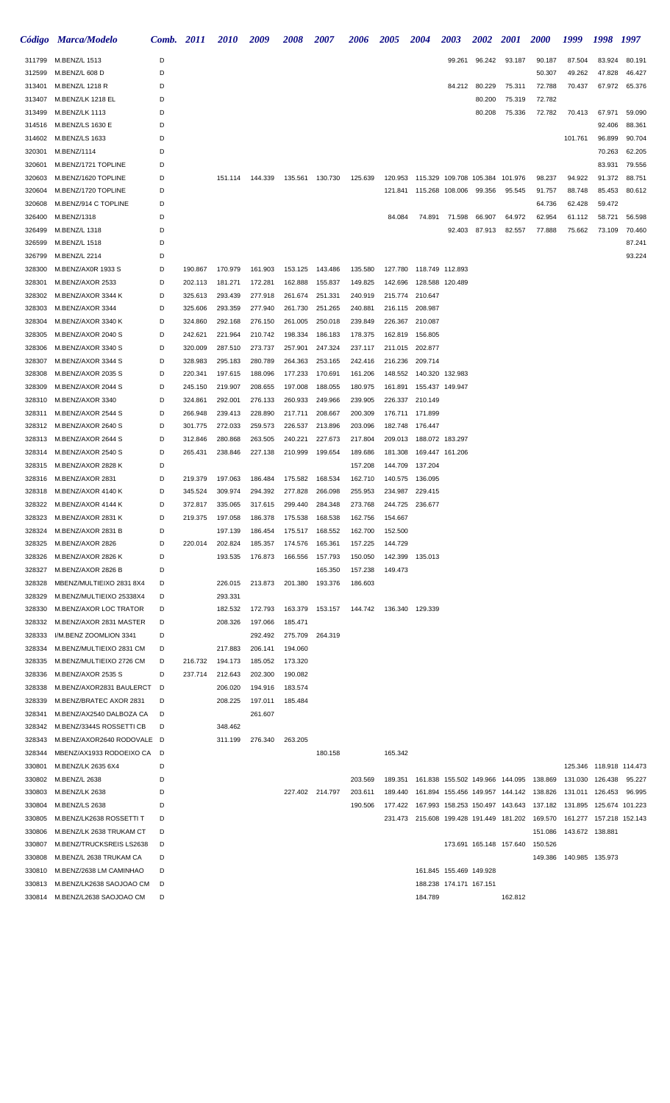|                  | Código Marca/Modelo                            | Comb.  | 2011               | <b>2010</b>        | 2009               | 2008               | 2007               | <b>2006</b>        | <b>2005</b> | <b>2004</b>                                          | 2003                    | <b>2002</b> | <b>2001</b>             | <b>2000</b>                                                             | 1999            | 1998                      | 1997             |
|------------------|------------------------------------------------|--------|--------------------|--------------------|--------------------|--------------------|--------------------|--------------------|-------------|------------------------------------------------------|-------------------------|-------------|-------------------------|-------------------------------------------------------------------------|-----------------|---------------------------|------------------|
| 311799           | M.BENZ/L 1513                                  | D      |                    |                    |                    |                    |                    |                    |             |                                                      | 99.261                  | 96.242      | 93.187                  | 90.187                                                                  | 87.504          | 83.924                    | 80.191           |
| 312599           | M.BENZ/L 608 D                                 | D      |                    |                    |                    |                    |                    |                    |             |                                                      |                         |             |                         | 50.307                                                                  | 49.262          | 47.828                    | 46.427           |
| 313401           | M.BENZ/L 1218 R                                | D      |                    |                    |                    |                    |                    |                    |             |                                                      | 84.212                  | 80.229      | 75.311                  | 72.788                                                                  | 70.437          | 67.972                    | 65.376           |
| 313407           | M.BENZ/LK 1218 EL                              | D      |                    |                    |                    |                    |                    |                    |             |                                                      |                         | 80.200      | 75.319                  | 72.782                                                                  |                 |                           |                  |
| 313499           | M.BENZ/LK 1113                                 | D      |                    |                    |                    |                    |                    |                    |             |                                                      |                         | 80.208      | 75.336                  | 72.782                                                                  | 70.413          | 67.971                    | 59.090           |
| 314516           | M.BENZ/LS 1630 E                               | D      |                    |                    |                    |                    |                    |                    |             |                                                      |                         |             |                         |                                                                         |                 | 92.406                    | 88.361           |
| 314602           | M.BENZ/LS 1633                                 | D      |                    |                    |                    |                    |                    |                    |             |                                                      |                         |             |                         |                                                                         | 101.761         | 96.899                    | 90.704           |
| 320301           | M.BENZ/1114                                    | D      |                    |                    |                    |                    |                    |                    |             |                                                      |                         |             |                         |                                                                         |                 | 70.263                    | 62.205           |
| 320601           | M.BENZ/1721 TOPLINE<br>M.BENZ/1620 TOPLINE     | D<br>D |                    | 151.114            | 144.339            |                    | 130.730            | 125.639            |             | 120.953 115.329 109.708 105.384 101.976              |                         |             |                         | 98.237                                                                  | 94.922          | 83.931<br>91.372          | 79.556<br>88.751 |
| 320603<br>320604 | M.BENZ/1720 TOPLINE                            | D      |                    |                    |                    | 135.561            |                    |                    | 121.841     | 115.268 108.006                                      |                         | 99.356      | 95.545                  | 91.757                                                                  | 88.748          | 85.453                    | 80.612           |
| 320608           | M.BENZ/914 C TOPLINE                           | D      |                    |                    |                    |                    |                    |                    |             |                                                      |                         |             |                         | 64.736                                                                  | 62.428          | 59.472                    |                  |
| 326400           | M.BENZ/1318                                    | D      |                    |                    |                    |                    |                    |                    | 84.084      | 74.891                                               | 71.598                  | 66.907      | 64.972                  | 62.954                                                                  | 61.112          | 58.721                    | 56.598           |
| 326499           | M.BENZ/L 1318                                  | D      |                    |                    |                    |                    |                    |                    |             |                                                      | 92.403                  | 87.913      | 82.557                  | 77.888                                                                  | 75.662          | 73.109                    | 70.460           |
| 326599           | M.BENZ/L 1518                                  | D      |                    |                    |                    |                    |                    |                    |             |                                                      |                         |             |                         |                                                                         |                 |                           | 87.241           |
| 326799           | M.BENZ/L 2214                                  | D      |                    |                    |                    |                    |                    |                    |             |                                                      |                         |             |                         |                                                                         |                 |                           | 93.224           |
| 328300           | M.BENZ/AX0R 1933 S                             | D      | 190.867            | 170.979            | 161.903            | 153.125            | 143.486            | 135.580            |             | 127.780 118.749 112.893                              |                         |             |                         |                                                                         |                 |                           |                  |
| 328301           | M.BENZ/AXOR 2533                               | D      | 202.113            | 181.271            | 172.281            | 162.888            | 155.837            | 149.825            | 142.696     | 128.588 120.489                                      |                         |             |                         |                                                                         |                 |                           |                  |
| 328302           | M.BENZ/AXOR 3344 K                             | D      | 325.613            | 293.439            | 277.918            | 261.674            | 251.331            | 240.919            |             | 215.774 210.647                                      |                         |             |                         |                                                                         |                 |                           |                  |
| 328303           | M.BENZ/AXOR 3344                               | D      | 325.606            | 293.359            | 277.940            | 261.730            | 251.265            | 240.881            |             | 216.115 208.987                                      |                         |             |                         |                                                                         |                 |                           |                  |
| 328304           | M.BENZ/AXOR 3340 K                             | D      | 324.860            | 292.168            | 276.150            | 261.005            | 250.018            | 239.849            |             | 226.367 210.087                                      |                         |             |                         |                                                                         |                 |                           |                  |
| 328305           | M.BENZ/AXOR 2040 S                             | D      | 242.621            | 221.964            | 210.742            | 198.334            | 186.183            | 178.375            |             | 162.819 156.805                                      |                         |             |                         |                                                                         |                 |                           |                  |
| 328306           | M.BENZ/AXOR 3340 S                             | D      | 320.009            | 287.510            | 273.737            | 257.901            | 247.324            | 237.117            |             | 211.015 202.877                                      |                         |             |                         |                                                                         |                 |                           |                  |
| 328307           | M.BENZ/AXOR 3344 S                             | D      | 328.983            | 295.183            | 280.789            | 264.363            | 253.165            | 242.416            | 216.236     | 209.714                                              |                         |             |                         |                                                                         |                 |                           |                  |
| 328308           | M.BENZ/AXOR 2035 S                             | D      | 220.341            | 197.615            | 188.096            | 177.233            | 170.691            | 161.206            | 148.552     | 140.320 132.983                                      |                         |             |                         |                                                                         |                 |                           |                  |
| 328309           | M.BENZ/AXOR 2044 S                             | D      | 245.150            | 219.907            | 208.655            | 197.008            | 188.055            | 180.975            | 161.891     | 155.437 149.947                                      |                         |             |                         |                                                                         |                 |                           |                  |
| 328310           | M.BENZ/AXOR 3340                               | D      | 324.861            | 292.001            | 276.133            | 260.933            | 249.966            | 239.905            |             | 226.337 210.149                                      |                         |             |                         |                                                                         |                 |                           |                  |
| 328311           | M.BENZ/AXOR 2544 S                             | D      | 266.948            | 239.413            | 228.890            | 217.711            | 208.667            | 200.309            |             | 176.711 171.899                                      |                         |             |                         |                                                                         |                 |                           |                  |
| 328312<br>328313 | M.BENZ/AXOR 2640 S<br>M.BENZ/AXOR 2644 S       | D<br>D | 301.775<br>312.846 | 272.033<br>280.868 | 259.573<br>263.505 | 226.537<br>240.221 | 213.896<br>227.673 | 203.096<br>217.804 | 209.013     | 182.748 176.447<br>188.072 183.297                   |                         |             |                         |                                                                         |                 |                           |                  |
| 328314           | M.BENZ/AXOR 2540 S                             | D      | 265.431            | 238.846            | 227.138            | 210.999            | 199.654            | 189.686            | 181.308     |                                                      | 169.447 161.206         |             |                         |                                                                         |                 |                           |                  |
| 328315           | M.BENZ/AXOR 2828 K                             | D      |                    |                    |                    |                    |                    | 157.208            | 144.709     | 137.204                                              |                         |             |                         |                                                                         |                 |                           |                  |
| 328316           | M.BENZ/AXOR 2831                               | D      | 219.379            | 197.063            | 186.484            | 175.582            | 168.534            | 162.710            | 140.575     | 136.095                                              |                         |             |                         |                                                                         |                 |                           |                  |
| 328318           | M.BENZ/AXOR 4140 K                             | D      | 345.524            | 309.974            | 294.392            | 277.828            | 266.098            | 255.953            | 234.987     | 229.415                                              |                         |             |                         |                                                                         |                 |                           |                  |
| 328322           | M.BENZ/AXOR 4144 K                             | D      | 372.817            | 335.065            | 317.615            | 299.440            | 284.348            | 273.768            | 244.725     | 236.677                                              |                         |             |                         |                                                                         |                 |                           |                  |
| 328323           | M.BENZ/AXOR 2831 K                             | D      | 219.375            | 197.058            | 186.378            | 175.538            | 168.538            | 162.756            | 154.667     |                                                      |                         |             |                         |                                                                         |                 |                           |                  |
|                  | 328324 M.BENZ/AXOR 2831 B                      | D      |                    | 197.139            | 186.454            | 175.517            | 168.552            | 162.700            | 152.500     |                                                      |                         |             |                         |                                                                         |                 |                           |                  |
| 328325           | M.BENZ/AXOR 2826                               | D      | 220.014            | 202.824            | 185.357            | 174.576            | 165.361            | 157.225            | 144.729     |                                                      |                         |             |                         |                                                                         |                 |                           |                  |
| 328326           | M.BENZ/AXOR 2826 K                             | D      |                    | 193.535            | 176.873            | 166.556            | 157.793            | 150.050            |             | 142.399 135.013                                      |                         |             |                         |                                                                         |                 |                           |                  |
| 328327           | M.BENZ/AXOR 2826 B                             | D      |                    |                    |                    |                    | 165.350            | 157.238            | 149.473     |                                                      |                         |             |                         |                                                                         |                 |                           |                  |
| 328328           | MBENZ/MULTIEIXO 2831 8X4                       | D      |                    | 226.015            | 213.873            | 201.380            | 193.376            | 186.603            |             |                                                      |                         |             |                         |                                                                         |                 |                           |                  |
| 328329           | M.BENZ/MULTIEIXO 25338X4                       | D      |                    | 293.331            |                    |                    |                    |                    |             |                                                      |                         |             |                         |                                                                         |                 |                           |                  |
| 328330           | M.BENZ/AXOR LOC TRATOR                         | D      |                    | 182.532            | 172.793            | 163.379 153.157    |                    |                    |             | 144.742  136.340  129.339                            |                         |             |                         |                                                                         |                 |                           |                  |
| 328332           | M.BENZ/AXOR 2831 MASTER                        | D      |                    | 208.326            | 197.066            | 185.471            |                    |                    |             |                                                      |                         |             |                         |                                                                         |                 |                           |                  |
| 328333           | I/M.BENZ ZOOMLION 3341                         | D      |                    |                    | 292.492            | 275.709            | 264.319            |                    |             |                                                      |                         |             |                         |                                                                         |                 |                           |                  |
| 328334           | M.BENZ/MULTIEIXO 2831 CM                       | D      |                    | 217.883            | 206.141            | 194.060            |                    |                    |             |                                                      |                         |             |                         |                                                                         |                 |                           |                  |
| 328335<br>328336 | M.BENZ/MULTIEIXO 2726 CM<br>M.BENZ/AXOR 2535 S | D<br>D | 216.732<br>237.714 | 194.173<br>212.643 | 185.052<br>202.300 | 173.320<br>190.082 |                    |                    |             |                                                      |                         |             |                         |                                                                         |                 |                           |                  |
| 328338           | M.BENZ/AXOR2831 BAULERCT D                     |        |                    | 206.020            | 194.916            | 183.574            |                    |                    |             |                                                      |                         |             |                         |                                                                         |                 |                           |                  |
| 328339           | M.BENZ/BRATEC AXOR 2831                        | D      |                    | 208.225            | 197.011            | 185.484            |                    |                    |             |                                                      |                         |             |                         |                                                                         |                 |                           |                  |
| 328341           | M.BENZ/AX2540 DALBOZA CA                       | D      |                    |                    | 261.607            |                    |                    |                    |             |                                                      |                         |             |                         |                                                                         |                 |                           |                  |
| 328342           | M.BENZ/3344S ROSSETTI CB                       | D      |                    | 348.462            |                    |                    |                    |                    |             |                                                      |                         |             |                         |                                                                         |                 |                           |                  |
| 328343           | M.BENZ/AXOR2640 RODOVALE D                     |        |                    | 311.199            | 276.340            | 263.205            |                    |                    |             |                                                      |                         |             |                         |                                                                         |                 |                           |                  |
| 328344           | MBENZ/AX1933 RODOEIXO CA D                     |        |                    |                    |                    |                    | 180.158            |                    | 165.342     |                                                      |                         |             |                         |                                                                         |                 |                           |                  |
| 330801           | M.BENZ/LK 2635 6X4                             | D      |                    |                    |                    |                    |                    |                    |             |                                                      |                         |             |                         |                                                                         |                 | 125.346  118.918  114.473 |                  |
|                  | 330802 M.BENZ/L 2638                           | D      |                    |                    |                    |                    |                    | 203.569            | 189.351     |                                                      |                         |             |                         | 161.838 155.502 149.966 144.095 138.869                                 | 131.030 126.438 |                           | 95.227           |
| 330803           | M.BENZ/LK 2638                                 | D      |                    |                    |                    | 227.402 214.797    |                    | 203.611            |             | 189.440  161.894  155.456  149.957  144.142  138.826 |                         |             |                         |                                                                         | 131.011 126.453 |                           | 96.995           |
| 330804           | M.BENZ/LS 2638                                 | D      |                    |                    |                    |                    |                    | 190.506            |             |                                                      |                         |             |                         | 177.422 167.993 158.253 150.497 143.643 137.182 131.895                 |                 | 125.674 101.223           |                  |
| 330805           | M.BENZ/LK2638 ROSSETTI T                       | D      |                    |                    |                    |                    |                    |                    |             |                                                      |                         |             |                         | 231.473 215.608 199.428 191.449 181.202 169.570 161.277 157.218 152.143 |                 |                           |                  |
| 330806           | M.BENZ/LK 2638 TRUKAM CT                       | D      |                    |                    |                    |                    |                    |                    |             |                                                      |                         |             |                         | 151.086                                                                 | 143.672 138.881 |                           |                  |
| 330807           | M.BENZ/TRUCKSREIS LS2638                       | D      |                    |                    |                    |                    |                    |                    |             |                                                      |                         |             | 173.691 165.148 157.640 | 150.526                                                                 |                 |                           |                  |
| 330808           | M.BENZ/L 2638 TRUKAM CA                        | D      |                    |                    |                    |                    |                    |                    |             |                                                      |                         |             |                         | 149.386                                                                 | 140.985 135.973 |                           |                  |
| 330810           | M.BENZ/2638 LM CAMINHAO                        | D      |                    |                    |                    |                    |                    |                    |             |                                                      | 161.845 155.469 149.928 |             |                         |                                                                         |                 |                           |                  |
| 330813           | M.BENZ/LK2638 SAOJOAO CM                       | D      |                    |                    |                    |                    |                    |                    |             |                                                      | 188.238 174.171 167.151 |             |                         |                                                                         |                 |                           |                  |
|                  | 330814 M.BENZ/L2638 SAOJOAO CM                 | D      |                    |                    |                    |                    |                    |                    |             | 184.789                                              |                         |             | 162.812                 |                                                                         |                 |                           |                  |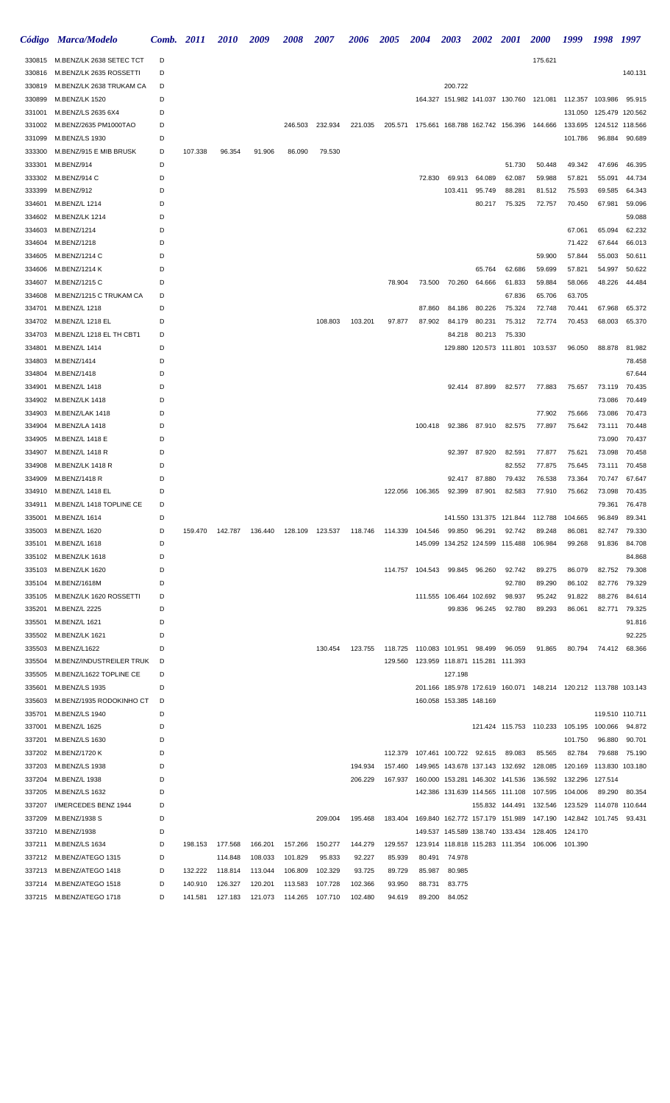|                  | Código Marca/Modelo                           | Comb. 2011 |         | <i>2010</i>                                                                            | 2009    | 2008            | 2007    | 2006    | <b>2005</b> | <b>2004</b>                                                                     | <b>2003</b>             | <b>2002</b>   | <b>2001</b>                     | <b>2000</b>                                                     | 1999    | 1998 1997       |                  |
|------------------|-----------------------------------------------|------------|---------|----------------------------------------------------------------------------------------|---------|-----------------|---------|---------|-------------|---------------------------------------------------------------------------------|-------------------------|---------------|---------------------------------|-----------------------------------------------------------------|---------|-----------------|------------------|
| 330815           | M.BENZ/LK 2638 SETEC TCT                      | D          |         |                                                                                        |         |                 |         |         |             |                                                                                 |                         |               |                                 | 175.621                                                         |         |                 |                  |
| 330816           | M.BENZ/LK 2635 ROSSETTI                       | D          |         |                                                                                        |         |                 |         |         |             |                                                                                 |                         |               |                                 |                                                                 |         |                 | 140.131          |
| 330819           | M.BENZ/LK 2638 TRUKAM CA                      | D          |         |                                                                                        |         |                 |         |         |             |                                                                                 | 200.722                 |               |                                 |                                                                 |         |                 |                  |
| 330899           | M.BENZ/LK 1520                                | D          |         |                                                                                        |         |                 |         |         |             |                                                                                 |                         |               |                                 | 164.327 151.982 141.037 130.760 121.081                         | 112.357 | 103.986         | 95.915           |
| 331001           | M.BENZ/LS 2635 6X4                            | D          |         |                                                                                        |         |                 |         |         |             |                                                                                 |                         |               |                                 |                                                                 | 131.050 | 125.479 120.562 |                  |
| 331002           | M.BENZ/2635 PM1000TAO                         | D          |         |                                                                                        |         | 246.503         | 232.934 | 221.035 |             | 205.571 175.661 168.788 162.742 156.396 144.666                                 |                         |               |                                 |                                                                 | 133.695 | 124.512 118.566 |                  |
| 331099           | M.BENZ/LS 1930                                | D          |         |                                                                                        |         |                 |         |         |             |                                                                                 |                         |               |                                 |                                                                 | 101.786 | 96.884          | 90.689           |
| 333300           | M.BENZ/915 E MIB BRUSK                        | D          | 107.338 | 96.354                                                                                 | 91.906  | 86.090          | 79.530  |         |             |                                                                                 |                         |               |                                 |                                                                 |         |                 |                  |
| 333301           | M.BENZ/914                                    | D          |         |                                                                                        |         |                 |         |         |             |                                                                                 |                         |               | 51.730                          | 50.448                                                          | 49.342  | 47.696          | 46.395           |
| 333302           | M.BENZ/914 C                                  | D          |         |                                                                                        |         |                 |         |         |             | 72.830                                                                          | 69.913                  | 64.089        | 62.087                          | 59.988                                                          | 57.821  | 55.091          | 44.734           |
| 333399           | M.BENZ/912                                    | D          |         |                                                                                        |         |                 |         |         |             |                                                                                 | 103.411                 | 95.749        | 88.281                          | 81.512                                                          | 75.593  | 69.585          | 64.343           |
| 334601           | M.BENZ/L 1214                                 | D          |         |                                                                                        |         |                 |         |         |             |                                                                                 |                         | 80.217        | 75.325                          | 72.757                                                          | 70.450  | 67.981          | 59.096           |
| 334602           | M.BENZ/LK 1214                                | D          |         |                                                                                        |         |                 |         |         |             |                                                                                 |                         |               |                                 |                                                                 |         |                 | 59.088           |
| 334603           | M.BENZ/1214                                   | D          |         |                                                                                        |         |                 |         |         |             |                                                                                 |                         |               |                                 |                                                                 | 67.061  | 65.094          | 62.232           |
| 334604           | M.BENZ/1218                                   | D          |         |                                                                                        |         |                 |         |         |             |                                                                                 |                         |               |                                 |                                                                 | 71.422  | 67.644          | 66.013           |
| 334605           | M.BENZ/1214 C                                 | D          |         |                                                                                        |         |                 |         |         |             |                                                                                 |                         |               |                                 | 59.900                                                          | 57.844  | 55.003          | 50.611           |
| 334606           | M.BENZ/1214 K                                 | D          |         |                                                                                        |         |                 |         |         |             |                                                                                 |                         | 65.764        | 62.686                          | 59.699                                                          | 57.821  | 54.997          | 50.622           |
| 334607           | M.BENZ/1215 C                                 | D          |         |                                                                                        |         |                 |         |         | 78.904      | 73.500                                                                          | 70.260                  | 64.666        | 61.833                          | 59.884                                                          | 58.066  | 48.226          | 44.484           |
| 334608           | M.BENZ/1215 C TRUKAM CA                       | D          |         |                                                                                        |         |                 |         |         |             |                                                                                 |                         |               | 67.836                          | 65.706                                                          | 63.705  |                 |                  |
| 334701           | M.BENZ/L 1218                                 | D          |         |                                                                                        |         |                 |         |         |             | 87.860                                                                          | 84.186                  | 80.226        | 75.324                          | 72.748                                                          | 70.441  | 67.968          | 65.372           |
| 334702           | M.BENZ/L 1218 EL                              | D          |         |                                                                                        |         |                 | 108.803 | 103.201 | 97.877      | 87.902                                                                          | 84.179                  | 80.231        | 75.312                          | 72.774                                                          | 70.453  | 68.003          | 65.370           |
| 334703           | M.BENZ/L 1218 EL TH CBT1                      | D          |         |                                                                                        |         |                 |         |         |             |                                                                                 | 84.218                  | 80.213        | 75.330                          |                                                                 |         |                 |                  |
| 334801           | M.BENZ/L 1414                                 | D<br>D     |         |                                                                                        |         |                 |         |         |             |                                                                                 |                         |               |                                 | 129.880 120.573 111.801 103.537                                 | 96.050  | 88.878          | 81.982           |
| 334803<br>334804 | M.BENZ/1414<br>M.BENZ/1418                    | D          |         |                                                                                        |         |                 |         |         |             |                                                                                 |                         |               |                                 |                                                                 |         |                 | 78.458<br>67.644 |
| 334901           | M.BENZ/L 1418                                 | D          |         |                                                                                        |         |                 |         |         |             |                                                                                 |                         | 92.414 87.899 | 82.577                          | 77.883                                                          | 75.657  | 73.119          | 70.435           |
| 334902           | M.BENZ/LK 1418                                | D          |         |                                                                                        |         |                 |         |         |             |                                                                                 |                         |               |                                 |                                                                 |         | 73.086          | 70.449           |
| 334903           | M.BENZ/LAK 1418                               | D          |         |                                                                                        |         |                 |         |         |             |                                                                                 |                         |               |                                 | 77.902                                                          | 75.666  | 73.086          | 70.473           |
| 334904           | M.BENZ/LA 1418                                | D          |         |                                                                                        |         |                 |         |         |             | 100.418                                                                         | 92.386                  | 87.910        | 82.575                          | 77.897                                                          | 75.642  | 73.111          | 70.448           |
| 334905           | M.BENZ/L 1418 E                               | D          |         |                                                                                        |         |                 |         |         |             |                                                                                 |                         |               |                                 |                                                                 |         | 73.090          | 70.437           |
| 334907           | M.BENZ/L 1418 R                               | D          |         |                                                                                        |         |                 |         |         |             |                                                                                 | 92.397                  | 87.920        | 82.591                          | 77.877                                                          | 75.621  | 73.098          | 70.458           |
| 334908           | <b>M.BENZ/LK 1418 R</b>                       | D          |         |                                                                                        |         |                 |         |         |             |                                                                                 |                         |               | 82.552                          | 77.875                                                          | 75.645  | 73.111          | 70.458           |
| 334909           | M.BENZ/1418 R                                 | D          |         |                                                                                        |         |                 |         |         |             |                                                                                 | 92.417                  | 87.880        | 79.432                          | 76.538                                                          | 73.364  | 70.747          | 67.647           |
| 334910           | M.BENZ/L 1418 EL                              | D          |         |                                                                                        |         |                 |         |         |             | 122.056 106.365                                                                 | 92.399                  | 87.901        | 82.583                          | 77.910                                                          | 75.662  | 73.098          | 70.435           |
| 334911           | M.BENZ/L 1418 TOPLINE CE                      | D          |         |                                                                                        |         |                 |         |         |             |                                                                                 |                         |               |                                 |                                                                 |         | 79.361          | 76.478           |
| 335001           | M.BENZ/L 1614                                 | D          |         |                                                                                        |         |                 |         |         |             |                                                                                 |                         |               |                                 | 141.550 131.375 121.844 112.788 104.665                         |         | 96.849          | 89.341           |
|                  | 335003 M.BENZ/L 1620                          | D          |         | 159.470  142.787  136.440  128.109  123.537  118.746  114.339  104.546  99.850  96.291 |         |                 |         |         |             |                                                                                 |                         |               | 92.742                          | 89.248                                                          | 86.081  | 82.747          | 79.330           |
| 335101           | M.BENZ/L 1618                                 | D          |         |                                                                                        |         |                 |         |         |             |                                                                                 |                         |               | 145.099 134.252 124.599 115.488 | 106.984                                                         | 99.268  | 91.836          | 84.708           |
|                  | 335102 M.BENZ/LK 1618                         | D          |         |                                                                                        |         |                 |         |         |             |                                                                                 |                         |               |                                 |                                                                 |         |                 | 84.868           |
|                  | 335103 M.BENZ/LK 1620                         | D          |         |                                                                                        |         |                 |         |         |             | 114.757 104.543 99.845 96.260                                                   |                         |               | 92.742                          | 89.275                                                          | 86.079  | 82.752          | 79.308           |
|                  | 335104 M.BENZ/1618M                           | D          |         |                                                                                        |         |                 |         |         |             |                                                                                 |                         |               | 92.780                          | 89.290                                                          | 86.102  | 82.776          | 79.329           |
|                  | 335105 M.BENZ/LK 1620 ROSSETTI                | D          |         |                                                                                        |         |                 |         |         |             |                                                                                 | 111.555 106.464 102.692 |               | 98.937                          | 95.242                                                          | 91.822  | 88.276          | 84.614           |
| 335201           | M.BENZ/L 2225                                 | D          |         |                                                                                        |         |                 |         |         |             |                                                                                 |                         | 99.836 96.245 | 92.780                          | 89.293                                                          | 86.061  | 82.771          | 79.325           |
| 335501           | M.BENZ/L 1621                                 | D          |         |                                                                                        |         |                 |         |         |             |                                                                                 |                         |               |                                 |                                                                 |         |                 | 91.816           |
| 335502           | M.BENZ/LK 1621                                | D          |         |                                                                                        |         |                 |         |         |             |                                                                                 |                         |               |                                 |                                                                 |         |                 | 92.225           |
| 335503           | M.BENZ/L1622                                  | D          |         |                                                                                        |         |                 | 130.454 | 123.755 |             | 118.725 110.083 101.951 98.499                                                  |                         |               | 96.059                          | 91.865                                                          | 80.794  | 74.412          | 68.366           |
| 335504           | M.BENZ/INDUSTREILER TRUK                      | D          |         |                                                                                        |         |                 |         |         |             | 129.560  123.959  118.871  115.281  111.393                                     |                         |               |                                 |                                                                 |         |                 |                  |
| 335505           | M.BENZ/L1622 TOPLINE CE                       | D          |         |                                                                                        |         |                 |         |         |             |                                                                                 | 127.198                 |               |                                 |                                                                 |         |                 |                  |
| 335601           | M.BENZ/LS 1935                                | D          |         |                                                                                        |         |                 |         |         |             |                                                                                 |                         |               |                                 | 201.166 185.978 172.619 160.071 148.214 120.212 113.788 103.143 |         |                 |                  |
| 335603           | M.BENZ/1935 RODOKINHO CT                      | D          |         |                                                                                        |         |                 |         |         |             |                                                                                 | 160.058 153.385 148.169 |               |                                 |                                                                 |         |                 |                  |
|                  | 335701 M.BENZ/LS 1940                         | D          |         |                                                                                        |         |                 |         |         |             |                                                                                 |                         |               |                                 |                                                                 |         |                 | 119.510 110.711  |
|                  | 337001 M.BENZ/L 1625                          | D          |         |                                                                                        |         |                 |         |         |             |                                                                                 |                         |               |                                 | 121.424 115.753 110.233 105.195 100.066                         |         |                 | 94.872           |
|                  | 337201 M.BENZ/LS 1630                         | D          |         |                                                                                        |         |                 |         |         |             |                                                                                 |                         |               |                                 |                                                                 | 101.750 | 96.880          | 90.701           |
|                  | 337202 M.BENZ/1720 K                          | D          |         |                                                                                        |         |                 |         |         |             | 112.379  107.461  100.722  92.615                                               |                         |               | 89.083                          | 85.565                                                          | 82.784  | 79.688          | 75.190           |
|                  | 337203 M.BENZ/LS 1938                         | D          |         |                                                                                        |         |                 |         | 194.934 |             | 157.460  149.965  143.678  137.143  132.692  128.085  120.169  113.830  103.180 |                         |               |                                 |                                                                 |         |                 |                  |
|                  | 337204 M.BENZ/L 1938<br>337205 M.BENZ/LS 1632 | D<br>D     |         |                                                                                        |         |                 |         | 206.229 |             | 167.937  160.000  153.281  146.302  141.536  136.592  132.296  127.514          |                         |               |                                 | 142.386 131.639 114.565 111.108 107.595 104.006                 |         | 89.290          | 80.354           |
|                  | 337207 I/MERCEDES BENZ 1944                   | D          |         |                                                                                        |         |                 |         |         |             |                                                                                 |                         |               |                                 | 155.832 144.491 132.546 123.529 114.078 110.644                 |         |                 |                  |
|                  | 337209 M.BENZ/1938 S                          | D          |         |                                                                                        |         |                 | 209.004 | 195.468 |             | 183.404  169.840  162.772  157.179  151.989  147.190  142.842  101.745          |                         |               |                                 |                                                                 |         |                 | 93.431           |
|                  | 337210 M.BENZ/1938                            | D          |         |                                                                                        |         |                 |         |         |             |                                                                                 |                         |               |                                 | 149.537 145.589 138.740 133.434 128.405                         | 124.170 |                 |                  |
|                  | 337211 M.BENZ/LS 1634                         | D          | 198.153 | 177.568                                                                                | 166.201 | 157.266         | 150.277 | 144.279 | 129.557     |                                                                                 |                         |               |                                 | 123.914 118.818 115.283 111.354 106.006 101.390                 |         |                 |                  |
|                  | 337212 M.BENZ/ATEGO 1315                      | D          |         | 114.848                                                                                | 108.033 | 101.829         | 95.833  | 92.227  | 85.939      |                                                                                 | 80.491 74.978           |               |                                 |                                                                 |         |                 |                  |
|                  | 337213 M.BENZ/ATEGO 1418                      | D          | 132.222 | 118.814                                                                                | 113.044 | 106.809         | 102.329 | 93.725  | 89.729      | 85.987                                                                          | 80.985                  |               |                                 |                                                                 |         |                 |                  |
|                  | 337214 M.BENZ/ATEGO 1518                      | D          | 140.910 | 126.327                                                                                | 120.201 | 113.583         | 107.728 | 102.366 | 93.950      | 88.731                                                                          | 83.775                  |               |                                 |                                                                 |         |                 |                  |
|                  | 337215 M.BENZ/ATEGO 1718                      | D          | 141.581 | 127.183                                                                                | 121.073 | 114.265 107.710 |         | 102.480 | 94.619      |                                                                                 | 89.200 84.052           |               |                                 |                                                                 |         |                 |                  |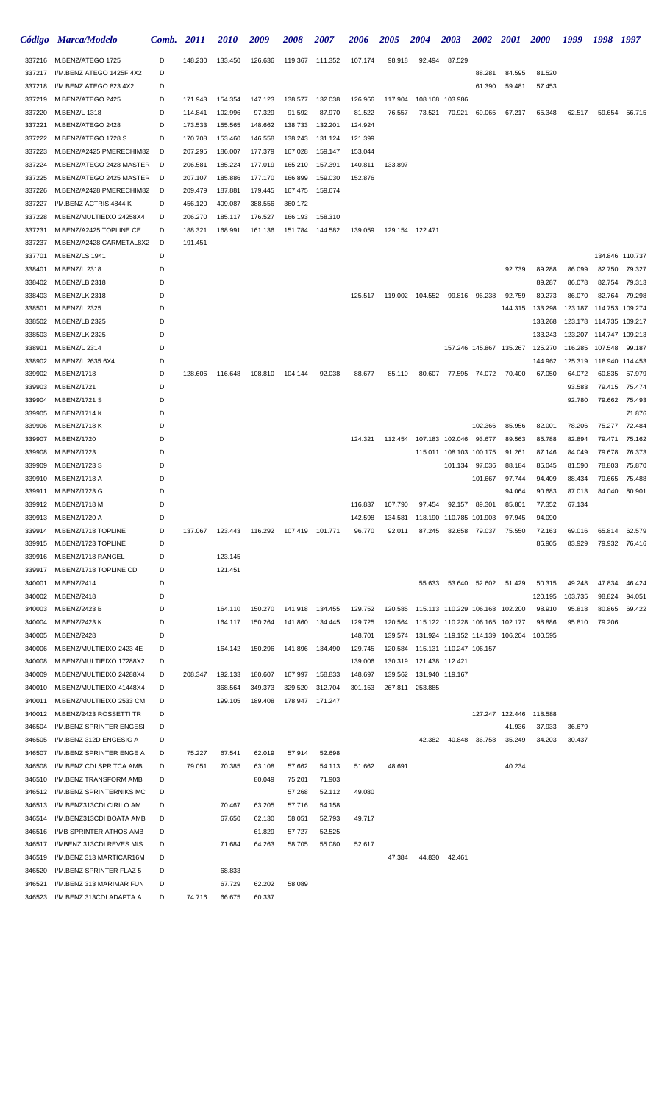|                  | Código Marca/Modelo                                  | Comb.  | <i>2011</i>        | <b>2010</b>        | 2009               | 2008               | <b>2007</b>        | 2006               | <b>2005</b> | <b>2004</b>                                 | <b>2003</b>             | <b>2002 2001</b>     |                             | <b>2000</b>                     | 1999                      | 1998 1997               |                         |
|------------------|------------------------------------------------------|--------|--------------------|--------------------|--------------------|--------------------|--------------------|--------------------|-------------|---------------------------------------------|-------------------------|----------------------|-----------------------------|---------------------------------|---------------------------|-------------------------|-------------------------|
|                  | 337216 M.BENZ/ATEGO 1725                             | D      | 148.230            | 133.450            | 126.636            | 119.367            | 111.352            | 107.174            | 98.918      | 92.494                                      | 87.529                  |                      |                             |                                 |                           |                         |                         |
| 337217           | I/M.BENZ ATEGO 1425F 4X2                             | D      |                    |                    |                    |                    |                    |                    |             |                                             |                         | 88.281               | 84.595                      | 81.520                          |                           |                         |                         |
| 337218           | I/M.BENZ ATEGO 823 4X2                               | D      |                    |                    |                    |                    |                    |                    |             |                                             |                         | 61.390               | 59.481                      | 57.453                          |                           |                         |                         |
| 337219           | M.BENZ/ATEGO 2425                                    | D      | 171.943            | 154.354            | 147.123            | 138.577            | 132.038            | 126.966            | 117.904     | 108.168                                     | 103.986                 |                      |                             |                                 |                           |                         |                         |
| 337220           | M.BENZ/L 1318                                        | D      | 114.841            | 102.996            | 97.329             | 91.592             | 87.970             | 81.522             | 76.557      | 73.521                                      | 70.921                  | 69.065               | 67.217                      | 65.348                          | 62.517                    |                         | 59.654 56.715           |
| 337221           | M.BENZ/ATEGO 2428                                    | D      | 173.533            | 155.565            | 148.662            | 138.733            | 132.201            | 124.924            |             |                                             |                         |                      |                             |                                 |                           |                         |                         |
| 337222           | M.BENZ/ATEGO 1728 S                                  | D      | 170.708            | 153.460            | 146.558            | 138.243            | 131.124            | 121.399            |             |                                             |                         |                      |                             |                                 |                           |                         |                         |
| 337223           | M.BENZ/A2425 PMERECHIM82                             | D      | 207.295            | 186.007            | 177.379            | 167.028            | 159.147            | 153.044            |             |                                             |                         |                      |                             |                                 |                           |                         |                         |
| 337224           | M.BENZ/ATEGO 2428 MASTER                             | D      | 206.581            | 185.224            | 177.019            | 165.210            | 157.391<br>159.030 | 140.811            | 133.897     |                                             |                         |                      |                             |                                 |                           |                         |                         |
| 337225<br>337226 | M.BENZ/ATEGO 2425 MASTER<br>M.BENZ/A2428 PMERECHIM82 | D<br>D | 207.107<br>209.479 | 185.886<br>187.881 | 177.170<br>179.445 | 166.899<br>167.475 | 159.674            | 152.876            |             |                                             |                         |                      |                             |                                 |                           |                         |                         |
| 337227           | I/M.BENZ ACTRIS 4844 K                               | D      | 456.120            | 409.087            | 388.556            | 360.172            |                    |                    |             |                                             |                         |                      |                             |                                 |                           |                         |                         |
| 337228           | M.BENZ/MULTIEIXO 24258X4                             | D      | 206.270            | 185.117            | 176.527            | 166.193            | 158.310            |                    |             |                                             |                         |                      |                             |                                 |                           |                         |                         |
| 337231           | M.BENZ/A2425 TOPLINE CE                              | D      | 188.321            | 168.991            | 161.136            | 151.784            | 144.582            | 139.059            |             | 129.154 122.471                             |                         |                      |                             |                                 |                           |                         |                         |
| 337237           | M.BENZ/A2428 CARMETAL8X2                             | D      | 191.451            |                    |                    |                    |                    |                    |             |                                             |                         |                      |                             |                                 |                           |                         |                         |
| 337701           | M.BENZ/LS 1941                                       | D      |                    |                    |                    |                    |                    |                    |             |                                             |                         |                      |                             |                                 |                           |                         | 134.846 110.737         |
| 338401           | M.BENZ/L 2318                                        | D      |                    |                    |                    |                    |                    |                    |             |                                             |                         |                      | 92.739                      | 89.288                          | 86.099                    | 82.750                  | 79.327                  |
| 338402           | M.BENZ/LB 2318                                       | D      |                    |                    |                    |                    |                    |                    |             |                                             |                         |                      |                             | 89.287                          | 86.078                    | 82.754                  | 79.313                  |
| 338403           | M.BENZ/LK 2318                                       | D      |                    |                    |                    |                    |                    |                    |             | 125.517  119.002  104.552  99.816           |                         | 96.238               | 92.759                      | 89.273                          | 86.070                    | 82.764                  | 79.298                  |
| 338501           | M.BENZ/L 2325                                        | D      |                    |                    |                    |                    |                    |                    |             |                                             |                         |                      | 144.315                     | 133.298                         | 123.187                   |                         | 114.753 109.274         |
| 338502           | M.BENZ/LB 2325                                       | D      |                    |                    |                    |                    |                    |                    |             |                                             |                         |                      |                             | 133.268                         |                           | 123.178 114.735 109.217 |                         |
| 338503           | M.BENZ/LK 2325                                       | D      |                    |                    |                    |                    |                    |                    |             |                                             |                         |                      |                             | 133.243                         | 123.207  114.747  109.213 |                         |                         |
| 338901           | M.BENZ/L 2314                                        | D      |                    |                    |                    |                    |                    |                    |             |                                             |                         |                      |                             | 157.246 145.867 135.267 125.270 | 116.285 107.548           |                         | 99.187                  |
| 338902           | M.BENZ/L 2635 6X4                                    | D      |                    |                    |                    |                    |                    |                    |             |                                             |                         |                      |                             | 144.962                         | 125.319  118.940  114.453 |                         |                         |
|                  | 339902 M.BENZ/1718                                   | D      | 128.606            | 116.648            | 108.810            | 104.144            | 92.038             | 88.677             | 85.110      |                                             |                         |                      | 80.607 77.595 74.072 70.400 | 67.050                          | 64.072                    | 60.835                  | 57.979                  |
| 339903<br>339904 | M.BENZ/1721<br>M.BENZ/1721 S                         | D<br>D |                    |                    |                    |                    |                    |                    |             |                                             |                         |                      |                             |                                 | 93.583<br>92.780          | 79.662                  | 79.415 75.474<br>75.493 |
| 339905           | M.BENZ/1714 K                                        | D      |                    |                    |                    |                    |                    |                    |             |                                             |                         |                      |                             |                                 |                           |                         | 71.876                  |
| 339906           | M.BENZ/1718 K                                        | D      |                    |                    |                    |                    |                    |                    |             |                                             |                         | 102.366              | 85.956                      | 82.001                          | 78.206                    | 75.277                  | 72.484                  |
| 339907           | M.BENZ/1720                                          | D      |                    |                    |                    |                    |                    | 124.321            |             | 112.454 107.183 102.046                     |                         | 93.677               | 89.563                      | 85.788                          | 82.894                    | 79.471                  | 75.162                  |
| 339908           | M.BENZ/1723                                          | D      |                    |                    |                    |                    |                    |                    |             |                                             | 115.011 108.103 100.175 |                      | 91.261                      | 87.146                          | 84.049                    | 79.678                  | 76.373                  |
| 339909           | M.BENZ/1723 S                                        | D      |                    |                    |                    |                    |                    |                    |             |                                             |                         | 101.134 97.036       | 88.184                      | 85.045                          | 81.590                    | 78.803                  | 75.870                  |
| 339910           | M.BENZ/1718 A                                        | D      |                    |                    |                    |                    |                    |                    |             |                                             |                         | 101.667              | 97.744                      | 94.409                          | 88.434                    | 79.665                  | 75.488                  |
| 339911           | M.BENZ/1723 G                                        | D      |                    |                    |                    |                    |                    |                    |             |                                             |                         |                      | 94.064                      | 90.683                          | 87.013                    | 84.040                  | 80.901                  |
| 339912           | M.BENZ/1718 M                                        | D      |                    |                    |                    |                    |                    | 116.837            | 107.790     | 97.454                                      | 92.157                  | 89.301               | 85.801                      | 77.352                          | 67.134                    |                         |                         |
|                  | 339913 M.BENZ/1720 A                                 | D      |                    |                    |                    |                    |                    | 142.598            |             | 134.581  118.190  110.785  101.903          |                         |                      | 97.945                      | 94.090                          |                           |                         |                         |
|                  | 339914 M.BENZ/1718 TOPLINE                           | D      | 137.067            |                    |                    | 107.419  101.771   |                    | 96.770             | 92.011      | 87.245                                      |                         | 82.658 79.037 75.550 |                             | 72.163                          | 69.016                    | 65.814                  | 62.579                  |
| 339915           | M.BENZ/1723 TOPLINE                                  | D      |                    |                    |                    |                    |                    |                    |             |                                             |                         |                      |                             | 86.905                          | 83.929                    | 79.932                  | 76.416                  |
| 339916           | M.BENZ/1718 RANGEL                                   | D      |                    | 123.145            |                    |                    |                    |                    |             |                                             |                         |                      |                             |                                 |                           |                         |                         |
| 339917           | M.BENZ/1718 TOPLINE CD                               | D      |                    | 121.451            |                    |                    |                    |                    |             |                                             |                         |                      |                             |                                 |                           |                         |                         |
| 340001           | M.BENZ/2414                                          | D      |                    |                    |                    |                    |                    |                    |             | 55.633                                      |                         | 53.640 52.602 51.429 |                             | 50.315                          | 49.248                    | 47.834                  | 46.424                  |
| 340002           | M.BENZ/2418                                          | D      |                    |                    |                    |                    |                    |                    |             |                                             |                         |                      |                             | 120.195                         | 103.735                   | 98.824                  | 94.051                  |
| 340003<br>340004 | M.BENZ/2423 B                                        | D<br>D |                    | 164.110            | 150.270            |                    | 141.918 134.455    | 129.752            |             | 120.585  115.113  110.229  106.168  102.200 |                         |                      |                             | 98.910                          | 95.818                    | 80.865                  | 69.422                  |
| 340005           | M.BENZ/2423 K<br>M.BENZ/2428                         | D      |                    | 164.117            | 150.264            |                    | 141.860 134.445    | 129.725<br>148.701 |             | 120.564 115.122 110.228 106.165 102.177     |                         |                      |                             | 98.886<br>100.595               | 95.810                    | 79.206                  |                         |
| 340006           | M.BENZ/MULTIEIXO 2423 4E                             | D      |                    | 164.142            | 150.296            | 141.896            | 134.490            | 129.745            |             | 120.584 115.131 110.247 106.157             |                         |                      |                             |                                 |                           |                         |                         |
| 340008           | M.BENZ/MULTIEIXO 17288X2                             | D      |                    |                    |                    |                    |                    | 139.006            |             | 130.319  121.438  112.421                   |                         |                      |                             |                                 |                           |                         |                         |
| 340009           | M.BENZ/MULTIEIXO 24288X4                             | D      | 208.347            | 192.133            | 180.607            | 167.997            | 158.833            | 148.697            |             | 139.562  131.940  119.167                   |                         |                      |                             |                                 |                           |                         |                         |
| 340010           | M.BENZ/MULTIEIXO 41448X4                             | D      |                    | 368.564            | 349.373            | 329.520            | 312.704            | 301.153            |             | 267.811 253.885                             |                         |                      |                             |                                 |                           |                         |                         |
| 340011           | M.BENZ/MULTIEIXO 2533 CM                             | D      |                    | 199.105            | 189.408            |                    | 178.947 171.247    |                    |             |                                             |                         |                      |                             |                                 |                           |                         |                         |
| 340012           | M.BENZ/2423 ROSSETTI TR                              | D      |                    |                    |                    |                    |                    |                    |             |                                             |                         |                      |                             | 127.247 122.446 118.588         |                           |                         |                         |
| 346504           | I/M.BENZ SPRINTER ENGESI                             | D      |                    |                    |                    |                    |                    |                    |             |                                             |                         |                      | 41.936                      | 37.933                          | 36.679                    |                         |                         |
| 346505           | I/M.BENZ 312D ENGESIG A                              | D      |                    |                    |                    |                    |                    |                    |             | 42.382                                      | 40.848                  | 36.758               | 35.249                      | 34.203                          | 30.437                    |                         |                         |
| 346507           | I/M.BENZ SPRINTER ENGE A                             | D      | 75.227             | 67.541             | 62.019             | 57.914             | 52.698             |                    |             |                                             |                         |                      |                             |                                 |                           |                         |                         |
| 346508           | I/M.BENZ CDI SPR TCA AMB                             | D      | 79.051             | 70.385             | 63.108             | 57.662             | 54.113             | 51.662             | 48.691      |                                             |                         |                      | 40.234                      |                                 |                           |                         |                         |
| 346510           | I/M.BENZ TRANSFORM AMB                               | D      |                    |                    | 80.049             | 75.201             | 71.903             |                    |             |                                             |                         |                      |                             |                                 |                           |                         |                         |
| 346512           | I/M.BENZ SPRINTERNIKS MC                             | D      |                    |                    |                    | 57.268             | 52.112             | 49.080             |             |                                             |                         |                      |                             |                                 |                           |                         |                         |
| 346513           | I/M.BENZ313CDI CIRILO AM                             | D      |                    | 70.467             | 63.205             | 57.716             | 54.158             |                    |             |                                             |                         |                      |                             |                                 |                           |                         |                         |
| 346514           | I/M.BENZ313CDI BOATA AMB                             | D<br>D |                    | 67.650             | 62.130             | 58.051<br>57.727   | 52.793             | 49.717             |             |                                             |                         |                      |                             |                                 |                           |                         |                         |
| 346516<br>346517 | I/MB SPRINTER ATHOS AMB<br>I/MBENZ 313CDI REVES MIS  | D      |                    | 71.684             | 61.829<br>64.263   | 58.705             | 52.525<br>55.080   | 52.617             |             |                                             |                         |                      |                             |                                 |                           |                         |                         |
| 346519           | I/M.BENZ 313 MARTICAR16M                             | D      |                    |                    |                    |                    |                    |                    | 47.384      | 44.830                                      | 42.461                  |                      |                             |                                 |                           |                         |                         |
| 346520           | I/M.BENZ SPRINTER FLAZ 5                             | D      |                    | 68.833             |                    |                    |                    |                    |             |                                             |                         |                      |                             |                                 |                           |                         |                         |
| 346521           | I/M.BENZ 313 MARIMAR FUN                             | D      |                    | 67.729             | 62.202             | 58.089             |                    |                    |             |                                             |                         |                      |                             |                                 |                           |                         |                         |
| 346523           | I/M.BENZ 313CDI ADAPTA A                             | D      | 74.716             | 66.675             | 60.337             |                    |                    |                    |             |                                             |                         |                      |                             |                                 |                           |                         |                         |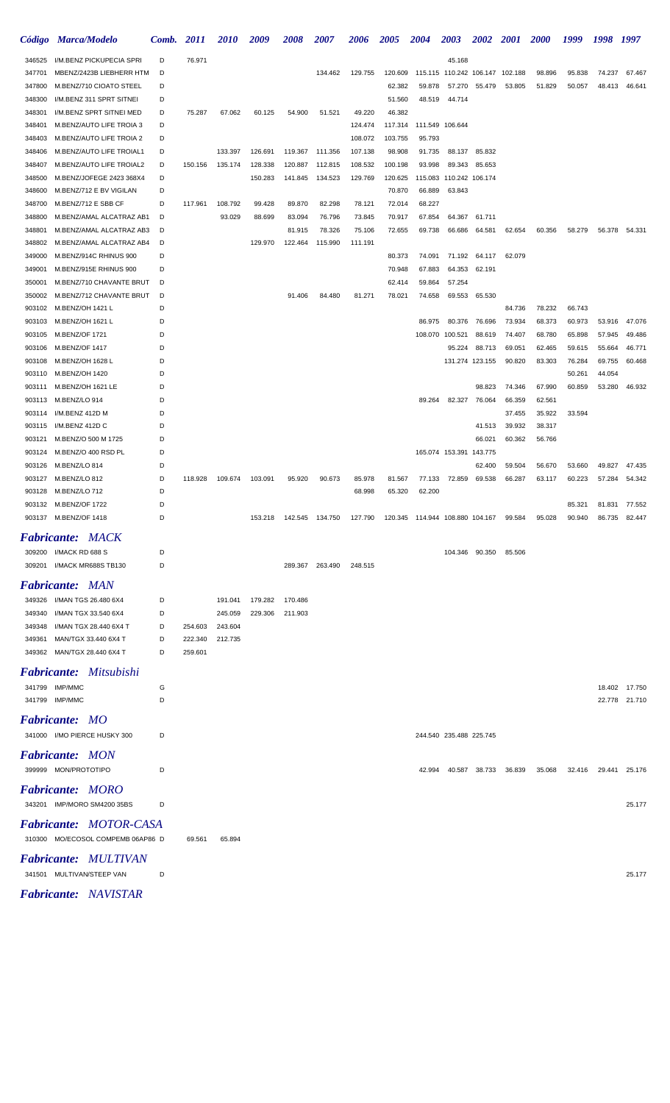| <b>Código</b>    | <b>Marca/Modelo</b>                | Comb.  | 2011    | <i>2010</i> | 2009    | 2008    | 2007            | 2006    | <i><b>2005</b></i> | 2004                               | 2003                    | <b>2002</b>    | <i>2001</i> | <i><b>2000</b></i> | 1999             | 1998             | 1997          |
|------------------|------------------------------------|--------|---------|-------------|---------|---------|-----------------|---------|--------------------|------------------------------------|-------------------------|----------------|-------------|--------------------|------------------|------------------|---------------|
| 346525           | I/M.BENZ PICKUPECIA SPRI           | D      | 76.971  |             |         |         |                 |         |                    |                                    | 45.168                  |                |             |                    |                  |                  |               |
| 347701           | MBENZ/2423B LIEBHERR HTM           | D      |         |             |         |         | 134.462         | 129.755 | 120.609            | 115.115 110.242 106.147 102.188    |                         |                |             | 98.896             | 95.838           | 74.237           | 67.467        |
| 347800           | M.BENZ/710 CIOATO STEEL            | D      |         |             |         |         |                 |         | 62.382             | 59.878                             | 57.270                  | 55.479         | 53.805      | 51.829             | 50.057           | 48.413           | 46.641        |
| 348300           | I/M.BENZ 311 SPRT SITNEI           | D      |         |             |         |         |                 |         | 51.560             | 48.519                             | 44.714                  |                |             |                    |                  |                  |               |
| 348301           | I/M.BENZ SPRT SITNEI MED           | D      | 75.287  | 67.062      | 60.125  | 54.900  | 51.521          | 49.220  | 46.382             |                                    |                         |                |             |                    |                  |                  |               |
| 348401           | M.BENZ/AUTO LIFE TROIA 3           | D      |         |             |         |         |                 | 124.474 | 117.314            | 111.549 106.644                    |                         |                |             |                    |                  |                  |               |
| 348403           | M.BENZ/AUTO LIFE TROIA 2           | D      |         |             |         |         |                 | 108.072 | 103.755            | 95.793                             |                         |                |             |                    |                  |                  |               |
| 348406           | M.BENZ/AUTO LIFE TROIAL1           | D      |         | 133.397     | 126.691 | 119.367 | 111.356         | 107.138 | 98.908             | 91.735                             | 88.137                  | 85.832         |             |                    |                  |                  |               |
| 348407           | M.BENZ/AUTO LIFE TROIAL2           | D      | 150.156 | 135.174     | 128.338 | 120.887 | 112.815         | 108.532 | 100.198            | 93.998                             | 89.343                  | 85.653         |             |                    |                  |                  |               |
| 348500           | M.BENZ/JOFEGE 2423 368X4           | D      |         |             | 150.283 | 141.845 | 134.523         | 129.769 | 120.625            | 115.083                            | 110.242 106.174         |                |             |                    |                  |                  |               |
| 348600           | M.BENZ/712 E BV VIGILAN            | D      |         |             |         |         |                 |         | 70.870             | 66.889                             | 63.843                  |                |             |                    |                  |                  |               |
| 348700           | M.BENZ/712 E SBB CF                | D      | 117.961 | 108.792     | 99.428  | 89.870  | 82.298          | 78.121  | 72.014             | 68.227                             |                         |                |             |                    |                  |                  |               |
| 348800           | M.BENZ/AMAL ALCATRAZ AB1           | D      |         | 93.029      | 88.699  | 83.094  | 76.796          | 73.845  | 70.917             | 67.854                             | 64.367                  | 61.711         |             |                    |                  |                  |               |
| 348801           | M.BENZ/AMAL ALCATRAZ AB3           | D      |         |             |         | 81.915  | 78.326          | 75.106  | 72.655             | 69.738                             | 66.686                  | 64.581         | 62.654      | 60.356             | 58.279           | 56.378           | 54.331        |
| 348802           | M.BENZ/AMAL ALCATRAZ AB4           | D      |         |             | 129.970 | 122.464 | 115.990         | 111.191 |                    |                                    |                         |                |             |                    |                  |                  |               |
| 349000           | M.BENZ/914C RHINUS 900             | D      |         |             |         |         |                 |         | 80.373             | 74.091                             | 71.192                  | 64.117         | 62.079      |                    |                  |                  |               |
| 349001           | M.BENZ/915E RHINUS 900             | D      |         |             |         |         |                 |         | 70.948             | 67.883                             | 64.353                  | 62.191         |             |                    |                  |                  |               |
| 350001           | M.BENZ/710 CHAVANTE BRUT           | D      |         |             |         |         |                 |         | 62.414             | 59.864                             | 57.254                  |                |             |                    |                  |                  |               |
| 350002           | M.BENZ/712 CHAVANTE BRUT           | D      |         |             |         | 91.406  | 84.480          | 81.271  | 78.021             | 74.658                             | 69.553                  | 65.530         |             |                    |                  |                  |               |
| 903102           | M.BENZ/OH 1421 L                   | D      |         |             |         |         |                 |         |                    |                                    |                         |                | 84.736      | 78.232             | 66.743           |                  |               |
| 903103           | M.BENZ/OH 1621 L                   | D      |         |             |         |         |                 |         |                    | 86.975                             | 80.376                  | 76.696         | 73.934      | 68.373             | 60.973           | 53.916           | 47.076        |
| 903105           | M.BENZ/OF 1721                     | D      |         |             |         |         |                 |         |                    | 108.070                            | 100.521                 | 88.619         | 74.407      | 68.780             | 65.898           | 57.945           | 49.486        |
| 903106           | <b>M.BENZ/OF 1417</b>              | D<br>D |         |             |         |         |                 |         |                    |                                    | 95.224                  | 88.713         | 69.051      | 62.465             | 59.615           | 55.664           | 46.771        |
| 903108           | M.BENZ/OH 1628 L<br>M.BENZ/OH 1420 | D      |         |             |         |         |                 |         |                    |                                    | 131.274 123.155         |                | 90.820      | 83.303             | 76.284<br>50.261 | 69.755<br>44.054 | 60.468        |
| 903110           | M.BENZ/OH 1621 LE                  | D      |         |             |         |         |                 |         |                    |                                    |                         | 98.823         | 74.346      | 67.990             | 60.859           | 53.280           | 46.932        |
| 903111<br>903113 | M.BENZ/LO 914                      | D      |         |             |         |         |                 |         |                    | 89.264                             | 82.327                  | 76.064         | 66.359      | 62.561             |                  |                  |               |
| 903114           | I/M.BENZ 412D M                    | D      |         |             |         |         |                 |         |                    |                                    |                         |                | 37.455      | 35.922             | 33.594           |                  |               |
| 903115           | I/M.BENZ 412D C                    | D      |         |             |         |         |                 |         |                    |                                    |                         | 41.513         | 39.932      | 38.317             |                  |                  |               |
| 903121           | M.BENZ/O 500 M 1725                | D      |         |             |         |         |                 |         |                    |                                    |                         | 66.021         | 60.362      | 56.766             |                  |                  |               |
| 903124           | M.BENZ/O 400 RSD PL                | D      |         |             |         |         |                 |         |                    |                                    | 165.074 153.391 143.775 |                |             |                    |                  |                  |               |
| 903126           | M.BENZ/LO 814                      | D      |         |             |         |         |                 |         |                    |                                    |                         | 62.400         | 59.504      | 56.670             | 53.660           | 49.827           | 47.435        |
| 903127           | M.BENZ/LO 812                      | D      | 118.928 | 109.674     | 103.091 | 95.920  | 90.673          | 85.978  | 81.567             | 77.133                             | 72.859                  | 69.538         | 66.287      | 63.117             | 60.223           | 57.284           | 54.342        |
| 903128           | M.BENZ/LO 712                      | D      |         |             |         |         |                 | 68.998  | 65.320             | 62.200                             |                         |                |             |                    |                  |                  |               |
| 903132           | M.BENZ/OF 1722                     | D      |         |             |         |         |                 |         |                    |                                    |                         |                |             |                    | 85.321           | 81.831           | 77.552        |
|                  | 903137 M.BENZ/OF 1418              | D      |         |             | 153.218 | 142.545 | 134.750         | 127.790 |                    | 120.345  114.944  108.880  104.167 |                         |                | 99.584      | 95.028             | 90.940           | 86.735           | 82.447        |
|                  |                                    |        |         |             |         |         |                 |         |                    |                                    |                         |                |             |                    |                  |                  |               |
|                  | <b>Fabricante: MACK</b>            |        |         |             |         |         |                 |         |                    |                                    |                         |                |             |                    |                  |                  |               |
| 309200           | I/MACK RD 688 S                    | D      |         |             |         |         |                 |         |                    |                                    |                         | 104.346 90.350 | 85.506      |                    |                  |                  |               |
| 309201           | I/MACK MR688S TB130                | D      |         |             |         |         | 289.367 263.490 | 248.515 |                    |                                    |                         |                |             |                    |                  |                  |               |
|                  | <b>Fabricante: MAN</b>             |        |         |             |         |         |                 |         |                    |                                    |                         |                |             |                    |                  |                  |               |
| 349326           | I/MAN TGS 26.480 6X4               | D      |         | 191.041     | 179.282 | 170.486 |                 |         |                    |                                    |                         |                |             |                    |                  |                  |               |
| 349340           | I/MAN TGX 33.540 6X4               | D      |         | 245.059     | 229.306 | 211.903 |                 |         |                    |                                    |                         |                |             |                    |                  |                  |               |
| 349348           | I/MAN TGX 28.440 6X4 T             | D      | 254.603 | 243.604     |         |         |                 |         |                    |                                    |                         |                |             |                    |                  |                  |               |
| 349361           | MAN/TGX 33.440 6X4 T               | D      | 222.340 | 212.735     |         |         |                 |         |                    |                                    |                         |                |             |                    |                  |                  |               |
|                  | 349362 MAN/TGX 28.440 6X4 T        | D      | 259.601 |             |         |         |                 |         |                    |                                    |                         |                |             |                    |                  |                  |               |
|                  |                                    |        |         |             |         |         |                 |         |                    |                                    |                         |                |             |                    |                  |                  |               |
|                  | <b>Fabricante:</b> Mitsubishi      |        |         |             |         |         |                 |         |                    |                                    |                         |                |             |                    |                  |                  |               |
|                  | 341799 IMP/MMC                     | G      |         |             |         |         |                 |         |                    |                                    |                         |                |             |                    |                  |                  | 18.402 17.750 |
|                  | 341799 IMP/MMC                     | D      |         |             |         |         |                 |         |                    |                                    |                         |                |             |                    |                  |                  | 22.778 21.710 |
|                  | <b>Fabricante:</b> MO              |        |         |             |         |         |                 |         |                    |                                    |                         |                |             |                    |                  |                  |               |
|                  | 341000 I/MO PIERCE HUSKY 300       | D      |         |             |         |         |                 |         |                    |                                    | 244.540 235.488 225.745 |                |             |                    |                  |                  |               |
|                  |                                    |        |         |             |         |         |                 |         |                    |                                    |                         |                |             |                    |                  |                  |               |
|                  | <b>Fabricante: MON</b>             |        |         |             |         |         |                 |         |                    |                                    |                         |                |             |                    |                  |                  |               |
|                  | 399999 MON/PROTOTIPO               | D      |         |             |         |         |                 |         |                    | 42.994                             | 40.587                  | 38.733         | 36.839      | 35.068             | 32.416           | 29.441           | 25.176        |
|                  | <b>Fabricante: MORO</b>            |        |         |             |         |         |                 |         |                    |                                    |                         |                |             |                    |                  |                  |               |
|                  | 343201 IMP/MORO SM4200 35BS        | D      |         |             |         |         |                 |         |                    |                                    |                         |                |             |                    |                  |                  | 25.177        |
|                  |                                    |        |         |             |         |         |                 |         |                    |                                    |                         |                |             |                    |                  |                  |               |
|                  | Fabricante: MOTOR-CASA             |        |         |             |         |         |                 |         |                    |                                    |                         |                |             |                    |                  |                  |               |
|                  | 310300 MO/ECOSOL COMPEMB 06AP86 D  |        | 69.561  | 65.894      |         |         |                 |         |                    |                                    |                         |                |             |                    |                  |                  |               |
|                  |                                    |        |         |             |         |         |                 |         |                    |                                    |                         |                |             |                    |                  |                  |               |
|                  | <b>Fabricante: MULTIVAN</b>        |        |         |             |         |         |                 |         |                    |                                    |                         |                |             |                    |                  |                  |               |
|                  | 341501 MULTIVAN/STEEP VAN          | D      |         |             |         |         |                 |         |                    |                                    |                         |                |             |                    |                  |                  | 25.177        |
|                  | <b>Fabricante: NAVISTAR</b>        |        |         |             |         |         |                 |         |                    |                                    |                         |                |             |                    |                  |                  |               |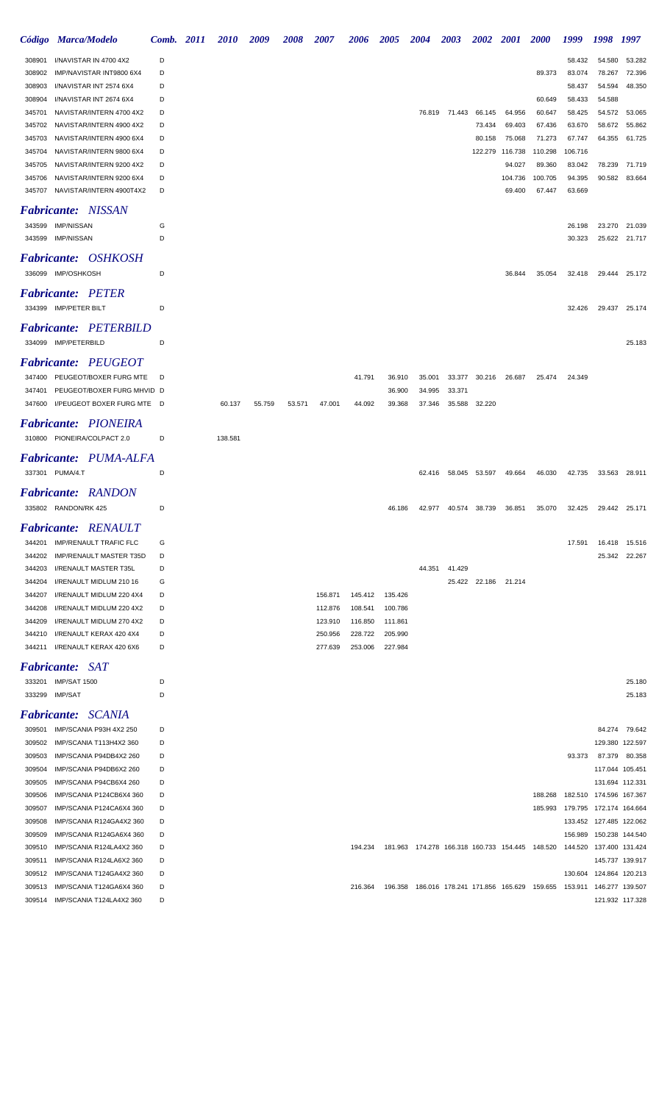|                           | Código Marca/Modelo                                  | Comb. 2011 | <i>2010</i> | 2009   | 2008   | <i><b>2007</b></i> | 2006    | <b>2005</b> | <b>2004</b>                                     | 2003          | <b>2002</b>   | <b>2001</b> | <b>2000</b>                                                                     | 1999                    | 1998                               | 1997            |
|---------------------------|------------------------------------------------------|------------|-------------|--------|--------|--------------------|---------|-------------|-------------------------------------------------|---------------|---------------|-------------|---------------------------------------------------------------------------------|-------------------------|------------------------------------|-----------------|
| 308901                    | I/NAVISTAR IN 4700 4X2                               | D          |             |        |        |                    |         |             |                                                 |               |               |             |                                                                                 | 58.432                  | 54.580                             | 53.282          |
| 308902                    | IMP/NAVISTAR INT9800 6X4                             | D          |             |        |        |                    |         |             |                                                 |               |               |             | 89.373                                                                          | 83.074                  | 78.267                             | 72.396          |
| 308903                    | I/NAVISTAR INT 2574 6X4                              | D          |             |        |        |                    |         |             |                                                 |               |               |             |                                                                                 | 58.437                  | 54.594                             | 48.350          |
| 308904                    | I/NAVISTAR INT 2674 6X4                              | D          |             |        |        |                    |         |             |                                                 |               |               |             | 60.649                                                                          | 58.433                  | 54.588                             |                 |
| 345701                    | NAVISTAR/INTERN 4700 4X2                             | D          |             |        |        |                    |         |             |                                                 | 76.819 71.443 | 66.145        | 64.956      | 60.647                                                                          | 58.425                  | 54.572                             | 53.065          |
| 345702                    | NAVISTAR/INTERN 4900 4X2                             | D          |             |        |        |                    |         |             |                                                 |               | 73.434        | 69.403      | 67.436                                                                          | 63.670                  | 58.672                             | 55.862          |
| 345703                    | NAVISTAR/INTERN 4900 6X4                             | D          |             |        |        |                    |         |             |                                                 |               | 80.158        | 75.068      | 71.273                                                                          | 67.747                  | 64.355                             | 61.725          |
| 345704                    | NAVISTAR/INTERN 9800 6X4                             | D          |             |        |        |                    |         |             |                                                 |               | 122.279       | 116.738     | 110.298                                                                         | 106.716                 |                                    |                 |
| 345705                    | NAVISTAR/INTERN 9200 4X2                             | D          |             |        |        |                    |         |             |                                                 |               |               | 94.027      | 89.360                                                                          | 83.042                  | 78.239                             | 71.719          |
| 345706                    | NAVISTAR/INTERN 9200 6X4                             | D          |             |        |        |                    |         |             |                                                 |               |               | 104.736     | 100.705                                                                         | 94.395                  | 90.582                             | 83.664          |
| 345707                    | NAVISTAR/INTERN 4900T4X2                             | D          |             |        |        |                    |         |             |                                                 |               |               | 69.400      | 67.447                                                                          | 63.669                  |                                    |                 |
|                           |                                                      |            |             |        |        |                    |         |             |                                                 |               |               |             |                                                                                 |                         |                                    |                 |
|                           | <b>Fabricante:</b> NISSAN                            |            |             |        |        |                    |         |             |                                                 |               |               |             |                                                                                 |                         |                                    |                 |
| 343599                    | <b>IMP/NISSAN</b>                                    | G          |             |        |        |                    |         |             |                                                 |               |               |             |                                                                                 | 26.198                  | 23.270                             | 21.039          |
| 343599                    | <b>IMP/NISSAN</b>                                    | D          |             |        |        |                    |         |             |                                                 |               |               |             |                                                                                 | 30.323                  | 25.622                             | 21.717          |
| <i><b>Fabricante:</b></i> | OSHKOSH                                              |            |             |        |        |                    |         |             |                                                 |               |               |             |                                                                                 |                         |                                    |                 |
|                           | 336099 IMP/OSHKOSH                                   | D          |             |        |        |                    |         |             |                                                 |               |               | 36.844      | 35.054                                                                          | 32.418                  | 29.444                             | 25.172          |
|                           |                                                      |            |             |        |        |                    |         |             |                                                 |               |               |             |                                                                                 |                         |                                    |                 |
|                           | <b>Fabricante: PETER</b>                             |            |             |        |        |                    |         |             |                                                 |               |               |             |                                                                                 |                         |                                    |                 |
|                           | 334399 IMP/PETER BILT                                | D          |             |        |        |                    |         |             |                                                 |               |               |             |                                                                                 | 32.426                  | 29.437                             | 25.174          |
|                           | <b>Fabricante: PETERBILD</b>                         |            |             |        |        |                    |         |             |                                                 |               |               |             |                                                                                 |                         |                                    |                 |
|                           |                                                      |            |             |        |        |                    |         |             |                                                 |               |               |             |                                                                                 |                         |                                    |                 |
|                           | 334099 IMP/PETERBILD                                 | D          |             |        |        |                    |         |             |                                                 |               |               |             |                                                                                 |                         |                                    | 25.183          |
|                           | <b>Fabricante: PEUGEOT</b>                           |            |             |        |        |                    |         |             |                                                 |               |               |             |                                                                                 |                         |                                    |                 |
| 347400                    | PEUGEOT/BOXER FURG MTE                               | D          |             |        |        |                    | 41.791  | 36.910      | 35.001                                          | 33.377        | 30.216        | 26.687      | 25.474                                                                          | 24.349                  |                                    |                 |
| 347401                    | PEUGEOT/BOXER FURG MHVID D                           |            |             |        |        |                    |         | 36.900      | 34.995                                          | 33.371        |               |             |                                                                                 |                         |                                    |                 |
| 347600                    | I/PEUGEOT BOXER FURG MTE D                           |            | 60.137      | 55.759 | 53.571 | 47.001             | 44.092  | 39.368      | 37.346                                          | 35.588        | 32.220        |             |                                                                                 |                         |                                    |                 |
|                           |                                                      |            |             |        |        |                    |         |             |                                                 |               |               |             |                                                                                 |                         |                                    |                 |
|                           | <b>Fabricante: PIONEIRA</b>                          |            |             |        |        |                    |         |             |                                                 |               |               |             |                                                                                 |                         |                                    |                 |
|                           | 310800 PIONEIRA/COLPACT 2.0                          | D          | 138.581     |        |        |                    |         |             |                                                 |               |               |             |                                                                                 |                         |                                    |                 |
|                           | <b>Fabricante: PUMA-ALFA</b>                         |            |             |        |        |                    |         |             |                                                 |               |               |             |                                                                                 |                         |                                    |                 |
|                           | 337301 PUMA/4.T                                      | D          |             |        |        |                    |         |             | 62.416                                          | 58.045        | 53.597        | 49.664      | 46.030                                                                          | 42.735                  | 33.563                             | 28.911          |
|                           |                                                      |            |             |        |        |                    |         |             |                                                 |               |               |             |                                                                                 |                         |                                    |                 |
|                           | <b>Fabricante: RANDON</b>                            |            |             |        |        |                    |         |             |                                                 |               |               |             |                                                                                 |                         |                                    |                 |
|                           | 335802 RANDON/RK 425                                 | D          |             |        |        |                    |         | 46.186      | 42.977                                          | 40.574        | 38.739        | 36.851      | 35.070                                                                          | 32.425                  | 29.442                             | 25.171          |
|                           |                                                      |            |             |        |        |                    |         |             |                                                 |               |               |             |                                                                                 |                         |                                    |                 |
|                           | <b>Fabricante: RENAULT</b>                           |            |             |        |        |                    |         |             |                                                 |               |               |             |                                                                                 |                         |                                    |                 |
| 344201                    | IMP/RENAULT TRAFIC FLC                               | G          |             |        |        |                    |         |             |                                                 |               |               |             |                                                                                 | 17.591                  |                                    | 16.418 15.516   |
| 344202                    | IMP/RENAULT MASTER T35D                              | D          |             |        |        |                    |         |             |                                                 |               |               |             |                                                                                 |                         | 25.342                             | 22.267          |
| 344203                    | I/RENAULT MASTER T35L                                | D          |             |        |        |                    |         |             | 44.351                                          | 41.429        |               |             |                                                                                 |                         |                                    |                 |
| 344204                    | I/RENAULT MIDLUM 210 16                              | G          |             |        |        |                    |         |             |                                                 |               | 25.422 22.186 | 21.214      |                                                                                 |                         |                                    |                 |
| 344207                    | I/RENAULT MIDLUM 220 4X4                             | D          |             |        |        | 156.871            | 145.412 | 135.426     |                                                 |               |               |             |                                                                                 |                         |                                    |                 |
| 344208                    | I/RENAULT MIDLUM 220 4X2                             | D          |             |        |        | 112.876            | 108.541 | 100.786     |                                                 |               |               |             |                                                                                 |                         |                                    |                 |
| 344209                    | I/RENAULT MIDLUM 270 4X2                             | D          |             |        |        | 123.910            | 116.850 | 111.861     |                                                 |               |               |             |                                                                                 |                         |                                    |                 |
| 344210                    | I/RENAULT KERAX 420 4X4                              | D          |             |        |        | 250.956            | 228.722 | 205.990     |                                                 |               |               |             |                                                                                 |                         |                                    |                 |
| 344211                    | I/RENAULT KERAX 420 6X6                              | D          |             |        |        | 277.639            | 253.006 | 227.984     |                                                 |               |               |             |                                                                                 |                         |                                    |                 |
|                           | <b>Fabricante: SAT</b>                               |            |             |        |        |                    |         |             |                                                 |               |               |             |                                                                                 |                         |                                    |                 |
|                           | 333201 IMP/SAT 1500                                  | D          |             |        |        |                    |         |             |                                                 |               |               |             |                                                                                 |                         |                                    | 25.180          |
|                           | 333299 IMP/SAT                                       | D          |             |        |        |                    |         |             |                                                 |               |               |             |                                                                                 |                         |                                    | 25.183          |
|                           | Fabricante: SCANIA                                   |            |             |        |        |                    |         |             |                                                 |               |               |             |                                                                                 |                         |                                    |                 |
|                           |                                                      |            |             |        |        |                    |         |             |                                                 |               |               |             |                                                                                 |                         |                                    |                 |
| 309501                    | IMP/SCANIA P93H 4X2 250                              | D          |             |        |        |                    |         |             |                                                 |               |               |             |                                                                                 |                         | 84.274                             | 79.642          |
| 309502                    | IMP/SCANIA T113H4X2 360                              | D          |             |        |        |                    |         |             |                                                 |               |               |             |                                                                                 |                         |                                    | 129.380 122.597 |
| 309503                    | IMP/SCANIA P94DB4X2 260                              | D          |             |        |        |                    |         |             |                                                 |               |               |             |                                                                                 | 93.373                  | 87.379                             | 80.358          |
| 309504                    | IMP/SCANIA P94DB6X2 260                              | D          |             |        |        |                    |         |             |                                                 |               |               |             |                                                                                 |                         | 117.044 105.451                    |                 |
| 309505                    | IMP/SCANIA P94CB6X4 260                              | D          |             |        |        |                    |         |             |                                                 |               |               |             |                                                                                 |                         | 131.694 112.331                    |                 |
| 309506                    | IMP/SCANIA P124CB6X4 360                             | D          |             |        |        |                    |         |             |                                                 |               |               |             | 188.268                                                                         | 182.510 174.596 167.367 |                                    |                 |
| 309507                    | IMP/SCANIA P124CA6X4 360                             | D          |             |        |        |                    |         |             |                                                 |               |               |             | 185.993                                                                         | 179.795 172.174 164.664 |                                    |                 |
| 309508                    | IMP/SCANIA R124GA4X2 360                             | D          |             |        |        |                    |         |             |                                                 |               |               |             |                                                                                 |                         | 133.452 127.485 122.062            |                 |
| 309509<br>309510          | IMP/SCANIA R124GA6X4 360<br>IMP/SCANIA R124LA4X2 360 | D<br>D     |             |        |        |                    | 194.234 |             | 181.963 174.278 166.318 160.733 154.445 148.520 |               |               |             |                                                                                 | 156.989<br>144.520      | 150.238 144.540<br>137.400 131.424 |                 |
| 309511                    | IMP/SCANIA R124LA6X2 360                             | D          |             |        |        |                    |         |             |                                                 |               |               |             |                                                                                 |                         | 145.737 139.917                    |                 |
| 309512                    | IMP/SCANIA T124GA4X2 360                             | D          |             |        |        |                    |         |             |                                                 |               |               |             |                                                                                 |                         | 130.604 124.864 120.213            |                 |
| 309513                    | IMP/SCANIA T124GA6X4 360                             | D          |             |        |        |                    | 216.364 |             |                                                 |               |               |             | 196.358  186.016  178.241  171.856  165.629  159.655  153.911  146.277  139.507 |                         |                                    |                 |
|                           | 309514 IMP/SCANIA T124LA4X2 360                      | D          |             |        |        |                    |         |             |                                                 |               |               |             |                                                                                 |                         | 121.932 117.328                    |                 |
|                           |                                                      |            |             |        |        |                    |         |             |                                                 |               |               |             |                                                                                 |                         |                                    |                 |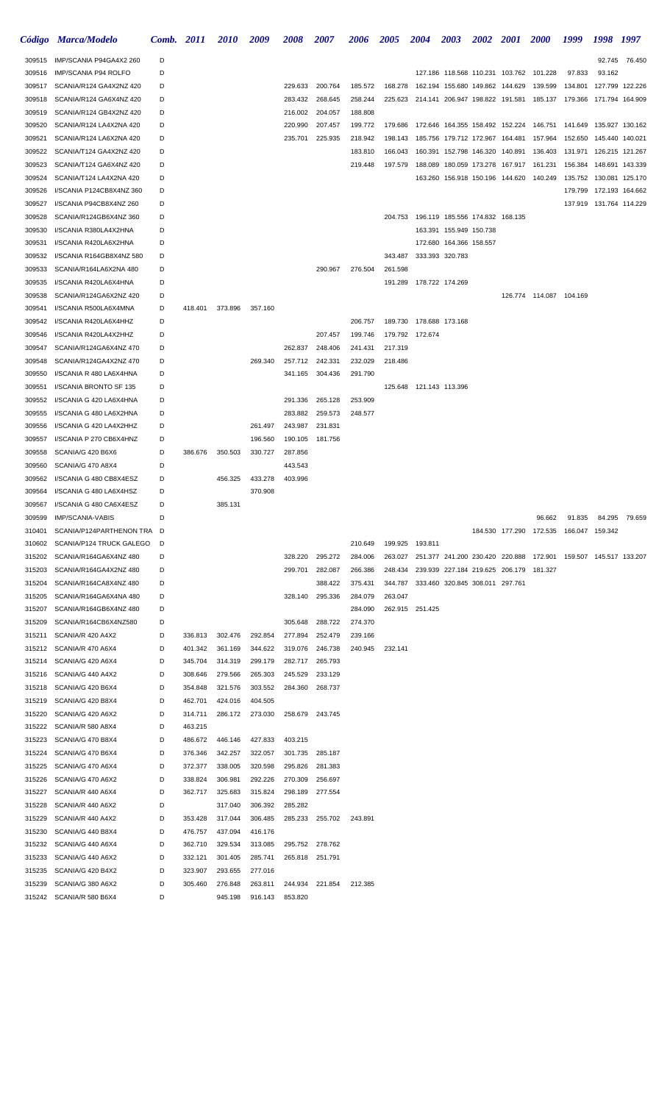|                  | Código Marca/Modelo                               | Comb. 2011 |                    | <i>2010</i>        | 2009               | 2008               | <i><b>2007</b></i> | 2006    | 2005    | 2004                                    | <b>2003</b>                                | <b>2002</b> 2001                |                                         | <b>2000</b>                                                     | 1999                      | 1998                    | 1997            |
|------------------|---------------------------------------------------|------------|--------------------|--------------------|--------------------|--------------------|--------------------|---------|---------|-----------------------------------------|--------------------------------------------|---------------------------------|-----------------------------------------|-----------------------------------------------------------------|---------------------------|-------------------------|-----------------|
| 309515           | IMP/SCANIA P94GA4X2 260                           | D          |                    |                    |                    |                    |                    |         |         |                                         |                                            |                                 |                                         |                                                                 |                           |                         | 92.745 76.450   |
| 309516           | IMP/SCANIA P94 ROLFO                              | D          |                    |                    |                    |                    |                    |         |         |                                         |                                            |                                 |                                         | 127.186 118.568 110.231 103.762 101.228                         | 97.833                    | 93.162                  |                 |
| 309517           | SCANIA/R124 GA4X2NZ 420                           | D          |                    |                    |                    | 229.633            | 200.764            | 185.572 | 168.278 |                                         |                                            | 162.194 155.680 149.862 144.629 |                                         | 139.599                                                         | 134.801                   |                         | 127.799 122.226 |
| 309518           | SCANIA/R124 GA6X4NZ 420                           | D          |                    |                    |                    | 283.432            | 268.645            | 258.244 | 225.623 |                                         |                                            | 214.141 206.947 198.822 191.581 |                                         | 185.137                                                         | 179.366                   | 171.794 164.909         |                 |
| 309519           | SCANIA/R124 GB4X2NZ 420                           | D          |                    |                    |                    | 216.002            | 204.057            | 188.808 |         |                                         |                                            |                                 |                                         |                                                                 |                           |                         |                 |
| 309520           | SCANIA/R124 LA4X2NA 420                           | D          |                    |                    |                    | 220.990            | 207.457            | 199.772 | 179.686 | 172.646 164.355 158.492 152.224 146.751 |                                            |                                 |                                         |                                                                 | 141.649                   | 135.927 130.162         |                 |
| 309521           | SCANIA/R124 LA6X2NA 420                           | D          |                    |                    |                    | 235.701            | 225.935            | 218.942 | 198.143 |                                         |                                            | 185.756 179.712 172.967 164.481 |                                         | 157.964                                                         | 152.650                   | 145.440 140.021         |                 |
| 309522           | SCANIA/T124 GA4X2NZ 420                           | D          |                    |                    |                    |                    |                    | 183.810 | 166.043 |                                         |                                            |                                 | 160.391 152.798 146.320 140.891         | 136.403                                                         | 131.971                   | 126.215 121.267         |                 |
| 309523           | SCANIA/T124 GA6X4NZ 420                           | D          |                    |                    |                    |                    |                    | 219.448 | 197.579 |                                         |                                            |                                 | 188.089 180.059 173.278 167.917         | 161.231                                                         | 156.384                   | 148.691 143.339         |                 |
| 309524           | SCANIA/T124 LA4X2NA 420                           | D          |                    |                    |                    |                    |                    |         |         |                                         |                                            |                                 |                                         | 163.260 156.918 150.196 144.620 140.249                         | 135.752                   | 130.081 125.170         |                 |
| 309526           | I/SCANIA P124CB8X4NZ 360                          | D          |                    |                    |                    |                    |                    |         |         |                                         |                                            |                                 |                                         |                                                                 | 179.799                   | 172.193 164.662         |                 |
| 309527           | I/SCANIA P94CB8X4NZ 260                           | D          |                    |                    |                    |                    |                    |         |         |                                         |                                            |                                 |                                         |                                                                 |                           | 137.919 131.764 114.229 |                 |
| 309528           | SCANIA/R124GB6X4NZ 360                            | D          |                    |                    |                    |                    |                    |         |         | 204.753 196.119 185.556 174.832 168.135 |                                            |                                 |                                         |                                                                 |                           |                         |                 |
| 309530           | I/SCANIA R380LA4X2HNA                             | D          |                    |                    |                    |                    |                    |         |         |                                         | 163.391 155.949 150.738                    |                                 |                                         |                                                                 |                           |                         |                 |
| 309531<br>309532 | I/SCANIA R420LA6X2HNA<br>I/SCANIA R164GB8X4NZ 580 | D<br>D     |                    |                    |                    |                    |                    |         | 343.487 |                                         | 172.680 164.366 158.557<br>333.393 320.783 |                                 |                                         |                                                                 |                           |                         |                 |
| 309533           | SCANIA/R164LA6X2NA 480                            | D          |                    |                    |                    |                    | 290.967            | 276.504 | 261.598 |                                         |                                            |                                 |                                         |                                                                 |                           |                         |                 |
| 309535           | I/SCANIA R420LA6X4HNA                             | D          |                    |                    |                    |                    |                    |         |         | 191.289 178.722 174.269                 |                                            |                                 |                                         |                                                                 |                           |                         |                 |
| 309538           | SCANIA/R124GA6X2NZ 420                            | D          |                    |                    |                    |                    |                    |         |         |                                         |                                            |                                 |                                         | 126.774 114.087 104.169                                         |                           |                         |                 |
| 309541           | I/SCANIA R500LA6X4MNA                             | D          | 418.401            | 373.896            | 357.160            |                    |                    |         |         |                                         |                                            |                                 |                                         |                                                                 |                           |                         |                 |
| 309542           | I/SCANIA R420LA6X4HHZ                             | D          |                    |                    |                    |                    |                    | 206.757 |         | 189.730 178.688 173.168                 |                                            |                                 |                                         |                                                                 |                           |                         |                 |
| 309546           | I/SCANIA R420LA4X2HHZ                             | D          |                    |                    |                    |                    | 207.457            | 199.746 |         | 179.792 172.674                         |                                            |                                 |                                         |                                                                 |                           |                         |                 |
| 309547           | SCANIA/R124GA6X4NZ 470                            | D          |                    |                    |                    | 262.837            | 248.406            | 241.431 | 217.319 |                                         |                                            |                                 |                                         |                                                                 |                           |                         |                 |
| 309548           | SCANIA/R124GA4X2NZ 470                            | D          |                    |                    | 269.340            | 257.712            | 242.331            | 232.029 | 218.486 |                                         |                                            |                                 |                                         |                                                                 |                           |                         |                 |
| 309550           | I/SCANIA R 480 LA6X4HNA                           | D          |                    |                    |                    | 341.165            | 304.436            | 291.790 |         |                                         |                                            |                                 |                                         |                                                                 |                           |                         |                 |
| 309551           | I/SCANIA BRONTO SF 135                            | D          |                    |                    |                    |                    |                    |         |         | 125.648  121.143  113.396               |                                            |                                 |                                         |                                                                 |                           |                         |                 |
| 309552           | I/SCANIA G 420 LA6X4HNA                           | D          |                    |                    |                    | 291.336            | 265.128            | 253.909 |         |                                         |                                            |                                 |                                         |                                                                 |                           |                         |                 |
| 309555           | I/SCANIA G 480 LA6X2HNA                           | D          |                    |                    |                    | 283.882            | 259.573            | 248.577 |         |                                         |                                            |                                 |                                         |                                                                 |                           |                         |                 |
| 309556           | I/SCANIA G 420 LA4X2HHZ                           | D          |                    |                    | 261.497            | 243.987            | 231.831            |         |         |                                         |                                            |                                 |                                         |                                                                 |                           |                         |                 |
| 309557           | I/SCANIA P 270 CB6X4HNZ                           | D          |                    |                    | 196.560            | 190.105            | 181.756            |         |         |                                         |                                            |                                 |                                         |                                                                 |                           |                         |                 |
| 309558           | SCANIA/G 420 B6X6                                 | D          | 386.676            | 350.503            | 330.727            | 287.856            |                    |         |         |                                         |                                            |                                 |                                         |                                                                 |                           |                         |                 |
| 309560           | SCANIA/G 470 A8X4                                 | D          |                    |                    |                    | 443.543            |                    |         |         |                                         |                                            |                                 |                                         |                                                                 |                           |                         |                 |
| 309562           | I/SCANIA G 480 CB8X4ESZ                           | D          |                    | 456.325            | 433.278            | 403.996            |                    |         |         |                                         |                                            |                                 |                                         |                                                                 |                           |                         |                 |
| 309564           | I/SCANIA G 480 LA6X4HSZ                           | D          |                    |                    | 370.908            |                    |                    |         |         |                                         |                                            |                                 |                                         |                                                                 |                           |                         |                 |
| 309567           | I/SCANIA G 480 CA6X4ESZ                           | D<br>D     |                    | 385.131            |                    |                    |                    |         |         |                                         |                                            |                                 |                                         |                                                                 |                           |                         |                 |
| 309599<br>310401 | IMP/SCANIA-VABIS<br>SCANIA/P124PARTHENON TRA D    |            |                    |                    |                    |                    |                    |         |         |                                         |                                            |                                 |                                         | 96.662<br>184.530 177.290 172.535                               | 91.835<br>166.047 159.342 | 84.295                  | 79.659          |
| 310602           | SCANIA/P124 TRUCK GALEGO                          | D          |                    |                    |                    |                    |                    | 210.649 |         | 199.925 193.811                         |                                            |                                 |                                         |                                                                 |                           |                         |                 |
| 315202           | SCANIA/R164GA6X4NZ 480                            | D          |                    |                    |                    | 328.220            | 295.272            | 284.006 | 263.027 |                                         |                                            |                                 |                                         | 251.377 241.200 230.420 220.888 172.901 159.507 145.517 133.207 |                           |                         |                 |
| 315203           | SCANIA/R164GA4X2NZ 480                            | D          |                    |                    |                    | 299.701            | 282.087            | 266.386 | 248.434 |                                         |                                            |                                 | 239.939 227.184 219.625 206.179 181.327 |                                                                 |                           |                         |                 |
| 315204           | SCANIA/R164CA8X4NZ 480                            | D          |                    |                    |                    |                    | 388.422            | 375.431 | 344.787 |                                         |                                            | 333.460 320.845 308.011 297.761 |                                         |                                                                 |                           |                         |                 |
| 315205           | SCANIA/R164GA6X4NA 480                            | D          |                    |                    |                    | 328.140            | 295.336            | 284.079 | 263.047 |                                         |                                            |                                 |                                         |                                                                 |                           |                         |                 |
| 315207           | SCANIA/R164GB6X4NZ 480                            | D          |                    |                    |                    |                    |                    | 284.090 |         | 262.915 251.425                         |                                            |                                 |                                         |                                                                 |                           |                         |                 |
| 315209           | SCANIA/R164CB6X4NZ580                             | D          |                    |                    |                    | 305.648            | 288.722            | 274.370 |         |                                         |                                            |                                 |                                         |                                                                 |                           |                         |                 |
| 315211           | SCANIA/R 420 A4X2                                 | D          | 336.813            | 302.476            | 292.854            | 277.894            | 252.479            | 239.166 |         |                                         |                                            |                                 |                                         |                                                                 |                           |                         |                 |
| 315212           | SCANIA/R 470 A6X4                                 | D          | 401.342            | 361.169            | 344.622            | 319.076            | 246.738            | 240.945 | 232.141 |                                         |                                            |                                 |                                         |                                                                 |                           |                         |                 |
| 315214           | SCANIA/G 420 A6X4                                 | D          | 345.704            | 314.319            | 299.179            | 282.717            | 265.793            |         |         |                                         |                                            |                                 |                                         |                                                                 |                           |                         |                 |
| 315216           | SCANIA/G 440 A4X2                                 | D          | 308.646            | 279.566            | 265.303            | 245.529            | 233.129            |         |         |                                         |                                            |                                 |                                         |                                                                 |                           |                         |                 |
| 315218           | SCANIA/G 420 B6X4                                 | D          | 354.848            | 321.576            | 303.552            | 284.360            | 268.737            |         |         |                                         |                                            |                                 |                                         |                                                                 |                           |                         |                 |
| 315219           | SCANIA/G 420 B8X4                                 | D          | 462.701            | 424.016            | 404.505            |                    |                    |         |         |                                         |                                            |                                 |                                         |                                                                 |                           |                         |                 |
| 315220           | SCANIA/G 420 A6X2                                 | D          | 314.711            | 286.172            | 273.030            | 258.679            | 243.745            |         |         |                                         |                                            |                                 |                                         |                                                                 |                           |                         |                 |
| 315222           | SCANIA/R 580 A8X4                                 | D          | 463.215            |                    |                    |                    |                    |         |         |                                         |                                            |                                 |                                         |                                                                 |                           |                         |                 |
| 315223           | SCANIA/G 470 B8X4                                 | D          | 486.672            | 446.146            | 427.833            | 403.215            |                    |         |         |                                         |                                            |                                 |                                         |                                                                 |                           |                         |                 |
| 315224<br>315225 | SCANIA/G 470 B6X4<br>SCANIA/G 470 A6X4            | D<br>D     | 376.346<br>372.377 | 342.257<br>338.005 | 322.057<br>320.598 | 301.735<br>295.826 | 285.187<br>281.383 |         |         |                                         |                                            |                                 |                                         |                                                                 |                           |                         |                 |
| 315226           | SCANIA/G 470 A6X2                                 | D          | 338.824            | 306.981            | 292.226            | 270.309            | 256.697            |         |         |                                         |                                            |                                 |                                         |                                                                 |                           |                         |                 |
| 315227           | SCANIA/R 440 A6X4                                 | D          | 362.717            | 325.683            | 315.824            | 298.189            | 277.554            |         |         |                                         |                                            |                                 |                                         |                                                                 |                           |                         |                 |
| 315228           | SCANIA/R 440 A6X2                                 | D          |                    | 317.040            | 306.392            | 285.282            |                    |         |         |                                         |                                            |                                 |                                         |                                                                 |                           |                         |                 |
| 315229           | SCANIA/R 440 A4X2                                 | D          | 353.428            | 317.044            | 306.485            | 285.233            | 255.702            | 243.891 |         |                                         |                                            |                                 |                                         |                                                                 |                           |                         |                 |
| 315230           | SCANIA/G 440 B8X4                                 | D          | 476.757            | 437.094            | 416.176            |                    |                    |         |         |                                         |                                            |                                 |                                         |                                                                 |                           |                         |                 |
| 315232           | SCANIA/G 440 A6X4                                 | D          | 362.710            | 329.534            | 313.085            | 295.752            | 278.762            |         |         |                                         |                                            |                                 |                                         |                                                                 |                           |                         |                 |
| 315233           | SCANIA/G 440 A6X2                                 | D          | 332.121            | 301.405            | 285.741            | 265.818            | 251.791            |         |         |                                         |                                            |                                 |                                         |                                                                 |                           |                         |                 |
| 315235           | SCANIA/G 420 B4X2                                 | D          | 323.907            | 293.655            | 277.016            |                    |                    |         |         |                                         |                                            |                                 |                                         |                                                                 |                           |                         |                 |
| 315239           | SCANIA/G 380 A6X2                                 | D          | 305.460            | 276.848            | 263.811            | 244.934            | 221.854            | 212.385 |         |                                         |                                            |                                 |                                         |                                                                 |                           |                         |                 |
|                  | 315242 SCANIA/R 580 B6X4                          | D          |                    | 945.198            | 916.143            | 853.820            |                    |         |         |                                         |                                            |                                 |                                         |                                                                 |                           |                         |                 |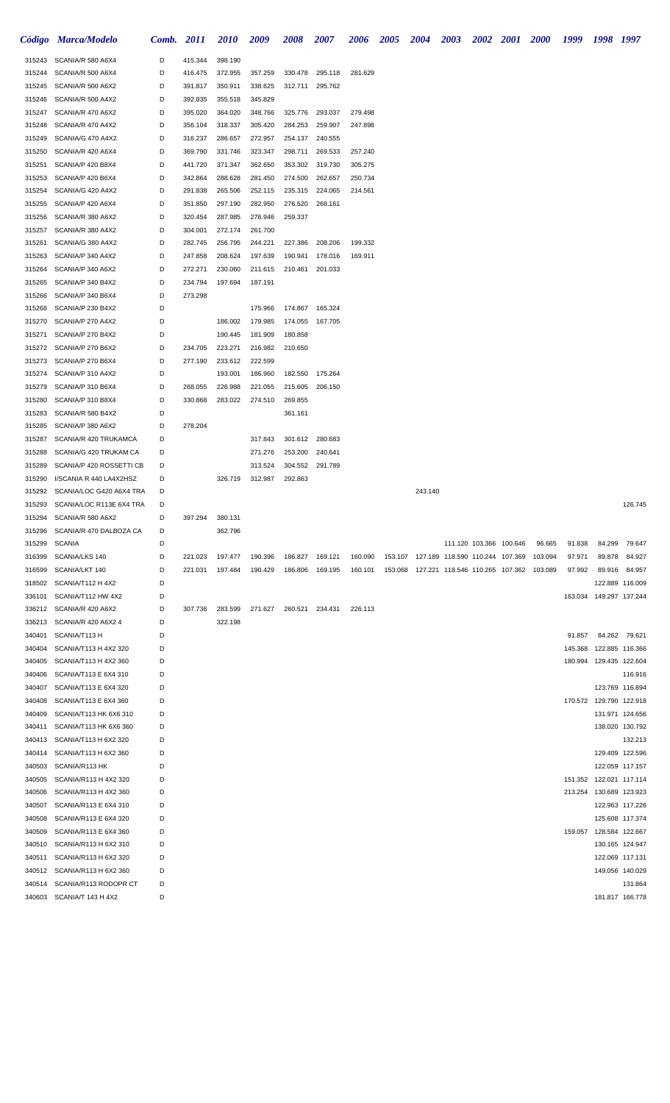|                  | Código Marca/Modelo                                 | Comb. 2011 |                    | <b>2010</b>        | 2009               | <b>2008</b>        | 2007            | <b>2006</b> | 2005 | 2004    | <b>2003</b> |                                                 | 2002 2001 2000 |         | 1999    | 1998 1997               |                                    |
|------------------|-----------------------------------------------------|------------|--------------------|--------------------|--------------------|--------------------|-----------------|-------------|------|---------|-------------|-------------------------------------------------|----------------|---------|---------|-------------------------|------------------------------------|
|                  | 315243 SCANIA/R 580 A6X4                            | D          | 415.344            | 398.190            |                    |                    |                 |             |      |         |             |                                                 |                |         |         |                         |                                    |
| 315244           | SCANIA/R 500 A6X4                                   | D          | 416.475            | 372.955            | 357.259            | 330.478            | 295.118         | 281.629     |      |         |             |                                                 |                |         |         |                         |                                    |
| 315245           | SCANIA/R 500 A6X2                                   | D          | 391.817            | 350.911            | 338.625            | 312.711            | 295.762         |             |      |         |             |                                                 |                |         |         |                         |                                    |
| 315246           | SCANIA/R 500 A4X2                                   | D          | 392.835            | 355.518            | 345.829            |                    |                 |             |      |         |             |                                                 |                |         |         |                         |                                    |
| 315247           | SCANIA/R 470 A6X2                                   | D          | 395.020            | 364.020            | 348.766            | 325.776            | 293.037         | 279.498     |      |         |             |                                                 |                |         |         |                         |                                    |
| 315248           | SCANIA/R 470 A4X2                                   | D          | 356.104            | 318.337            | 305.420            | 284.253            | 259.907         | 247.898     |      |         |             |                                                 |                |         |         |                         |                                    |
| 315249           | SCANIA/G 470 A4X2                                   | D          | 316.237            | 286.657            | 272.957            | 254.137            | 240.555         |             |      |         |             |                                                 |                |         |         |                         |                                    |
| 315250           | SCANIA/R 420 A6X4                                   | D          | 369.790            | 331.746            | 323.347            | 298.711            | 269.533         | 257.240     |      |         |             |                                                 |                |         |         |                         |                                    |
| 315251           | SCANIA/P 420 B8X4                                   | D          | 441.720            | 371.347            | 362.650            | 353.302            | 319.730         | 305.275     |      |         |             |                                                 |                |         |         |                         |                                    |
| 315253           | SCANIA/P 420 B6X4                                   | D          | 342.864            | 288.628            | 281.450            | 274.500            | 262.657         | 250.734     |      |         |             |                                                 |                |         |         |                         |                                    |
| 315254           | SCANIA/G 420 A4X2<br>SCANIA/P 420 A6X4              | D<br>D     | 291.838            | 265.506            | 252.115            | 235.315            | 224.065         | 214.561     |      |         |             |                                                 |                |         |         |                         |                                    |
| 315255<br>315256 | SCANIA/R 380 A6X2                                   | D          | 351.850<br>320.454 | 297.190<br>287.985 | 282.950<br>276.946 | 276.520<br>259.337 | 268.161         |             |      |         |             |                                                 |                |         |         |                         |                                    |
| 315257           | SCANIA/R 380 A4X2                                   | D          | 304.001            | 272.174            | 261.700            |                    |                 |             |      |         |             |                                                 |                |         |         |                         |                                    |
| 315261           | SCANIA/G 380 A4X2                                   | D          | 282.745            | 256.795            | 244.221            | 227.386            | 208.206         | 199.332     |      |         |             |                                                 |                |         |         |                         |                                    |
| 315263           | SCANIA/P 340 A4X2                                   | D          | 247.858            | 208.624            | 197.639            | 190.941            | 178.016         | 169.911     |      |         |             |                                                 |                |         |         |                         |                                    |
| 315264           | SCANIA/P 340 A6X2                                   | D          | 272.271            | 230.060            | 211.615            | 210.461            | 201.033         |             |      |         |             |                                                 |                |         |         |                         |                                    |
| 315265           | SCANIA/P 340 B4X2                                   | D          | 234.794            | 197.694            | 187.191            |                    |                 |             |      |         |             |                                                 |                |         |         |                         |                                    |
| 315266           | SCANIA/P 340 B6X4                                   | D          | 273.298            |                    |                    |                    |                 |             |      |         |             |                                                 |                |         |         |                         |                                    |
| 315268           | SCANIA/P 230 B4X2                                   | D          |                    |                    | 175.966            | 174.867            | 165.324         |             |      |         |             |                                                 |                |         |         |                         |                                    |
| 315270           | SCANIA/P 270 A4X2                                   | D          |                    | 186.002            | 179.985            | 174.055            | 167.705         |             |      |         |             |                                                 |                |         |         |                         |                                    |
| 315271           | SCANIA/P 270 B4X2                                   | D          |                    | 190.445            | 181.909            | 180.858            |                 |             |      |         |             |                                                 |                |         |         |                         |                                    |
| 315272           | SCANIA/P 270 B6X2                                   | D          | 234.705            | 223.271            | 216.982            | 210.650            |                 |             |      |         |             |                                                 |                |         |         |                         |                                    |
| 315273           | SCANIA/P 270 B6X4                                   | D          | 277.190            | 233.612            | 222.599            |                    |                 |             |      |         |             |                                                 |                |         |         |                         |                                    |
| 315274           | SCANIA/P 310 A4X2                                   | D          |                    | 193.001            | 186.960            |                    | 182.550 175.264 |             |      |         |             |                                                 |                |         |         |                         |                                    |
| 315279           | SCANIA/P 310 B6X4                                   | D          | 268.055            | 226.988            | 221.055            | 215.605            | 206.150         |             |      |         |             |                                                 |                |         |         |                         |                                    |
| 315280           | SCANIA/P 310 B8X4                                   | D          | 330.868            | 283.022            | 274.510            | 269.855            |                 |             |      |         |             |                                                 |                |         |         |                         |                                    |
| 315283           | SCANIA/R 580 B4X2                                   | D          |                    |                    |                    | 361.161            |                 |             |      |         |             |                                                 |                |         |         |                         |                                    |
| 315285           | SCANIA/P 380 A6X2                                   | D          | 278.204            |                    |                    |                    |                 |             |      |         |             |                                                 |                |         |         |                         |                                    |
| 315287           | SCANIA/R 420 TRUKAMCA                               | D          |                    |                    | 317.843            | 301.612            | 280.683         |             |      |         |             |                                                 |                |         |         |                         |                                    |
| 315288           | SCANIA/G 420 TRUKAM CA                              | D          |                    |                    | 271.276            | 253.200            | 240.641         |             |      |         |             |                                                 |                |         |         |                         |                                    |
| 315289<br>315290 | SCANIA/P 420 ROSSETTI CB<br>I/SCANIA R 440 LA4X2HSZ | D<br>D     |                    | 326.719            | 313.524<br>312.987 | 304.552<br>292.863 | 291.789         |             |      |         |             |                                                 |                |         |         |                         |                                    |
| 315292           | SCANIA/LOC G420 A6X4 TRA                            | D          |                    |                    |                    |                    |                 |             |      | 243.140 |             |                                                 |                |         |         |                         |                                    |
| 315293           | SCANIA/LOC R113E 6X4 TRA                            | D          |                    |                    |                    |                    |                 |             |      |         |             |                                                 |                |         |         |                         | 126.745                            |
|                  | 315294 SCANIA/R 580 A6X2                            | D          | 397.294            | 380.131            |                    |                    |                 |             |      |         |             |                                                 |                |         |         |                         |                                    |
|                  | 315296 SCANIA/R 470 DALBOZA CA                      | D          |                    | 362.796            |                    |                    |                 |             |      |         |             |                                                 |                |         |         |                         |                                    |
| 315299           | SCANIA                                              | D          |                    |                    |                    |                    |                 |             |      |         |             | 111.120 103.366 100.646                         |                | 96.665  | 91.838  | 84.299                  | 79.647                             |
| 316399           | SCANIA/LKS 140                                      | D          | 221.023            | 197.477            | 190.396            |                    | 186.827 169.121 | 160.090     |      |         |             | 153.107 127.189 118.590 110.244 107.369         |                | 103.094 | 97.971  | 89.878                  | 84.927                             |
| 316599           | SCANIA/LKT 140                                      | D          | 221.031            | 197.484            | 190.429            |                    | 186.806 169.195 | 160.101     |      |         |             | 153.068 127.221 118.546 110.265 107.362 103.089 |                |         | 97.992  |                         | 89.916 84.957                      |
|                  | 318502 SCANIA/T112 H 4X2                            | D          |                    |                    |                    |                    |                 |             |      |         |             |                                                 |                |         |         |                         | 122.889 116.009                    |
| 336101           | SCANIA/T112 HW 4X2                                  | D          |                    |                    |                    |                    |                 |             |      |         |             |                                                 |                |         |         | 163.034 149.297 137.244 |                                    |
|                  | 336212 SCANIA/R 420 A6X2                            | D          | 307.736            | 283.599            | 271.627            | 260.521            | 234.431         | 226.113     |      |         |             |                                                 |                |         |         |                         |                                    |
| 336213           | SCANIA/R 420 A6X2 4                                 | D          |                    | 322.198            |                    |                    |                 |             |      |         |             |                                                 |                |         |         |                         |                                    |
| 340401           | SCANIA/T113 H                                       | D          |                    |                    |                    |                    |                 |             |      |         |             |                                                 |                |         | 91.857  |                         | 84.262 79.621                      |
| 340404           | SCANIA/T113 H 4X2 320                               | D          |                    |                    |                    |                    |                 |             |      |         |             |                                                 |                |         | 145.368 |                         | 122.885 116.366                    |
| 340405           | SCANIA/T113 H 4X2 360                               | D          |                    |                    |                    |                    |                 |             |      |         |             |                                                 |                |         |         | 180.994 129.435 122.604 |                                    |
| 340406           | SCANIA/T113 E 6X4 310                               | D          |                    |                    |                    |                    |                 |             |      |         |             |                                                 |                |         |         |                         | 116.916                            |
| 340407           | SCANIA/T113 E 6X4 320                               | D          |                    |                    |                    |                    |                 |             |      |         |             |                                                 |                |         |         |                         | 123.769 116.894                    |
| 340408           | SCANIA/T113 E 6X4 360                               | D          |                    |                    |                    |                    |                 |             |      |         |             |                                                 |                |         |         | 170.572 129.790 122.918 |                                    |
| 340409           | SCANIA/T113 HK 6X6 310                              | D          |                    |                    |                    |                    |                 |             |      |         |             |                                                 |                |         |         |                         | 131.971 124.656                    |
| 340411           | SCANIA/T113 HK 6X6 360                              | D          |                    |                    |                    |                    |                 |             |      |         |             |                                                 |                |         |         |                         | 138.020 130.792                    |
| 340413           | SCANIA/T113 H 6X2 320                               | D          |                    |                    |                    |                    |                 |             |      |         |             |                                                 |                |         |         |                         | 132.213                            |
| 340414<br>340503 | SCANIA/T113 H 6X2 360<br>SCANIA/R113 HK             | D<br>D     |                    |                    |                    |                    |                 |             |      |         |             |                                                 |                |         |         |                         | 129.409 122.596<br>122.059 117.157 |
| 340505           | SCANIA/R113 H 4X2 320                               | D          |                    |                    |                    |                    |                 |             |      |         |             |                                                 |                |         |         | 151.352 122.021 117.114 |                                    |
| 340506           | SCANIA/R113 H 4X2 360                               | D          |                    |                    |                    |                    |                 |             |      |         |             |                                                 |                |         |         | 213.254 130.689 123.923 |                                    |
| 340507           | SCANIA/R113 E 6X4 310                               | D          |                    |                    |                    |                    |                 |             |      |         |             |                                                 |                |         |         |                         | 122.963 117.226                    |
| 340508           | SCANIA/R113 E 6X4 320                               | D          |                    |                    |                    |                    |                 |             |      |         |             |                                                 |                |         |         |                         | 125.608 117.374                    |
| 340509           | SCANIA/R113 E 6X4 360                               | D          |                    |                    |                    |                    |                 |             |      |         |             |                                                 |                |         |         | 159.057 128.584 122.667 |                                    |
| 340510           | SCANIA/R113 H 6X2 310                               | D          |                    |                    |                    |                    |                 |             |      |         |             |                                                 |                |         |         |                         | 130.165 124.947                    |
| 340511           | SCANIA/R113 H 6X2 320                               | D          |                    |                    |                    |                    |                 |             |      |         |             |                                                 |                |         |         |                         | 122.069 117.131                    |
|                  | 340512 SCANIA/R113 H 6X2 360                        | D          |                    |                    |                    |                    |                 |             |      |         |             |                                                 |                |         |         |                         | 149.056 140.029                    |
| 340514           | SCANIA/R113 RODOPR CT                               | D          |                    |                    |                    |                    |                 |             |      |         |             |                                                 |                |         |         |                         | 131.864                            |
|                  | 340603 SCANIA/T 143 H 4X2                           | D          |                    |                    |                    |                    |                 |             |      |         |             |                                                 |                |         |         |                         | 181.817 166.778                    |
|                  |                                                     |            |                    |                    |                    |                    |                 |             |      |         |             |                                                 |                |         |         |                         |                                    |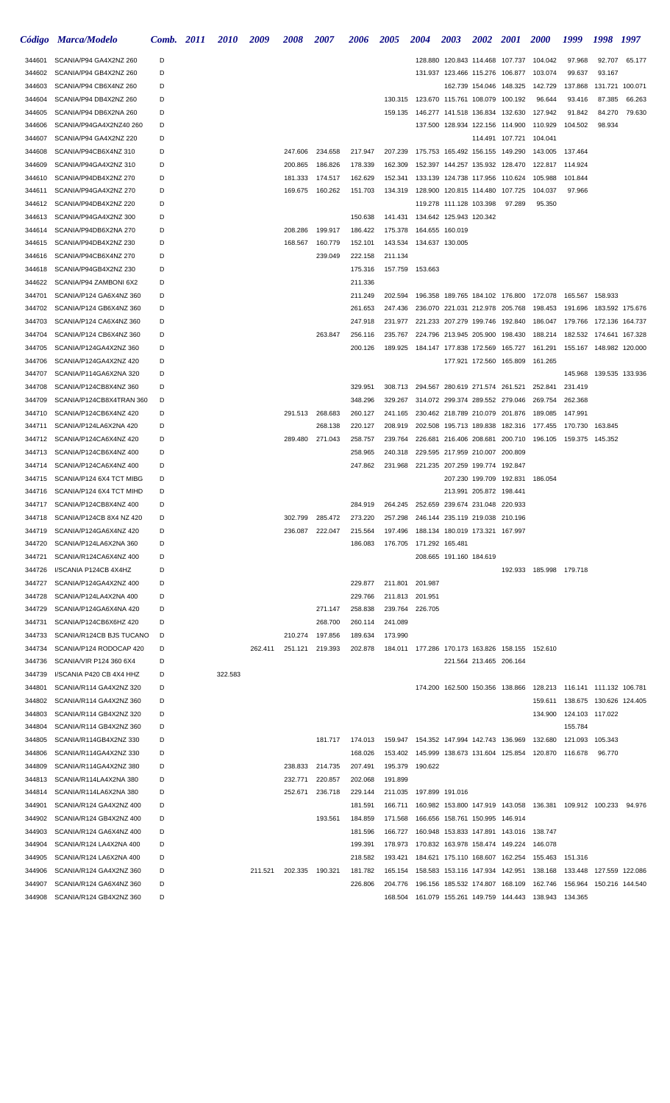|                  | Código Marca/Modelo                                       | Comb. 2011 | <i>2010</i> | 2009    | 2008               | <i><b>2007</b></i> | 2006               | <i><b>2005</b></i> | 2004                                                                     | 2003                            | 2002                    | <b>2001</b> | <i><b>2000</b></i>                                              | 1999                               | 1998                      | 1997            |
|------------------|-----------------------------------------------------------|------------|-------------|---------|--------------------|--------------------|--------------------|--------------------|--------------------------------------------------------------------------|---------------------------------|-------------------------|-------------|-----------------------------------------------------------------|------------------------------------|---------------------------|-----------------|
| 344601           | SCANIA/P94 GA4X2NZ 260                                    | D          |             |         |                    |                    |                    |                    |                                                                          | 128.880 120.843 114.468 107.737 |                         |             | 104.042                                                         | 97.968                             | 92.707                    | 65.177          |
| 344602           | SCANIA/P94 GB4X2NZ 260                                    | D          |             |         |                    |                    |                    |                    |                                                                          | 131.937 123.466 115.276 106.877 |                         |             | 103.074                                                         | 99.637                             | 93.167                    |                 |
| 344603           | SCANIA/P94 CB6X4NZ 260                                    | D          |             |         |                    |                    |                    |                    |                                                                          |                                 | 162.739 154.046 148.325 |             | 142.729                                                         | 137.868                            |                           | 131.721 100.071 |
| 344604           | SCANIA/P94 DB4X2NZ 260                                    | D          |             |         |                    |                    |                    |                    | 130.315 123.670 115.761 108.079 100.192                                  |                                 |                         |             | 96.644                                                          | 93.416                             | 87.385                    | 66.263          |
| 344605           | SCANIA/P94 DB6X2NA 260                                    | D          |             |         |                    |                    |                    | 159.135            |                                                                          | 146.277 141.518 136.834 132.630 |                         |             | 127.942                                                         | 91.842                             | 84.270                    | 79.630          |
| 344606           | SCANIA/P94GA4X2NZ40 260                                   | D          |             |         |                    |                    |                    |                    |                                                                          | 137.500 128.934 122.156 114.900 |                         |             | 110.929                                                         | 104.502                            | 98.934                    |                 |
| 344607           | SCANIA/P94 GA4X2NZ 220                                    | D          |             |         |                    |                    |                    |                    |                                                                          |                                 | 114.491 107.721         |             | 104.041                                                         |                                    |                           |                 |
| 344608           | SCANIA/P94CB6X4NZ 310                                     | D          |             |         | 247.606            | 234.658            | 217.947            | 207.239            |                                                                          | 175.753 165.492 156.155 149.290 |                         |             | 143.005                                                         | 137.464                            |                           |                 |
| 344609           | SCANIA/P94GA4X2NZ 310                                     | D          |             |         | 200.865            | 186.826            | 178.339            | 162.309            |                                                                          | 152.397 144.257 135.932 128.470 |                         |             | 122.817 114.924                                                 |                                    |                           |                 |
| 344610           | SCANIA/P94DB4X2NZ 270                                     | D          |             |         | 181.333            | 174.517            | 162.629            | 152.341            |                                                                          | 133.139 124.738 117.956 110.624 |                         |             | 105.988                                                         | 101.844                            |                           |                 |
| 344611           | SCANIA/P94GA4X2NZ 270                                     | D          |             |         | 169.675            | 160.262            | 151.703            | 134.319            |                                                                          | 128.900 120.815 114.480 107.725 |                         |             | 104.037                                                         | 97.966                             |                           |                 |
| 344612           | SCANIA/P94DB4X2NZ 220                                     | D<br>D     |             |         |                    |                    |                    |                    |                                                                          | 119.278 111.128 103.398         |                         | 97.289      | 95.350                                                          |                                    |                           |                 |
| 344613<br>344614 | SCANIA/P94GA4X2NZ 300<br>SCANIA/P94DB6X2NA 270            | D          |             |         | 208.286            | 199.917            | 150.638<br>186.422 | 175.378            | 141.431  134.642  125.943  120.342                                       | 164.655 160.019                 |                         |             |                                                                 |                                    |                           |                 |
| 344615           | SCANIA/P94DB4X2NZ 230                                     | D          |             |         | 168.567            | 160.779            | 152.101            |                    | 143.534  134.637  130.005                                                |                                 |                         |             |                                                                 |                                    |                           |                 |
| 344616           | SCANIA/P94CB6X4NZ 270                                     | D          |             |         |                    | 239.049            | 222.158            | 211.134            |                                                                          |                                 |                         |             |                                                                 |                                    |                           |                 |
| 344618           | SCANIA/P94GB4X2NZ 230                                     | D          |             |         |                    |                    | 175.316            |                    | 157.759 153.663                                                          |                                 |                         |             |                                                                 |                                    |                           |                 |
| 344622           | SCANIA/P94 ZAMBONI 6X2                                    | D          |             |         |                    |                    | 211.336            |                    |                                                                          |                                 |                         |             |                                                                 |                                    |                           |                 |
| 344701           | SCANIA/P124 GA6X4NZ 360                                   | D          |             |         |                    |                    | 211.249            | 202.594            |                                                                          |                                 |                         |             | 196.358 189.765 184.102 176.800 172.078 165.567 158.933         |                                    |                           |                 |
| 344702           | SCANIA/P124 GB6X4NZ 360                                   | D          |             |         |                    |                    | 261.653            | 247.436            |                                                                          | 236.070 221.031 212.978 205.768 |                         |             | 198.453 191.696                                                 |                                    | 183.592 175.676           |                 |
| 344703           | SCANIA/P124 CA6X4NZ 360                                   | D          |             |         |                    |                    | 247.918            | 231.977            |                                                                          | 221.233 207.279 199.746 192.840 |                         |             | 186.047                                                         | 179.766                            | 172.136 164.737           |                 |
| 344704           | SCANIA/P124 CB6X4NZ 360                                   | D          |             |         |                    | 263.847            | 256.116            | 235.767            |                                                                          | 224.796 213.945 205.900 198.430 |                         |             | 188.214                                                         | 182.532                            | 174.641 167.328           |                 |
| 344705           | SCANIA/P124GA4X2NZ 360                                    | D          |             |         |                    |                    | 200.126            | 189.925            |                                                                          | 184.147 177.838 172.569 165.727 |                         |             | 161.291                                                         |                                    | 155.167  148.982  120.000 |                 |
| 344706           | SCANIA/P124GA4X2NZ 420                                    | D          |             |         |                    |                    |                    |                    |                                                                          |                                 | 177.921 172.560 165.809 |             | 161.265                                                         |                                    |                           |                 |
| 344707           | SCANIA/P114GA6X2NA 320                                    | D          |             |         |                    |                    |                    |                    |                                                                          |                                 |                         |             |                                                                 | 145.968                            |                           | 139.535 133.936 |
| 344708           | SCANIA/P124CB8X4NZ 360                                    | D          |             |         |                    |                    | 329.951            | 308.713            |                                                                          | 294.567 280.619 271.574 261.521 |                         |             | 252.841                                                         | 231.419                            |                           |                 |
| 344709           | SCANIA/P124CB8X4TRAN 360                                  | D          |             |         |                    |                    | 348.296            | 329.267            |                                                                          | 314.072 299.374 289.552 279.046 |                         |             | 269.754                                                         | 262.368                            |                           |                 |
| 344710           | SCANIA/P124CB6X4NZ 420                                    | D          |             |         | 291.513            | 268.683            | 260.127            | 241.165            |                                                                          | 230.462 218.789 210.079 201.876 |                         |             | 189.085                                                         | 147.991                            |                           |                 |
| 344711           | SCANIA/P124LA6X2NA 420                                    | D          |             |         |                    | 268.138            | 220.127            | 208.919            |                                                                          |                                 |                         |             | 202.508 195.713 189.838 182.316 177.455                         | 170.730                            | 163.845                   |                 |
| 344712           | SCANIA/P124CA6X4NZ 420                                    | D          |             |         | 289.480            | 271.043            | 258.757            | 239.764            |                                                                          | 226.681 216.406 208.681 200.710 |                         |             | 196.105  159.375  145.352                                       |                                    |                           |                 |
| 344713           | SCANIA/P124CB6X4NZ 400                                    | D          |             |         |                    |                    | 258.965            | 240.318            |                                                                          | 229.595 217.959 210.007 200.809 |                         |             |                                                                 |                                    |                           |                 |
| 344714           | SCANIA/P124CA6X4NZ 400                                    | D          |             |         |                    |                    | 247.862            | 231.968            |                                                                          | 221.235 207.259 199.774 192.847 |                         |             |                                                                 |                                    |                           |                 |
| 344715           | SCANIA/P124 6X4 TCT MIBG                                  | D          |             |         |                    |                    |                    |                    |                                                                          |                                 | 207.230 199.709 192.831 |             | 186.054                                                         |                                    |                           |                 |
| 344716           | SCANIA/P124 6X4 TCT MIHD                                  | D          |             |         |                    |                    |                    |                    |                                                                          |                                 | 213.991 205.872 198.441 |             |                                                                 |                                    |                           |                 |
| 344717           | SCANIA/P124CB8X4NZ 400                                    | D          |             |         |                    |                    | 284.919            | 264.245            |                                                                          | 252.659 239.674 231.048 220.933 |                         |             |                                                                 |                                    |                           |                 |
| 344719           | 344718 SCANIA/P124CB 8X4 NZ 420<br>SCANIA/P124GA6X4NZ 420 | D<br>D     |             |         | 302.799<br>236.087 | 285.472            | 273.220            | 257.298            |                                                                          | 246.144 235.119 219.038 210.196 |                         |             |                                                                 |                                    |                           |                 |
| 344720           | SCANIA/P124LA6X2NA 360                                    | D          |             |         |                    | 222.047            | 215.564<br>186.083 |                    | 197.496  188.134  180.019  173.321  167.997<br>176.705  171.292  165.481 |                                 |                         |             |                                                                 |                                    |                           |                 |
| 344721           | SCANIA/R124CA6X4NZ 400                                    | D          |             |         |                    |                    |                    |                    |                                                                          | 208.665 191.160 184.619         |                         |             |                                                                 |                                    |                           |                 |
| 344726           | I/SCANIA P124CB 4X4HZ                                     | D          |             |         |                    |                    |                    |                    |                                                                          |                                 |                         |             | 192.933 185.998 179.718                                         |                                    |                           |                 |
| 344727           | SCANIA/P124GA4X2NZ 400                                    | D          |             |         |                    |                    | 229.877            |                    | 211.801 201.987                                                          |                                 |                         |             |                                                                 |                                    |                           |                 |
| 344728           | SCANIA/P124LA4X2NA 400                                    | D          |             |         |                    |                    | 229.766            |                    | 211.813 201.951                                                          |                                 |                         |             |                                                                 |                                    |                           |                 |
| 344729           | SCANIA/P124GA6X4NA 420                                    | D          |             |         |                    | 271.147            | 258.838            |                    | 239.764 226.705                                                          |                                 |                         |             |                                                                 |                                    |                           |                 |
| 344731           | SCANIA/P124CB6X6HZ 420                                    | D          |             |         |                    | 268.700            | 260.114            | 241.089            |                                                                          |                                 |                         |             |                                                                 |                                    |                           |                 |
| 344733           | SCANIA/R124CB BJS TUCANO                                  | D          |             |         | 210.274            | 197.856            | 189.634            | 173.990            |                                                                          |                                 |                         |             |                                                                 |                                    |                           |                 |
| 344734           | SCANIA/P124 RODOCAP 420                                   | D          |             | 262.411 |                    | 251.121 219.393    | 202.878            |                    | 184.011 177.286 170.173 163.826 158.155 152.610                          |                                 |                         |             |                                                                 |                                    |                           |                 |
| 344736           | SCANIA/VIR P124 360 6X4                                   | D          |             |         |                    |                    |                    |                    |                                                                          |                                 | 221.564 213.465 206.164 |             |                                                                 |                                    |                           |                 |
| 344739           | I/SCANIA P420 CB 4X4 HHZ                                  | D          | 322.583     |         |                    |                    |                    |                    |                                                                          |                                 |                         |             |                                                                 |                                    |                           |                 |
| 344801           | SCANIA/R114 GA4X2NZ 320                                   | D          |             |         |                    |                    |                    |                    |                                                                          |                                 |                         |             | 174.200 162.500 150.356 138.866 128.213 116.141 111.132 106.781 |                                    |                           |                 |
| 344802           | SCANIA/R114 GA4X2NZ 360                                   | D          |             |         |                    |                    |                    |                    |                                                                          |                                 |                         |             |                                                                 | 159.611  138.675  130.626  124.405 |                           |                 |
| 344803           | SCANIA/R114 GB4X2NZ 320                                   | D          |             |         |                    |                    |                    |                    |                                                                          |                                 |                         |             |                                                                 | 134.900 124.103 117.022            |                           |                 |
| 344804           | SCANIA/R114 GB4X2NZ 360                                   | D          |             |         |                    |                    |                    |                    |                                                                          |                                 |                         |             |                                                                 | 155.784                            |                           |                 |
| 344805           | SCANIA/R114GB4X2NZ 330                                    | D          |             |         |                    | 181.717            | 174.013            |                    | 159.947  154.352  147.994  142.743  136.969                              |                                 |                         |             | 132.680                                                         | 121.093                            | 105.343                   |                 |
| 344806           | SCANIA/R114GA4X2NZ 330                                    | D          |             |         |                    |                    | 168.026            |                    |                                                                          |                                 |                         |             | 153.402  145.999  138.673  131.604  125.854  120.870  116.678   |                                    | 96.770                    |                 |
| 344809           | SCANIA/R114GA4X2NZ 380                                    | D          |             |         | 238.833            | 214.735            | 207.491            | 195.379            | 190.622                                                                  |                                 |                         |             |                                                                 |                                    |                           |                 |
| 344813           | SCANIA/R114LA4X2NA 380                                    | D          |             |         | 232.771            | 220.857            | 202.068            | 191.899            |                                                                          |                                 |                         |             |                                                                 |                                    |                           |                 |
| 344814           | SCANIA/R114LA6X2NA 380                                    | D          |             |         | 252.671            | 236.718            | 229.144            |                    | 211.035 197.899 191.016                                                  |                                 |                         |             |                                                                 |                                    |                           |                 |
| 344901           | SCANIA/R124 GA4X2NZ 400                                   | D          |             |         |                    |                    | 181.591            | 166.711            |                                                                          |                                 |                         |             | 160.982 153.800 147.919 143.058 136.381 109.912 100.233 94.976  |                                    |                           |                 |
| 344902           | SCANIA/R124 GB4X2NZ 400                                   | D          |             |         |                    | 193.561            | 184.859            | 171.568            |                                                                          | 166.656 158.761 150.995 146.914 |                         |             |                                                                 |                                    |                           |                 |
| 344903<br>344904 | SCANIA/R124 GA6X4NZ 400<br>SCANIA/R124 LA4X2NA 400        | D<br>D     |             |         |                    |                    | 181.596<br>199.391 | 166.727<br>178.973 | 160.948 153.833 147.891 143.016                                          |                                 |                         |             | 138.747<br>146.078                                              |                                    |                           |                 |
| 344905           | SCANIA/R124 LA6X2NA 400                                   | D          |             |         |                    |                    | 218.582            | 193.421            | 170.832 163.978 158.474 149.224                                          | 184.621 175.110 168.607 162.254 |                         |             | 155.463                                                         | 151.316                            |                           |                 |
| 344906           | SCANIA/R124 GA4X2NZ 360                                   | D          |             | 211.521 | 202.335 190.321    |                    | 181.782            |                    | 165.154 158.583 153.116 147.934 142.951                                  |                                 |                         |             | 138.168                                                         | 133.448                            | 127.559 122.086           |                 |
| 344907           | SCANIA/R124 GA6X4NZ 360                                   | D          |             |         |                    |                    | 226.806            | 204.776            | 196.156 185.532 174.807 168.109                                          |                                 |                         |             | 162.746                                                         | 156.964                            | 150.216 144.540           |                 |
| 344908           | SCANIA/R124 GB4X2NZ 360                                   | D          |             |         |                    |                    |                    |                    |                                                                          |                                 |                         |             | 168.504 161.079 155.261 149.759 144.443 138.943 134.365         |                                    |                           |                 |
|                  |                                                           |            |             |         |                    |                    |                    |                    |                                                                          |                                 |                         |             |                                                                 |                                    |                           |                 |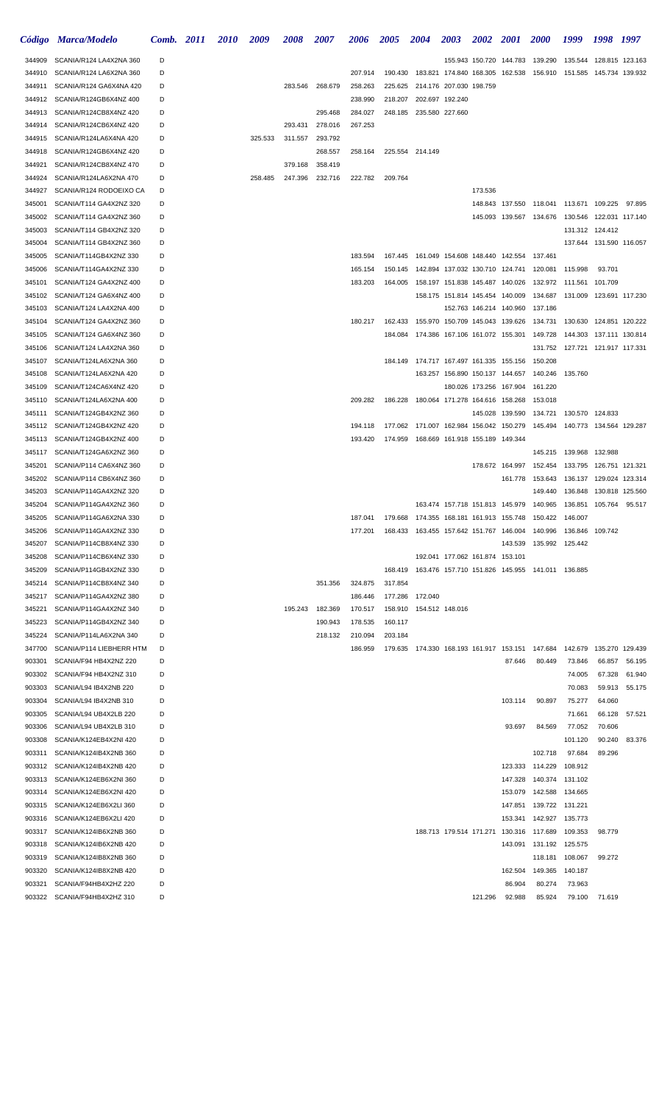|        | Código Marca/Modelo      | Comb. 2011 | <i>2010</i> | 2009    | <i><b>2008</b></i> | 2007    | 2006    | 2005    | <b>2004</b>                                          | <b>2003</b>                     | 2002 2001               |                                         | <b>2000</b>                                                   | 1999                      | 1998                    | - 1997        |
|--------|--------------------------|------------|-------------|---------|--------------------|---------|---------|---------|------------------------------------------------------|---------------------------------|-------------------------|-----------------------------------------|---------------------------------------------------------------|---------------------------|-------------------------|---------------|
| 344909 | SCANIA/R124 LA4X2NA 360  | D          |             |         |                    |         |         |         |                                                      |                                 |                         |                                         | 155.943 150.720 144.783 139.290                               | 135.544 128.815 123.163   |                         |               |
| 344910 | SCANIA/R124 LA6X2NA 360  | D          |             |         |                    |         | 207.914 | 190.430 |                                                      |                                 |                         | 183.821 174.840 168.305 162.538         | 156.910                                                       |                           |                         |               |
| 344911 | SCANIA/R124 GA6X4NA 420  | D          |             |         | 283.546            | 268.679 | 258.263 | 225.625 |                                                      | 214.176 207.030 198.759         |                         |                                         |                                                               |                           |                         |               |
| 344912 | SCANIA/R124GB6X4NZ 400   | D          |             |         |                    |         | 238.990 | 218.207 |                                                      | 202.697 192.240                 |                         |                                         |                                                               |                           |                         |               |
| 344913 | SCANIA/R124CB8X4NZ 420   | D          |             |         |                    | 295.468 | 284.027 | 248.185 | 235.580 227.660                                      |                                 |                         |                                         |                                                               |                           |                         |               |
| 344914 | SCANIA/R124CB6X4NZ 420   | D          |             |         | 293.431            | 278.016 | 267.253 |         |                                                      |                                 |                         |                                         |                                                               |                           |                         |               |
| 344915 | SCANIA/R124LA6X4NA 420   | D          |             | 325.533 | 311.557            | 293.792 |         |         |                                                      |                                 |                         |                                         |                                                               |                           |                         |               |
| 344918 | SCANIA/R124GB6X4NZ 420   | D          |             |         |                    | 268.557 | 258.164 |         | 225.554 214.149                                      |                                 |                         |                                         |                                                               |                           |                         |               |
| 344921 | SCANIA/R124CB8X4NZ 470   | D          |             |         | 379.168            | 358.419 |         |         |                                                      |                                 |                         |                                         |                                                               |                           |                         |               |
| 344924 | SCANIA/R124LA6X2NA 470   | D          |             | 258.485 | 247.396            | 232.716 | 222.782 | 209.764 |                                                      |                                 |                         |                                         |                                                               |                           |                         |               |
| 344927 | SCANIA/R124 RODOEIXO CA  | D          |             |         |                    |         |         |         |                                                      |                                 | 173.536                 |                                         |                                                               |                           |                         |               |
| 345001 | SCANIA/T114 GA4X2NZ 320  | D          |             |         |                    |         |         |         |                                                      |                                 |                         |                                         | 148.843 137.550 118.041 113.671 109.225 97.895                |                           |                         |               |
| 345002 | SCANIA/T114 GA4X2NZ 360  | D          |             |         |                    |         |         |         |                                                      |                                 |                         |                                         | 145.093 139.567 134.676                                       | 130.546                   | 122.031 117.140         |               |
| 345003 | SCANIA/T114 GB4X2NZ 320  | D          |             |         |                    |         |         |         |                                                      |                                 |                         |                                         |                                                               | 131.312 124.412           |                         |               |
| 345004 | SCANIA/T114 GB4X2NZ 360  | D          |             |         |                    |         |         |         |                                                      |                                 |                         |                                         |                                                               |                           | 137.644 131.590 116.057 |               |
| 345005 | SCANIA/T114GB4X2NZ 330   | D          |             |         |                    |         | 183.594 |         | 167.445  161.049  154.608  148.440  142.554  137.461 |                                 |                         |                                         |                                                               |                           |                         |               |
| 345006 | SCANIA/T114GA4X2NZ 330   | D          |             |         |                    |         | 165.154 |         | 150.145  142.894  137.032  130.710  124.741  120.081 |                                 |                         |                                         |                                                               | 115.998                   | 93.701                  |               |
| 345101 | SCANIA/T124 GA4X2NZ 400  | D          |             |         |                    |         | 183.203 |         | 164.005  158.197  151.838  145.487  140.026          |                                 |                         |                                         | 132.972                                                       | 111.561                   | 101.709                 |               |
| 345102 | SCANIA/T124 GA6X4NZ 400  | D          |             |         |                    |         |         |         |                                                      |                                 |                         | 158.175 151.814 145.454 140.009         | 134.687                                                       | 131.009  123.691  117.230 |                         |               |
| 345103 | SCANIA/T124 LA4X2NA 400  | D          |             |         |                    |         |         |         |                                                      |                                 |                         | 152.763 146.214 140.960                 | 137.186                                                       |                           |                         |               |
| 345104 | SCANIA/T124 GA4X2NZ 360  | D          |             |         |                    |         | 180.217 |         | 162.433  155.970  150.709  145.043  139.626          |                                 |                         |                                         | 134.731                                                       | 130.630                   | 124.851 120.222         |               |
| 345105 | SCANIA/T124 GA6X4NZ 360  | D          |             |         |                    |         |         | 184.084 | 174.386 167.106 161.072 155.301                      |                                 |                         |                                         | 149.728                                                       | 144.303                   | 137.111 130.814         |               |
| 345106 | SCANIA/T124 LA4X2NA 360  | D          |             |         |                    |         |         |         |                                                      |                                 |                         |                                         | 131.752                                                       |                           |                         |               |
| 345107 | SCANIA/T124LA6X2NA 360   | D          |             |         |                    |         |         |         | 184.149  174.717  167.497  161.335  155.156          |                                 |                         |                                         | 150.208                                                       |                           |                         |               |
| 345108 | SCANIA/T124LA6X2NA 420   | D          |             |         |                    |         |         |         |                                                      | 163.257 156.890 150.137 144.657 |                         |                                         | 140.246                                                       | 135.760                   |                         |               |
| 345109 | SCANIA/T124CA6X4NZ 420   | D          |             |         |                    |         |         |         |                                                      |                                 | 180.026 173.256 167.904 |                                         | 161.220                                                       |                           |                         |               |
| 345110 | SCANIA/T124LA6X2NA 400   | D          |             |         |                    |         | 209.282 | 186.228 |                                                      | 180.064 171.278 164.616 158.268 |                         |                                         | 153.018                                                       |                           |                         |               |
| 345111 | SCANIA/T124GB4X2NZ 360   | D          |             |         |                    |         |         |         |                                                      |                                 |                         | 145.028 139.590                         | 134.721                                                       | 130.570 124.833           |                         |               |
| 345112 | SCANIA/T124GB4X2NZ 420   | D          |             |         |                    |         | 194.118 |         | 177.062 171.007 162.984 156.042 150.279              |                                 |                         |                                         | 145.494                                                       |                           |                         |               |
| 345113 | SCANIA/T124GB4X2NZ 400   | D          |             |         |                    |         | 193.420 |         | 174.959  168.669  161.918  155.189  149.344          |                                 |                         |                                         |                                                               |                           |                         |               |
| 345117 | SCANIA/T124GA6X2NZ 360   | D          |             |         |                    |         |         |         |                                                      |                                 |                         |                                         | 145.215                                                       | 139.968 132.988           |                         |               |
| 345201 | SCANIA/P114 CA6X4NZ 360  | D          |             |         |                    |         |         |         |                                                      |                                 |                         | 178.672 164.997 152.454                 |                                                               | 133.795                   | 126.751 121.321         |               |
| 345202 | SCANIA/P114 CB6X4NZ 360  | D          |             |         |                    |         |         |         |                                                      |                                 |                         | 161.778                                 | 153.643                                                       | 136.137                   | 129.024 123.314         |               |
| 345203 | SCANIA/P114GA4X2NZ 320   | D          |             |         |                    |         |         |         |                                                      |                                 |                         |                                         | 149.440                                                       | 136.848                   | 130.818 125.560         |               |
| 345204 | SCANIA/P114GA4X2NZ 360   | D          |             |         |                    |         |         |         |                                                      |                                 |                         |                                         | 163.474 157.718 151.813 145.979 140.965                       | 136.851                   | 105.764                 | 95.517        |
| 345205 | SCANIA/P114GA6X2NA 330   | D          |             |         |                    |         | 187.041 | 179.668 | 174.355 168.181 161.913 155.748                      |                                 |                         |                                         | 150.422                                                       | 146.007                   |                         |               |
| 345206 | SCANIA/P114GA4X2NZ 330   | D          |             |         |                    |         | 177.201 |         | 168.433  163.455  157.642  151.767  146.004          |                                 |                         |                                         | 140.996                                                       | 136.846                   | 109.742                 |               |
| 345207 | SCANIA/P114CB8X4NZ 330   | D          |             |         |                    |         |         |         |                                                      |                                 |                         | 143.539                                 | 135.992 125.442                                               |                           |                         |               |
| 345208 | SCANIA/P114CB6X4NZ 330   | D          |             |         |                    |         |         |         |                                                      | 192.041 177.062 161.874 153.101 |                         |                                         |                                                               |                           |                         |               |
| 345209 | SCANIA/P114GB4X2NZ 330   | D          |             |         |                    |         |         |         |                                                      |                                 |                         |                                         | 168.419  163.476  157.710  151.826  145.955  141.011  136.885 |                           |                         |               |
| 345214 | SCANIA/P114CB8X4NZ 340   | D          |             |         |                    | 351.356 | 324.875 | 317.854 |                                                      |                                 |                         |                                         |                                                               |                           |                         |               |
| 345217 | SCANIA/P114GA4X2NZ 380   | D          |             |         |                    |         | 186.446 |         | 177.286 172.040                                      |                                 |                         |                                         |                                                               |                           |                         |               |
| 345221 | SCANIA/P114GA4X2NZ 340   | D          |             |         | 195.243            | 182.369 | 170.517 |         | 158.910 154.512 148.016                              |                                 |                         |                                         |                                                               |                           |                         |               |
| 345223 | SCANIA/P114GB4X2NZ 340   | D          |             |         |                    | 190.943 | 178.535 | 160.117 |                                                      |                                 |                         |                                         |                                                               |                           |                         |               |
| 345224 | SCANIA/P114LA6X2NA 340   | D          |             |         |                    | 218.132 | 210.094 | 203.184 |                                                      |                                 |                         |                                         |                                                               |                           |                         |               |
| 347700 | SCANIA/P114 LIEBHERR HTM | D          |             |         |                    |         | 186.959 |         | 179.635  174.330  168.193  161.917  153.151  147.684 |                                 |                         |                                         |                                                               | 142.679                   | 135.270 129.439         |               |
| 903301 | SCANIA/F94 HB4X2NZ 220   | D          |             |         |                    |         |         |         |                                                      |                                 |                         | 87.646                                  | 80.449                                                        | 73.846                    | 66.857                  | 56.195        |
| 903302 | SCANIA/F94 HB4X2NZ 310   | D          |             |         |                    |         |         |         |                                                      |                                 |                         |                                         |                                                               | 74.005                    | 67.328                  | 61.940        |
| 903303 | SCANIA/L94 IB4X2NB 220   | D          |             |         |                    |         |         |         |                                                      |                                 |                         |                                         |                                                               | 70.083                    |                         | 59.913 55.175 |
| 903304 | SCANIA/L94 IB4X2NB 310   | D          |             |         |                    |         |         |         |                                                      |                                 |                         | 103.114                                 | 90.897                                                        | 75.277                    | 64.060                  |               |
| 903305 | SCANIA/L94 UB4X2LB 220   | D          |             |         |                    |         |         |         |                                                      |                                 |                         |                                         |                                                               | 71.661                    | 66.128                  | 57.521        |
| 903306 | SCANIA/L94 UB4X2LB 310   | D          |             |         |                    |         |         |         |                                                      |                                 |                         | 93.697                                  | 84.569                                                        | 77.052                    | 70.606                  |               |
| 903308 | SCANIA/K124EB4X2NI 420   | D          |             |         |                    |         |         |         |                                                      |                                 |                         |                                         |                                                               | 101.120                   | 90.240                  | 83.376        |
| 903311 | SCANIA/K124IB4X2NB 360   | D          |             |         |                    |         |         |         |                                                      |                                 |                         |                                         | 102.718                                                       | 97.684                    | 89.296                  |               |
| 903312 | SCANIA/K124IB4X2NB 420   | D          |             |         |                    |         |         |         |                                                      |                                 |                         | 123.333                                 | 114.229                                                       | 108.912                   |                         |               |
| 903313 | SCANIA/K124EB6X2NI 360   | D          |             |         |                    |         |         |         |                                                      |                                 |                         | 147.328                                 | 140.374                                                       | 131.102                   |                         |               |
| 903314 | SCANIA/K124EB6X2NI 420   | D          |             |         |                    |         |         |         |                                                      |                                 |                         | 153.079                                 | 142.588                                                       | 134.665                   |                         |               |
| 903315 | SCANIA/K124EB6X2LI 360   | D          |             |         |                    |         |         |         |                                                      |                                 |                         | 147.851                                 | 139.722 131.221                                               |                           |                         |               |
| 903316 | SCANIA/K124EB6X2LI 420   | D          |             |         |                    |         |         |         |                                                      |                                 |                         | 153.341                                 | 142.927                                                       | 135.773                   |                         |               |
| 903317 | SCANIA/K124IB6X2NB 360   | D          |             |         |                    |         |         |         |                                                      |                                 |                         | 188.713 179.514 171.271 130.316 117.689 |                                                               | 109.353                   | 98.779                  |               |
| 903318 | SCANIA/K124IB6X2NB 420   | D          |             |         |                    |         |         |         |                                                      |                                 |                         |                                         | 143.091 131.192                                               | 125.575                   |                         |               |
| 903319 | SCANIA/K124IB8X2NB 360   | D          |             |         |                    |         |         |         |                                                      |                                 |                         |                                         | 118.181                                                       | 108.067                   | 99.272                  |               |
| 903320 | SCANIA/K124IB8X2NB 420   | D          |             |         |                    |         |         |         |                                                      |                                 |                         | 162.504                                 | 149.365                                                       | 140.187                   |                         |               |
| 903321 | SCANIA/F94HB4X2HZ 220    | D          |             |         |                    |         |         |         |                                                      |                                 |                         | 86.904                                  | 80.274                                                        | 73.963                    |                         |               |
| 903322 | SCANIA/F94HB4X2HZ 310    | D          |             |         |                    |         |         |         |                                                      |                                 | 121.296                 | 92.988                                  | 85.924                                                        | 79.100                    | 71.619                  |               |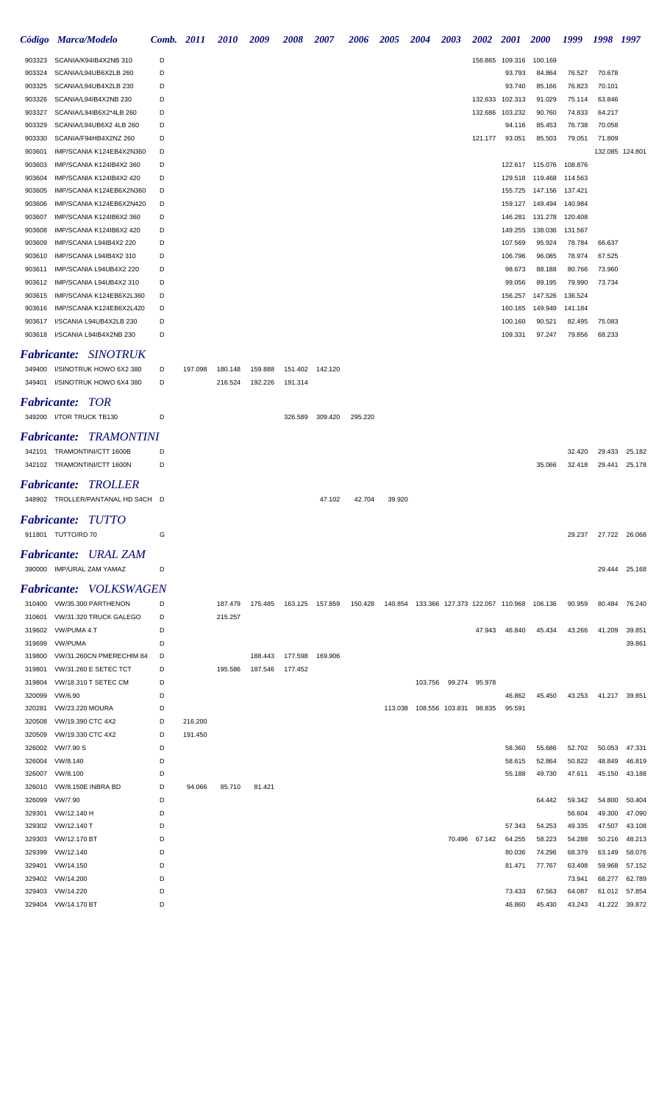|                           | Código Marca/Modelo                                        | Comb.  | <i>2011</i> | <i>2010</i> | 2009    | <b>2008</b>               | <b>2007</b> | 2006    | <b>2005</b>                                                   | <b>2004</b> | <b>2003</b>               | 2002          | <b>2001</b>        | <b>2000</b>        | 1999               | 1998 1997        |                  |
|---------------------------|------------------------------------------------------------|--------|-------------|-------------|---------|---------------------------|-------------|---------|---------------------------------------------------------------|-------------|---------------------------|---------------|--------------------|--------------------|--------------------|------------------|------------------|
| 903323                    | SCANIA/K94IB4X2NB 310                                      | D      |             |             |         |                           |             |         |                                                               |             |                           | 156.865       | 109.316            | 100.169            |                    |                  |                  |
| 903324                    | SCANIA/L94UB6X2LB 260                                      | D      |             |             |         |                           |             |         |                                                               |             |                           |               | 93.793             | 84.864             | 76.527             | 70.678           |                  |
| 903325                    | SCANIA/L94UB4X2LB 230                                      | D      |             |             |         |                           |             |         |                                                               |             |                           |               | 93.740             | 85.166             | 76.823             | 70.101           |                  |
| 903326                    | SCANIA/L94IB4X2NB 230                                      | D      |             |             |         |                           |             |         |                                                               |             |                           |               | 132.633 102.313    | 91.029             | 75.114             | 63.846           |                  |
| 903327                    | SCANIA/L94IB6X2*4LB 260                                    | D      |             |             |         |                           |             |         |                                                               |             |                           | 132.686       | 103.232            | 90.760             | 74.833             | 64.217           |                  |
| 903329                    | SCANIA/L94UB6X2 4LB 260                                    | D      |             |             |         |                           |             |         |                                                               |             |                           |               | 94.116             | 85.453             | 76.738             | 70.058           |                  |
| 903330                    | SCANIA/F94HB4X2NZ 260                                      | D      |             |             |         |                           |             |         |                                                               |             |                           | 121.177       | 93.051             | 85.503             | 79.051             | 71.809           |                  |
| 903601                    | IMP/SCANIA K124EB4X2N360                                   | D      |             |             |         |                           |             |         |                                                               |             |                           |               |                    |                    |                    |                  | 132.085 124.801  |
| 903603                    | IMP/SCANIA K124IB4X2 360                                   | D      |             |             |         |                           |             |         |                                                               |             |                           |               |                    | 122.617 115.076    | 108.876            |                  |                  |
| 903604                    | IMP/SCANIA K124IB4X2 420                                   | D      |             |             |         |                           |             |         |                                                               |             |                           |               | 129.518            | 119.468            | 114.563            |                  |                  |
| 903605                    | IMP/SCANIA K124EB6X2N360                                   | D<br>D |             |             |         |                           |             |         |                                                               |             |                           |               | 155.725            | 147.156            | 137.421            |                  |                  |
| 903606                    | IMP/SCANIA K124EB6X2N420<br>IMP/SCANIA K124IB6X2 360       | D      |             |             |         |                           |             |         |                                                               |             |                           |               | 159.127<br>146.281 | 149.494<br>131.278 | 140.984            |                  |                  |
| 903607<br>903608          | IMP/SCANIA K124IB6X2 420                                   | D      |             |             |         |                           |             |         |                                                               |             |                           |               | 149.255            | 138.036            | 120.408<br>131.567 |                  |                  |
| 903609                    | IMP/SCANIA L94IB4X2 220                                    | D      |             |             |         |                           |             |         |                                                               |             |                           |               | 107.569            | 95.924             | 78.784             | 66.637           |                  |
| 903610                    | IMP/SCANIA L94IB4X2 310                                    | D      |             |             |         |                           |             |         |                                                               |             |                           |               | 106.796            | 96.085             | 78.974             | 67.525           |                  |
| 903611                    | IMP/SCANIA L94UB4X2 220                                    | D      |             |             |         |                           |             |         |                                                               |             |                           |               | 98.673             | 88.188             | 80.766             | 73.960           |                  |
| 903612                    | IMP/SCANIA L94UB4X2 310                                    | D      |             |             |         |                           |             |         |                                                               |             |                           |               | 99.056             | 89.195             | 79.990             | 73.734           |                  |
| 903615                    | IMP/SCANIA K124EB6X2L360                                   | D      |             |             |         |                           |             |         |                                                               |             |                           |               | 156.257            | 147.526            | 136.524            |                  |                  |
| 903616                    | IMP/SCANIA K124EB6X2L420                                   | D      |             |             |         |                           |             |         |                                                               |             |                           |               | 160.165            | 149.949            | 141.184            |                  |                  |
| 903617                    | I/SCANIA L94UB4X2LB 230                                    | D      |             |             |         |                           |             |         |                                                               |             |                           |               | 100.160            | 90.521             | 82.495             | 75.083           |                  |
| 903618                    | I/SCANIA L94IB4X2NB 230                                    | D      |             |             |         |                           |             |         |                                                               |             |                           |               | 109.331            | 97.247             | 79.856             | 68.233           |                  |
|                           |                                                            |        |             |             |         |                           |             |         |                                                               |             |                           |               |                    |                    |                    |                  |                  |
|                           | <b>Fabricante:</b> SINOTRUK                                |        |             |             |         |                           |             |         |                                                               |             |                           |               |                    |                    |                    |                  |                  |
| 349400                    | I/SINOTRUK HOWO 6X2 380                                    | D      | 197.098     | 180.148     | 159.888 | 151.402                   | 142.120     |         |                                                               |             |                           |               |                    |                    |                    |                  |                  |
| 349401                    | I/SINOTRUK HOWO 6X4 380                                    | D      |             | 216.524     | 192.226 | 191.314                   |             |         |                                                               |             |                           |               |                    |                    |                    |                  |                  |
| <i><b>Fabricante:</b></i> | - TOR                                                      |        |             |             |         |                           |             |         |                                                               |             |                           |               |                    |                    |                    |                  |                  |
|                           | 349200 I/TOR TRUCK TB130                                   | D      |             |             |         | 326.589                   | 309.420     | 295.220 |                                                               |             |                           |               |                    |                    |                    |                  |                  |
|                           | <b>Fabricante: TRAMONTINI</b>                              |        |             |             |         |                           |             |         |                                                               |             |                           |               |                    |                    |                    |                  |                  |
|                           |                                                            | D      |             |             |         |                           |             |         |                                                               |             |                           |               |                    |                    | 32.420             |                  | 25.182           |
|                           | 342101 TRAMONTINI/CTT 1600B<br>342102 TRAMONTINI/CTT 1600N | D      |             |             |         |                           |             |         |                                                               |             |                           |               |                    | 35.066             | 32.418             | 29.433<br>29.441 | 25.178           |
|                           |                                                            |        |             |             |         |                           |             |         |                                                               |             |                           |               |                    |                    |                    |                  |                  |
| <b>Fabricante:</b>        | <i><b>TROLLER</b></i>                                      |        |             |             |         |                           |             |         |                                                               |             |                           |               |                    |                    |                    |                  |                  |
|                           | 348902 TROLLER/PANTANAL HD S4CH D                          |        |             |             |         |                           | 47.102      | 42.704  | 39.920                                                        |             |                           |               |                    |                    |                    |                  |                  |
|                           | <b>Fabricante: TUTTO</b>                                   |        |             |             |         |                           |             |         |                                                               |             |                           |               |                    |                    |                    |                  |                  |
|                           | 911801 TUTTO/RD 70                                         | G      |             |             |         |                           |             |         |                                                               |             |                           |               |                    |                    | 29.237             |                  | 27.722 26.068    |
|                           |                                                            |        |             |             |         |                           |             |         |                                                               |             |                           |               |                    |                    |                    |                  |                  |
|                           | <b>Fabricante:</b> URAL ZAM                                |        |             |             |         |                           |             |         |                                                               |             |                           |               |                    |                    |                    |                  |                  |
|                           | 390000 IMP/URAL ZAM YAMAZ                                  | D      |             |             |         |                           |             |         |                                                               |             |                           |               |                    |                    |                    |                  | 29.444 25.168    |
|                           | <b>Fabricante: VOLKSWAGEN</b>                              |        |             |             |         |                           |             |         |                                                               |             |                           |               |                    |                    |                    |                  |                  |
|                           | 310400 VW/35.300 PARTHENON                                 | D      |             | 187.479     | 175.485 | 163.125 157.859           |             |         | 150.428  140.854  133.366  127.373  122.057  110.968  106.136 |             |                           |               |                    |                    | 90.959             |                  | 80.484 76.240    |
|                           | 310601 VW/31.320 TRUCK GALEGO                              | D      |             | 215.257     |         |                           |             |         |                                                               |             |                           |               |                    |                    |                    |                  |                  |
|                           | 319602 VW/PUMA 4.T                                         | D      |             |             |         |                           |             |         |                                                               |             |                           | 47.943        | 46.840             | 45.434             | 43.266             | 41.209           | 39.851           |
| 319699                    | VW/PUMA                                                    | D      |             |             |         |                           |             |         |                                                               |             |                           |               |                    |                    |                    |                  | 39.861           |
| 319800                    | VW/31.260CN PMERECHIM 84                                   | D      |             |             |         | 188.443  177.598  169.906 |             |         |                                                               |             |                           |               |                    |                    |                    |                  |                  |
| 319801                    | VW/31.260 E SETEC TCT                                      | D      |             | 195.586     | 187.546 | 177.452                   |             |         |                                                               |             |                           |               |                    |                    |                    |                  |                  |
| 319804                    | VW/18.310 T SETEC CM                                       | D      |             |             |         |                           |             |         |                                                               |             | 103.756 99.274 95.978     |               |                    |                    |                    |                  |                  |
| 320099                    | VW/6.90                                                    | D      |             |             |         |                           |             |         |                                                               |             |                           |               | 46.862             | 45.450             | 43.253             |                  | 41.217 39.851    |
| 320281                    | VW/23.220 MOURA                                            | D      |             |             |         |                           |             |         |                                                               |             | 113.038  108.556  103.831 | 98.835        | 95.591             |                    |                    |                  |                  |
| 320508                    | VW/19.390 CTC 4X2                                          | D      | 216.200     |             |         |                           |             |         |                                                               |             |                           |               |                    |                    |                    |                  |                  |
| 320509                    | VW/19.330 CTC 4X2                                          | D      | 191.450     |             |         |                           |             |         |                                                               |             |                           |               |                    |                    |                    |                  |                  |
| 326002                    | VW/7.90 S                                                  | D      |             |             |         |                           |             |         |                                                               |             |                           |               | 58.360             | 55.686             | 52.702             |                  | 50.053 47.331    |
| 326004                    | VW/8.140                                                   | D      |             |             |         |                           |             |         |                                                               |             |                           |               | 58.615             | 52.864             | 50.822             | 48.849           | 46.819           |
|                           | 326007 VW/8.100                                            | D      |             |             |         |                           |             |         |                                                               |             |                           |               | 55.188             | 49.730             | 47.611             | 45.150           | 43.188           |
| 326010                    | VW/8.150E INBRA BD                                         | D      | 94.066      | 85.710      | 81.421  |                           |             |         |                                                               |             |                           |               |                    |                    |                    |                  |                  |
| 326099                    | VW/7.90                                                    | D      |             |             |         |                           |             |         |                                                               |             |                           |               |                    | 64.442             | 59.342             | 54.800           | 50.404           |
| 329301                    | VW/12.140 H                                                | D      |             |             |         |                           |             |         |                                                               |             |                           |               |                    |                    | 56.604             | 49.300           | 47.090           |
| 329302                    | VW/12.140 T                                                | D      |             |             |         |                           |             |         |                                                               |             |                           |               | 57.343             | 54.253             | 49.335             | 47.507           | 43.108           |
| 329303                    | VW/12.170 BT                                               | D      |             |             |         |                           |             |         |                                                               |             |                           | 70.496 67.142 | 64.255             | 58.223             | 54.288             | 50.216           | 48.213           |
| 329399                    | VW/12.140                                                  | D      |             |             |         |                           |             |         |                                                               |             |                           |               | 80.036             | 74.296             | 68.379             | 63.149           | 58.076           |
| 329401                    | VW/14.150                                                  | D<br>D |             |             |         |                           |             |         |                                                               |             |                           |               | 81.471             | 77.767             | 63.408             | 59.968           | 57.152           |
| 329402                    | VW/14.200<br>VW/14.220                                     | D      |             |             |         |                           |             |         |                                                               |             |                           |               | 73.433             | 67.563             | 73.941             | 68.277           | 62.789           |
| 329403<br>329404          | VW/14.170 BT                                               | D      |             |             |         |                           |             |         |                                                               |             |                           |               | 46.860             | 45.430             | 64.087<br>43.243   | 61.012<br>41.222 | 57.854<br>39.872 |
|                           |                                                            |        |             |             |         |                           |             |         |                                                               |             |                           |               |                    |                    |                    |                  |                  |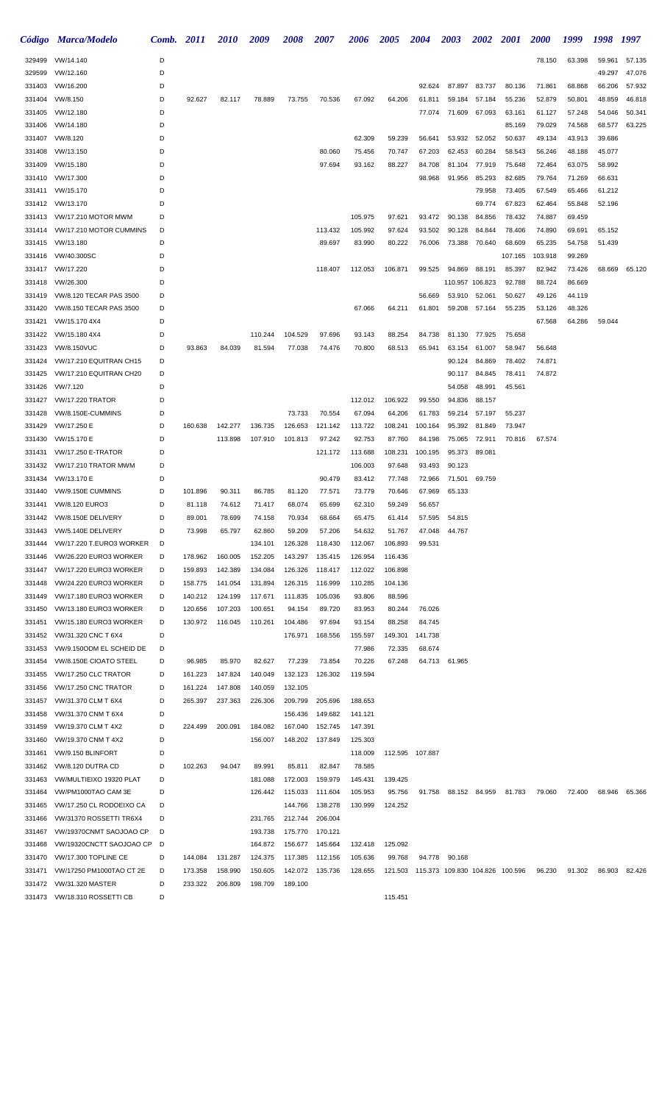|                  | Código Marca/Modelo                          | Comb.  | 2011               | <i>2010</i>        | 2009               | <b>2008</b>        | 2007             | 2006             | <b>2005</b>      | <b>2004</b>                             | 2003             | <b>2002</b>      | <b>2001</b>      | <i>2000</i>      | 1999             | 1998             | 1997   |
|------------------|----------------------------------------------|--------|--------------------|--------------------|--------------------|--------------------|------------------|------------------|------------------|-----------------------------------------|------------------|------------------|------------------|------------------|------------------|------------------|--------|
| 329499           | VW/14.140                                    | D      |                    |                    |                    |                    |                  |                  |                  |                                         |                  |                  |                  | 78.150           | 63.398           | 59.961           | 57.135 |
| 329599           | VW/12.160                                    | D      |                    |                    |                    |                    |                  |                  |                  |                                         |                  |                  |                  |                  |                  | 49.297           | 47.076 |
| 331403           | VW/16.200                                    | D      |                    |                    |                    |                    |                  |                  |                  | 92.624                                  | 87.897           | 83.737           | 80.136           | 71.861           | 68.868           | 66.206           | 57.932 |
| 331404           | VW/8.150                                     | D      | 92.627             | 82.117             | 78.889             | 73.755             | 70.536           | 67.092           | 64.206           | 61.811                                  | 59.184           | 57.184           | 55.236           | 52.879           | 50.801           | 48.859           | 46.818 |
| 331405           | VW/12.180                                    | D      |                    |                    |                    |                    |                  |                  |                  | 77.074                                  | 71.609           | 67.093           | 63.161           | 61.127           | 57.248           | 54.046           | 50.341 |
| 331406           | VW/14.180                                    | D      |                    |                    |                    |                    |                  |                  |                  |                                         |                  |                  | 85.169           | 79.029           | 74.568           | 68.577           | 63.225 |
| 331407<br>331408 | VW/8.120<br>VW/13.150                        | D<br>D |                    |                    |                    |                    | 80.060           | 62.309<br>75.456 | 59.239<br>70.747 | 56.641<br>67.203                        | 53.932<br>62.453 | 52.052<br>60.284 | 50.637<br>58.543 | 49.134<br>56.246 | 43.913<br>48.188 | 39.686<br>45.077 |        |
| 331409           | VW/15.180                                    | D      |                    |                    |                    |                    | 97.694           | 93.162           | 88.227           | 84.708                                  | 81.104           | 77.919           | 75.648           | 72.464           | 63.075           | 58.992           |        |
| 331410           | VW/17.300                                    | D      |                    |                    |                    |                    |                  |                  |                  | 98.968                                  | 91.956           | 85.293           | 82.685           | 79.764           | 71.269           | 66.631           |        |
| 331411           | VW/15.170                                    | D      |                    |                    |                    |                    |                  |                  |                  |                                         |                  | 79.958           | 73.405           | 67.549           | 65.466           | 61.212           |        |
| 331412           | VW/13.170                                    | D      |                    |                    |                    |                    |                  |                  |                  |                                         |                  | 69.774           | 67.823           | 62.464           | 55.848           | 52.196           |        |
| 331413           | VW/17.210 MOTOR MWM                          | D      |                    |                    |                    |                    |                  | 105.975          | 97.621           | 93.472                                  | 90.138           | 84.856           | 78.432           | 74.887           | 69.459           |                  |        |
| 331414           | VW/17.210 MOTOR CUMMINS                      | D      |                    |                    |                    |                    | 113.432          | 105.992          | 97.624           | 93.502                                  | 90.128           | 84.844           | 78.406           | 74.890           | 69.691           | 65.152           |        |
| 331415           | VW/13.180                                    | D      |                    |                    |                    |                    | 89.697           | 83.990           | 80.222           | 76.006                                  | 73.388           | 70.640           | 68.609           | 65.235           | 54.758           | 51.439           |        |
| 331416           | VW/40.300SC                                  | D      |                    |                    |                    |                    |                  |                  |                  |                                         |                  |                  | 107.165          | 103.918          | 99.269           |                  |        |
|                  | 331417 VW/17.220                             | D      |                    |                    |                    |                    | 118.407          | 112.053          | 106.871          | 99.525                                  | 94.869           | 88.191           | 85.397           | 82.942           | 73.426           | 68.669           | 65.120 |
| 331418           | VW/26.300                                    | D      |                    |                    |                    |                    |                  |                  |                  |                                         |                  | 110.957 106.823  | 92.788           | 88.724           | 86.669           |                  |        |
| 331419           | VW/8.120 TECAR PAS 3500                      | D      |                    |                    |                    |                    |                  |                  |                  | 56.669                                  | 53.910           | 52.061           | 50.627           | 49.126           | 44.119           |                  |        |
| 331420           | VW/8.150 TECAR PAS 3500                      | D      |                    |                    |                    |                    |                  | 67.066           | 64.211           | 61.801                                  | 59.208           | 57.164           | 55.235           | 53.126           | 48.326           |                  |        |
| 331421           | VW/15.170 4X4                                | D      |                    |                    |                    |                    |                  |                  |                  |                                         |                  |                  |                  | 67.568           | 64.286           | 59.044           |        |
| 331422<br>331423 | VW/15.180 4X4<br><b>VW/8.150VUC</b>          | D<br>D | 93.863             | 84.039             | 110.244<br>81.594  | 104.529<br>77.038  | 97.696<br>74.476 | 93.143<br>70.800 | 88.254<br>68.513 | 84.738<br>65.941                        | 81.130<br>63.154 | 77.925<br>61.007 | 75.658<br>58.947 | 56.648           |                  |                  |        |
| 331424           | VW/17.210 EQUITRAN CH15                      | D      |                    |                    |                    |                    |                  |                  |                  |                                         | 90.124           | 84.869           | 78.402           | 74.871           |                  |                  |        |
| 331425           | VW/17.210 EQUITRAN CH20                      | D      |                    |                    |                    |                    |                  |                  |                  |                                         | 90.117           | 84.845           | 78.411           | 74.872           |                  |                  |        |
| 331426           | VW/7.120                                     | D      |                    |                    |                    |                    |                  |                  |                  |                                         | 54.058           | 48.991           | 45.561           |                  |                  |                  |        |
| 331427           | <b>VW/17.220 TRATOR</b>                      | D      |                    |                    |                    |                    |                  | 112.012          | 106.922          | 99.550                                  | 94.836           | 88.157           |                  |                  |                  |                  |        |
| 331428           | VW/8.150E-CUMMINS                            | D      |                    |                    |                    | 73.733             | 70.554           | 67.094           | 64.206           | 61.783                                  | 59.214           | 57.197           | 55.237           |                  |                  |                  |        |
| 331429           | VW/17.250 E                                  | D      | 160.638            | 142.277            | 136.735            | 126.653            | 121.142          | 113.722          | 108.241          | 100.164                                 | 95.392           | 81.849           | 73.947           |                  |                  |                  |        |
| 331430           | VW/15.170 E                                  | D      |                    | 113.898            | 107.910            | 101.813            | 97.242           | 92.753           | 87.760           | 84.198                                  | 75.065           | 72.911           | 70.816           | 67.574           |                  |                  |        |
| 331431           | <b>VW/17.250 E-TRATOR</b>                    | D      |                    |                    |                    |                    | 121.172          | 113.688          | 108.231          | 100.195                                 | 95.373           | 89.081           |                  |                  |                  |                  |        |
| 331432           | VW/17.210 TRATOR MWM                         | D      |                    |                    |                    |                    |                  | 106.003          | 97.648           | 93.493                                  | 90.123           |                  |                  |                  |                  |                  |        |
| 331434           | VW/13.170 E                                  | D      |                    |                    |                    |                    | 90.479           | 83.412           | 77.748           | 72.966                                  | 71.501           | 69.759           |                  |                  |                  |                  |        |
| 331440           | VW/9.150E CUMMINS                            | D      | 101.896            | 90.311             | 86.785             | 81.120             | 77.571           | 73.779           | 70.646           | 67.969                                  | 65.133           |                  |                  |                  |                  |                  |        |
| 331441           | VW/8.120 EURO3<br>331442 VW/8.150E DELIVERY  | D      | 81.118             | 74.612             | 71.417             | 68.074             | 65.699           | 62.310           | 59.249           | 56.657                                  |                  |                  |                  |                  |                  |                  |        |
| 331443           | VW/5.140E DELIVERY                           | D<br>D | 89.001<br>73.998   | 78.699<br>65.797   | 74.158<br>62.860   | 70.934<br>59.209   | 68.664<br>57.206 | 65.475<br>54.632 | 61.414<br>51.767 | 57.595<br>47.048                        | 54.815<br>44.767 |                  |                  |                  |                  |                  |        |
| 331444           | VW/17.220 T.EURO3 WORKER                     | D      |                    |                    | 134.101            | 126.328            | 118.430          | 112.067          | 106.893          | 99.531                                  |                  |                  |                  |                  |                  |                  |        |
| 331446           | VW/26.220 EURO3 WORKER                       | D      | 178.962            | 160.005            | 152.205            | 143.297            | 135.415          | 126.954          | 116.436          |                                         |                  |                  |                  |                  |                  |                  |        |
| 331447           | VW/17.220 EURO3 WORKER                       | D      | 159.893            | 142.389            | 134.084            | 126.326            | 118.417          | 112.022          | 106.898          |                                         |                  |                  |                  |                  |                  |                  |        |
| 331448           | VW/24.220 EURO3 WORKER                       | D      | 158.775            | 141.054            | 131.894            | 126.315            | 116.999          | 110.285          | 104.136          |                                         |                  |                  |                  |                  |                  |                  |        |
| 331449           | VW/17.180 EURO3 WORKER                       | D      | 140.212            | 124.199            | 117.671            | 111.835            | 105.036          | 93.806           | 88.596           |                                         |                  |                  |                  |                  |                  |                  |        |
| 331450           | VW/13.180 EURO3 WORKER                       | D      | 120.656            | 107.203            | 100.651            | 94.154             | 89.720           | 83.953           | 80.244           | 76.026                                  |                  |                  |                  |                  |                  |                  |        |
| 331451           | VW/15.180 EURO3 WORKER                       | D      | 130.972            | 116.045            | 110.261            | 104.486            | 97.694           | 93.154           | 88.258           | 84.745                                  |                  |                  |                  |                  |                  |                  |        |
| 331452           | VW/31.320 CNC T 6X4                          | D      |                    |                    |                    | 176.971            | 168.556          | 155.597          | 149.301          | 141.738                                 |                  |                  |                  |                  |                  |                  |        |
| 331453           | VW/9.150ODM EL SCHEID DE                     | D      |                    |                    |                    |                    |                  | 77.986           | 72.335           | 68.674                                  |                  |                  |                  |                  |                  |                  |        |
| 331454           | VW/8.150E CIOATO STEEL                       | D      | 96.985             | 85.970             | 82.627             | 77.239             | 73.854           | 70.226           | 67.248           | 64.713                                  | 61.965           |                  |                  |                  |                  |                  |        |
| 331455<br>331456 | VW/17.250 CLC TRATOR<br>VW/17.250 CNC TRATOR | D<br>D | 161.223<br>161.224 | 147.824<br>147.808 | 140.049<br>140.059 | 132.123<br>132.105 | 126.302          | 119.594          |                  |                                         |                  |                  |                  |                  |                  |                  |        |
| 331457           | VW/31.370 CLM T 6X4                          | D      | 265.397            | 237.363            | 226.306            | 209.799            | 205.696          | 188.653          |                  |                                         |                  |                  |                  |                  |                  |                  |        |
| 331458           | VW/31.370 CNM T 6X4                          | D      |                    |                    |                    | 156.436            | 149.682          | 141.121          |                  |                                         |                  |                  |                  |                  |                  |                  |        |
| 331459           | VW/19.370 CLM T 4X2                          | D      | 224.499            | 200.091            | 184.082            | 167.040            | 152.745          | 147.391          |                  |                                         |                  |                  |                  |                  |                  |                  |        |
| 331460           | VW/19.370 CNM T 4X2                          | D      |                    |                    | 156.007            | 148.202            | 137.849          | 125.303          |                  |                                         |                  |                  |                  |                  |                  |                  |        |
| 331461           | VW/9.150 BLINFORT                            | D      |                    |                    |                    |                    |                  | 118.009          |                  | 112.595 107.887                         |                  |                  |                  |                  |                  |                  |        |
| 331462           | VW/8.120 DUTRA CD                            | D      | 102.263            | 94.047             | 89.991             | 85.811             | 82.847           | 78.585           |                  |                                         |                  |                  |                  |                  |                  |                  |        |
| 331463           | VW/MULTIEIXO 19320 PLAT                      | D      |                    |                    | 181.088            | 172.003            | 159.979          | 145.431          | 139.425          |                                         |                  |                  |                  |                  |                  |                  |        |
| 331464           | VW/PM1000TAO CAM 3E                          | D      |                    |                    | 126.442            | 115.033            | 111.604          | 105.953          | 95.756           | 91.758                                  |                  | 88.152 84.959    | 81.783           | 79.060           | 72.400           | 68.946           | 65.366 |
| 331465           | VW/17.250 CL RODOEIXO CA                     | D      |                    |                    |                    | 144.766            | 138.278          | 130.999          | 124.252          |                                         |                  |                  |                  |                  |                  |                  |        |
| 331466           | VW/31370 ROSSETTI TR6X4                      | D      |                    |                    | 231.765            | 212.744            | 206.004          |                  |                  |                                         |                  |                  |                  |                  |                  |                  |        |
| 331467           | VW/19370CNMT SAOJOAO CP                      | D      |                    |                    | 193.738            | 175.770            | 170.121          |                  |                  |                                         |                  |                  |                  |                  |                  |                  |        |
| 331468           | VW/19320CNCTT SAOJOAO CP                     | D      |                    |                    | 164.872            | 156.677            | 145.664          | 132.418          | 125.092          |                                         |                  |                  |                  |                  |                  |                  |        |
| 331470<br>331471 | VW/17.300 TOPLINE CE                         | D<br>D | 144.084            | 131.287            | 124.375            | 117.385            | 112.156          | 105.636          | 99.768           | 94.778                                  | 90.168           |                  |                  | 96.230           | 91.302           | 86.903           | 82.426 |
| 331472           | VW/17250 PM1000TAO CT 2E<br>VW/31.320 MASTER | D      | 173.358<br>233.322 | 158.990<br>206.809 | 150.605<br>198.709 | 142.072<br>189.100 | 135.736          | 128.655          |                  | 121.503 115.373 109.830 104.826 100.596 |                  |                  |                  |                  |                  |                  |        |
|                  | 331473 VW/18.310 ROSSETTI CB                 | D      |                    |                    |                    |                    |                  |                  | 115.451          |                                         |                  |                  |                  |                  |                  |                  |        |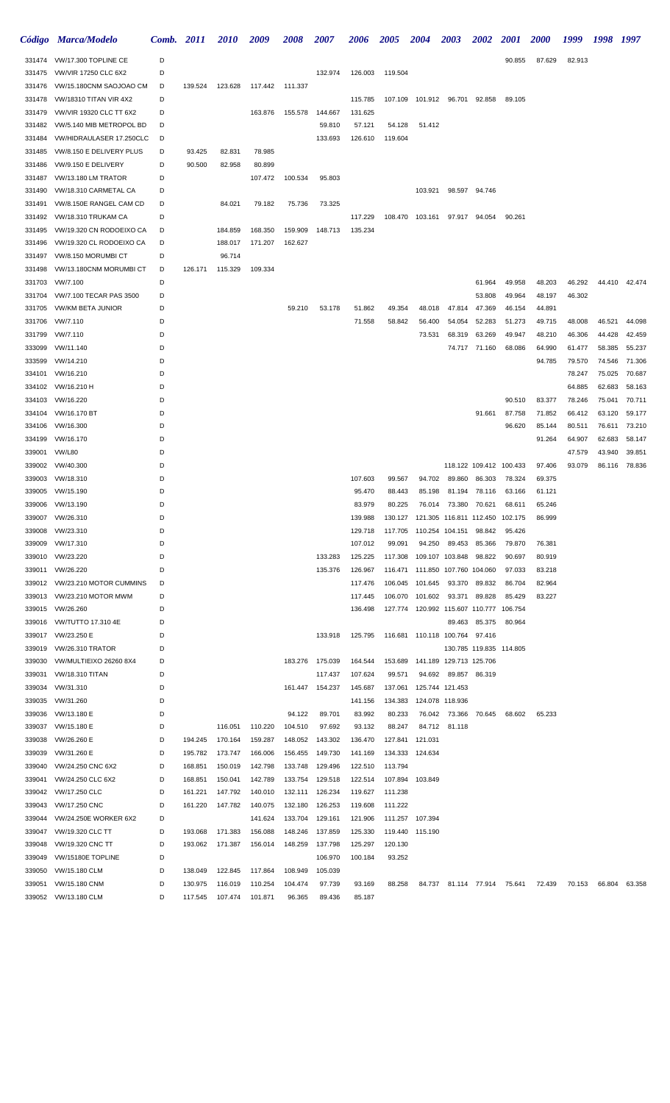|                  | Código Marca/Modelo                           | Comb.  | 2011    | <i>2010</i> | 2009    | <b>2008</b> | <b>2007</b>     | 2006    | <b>2005</b> | <b>2004</b>                                 | <b>2003</b>                 | <b>2002</b>             | <i>2001</i> | <b>2000</b> | 1999   | 1998   | 1997          |
|------------------|-----------------------------------------------|--------|---------|-------------|---------|-------------|-----------------|---------|-------------|---------------------------------------------|-----------------------------|-------------------------|-------------|-------------|--------|--------|---------------|
|                  | 331474 VW/17.300 TOPLINE CE                   | D      |         |             |         |             |                 |         |             |                                             |                             |                         | 90.855      | 87.629      | 82.913 |        |               |
| 331475           | <b>VW/VIR 17250 CLC 6X2</b>                   | D      |         |             |         |             | 132.974         | 126.003 | 119.504     |                                             |                             |                         |             |             |        |        |               |
| 331476           | VW/15.180CNM SAOJOAO CM                       | D      | 139.524 | 123.628     | 117.442 | 111.337     |                 |         |             |                                             |                             |                         |             |             |        |        |               |
| 331478           | <b>VW/18310 TITAN VIR 4X2</b>                 | D      |         |             |         |             |                 | 115.785 |             | 107.109  101.912  96.701  92.858            |                             |                         | 89.105      |             |        |        |               |
| 331479           | <b>VW/VIR 19320 CLC TT 6X2</b>                | D      |         |             | 163.876 | 155.578     | 144.667         | 131.625 |             |                                             |                             |                         |             |             |        |        |               |
| 331482           | VW/5.140 MIB METROPOL BD                      | D      |         |             |         |             | 59.810          | 57.121  | 54.128      | 51.412                                      |                             |                         |             |             |        |        |               |
| 331484           | VW/HIDRAULASER 17.250CLC                      | D      |         |             |         |             | 133.693         | 126.610 | 119.604     |                                             |                             |                         |             |             |        |        |               |
| 331485           | VW/8.150 E DELIVERY PLUS                      | D      | 93.425  | 82.831      | 78.985  |             |                 |         |             |                                             |                             |                         |             |             |        |        |               |
| 331486           | VW/9.150 E DELIVERY                           | D      | 90.500  | 82.958      | 80.899  |             |                 |         |             |                                             |                             |                         |             |             |        |        |               |
| 331487           | VW/13.180 LM TRATOR                           | D      |         |             | 107.472 | 100.534     | 95.803          |         |             |                                             |                             |                         |             |             |        |        |               |
| 331490           | VW/18.310 CARMETAL CA                         | D      |         |             |         |             |                 |         |             | 103.921                                     | 98.597                      | 94.746                  |             |             |        |        |               |
| 331491           | VW/8.150E RANGEL CAM CD                       | D      |         | 84.021      | 79.182  | 75.736      | 73.325          |         |             |                                             |                             |                         |             |             |        |        |               |
| 331492           | VW/18.310 TRUKAM CA                           | D      |         |             |         |             |                 | 117.229 | 108.470     | 103.161                                     | 97.917                      | 94.054                  | 90.261      |             |        |        |               |
| 331495           | VW/19.320 CN RODOEIXO CA                      | D      |         | 184.859     | 168.350 | 159.909     | 148.713         | 135.234 |             |                                             |                             |                         |             |             |        |        |               |
| 331496           | VW/19.320 CL RODOEIXO CA                      | D      |         | 188.017     | 171.207 | 162.627     |                 |         |             |                                             |                             |                         |             |             |        |        |               |
| 331497           | VW/8.150 MORUMBI CT                           | D      |         | 96.714      |         |             |                 |         |             |                                             |                             |                         |             |             |        |        |               |
| 331498<br>331703 | VW/13.180CNM MORUMBI CT<br>VW/7.100           | D<br>D | 126.171 | 115.329     | 109.334 |             |                 |         |             |                                             |                             | 61.964                  | 49.958      | 48.203      | 46.292 |        |               |
| 331704           | VW/7.100 TECAR PAS 3500                       | D      |         |             |         |             |                 |         |             |                                             |                             | 53.808                  | 49.964      | 48.197      | 46.302 |        | 44.410 42.474 |
| 331705           | VW/KM BETA JUNIOR                             | D      |         |             |         | 59.210      | 53.178          | 51.862  | 49.354      | 48.018                                      | 47.814                      | 47.369                  | 46.154      | 44.891      |        |        |               |
|                  | 331706 VW/7.110                               | D      |         |             |         |             |                 | 71.558  | 58.842      | 56.400                                      | 54.054                      | 52.283                  | 51.273      | 49.715      | 48.008 | 46.521 | 44.098        |
|                  | 331799 VW/7.110                               | D      |         |             |         |             |                 |         |             | 73.531                                      | 68.319                      | 63.269                  | 49.947      | 48.210      | 46.306 | 44.428 | 42.459        |
| 333099           | VW/11.140                                     | D      |         |             |         |             |                 |         |             |                                             |                             | 74.717 71.160           | 68.086      | 64.990      | 61.477 | 58.385 | 55.237        |
| 333599           | VW/14.210                                     | D      |         |             |         |             |                 |         |             |                                             |                             |                         |             | 94.785      | 79.570 | 74.546 | 71.306        |
|                  | 334101 VW/16.210                              | D      |         |             |         |             |                 |         |             |                                             |                             |                         |             |             | 78.247 | 75.025 | 70.687        |
|                  | 334102 VW/16.210 H                            | D      |         |             |         |             |                 |         |             |                                             |                             |                         |             |             | 64.885 | 62.683 | 58.163        |
|                  | 334103 VW/16.220                              | D      |         |             |         |             |                 |         |             |                                             |                             |                         | 90.510      | 83.377      | 78.246 | 75.041 | 70.711        |
| 334104           | VW/16.170 BT                                  | D      |         |             |         |             |                 |         |             |                                             |                             | 91.661                  | 87.758      | 71.852      | 66.412 | 63.120 | 59.177        |
|                  | 334106 VW/16.300                              | D      |         |             |         |             |                 |         |             |                                             |                             |                         | 96.620      | 85.144      | 80.511 | 76.611 | 73.210        |
| 334199           | VW/16.170                                     | D      |         |             |         |             |                 |         |             |                                             |                             |                         |             | 91.264      | 64.907 | 62.683 | 58.147        |
| 339001           | <b>VW/L80</b>                                 | D      |         |             |         |             |                 |         |             |                                             |                             |                         |             |             | 47.579 | 43.940 | 39.851        |
| 339002           | VW/40.300                                     | D      |         |             |         |             |                 |         |             |                                             |                             | 118.122 109.412 100.433 |             | 97.406      | 93.079 | 86.116 | 78.836        |
| 339003           | VW/18.310                                     | D      |         |             |         |             |                 | 107.603 | 99.567      | 94.702                                      | 89.860                      | 86.303                  | 78.324      | 69.375      |        |        |               |
| 339005           | VW/15.190                                     | D      |         |             |         |             |                 | 95.470  | 88.443      | 85.198                                      | 81.194                      | 78.116                  | 63.166      | 61.121      |        |        |               |
| 339006           | VW/13.190                                     | D      |         |             |         |             |                 | 83.979  | 80.225      | 76.014                                      | 73.380                      | 70.621                  | 68.611      | 65.246      |        |        |               |
|                  | 339007 VW/26.310                              | D      |         |             |         |             |                 | 139.988 |             | 130.127  121.305  116.811  112.450  102.175 |                             |                         |             | 86.999      |        |        |               |
|                  | 339008 VW/23.310                              | D      |         |             |         |             |                 | 129.718 |             |                                             |                             | 98.842                  | 95.426      |             |        |        |               |
| 339009           | VW/17.310                                     | D      |         |             |         |             |                 | 107.012 | 99.091      | 94.250                                      | 89.453                      | 85.366                  | 79.870      | 76.381      |        |        |               |
| 339010           | VW/23.220                                     | D      |         |             |         |             | 133.283         | 125.225 |             | 117.308 109.107 103.848                     |                             | 98.822                  | 90.697      | 80.919      |        |        |               |
| 339011           | VW/26.220                                     | D      |         |             |         |             | 135.376         | 126.967 |             | 116.471 111.850 107.760 104.060             |                             |                         | 97.033      | 83.218      |        |        |               |
| 339012           | VW/23.210 MOTOR CUMMINS                       | D      |         |             |         |             |                 | 117.476 |             | 106.045 101.645                             | 93.370                      | 89.832                  | 86.704      | 82.964      |        |        |               |
| 339013           | VW/23.210 MOTOR MWM                           | D      |         |             |         |             |                 | 117.445 |             | 106.070 101.602                             | 93.371                      | 89.828                  | 85.429      | 83.227      |        |        |               |
| 339015           | VW/26.260                                     | D      |         |             |         |             |                 | 136.498 |             | 127.774 120.992 115.607 110.777 106.754     |                             |                         |             |             |        |        |               |
| 339016           | VW/TUTTO 17.310 4E                            | D      |         |             |         |             |                 |         |             |                                             |                             | 89.463 85.375           | 80.964      |             |        |        |               |
| 339019           | 339017 VW/23.250 E<br><b>VW/26.310 TRATOR</b> | Ð<br>D |         |             |         |             | 133.918         | 125.795 |             | 116.681  110.118  100.764  97.416           |                             | 130.785 119.835 114.805 |             |             |        |        |               |
| 339030           | VW/MULTIEIXO 26260 8X4                        | D      |         |             |         |             | 183.276 175.039 | 164.544 |             | 153.689  141.189  129.713  125.706          |                             |                         |             |             |        |        |               |
| 339031           | VW/18.310 TITAN                               | D      |         |             |         |             | 117.437         | 107.624 | 99.571      | 94.692                                      |                             | 89.857 86.319           |             |             |        |        |               |
| 339034           | VW/31.310                                     | D      |         |             |         |             | 161.447 154.237 | 145.687 |             | 137.061  125.744  121.453                   |                             |                         |             |             |        |        |               |
| 339035           | VW/31.260                                     | D      |         |             |         |             |                 | 141.156 | 134.383     | 124.078 118.936                             |                             |                         |             |             |        |        |               |
| 339036           | VW/13.180 E                                   | D      |         |             |         | 94.122      | 89.701          | 83.992  | 80.233      |                                             | 76.042 73.366               | 70.645                  | 68.602      | 65.233      |        |        |               |
| 339037           | VW/15.180 E                                   | D      |         | 116.051     | 110.220 | 104.510     | 97.692          | 93.132  | 88.247      | 84.712                                      | 81.118                      |                         |             |             |        |        |               |
| 339038           | VW/26.260 E                                   | D      | 194.245 | 170.164     | 159.287 | 148.052     | 143.302         | 136.470 |             | 127.841 121.031                             |                             |                         |             |             |        |        |               |
| 339039           | VW/31.260 E                                   | D      | 195.782 | 173.747     | 166.006 | 156.455     | 149.730         | 141.169 |             | 134.333 124.634                             |                             |                         |             |             |        |        |               |
| 339040           | VW/24.250 CNC 6X2                             | D      | 168.851 | 150.019     | 142.798 | 133.748     | 129.496         | 122.510 | 113.794     |                                             |                             |                         |             |             |        |        |               |
| 339041           | VW/24.250 CLC 6X2                             | D      | 168.851 | 150.041     | 142.789 | 133.754     | 129.518         | 122.514 |             | 107.894 103.849                             |                             |                         |             |             |        |        |               |
| 339042           | VW/17.250 CLC                                 | D      | 161.221 | 147.792     | 140.010 | 132.111     | 126.234         | 119.627 | 111.238     |                                             |                             |                         |             |             |        |        |               |
| 339043           | VW/17.250 CNC                                 | D      | 161.220 | 147.782     | 140.075 | 132.180     | 126.253         | 119.608 | 111.222     |                                             |                             |                         |             |             |        |        |               |
| 339044           | VW/24.250E WORKER 6X2                         | D      |         |             | 141.624 | 133.704     | 129.161         | 121.906 |             | 111.257 107.394                             |                             |                         |             |             |        |        |               |
| 339047           | VW/19.320 CLC TT                              | D      | 193.068 | 171.383     | 156.088 | 148.246     | 137.859         | 125.330 |             | 119.440 115.190                             |                             |                         |             |             |        |        |               |
| 339048           | VW/19.320 CNC TT                              | D      | 193.062 | 171.387     | 156.014 | 148.259     | 137.798         | 125.297 | 120.130     |                                             |                             |                         |             |             |        |        |               |
| 339049           | VW/15180E TOPLINE                             | D      |         |             |         |             | 106.970         | 100.184 | 93.252      |                                             |                             |                         |             |             |        |        |               |
| 339050           | VW/15.180 CLM                                 | D      | 138.049 | 122.845     | 117.864 | 108.949     | 105.039         |         |             |                                             |                             |                         |             |             |        |        |               |
| 339051           | VW/15.180 CNM                                 | D      | 130.975 | 116.019     | 110.254 | 104.474     | 97.739          | 93.169  | 88.258      |                                             | 84.737 81.114 77.914 75.641 |                         |             | 72.439      | 70.153 | 66.804 | 63.358        |
|                  | 339052 VW/13.180 CLM                          | D      | 117.545 | 107.474     | 101.871 | 96.365      | 89.436          | 85.187  |             |                                             |                             |                         |             |             |        |        |               |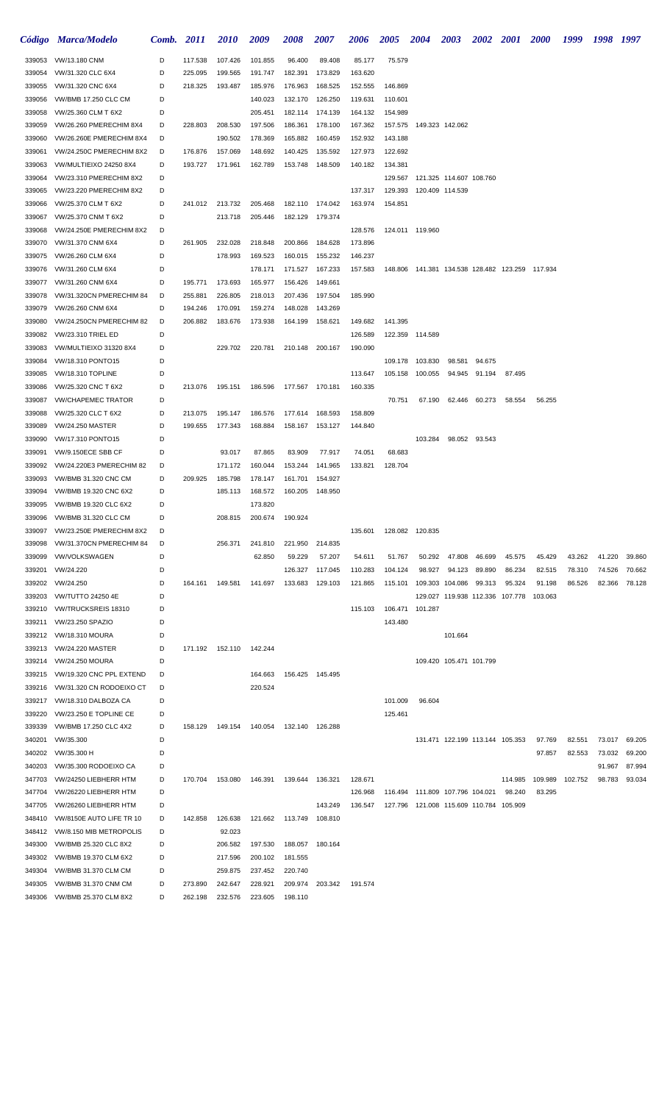|                  | Código Marca/Modelo                                     | Comb. 2011 |         | <i>2010</i>       | 2009               | 2008            | <i><b>2007</b></i> | 2006               | <b>2005</b>        | <b>2004</b>                             | <b>2003</b>                                | <b>2002</b>   | <b>2001</b> | <b>2000</b>                                          | 1999    | 1998 1997 |        |
|------------------|---------------------------------------------------------|------------|---------|-------------------|--------------------|-----------------|--------------------|--------------------|--------------------|-----------------------------------------|--------------------------------------------|---------------|-------------|------------------------------------------------------|---------|-----------|--------|
| 339053           | VW/13.180 CNM                                           | D          | 117.538 | 107.426           | 101.855            | 96.400          | 89.408             | 85.177             | 75.579             |                                         |                                            |               |             |                                                      |         |           |        |
| 339054           | VW/31.320 CLC 6X4                                       | D          | 225.095 | 199.565           | 191.747            | 182.391         | 173.829            | 163.620            |                    |                                         |                                            |               |             |                                                      |         |           |        |
| 339055           | VW/31.320 CNC 6X4                                       | D          | 218.325 | 193.487           | 185.976            | 176.963         | 168.525            | 152.555            | 146.869            |                                         |                                            |               |             |                                                      |         |           |        |
| 339056           | VW/BMB 17.250 CLC CM                                    | D          |         |                   | 140.023            | 132.170         | 126.250            | 119.631            | 110.601            |                                         |                                            |               |             |                                                      |         |           |        |
| 339058           | VW/25.360 CLM T 6X2                                     | D          |         |                   | 205.451            | 182.114         | 174.139            | 164.132            | 154.989            |                                         |                                            |               |             |                                                      |         |           |        |
| 339059           | VW/26.260 PMERECHIM 8X4                                 | D          | 228.803 | 208.530           | 197.506            | 186.361         | 178.100            | 167.362            | 157.575            |                                         | 149.323 142.062                            |               |             |                                                      |         |           |        |
| 339060           | VW/26.260E PMERECHIM 8X4                                | D          |         | 190.502           | 178.369            | 165.882         | 160.459            | 152.932            | 143.188            |                                         |                                            |               |             |                                                      |         |           |        |
| 339061           | VW/24.250C PMERECHIM 8X2                                | D          | 176.876 | 157.069           | 148.692            | 140.425         | 135.592            | 127.973            | 122.692            |                                         |                                            |               |             |                                                      |         |           |        |
| 339063<br>339064 | VW/MULTIEIXO 24250 8X4                                  | D<br>D     | 193.727 | 171.961           | 162.789            | 153.748         | 148.509            | 140.182            | 134.381            |                                         |                                            |               |             |                                                      |         |           |        |
| 339065           | VW/23.310 PMERECHIM 8X2<br>VW/23.220 PMERECHIM 8X2      | D          |         |                   |                    |                 |                    | 137.317            | 129.567<br>129.393 |                                         | 121.325 114.607 108.760<br>120.409 114.539 |               |             |                                                      |         |           |        |
| 339066           | VW/25.370 CLM T 6X2                                     | D          | 241.012 | 213.732           | 205.468            | 182.110         | 174.042            | 163.974            | 154.851            |                                         |                                            |               |             |                                                      |         |           |        |
| 339067           | VW/25.370 CNM T 6X2                                     | D          |         | 213.718           | 205.446            | 182.129         | 179.374            |                    |                    |                                         |                                            |               |             |                                                      |         |           |        |
| 339068           | VW/24.250E PMERECHIM 8X2                                | D          |         |                   |                    |                 |                    | 128.576            |                    | 124.011 119.960                         |                                            |               |             |                                                      |         |           |        |
| 339070           | VW/31.370 CNM 6X4                                       | D          | 261.905 | 232.028           | 218.848            | 200.866         | 184.628            | 173.896            |                    |                                         |                                            |               |             |                                                      |         |           |        |
| 339075           | VW/26.260 CLM 6X4                                       | D          |         | 178.993           | 169.523            | 160.015         | 155.232            | 146.237            |                    |                                         |                                            |               |             |                                                      |         |           |        |
| 339076           | VW/31.260 CLM 6X4                                       | D          |         |                   | 178.171            | 171.527         | 167.233            | 157.583            |                    |                                         |                                            |               |             | 148.806  141.381  134.538  128.482  123.259  117.934 |         |           |        |
| 339077           | VW/31.260 CNM 6X4                                       | D          | 195.771 | 173.693           | 165.977            | 156.426         | 149.661            |                    |                    |                                         |                                            |               |             |                                                      |         |           |        |
| 339078           | VW/31.320CN PMERECHIM 84                                | D          | 255.881 | 226.805           | 218.013            | 207.436         | 197.504            | 185.990            |                    |                                         |                                            |               |             |                                                      |         |           |        |
| 339079           | VW/26.260 CNM 6X4                                       | D          | 194.246 | 170.091           | 159.274            | 148.028         | 143.269            |                    |                    |                                         |                                            |               |             |                                                      |         |           |        |
| 339080           | VW/24.250CN PMERECHIM 82                                | D          | 206.882 | 183.676           | 173.938            | 164.199         | 158.621            | 149.682            | 141.395            |                                         |                                            |               |             |                                                      |         |           |        |
| 339082<br>339083 | <b>VW/23.310 TRIEL ED</b><br>VW/MULTIEIXO 31320 8X4     | D<br>D     |         | 229.702           | 220.781            | 210.148         | 200.167            | 126.589<br>190.090 |                    | 122.359 114.589                         |                                            |               |             |                                                      |         |           |        |
| 339084           | VW/18.310 PONTO15                                       | D          |         |                   |                    |                 |                    |                    | 109.178            | 103.830                                 | 98.581                                     | 94.675        |             |                                                      |         |           |        |
| 339085           | VW/18.310 TOPLINE                                       | D          |         |                   |                    |                 |                    | 113.647            | 105.158            | 100.055                                 | 94.945                                     | 91.194        | 87.495      |                                                      |         |           |        |
| 339086           | VW/25.320 CNC T 6X2                                     | D          | 213.076 | 195.151           | 186.596            | 177.567 170.181 |                    | 160.335            |                    |                                         |                                            |               |             |                                                      |         |           |        |
| 339087           | <b>VW/CHAPEMEC TRATOR</b>                               | D          |         |                   |                    |                 |                    |                    | 70.751             | 67.190                                  | 62.446                                     | 60.273        | 58.554      | 56.255                                               |         |           |        |
| 339088           | VW/25.320 CLC T 6X2                                     | D          | 213.075 | 195.147           | 186.576            | 177.614         | 168.593            | 158.809            |                    |                                         |                                            |               |             |                                                      |         |           |        |
| 339089           | <b>VW/24.250 MASTER</b>                                 | D          | 199.655 | 177.343           | 168.884            | 158.167         | 153.127            | 144.840            |                    |                                         |                                            |               |             |                                                      |         |           |        |
| 339090           | VW/17.310 PONTO15                                       | D          |         |                   |                    |                 |                    |                    |                    | 103.284                                 |                                            | 98.052 93.543 |             |                                                      |         |           |        |
| 339091           | <b>VW/9.150ECE SBB CF</b>                               | D          |         | 93.017            | 87.865             | 83.909          | 77.917             | 74.051             | 68.683             |                                         |                                            |               |             |                                                      |         |           |        |
| 339092           | VW/24.220E3 PMERECHIM 82                                | D          |         | 171.172           | 160.044            | 153.244         | 141.965            | 133.821            | 128.704            |                                         |                                            |               |             |                                                      |         |           |        |
| 339093           | VW/BMB 31.320 CNC CM                                    | D          | 209.925 | 185.798           | 178.147            | 161.701         | 154.927            |                    |                    |                                         |                                            |               |             |                                                      |         |           |        |
| 339094           | VW/BMB 19.320 CNC 6X2                                   | D          |         | 185.113           | 168.572            | 160.205         | 148.950            |                    |                    |                                         |                                            |               |             |                                                      |         |           |        |
| 339095           | VW/BMB 19.320 CLC 6X2<br>VW/BMB 31.320 CLC CM           | D<br>D     |         |                   | 173.820<br>200.674 |                 |                    |                    |                    |                                         |                                            |               |             |                                                      |         |           |        |
| 339096<br>339097 | VW/23.250E PMERECHIM 8X2                                | D          |         | 208.815           |                    | 190.924         |                    | 135.601            |                    | 128.082 120.835                         |                                            |               |             |                                                      |         |           |        |
| 339098           | VW/31.370CN PMERECHIM 84                                | D          |         | 256.371           | 241.810            | 221.950         | 214.835            |                    |                    |                                         |                                            |               |             |                                                      |         |           |        |
| 339099           | <b>VW/VOLKSWAGEN</b>                                    | D          |         |                   | 62.850             | 59.229          | 57.207             | 54.611             | 51.767             | 50.292                                  | 47.808                                     | 46.699        | 45.575      | 45.429                                               | 43.262  | 41.220    | 39.860 |
| 339201           | VW/24.220                                               | D          |         |                   |                    | 126.327         | 117.045            | 110.283            | 104.124            | 98.927                                  | 94.123                                     | 89.890        | 86.234      | 82.515                                               | 78.310  | 74.526    | 70.662 |
| 339202           | VW/24.250                                               | D          | 164.161 | 149.581           | 141.697            | 133.683         | 129.103            | 121.865            | 115.101            |                                         | 109.303 104.086                            | 99.313        | 95.324      | 91.198                                               | 86.526  | 82.366    | 78.128 |
| 339203           | <b>VW/TUTTO 24250 4E</b>                                | D          |         |                   |                    |                 |                    |                    |                    |                                         | 129.027 119.938 112.336 107.778            |               |             | 103.063                                              |         |           |        |
| 339210           | VW/TRUCKSREIS 18310                                     | D          |         |                   |                    |                 |                    | 115.103            |                    | 106.471 101.287                         |                                            |               |             |                                                      |         |           |        |
| 339211           | VW/23.250 SPAZIO                                        | D          |         |                   |                    |                 |                    |                    | 143.480            |                                         |                                            |               |             |                                                      |         |           |        |
| 339212           | <b>VW/18.310 MOURA</b>                                  | D          |         |                   |                    |                 |                    |                    |                    |                                         | 101.664                                    |               |             |                                                      |         |           |        |
| 339213           | <b>VW/24.220 MASTER</b>                                 | D          |         | 171.192  152.110  | 142.244            |                 |                    |                    |                    |                                         |                                            |               |             |                                                      |         |           |        |
| 339214           | <b>VW/24.250 MOURA</b><br>VW/19.320 CNC PPL EXTEND      | D<br>D     |         |                   |                    |                 | 156.425 145.495    |                    |                    |                                         | 109.420 105.471 101.799                    |               |             |                                                      |         |           |        |
| 339215<br>339216 | VW/31.320 CN RODOEIXO CT                                | D          |         |                   | 164.663<br>220.524 |                 |                    |                    |                    |                                         |                                            |               |             |                                                      |         |           |        |
| 339217           | VW/18.310 DALBOZA CA                                    | D          |         |                   |                    |                 |                    |                    | 101.009            | 96.604                                  |                                            |               |             |                                                      |         |           |        |
| 339220           | VW/23.250 E TOPLINE CE                                  | D          |         |                   |                    |                 |                    |                    | 125.461            |                                         |                                            |               |             |                                                      |         |           |        |
| 339339           | VW/BMB 17.250 CLC 4X2                                   | D          | 158.129 | 149.154           | 140.054            | 132.140         | 126.288            |                    |                    |                                         |                                            |               |             |                                                      |         |           |        |
| 340201           | VW/35.300                                               | D          |         |                   |                    |                 |                    |                    |                    |                                         | 131.471 122.199 113.144 105.353            |               |             | 97.769                                               | 82.551  | 73.017    | 69.205 |
| 340202           | VW/35.300 H                                             | D          |         |                   |                    |                 |                    |                    |                    |                                         |                                            |               |             | 97.857                                               | 82.553  | 73.032    | 69.200 |
| 340203           | VW/35.300 RODOEIXO CA                                   | D          |         |                   |                    |                 |                    |                    |                    |                                         |                                            |               |             |                                                      |         | 91.967    | 87.994 |
| 347703           | VW/24250 LIEBHERR HTM                                   | D          | 170.704 | 153.080           | 146.391            | 139.644         | 136.321            | 128.671            |                    |                                         |                                            |               | 114.985     | 109.989                                              | 102.752 | 98.783    | 93.034 |
| 347704           | VW/26220 LIEBHERR HTM                                   | D          |         |                   |                    |                 |                    | 126.968            |                    | 116.494  111.809  107.796  104.021      |                                            |               | 98.240      | 83.295                                               |         |           |        |
| 347705           | VW/26260 LIEBHERR HTM                                   | D          |         |                   |                    |                 | 143.249            | 136.547            |                    | 127.796 121.008 115.609 110.784 105.909 |                                            |               |             |                                                      |         |           |        |
| 348410           | VW/8150E AUTO LIFE TR 10                                | D          | 142.858 | 126.638           | 121.662            | 113.749         | 108.810            |                    |                    |                                         |                                            |               |             |                                                      |         |           |        |
| 349300           | 348412 VW/8.150 MIB METROPOLIS<br>VW/BMB 25.320 CLC 8X2 | D<br>D     |         | 92.023<br>206.582 | 197.530            | 188.057         | 180.164            |                    |                    |                                         |                                            |               |             |                                                      |         |           |        |
| 349302           | VW/BMB 19.370 CLM 6X2                                   | D          |         | 217.596           | 200.102            | 181.555         |                    |                    |                    |                                         |                                            |               |             |                                                      |         |           |        |
| 349304           | VW/BMB 31.370 CLM CM                                    | D          |         | 259.875           | 237.452            | 220.740         |                    |                    |                    |                                         |                                            |               |             |                                                      |         |           |        |
| 349305           | VW/BMB 31.370 CNM CM                                    | D          | 273.890 | 242.647           | 228.921            | 209.974         | 203.342            | 191.574            |                    |                                         |                                            |               |             |                                                      |         |           |        |
| 349306           | VW/BMB 25.370 CLM 8X2                                   | D          | 262.198 | 232.576           | 223.605            | 198.110         |                    |                    |                    |                                         |                                            |               |             |                                                      |         |           |        |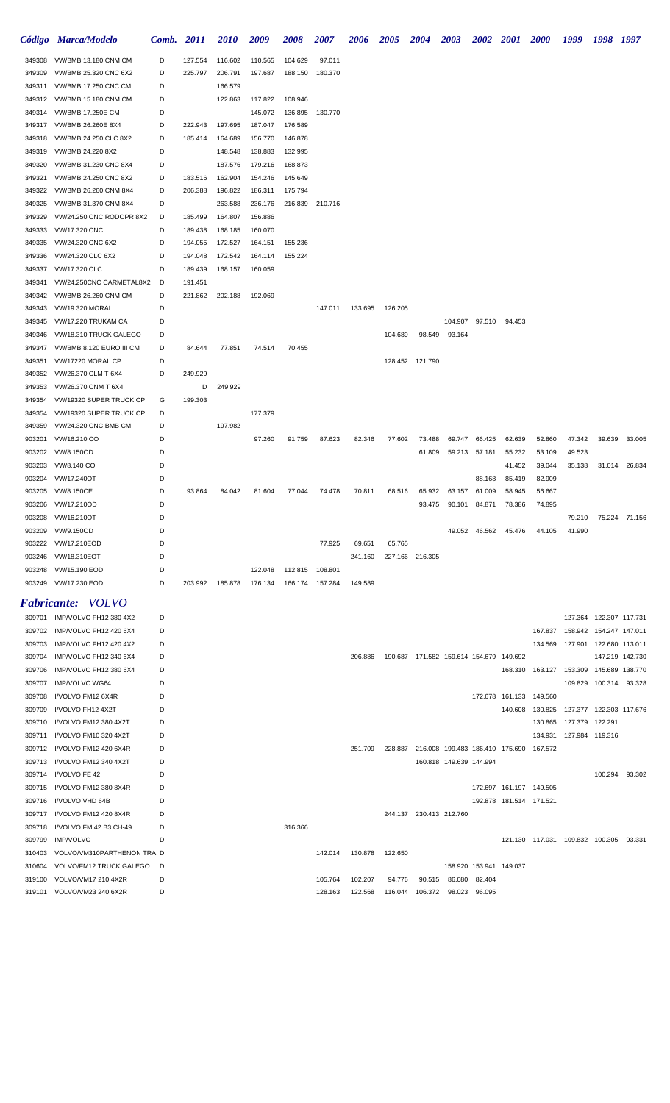|        | Código Marca/Modelo               |   | Comb. 2011 | <i>2010</i> | 2009                               | 2008                      | <b>2007</b> | <b>2006</b> | <b>2005</b>             | 2004 2003                                       |                         |                         |                         | 2002 2001 2000 1999 1998 1997               |                                    |        |                         |
|--------|-----------------------------------|---|------------|-------------|------------------------------------|---------------------------|-------------|-------------|-------------------------|-------------------------------------------------|-------------------------|-------------------------|-------------------------|---------------------------------------------|------------------------------------|--------|-------------------------|
| 349308 | VW/BMB 13.180 CNM CM              | D | 127.554    | 116.602     | 110.565                            | 104.629                   | 97.011      |             |                         |                                                 |                         |                         |                         |                                             |                                    |        |                         |
| 349309 | VW/BMB 25.320 CNC 6X2             | D | 225.797    | 206.791     | 197.687                            | 188.150                   | 180.370     |             |                         |                                                 |                         |                         |                         |                                             |                                    |        |                         |
|        | 349311 VW/BMB 17.250 CNC CM       | D |            | 166.579     |                                    |                           |             |             |                         |                                                 |                         |                         |                         |                                             |                                    |        |                         |
|        | 349312 VW/BMB 15.180 CNM CM       | D |            | 122.863     | 117.822                            | 108.946                   |             |             |                         |                                                 |                         |                         |                         |                                             |                                    |        |                         |
| 349314 | VW/BMB 17.250E CM                 | D |            |             | 145.072                            | 136.895                   | 130.770     |             |                         |                                                 |                         |                         |                         |                                             |                                    |        |                         |
|        | 349317 VW/BMB 26.260E 8X4         | D | 222.943    | 197.695     | 187.047                            | 176.589                   |             |             |                         |                                                 |                         |                         |                         |                                             |                                    |        |                         |
| 349318 | VW/BMB 24.250 CLC 8X2             | D | 185.414    | 164.689     | 156.770                            | 146.878                   |             |             |                         |                                                 |                         |                         |                         |                                             |                                    |        |                         |
| 349319 | VW/BMB 24.220 8X2                 | D |            | 148.548     | 138.883                            | 132.995                   |             |             |                         |                                                 |                         |                         |                         |                                             |                                    |        |                         |
| 349320 | VW/BMB 31.230 CNC 8X4             | D |            | 187.576     | 179.216                            | 168.873                   |             |             |                         |                                                 |                         |                         |                         |                                             |                                    |        |                         |
| 349321 | VW/BMB 24.250 CNC 8X2             | D | 183.516    | 162.904     | 154.246                            | 145.649                   |             |             |                         |                                                 |                         |                         |                         |                                             |                                    |        |                         |
| 349322 | VW/BMB 26.260 CNM 8X4             | D | 206.388    | 196.822     | 186.311                            | 175.794                   |             |             |                         |                                                 |                         |                         |                         |                                             |                                    |        |                         |
| 349325 | VW/BMB 31.370 CNM 8X4             | D |            | 263.588     | 236.176                            | 216.839 210.716           |             |             |                         |                                                 |                         |                         |                         |                                             |                                    |        |                         |
| 349329 | VW/24.250 CNC RODOPR 8X2          | D | 185.499    | 164.807     | 156.886                            |                           |             |             |                         |                                                 |                         |                         |                         |                                             |                                    |        |                         |
| 349333 | VW/17.320 CNC                     | D | 189.438    | 168.185     | 160.070                            |                           |             |             |                         |                                                 |                         |                         |                         |                                             |                                    |        |                         |
| 349335 | VW/24.320 CNC 6X2                 | D | 194.055    | 172.527     | 164.151                            | 155.236                   |             |             |                         |                                                 |                         |                         |                         |                                             |                                    |        |                         |
| 349336 | VW/24.320 CLC 6X2                 | D | 194.048    | 172.542     | 164.114                            | 155.224                   |             |             |                         |                                                 |                         |                         |                         |                                             |                                    |        |                         |
| 349337 | VW/17.320 CLC                     | D | 189.439    | 168.157     | 160.059                            |                           |             |             |                         |                                                 |                         |                         |                         |                                             |                                    |        |                         |
| 349341 | VW/24.250CNC CARMETAL8X2          | D | 191.451    |             |                                    |                           |             |             |                         |                                                 |                         |                         |                         |                                             |                                    |        |                         |
| 349342 | VW/BMB 26.260 CNM CM              | D | 221.862    | 202.188     | 192.069                            |                           |             |             |                         |                                                 |                         |                         |                         |                                             |                                    |        |                         |
| 349343 | VW/19.320 MORAL                   | D |            |             |                                    |                           | 147.011     | 133.695     | 126.205                 |                                                 |                         |                         |                         |                                             |                                    |        |                         |
| 349345 | VW/17.220 TRUKAM CA               | D |            |             |                                    |                           |             |             |                         |                                                 |                         | 104.907 97.510          | 94.453                  |                                             |                                    |        |                         |
| 349346 | VW/18.310 TRUCK GALEGO            | D |            |             |                                    |                           |             |             | 104.689                 |                                                 | 98.549 93.164           |                         |                         |                                             |                                    |        |                         |
| 349347 | VW/BMB 8.120 EURO III CM          | D | 84.644     | 77.851      | 74.514                             | 70.455                    |             |             |                         |                                                 |                         |                         |                         |                                             |                                    |        |                         |
| 349351 | <b>VW/17220 MORAL CP</b>          | D |            |             |                                    |                           |             |             |                         | 128.452 121.790                                 |                         |                         |                         |                                             |                                    |        |                         |
| 349352 | VW/26.370 CLM T 6X4               | D | 249.929    |             |                                    |                           |             |             |                         |                                                 |                         |                         |                         |                                             |                                    |        |                         |
| 349353 | VW/26.370 CNM T 6X4               |   | D          | 249.929     |                                    |                           |             |             |                         |                                                 |                         |                         |                         |                                             |                                    |        |                         |
| 349354 | VW/19320 SUPER TRUCK CP           | G | 199.303    |             |                                    |                           |             |             |                         |                                                 |                         |                         |                         |                                             |                                    |        |                         |
| 349354 | VW/19320 SUPER TRUCK CP           | D |            |             | 177.379                            |                           |             |             |                         |                                                 |                         |                         |                         |                                             |                                    |        |                         |
| 349359 | VW/24.320 CNC BMB CM              | D |            | 197.982     |                                    |                           |             |             |                         |                                                 |                         |                         |                         |                                             |                                    |        |                         |
| 903201 | VW/16.210 CO                      | D |            |             | 97.260                             | 91.759                    | 87.623      | 82.346      | 77.602                  | 73.488                                          |                         | 69.747 66.425           | 62.639                  | 52.860                                      | 47.342                             | 39.639 | 33.005                  |
| 903202 | VW/8.150OD                        | D |            |             |                                    |                           |             |             |                         | 61.809                                          |                         | 59.213 57.181           | 55.232                  | 53.109                                      | 49.523                             |        |                         |
| 903203 | VW/8.140 CO                       | D |            |             |                                    |                           |             |             |                         |                                                 |                         |                         | 41.452                  | 39.044                                      | 35.138                             |        | 31.014 26.834           |
| 903204 | VW/17.240OT                       | D |            |             |                                    |                           |             |             |                         |                                                 |                         | 88.168                  | 85.419                  | 82.909                                      |                                    |        |                         |
| 903205 | VW/8.150CE                        | D | 93.864     | 84.042      | 81.604                             | 77.044                    | 74.478      | 70.811      | 68.516                  | 65.932                                          | 63.157                  | 61.009                  | 58.945                  | 56.667                                      |                                    |        |                         |
| 903206 | VW/17.210OD                       | D |            |             |                                    |                           |             |             |                         | 93.475                                          | 90.101                  | 84.871                  | 78.386                  | 74.895                                      |                                    |        |                         |
|        | 903208 VW/16.210OT                | D |            |             |                                    |                           |             |             |                         |                                                 |                         |                         |                         |                                             |                                    |        | 79.210 75.224 71.156    |
|        | 903209 VW/9.150OD                 | D |            |             |                                    |                           |             |             |                         |                                                 |                         |                         | 49.052 46.562 45.476    | 44.105                                      | 41.990                             |        |                         |
|        | 903222 VW/17.210EOD               | D |            |             |                                    |                           | 77.925      | 69.651      | 65.765                  |                                                 |                         |                         |                         |                                             |                                    |        |                         |
|        | 903246 VW/18.310EOT               | D |            |             |                                    |                           |             |             | 241.160 227.166 216.305 |                                                 |                         |                         |                         |                                             |                                    |        |                         |
|        | 903248 VW/15.190 EOD              | D |            |             |                                    | 122.048  112.815  108.801 |             |             |                         |                                                 |                         |                         |                         |                                             |                                    |        |                         |
|        | 903249 VW/17.230 EOD              | D | 203.992    |             | 185.878  176.134  166.174  157.284 |                           |             | 149.589     |                         |                                                 |                         |                         |                         |                                             |                                    |        |                         |
|        | <b>Fabricante:</b> VOLVO          |   |            |             |                                    |                           |             |             |                         |                                                 |                         |                         |                         |                                             |                                    |        |                         |
|        | 309701 IMP/VOLVO FH12 380 4X2     | D |            |             |                                    |                           |             |             |                         |                                                 |                         |                         |                         |                                             |                                    |        | 127.364 122.307 117.731 |
|        | 309702 IMP/VOLVO FH12 420 6X4     | D |            |             |                                    |                           |             |             |                         |                                                 |                         |                         |                         |                                             | 167.837  158.942  154.247  147.011 |        |                         |
| 309703 | IMP/VOLVO FH12 420 4X2            | D |            |             |                                    |                           |             |             |                         |                                                 |                         |                         |                         |                                             | 134.569  127.901  122.680  113.011 |        |                         |
| 309704 | IMP/VOLVO FH12 340 6X4            | D |            |             |                                    |                           |             | 206.886     |                         | 190.687 171.582 159.614 154.679 149.692         |                         |                         |                         |                                             |                                    |        | 147.219 142.730         |
| 309706 | IMP/VOLVO FH12 380 6X4            | D |            |             |                                    |                           |             |             |                         |                                                 |                         |                         |                         | 168.310  163.127  153.309  145.689  138.770 |                                    |        |                         |
| 309707 | IMP/VOLVO WG64                    | D |            |             |                                    |                           |             |             |                         |                                                 |                         |                         |                         |                                             |                                    |        | 109.829 100.314 93.328  |
| 309708 | I/VOLVO FM12 6X4R                 | D |            |             |                                    |                           |             |             |                         |                                                 |                         |                         | 172.678 161.133 149.560 |                                             |                                    |        |                         |
| 309709 | I/VOLVO FH12 4X2T                 | D |            |             |                                    |                           |             |             |                         |                                                 |                         |                         |                         | 140.608  130.825  127.377  122.303  117.676 |                                    |        |                         |
| 309710 | I/VOLVO FM12 380 4X2T             | D |            |             |                                    |                           |             |             |                         |                                                 |                         |                         |                         |                                             | 130.865  127.379  122.291          |        |                         |
| 309711 | I/VOLVO FM10 320 4X2T             | D |            |             |                                    |                           |             |             |                         |                                                 |                         |                         |                         |                                             | 134.931  127.984  119.316          |        |                         |
|        | 309712 I/VOLVO FM12 420 6X4R      | D |            |             |                                    |                           |             | 251.709     |                         | 228.887 216.008 199.483 186.410 175.690 167.572 |                         |                         |                         |                                             |                                    |        |                         |
| 309713 | I/VOLVO FM12 340 4X2T             | D |            |             |                                    |                           |             |             |                         |                                                 | 160.818 149.639 144.994 |                         |                         |                                             |                                    |        |                         |
| 309714 | I/VOLVO FE 42                     | D |            |             |                                    |                           |             |             |                         |                                                 |                         |                         |                         |                                             |                                    |        | 100.294 93.302          |
| 309715 | I/VOLVO FM12 380 8X4R             | D |            |             |                                    |                           |             |             |                         |                                                 |                         |                         | 172.697 161.197 149.505 |                                             |                                    |        |                         |
| 309716 | I/VOLVO VHD 64B                   | D |            |             |                                    |                           |             |             |                         |                                                 |                         |                         | 192.878 181.514 171.521 |                                             |                                    |        |                         |
| 309717 | I/VOLVO FM12 420 8X4R             | D |            |             |                                    |                           |             |             |                         | 244.137 230.413 212.760                         |                         |                         |                         |                                             |                                    |        |                         |
| 309718 | I/VOLVO FM 42 B3 CH-49            | D |            |             |                                    | 316.366                   |             |             |                         |                                                 |                         |                         |                         |                                             |                                    |        |                         |
| 309799 | <b>IMP/VOLVO</b>                  | D |            |             |                                    |                           |             |             |                         |                                                 |                         |                         |                         | 121.130 117.031 109.832 100.305 93.331      |                                    |        |                         |
|        | 310403 VOLVO/VM310PARTHENON TRA D |   |            |             |                                    |                           | 142.014     | 130.878     | 122.650                 |                                                 |                         |                         |                         |                                             |                                    |        |                         |
|        | 310604 VOLVO/FM12 TRUCK GALEGO    | D |            |             |                                    |                           |             |             |                         |                                                 |                         | 158.920 153.941 149.037 |                         |                                             |                                    |        |                         |
|        | 319100 VOLVO/VM17 210 4X2R        | D |            |             |                                    |                           | 105.764     | 102.207     | 94.776                  | 90.515                                          | 86.080 82.404           |                         |                         |                                             |                                    |        |                         |
|        | 319101 VOLVO/VM23 240 6X2R        | D |            |             |                                    |                           | 128.163     | 122.568     |                         | 116.044 106.372 98.023 96.095                   |                         |                         |                         |                                             |                                    |        |                         |
|        |                                   |   |            |             |                                    |                           |             |             |                         |                                                 |                         |                         |                         |                                             |                                    |        |                         |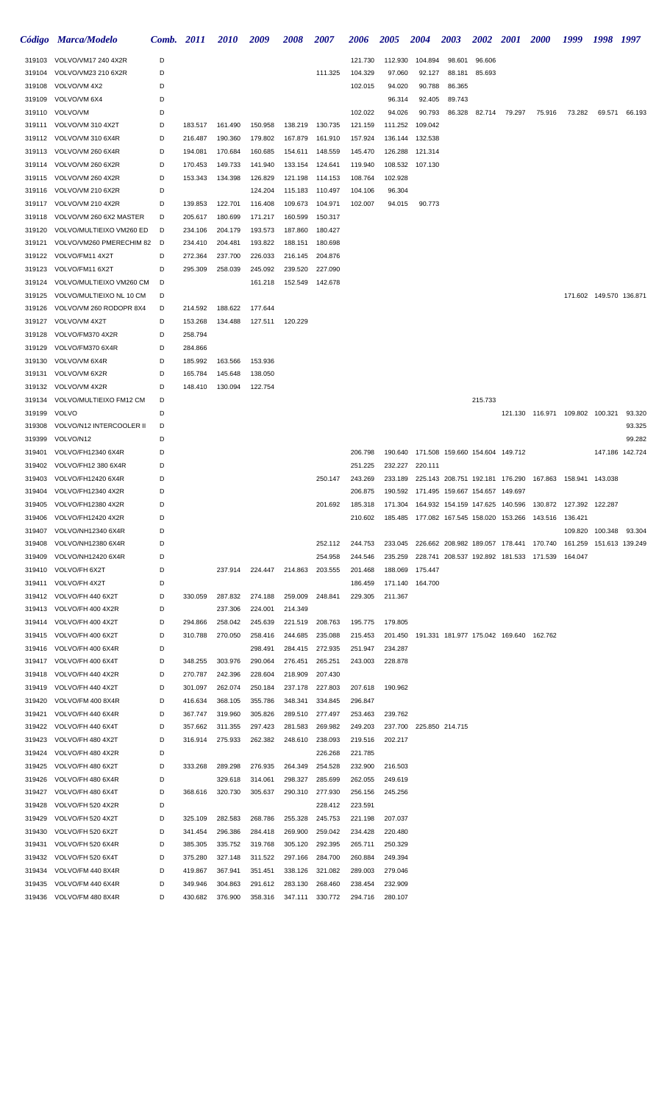|                  | Código Marca/Modelo                                 | Comb.  | <b>2011</b>        | <i>2010</i>        | 2009               | 2008               | 2007               | <b>2006</b>        | <b>2005</b> | <b>2004</b>             | 2003                            | <b>2002</b> | <b>2001</b> | <b>2000</b>                                                   | 1999                    | 1998                    | 1997             |
|------------------|-----------------------------------------------------|--------|--------------------|--------------------|--------------------|--------------------|--------------------|--------------------|-------------|-------------------------|---------------------------------|-------------|-------------|---------------------------------------------------------------|-------------------------|-------------------------|------------------|
|                  | 319103 VOLVO/VM17 240 4X2R                          | D      |                    |                    |                    |                    |                    | 121.730            | 112.930     | 104.894                 | 98.601                          | 96.606      |             |                                                               |                         |                         |                  |
| 319104           | VOLVO/VM23 210 6X2R                                 | D      |                    |                    |                    |                    | 111.325            | 104.329            | 97.060      | 92.127                  | 88.181                          | 85.693      |             |                                                               |                         |                         |                  |
| 319108           | VOLVO/VM 4X2                                        | D      |                    |                    |                    |                    |                    | 102.015            | 94.020      | 90.788                  | 86.365                          |             |             |                                                               |                         |                         |                  |
| 319109           | VOLVO/VM 6X4                                        | D      |                    |                    |                    |                    |                    |                    | 96.314      | 92.405                  | 89.743                          |             |             |                                                               |                         |                         |                  |
| 319110           | VOLVO/VM                                            | D      |                    |                    |                    |                    |                    | 102.022            | 94.026      | 90.793                  | 86.328                          | 82.714      | 79.297      | 75.916                                                        | 73.282                  | 69.571                  | 66.193           |
| 319111           | VOLVO/VM 310 4X2T                                   | D      | 183.517            | 161.490            | 150.958            | 138.219            | 130.735            | 121.159            | 111.252     | 109.042                 |                                 |             |             |                                                               |                         |                         |                  |
| 319112           | VOLVO/VM 310 6X4R                                   | D      | 216.487            | 190.360            | 179.802            | 167.879            | 161.910            | 157.924            | 136.144     | 132.538                 |                                 |             |             |                                                               |                         |                         |                  |
| 319113           | VOLVO/VM 260 6X4R                                   | D      | 194.081            | 170.684            | 160.685            | 154.611            | 148.559            | 145.470            | 126.288     | 121.314                 |                                 |             |             |                                                               |                         |                         |                  |
| 319114           | VOLVO/VM 260 6X2R                                   | D      | 170.453            | 149.733            | 141.940            | 133.154            | 124.641            | 119.940            | 108.532     | 107.130                 |                                 |             |             |                                                               |                         |                         |                  |
| 319115           | VOLVO/VM 260 4X2R                                   | D      | 153.343            | 134.398            | 126.829            | 121.198            | 114.153            | 108.764            | 102.928     |                         |                                 |             |             |                                                               |                         |                         |                  |
| 319116           | VOLVO/VM 210 6X2R                                   | D      |                    |                    | 124.204            | 115.183            | 110.497            | 104.106            | 96.304      |                         |                                 |             |             |                                                               |                         |                         |                  |
| 319117           | VOLVO/VM 210 4X2R                                   | D<br>D | 139.853<br>205.617 | 122.701<br>180.699 | 116.408            | 109.673<br>160.599 | 104.971<br>150.317 | 102.007            | 94.015      | 90.773                  |                                 |             |             |                                                               |                         |                         |                  |
| 319118<br>319120 | VOLVO/VM 260 6X2 MASTER<br>VOLVO/MULTIEIXO VM260 ED | D      | 234.106            | 204.179            | 171.217<br>193.573 | 187.860            | 180.427            |                    |             |                         |                                 |             |             |                                                               |                         |                         |                  |
| 319121           | VOLVO/VM260 PMERECHIM 82                            | D      | 234.410            | 204.481            | 193.822            | 188.151            | 180.698            |                    |             |                         |                                 |             |             |                                                               |                         |                         |                  |
| 319122           | VOLVO/FM11 4X2T                                     | D      | 272.364            | 237.700            | 226.033            | 216.145            | 204.876            |                    |             |                         |                                 |             |             |                                                               |                         |                         |                  |
| 319123           | VOLVO/FM11 6X2T                                     | D      | 295.309            | 258.039            | 245.092            | 239.520            | 227.090            |                    |             |                         |                                 |             |             |                                                               |                         |                         |                  |
| 319124           | VOLVO/MULTIEIXO VM260 CM                            | D      |                    |                    | 161.218            | 152.549            | 142.678            |                    |             |                         |                                 |             |             |                                                               |                         |                         |                  |
| 319125           | VOLVO/MULTIEIXO NL 10 CM                            | D      |                    |                    |                    |                    |                    |                    |             |                         |                                 |             |             |                                                               |                         | 171.602 149.570 136.871 |                  |
| 319126           | VOLVO/VM 260 RODOPR 8X4                             | D      | 214.592            | 188.622            | 177.644            |                    |                    |                    |             |                         |                                 |             |             |                                                               |                         |                         |                  |
| 319127           | VOLVO/VM 4X2T                                       | D      | 153.268            | 134.488            | 127.511            | 120.229            |                    |                    |             |                         |                                 |             |             |                                                               |                         |                         |                  |
| 319128           | VOLVO/FM370 4X2R                                    | D      | 258.794            |                    |                    |                    |                    |                    |             |                         |                                 |             |             |                                                               |                         |                         |                  |
| 319129           | VOLVO/FM370 6X4R                                    | D      | 284.866            |                    |                    |                    |                    |                    |             |                         |                                 |             |             |                                                               |                         |                         |                  |
| 319130           | VOLVO/VM 6X4R                                       | D      | 185.992            | 163.566            | 153.936            |                    |                    |                    |             |                         |                                 |             |             |                                                               |                         |                         |                  |
| 319131           | VOLVO/VM 6X2R                                       | D      | 165.784            | 145.648            | 138.050            |                    |                    |                    |             |                         |                                 |             |             |                                                               |                         |                         |                  |
| 319132           | VOLVO/VM 4X2R                                       | D      | 148.410            | 130.094            | 122.754            |                    |                    |                    |             |                         |                                 |             |             |                                                               |                         |                         |                  |
| 319134           | VOLVO/MULTIEIXO FM12 CM                             | D      |                    |                    |                    |                    |                    |                    |             |                         |                                 | 215.733     |             |                                                               |                         |                         |                  |
| 319199           | <b>VOLVO</b>                                        | D      |                    |                    |                    |                    |                    |                    |             |                         |                                 |             |             | 121.130  116.971  109.802  100.321                            |                         |                         | 93.320           |
| 319308<br>319399 | VOLVO/N12 INTERCOOLER II<br>VOLVO/N12               | D<br>D |                    |                    |                    |                    |                    |                    |             |                         |                                 |             |             |                                                               |                         |                         | 93.325<br>99.282 |
| 319401           | VOLVO/FH12340 6X4R                                  | D      |                    |                    |                    |                    |                    | 206.798            | 190.640     |                         | 171.508 159.660 154.604 149.712 |             |             |                                                               |                         |                         | 147.186 142.724  |
| 319402           | VOLVO/FH12 380 6X4R                                 | D      |                    |                    |                    |                    |                    | 251.225            | 232.227     | 220.111                 |                                 |             |             |                                                               |                         |                         |                  |
| 319403           | VOLVO/FH12420 6X4R                                  | D      |                    |                    |                    |                    | 250.147            | 243.269            | 233.189     |                         | 225.143 208.751 192.181 176.290 |             |             | 167.863                                                       | 158.941 143.038         |                         |                  |
| 319404           | VOLVO/FH12340 4X2R                                  | D      |                    |                    |                    |                    |                    | 206.875            | 190.592     |                         | 171.495 159.667 154.657 149.697 |             |             |                                                               |                         |                         |                  |
| 319405           | VOLVO/FH12380 4X2R                                  | D      |                    |                    |                    |                    | 201.692            | 185.318            | 171.304     |                         | 164.932 154.159 147.625 140.596 |             |             | 130.872                                                       | 127.392                 | 122.287                 |                  |
| 319406           | VOLVO/FH12420 4X2R                                  | D      |                    |                    |                    |                    |                    | 210.602            |             |                         |                                 |             |             | 185.485  177.082  167.545  158.020  153.266  143.516  136.421 |                         |                         |                  |
| 319407           | VOLVO/NH12340 6X4R                                  | D      |                    |                    |                    |                    |                    |                    |             |                         |                                 |             |             |                                                               |                         | 109.820 100.348         | 93.304           |
| 319408           | VOLVO/NH12380 6X4R                                  | D      |                    |                    |                    |                    | 252.112            | 244.753            | 233.045     |                         |                                 |             |             | 226.662 208.982 189.057 178.441 170.740                       | 161.259 151.613 139.249 |                         |                  |
| 319409           | VOLVO/NH12420 6X4R                                  | D      |                    |                    |                    |                    | 254.958            | 244.546            | 235.259     |                         |                                 |             |             | 228.741 208.537 192.892 181.533 171.539                       | 164.047                 |                         |                  |
| 319410           | VOLVO/FH 6X2T                                       | D      |                    | 237.914            | 224.447            | 214.863            | 203.555            | 201.468            | 188.069     | 175.447                 |                                 |             |             |                                                               |                         |                         |                  |
| 319411           | VOLVO/FH 4X2T                                       | D      |                    |                    |                    |                    |                    | 186.459            |             | 171.140 164.700         |                                 |             |             |                                                               |                         |                         |                  |
| 319412           | VOLVO/FH 440 6X2T                                   | D      | 330.059            | 287.832            | 274.188            | 259.009            | 248.841            | 229.305            | 211.367     |                         |                                 |             |             |                                                               |                         |                         |                  |
| 319413           | VOLVO/FH 400 4X2R                                   | D      |                    | 237.306            | 224.001            | 214.349            |                    |                    |             |                         |                                 |             |             |                                                               |                         |                         |                  |
| 319414<br>319415 | VOLVO/FH 400 4X2T<br>VOLVO/FH 400 6X2T              | D<br>D | 294.866<br>310.788 | 258.042<br>270.050 | 245.639<br>258.416 | 221.519<br>244.685 | 208.763<br>235.088 | 195.775<br>215.453 | 179.805     |                         |                                 |             |             | 201.450 191.331 181.977 175.042 169.640 162.762               |                         |                         |                  |
| 319416           | VOLVO/FH 400 6X4R                                   | D      |                    |                    | 298.491            | 284.415            | 272.935            | 251.947            | 234.287     |                         |                                 |             |             |                                                               |                         |                         |                  |
| 319417           | VOLVO/FH 400 6X4T                                   | D      | 348.255            | 303.976            | 290.064            | 276.451            | 265.251            | 243.003            | 228.878     |                         |                                 |             |             |                                                               |                         |                         |                  |
| 319418           | VOLVO/FH 440 4X2R                                   | D      | 270.787            | 242.396            | 228.604            | 218.909            | 207.430            |                    |             |                         |                                 |             |             |                                                               |                         |                         |                  |
| 319419           | VOLVO/FH 440 4X2T                                   | D      | 301.097            | 262.074            | 250.184            | 237.178            | 227.803            | 207.618            | 190.962     |                         |                                 |             |             |                                                               |                         |                         |                  |
| 319420           | VOLVO/FM 400 8X4R                                   | D      | 416.634            | 368.105            | 355.786            | 348.341            | 334.845            | 296.847            |             |                         |                                 |             |             |                                                               |                         |                         |                  |
| 319421           | VOLVO/FH 440 6X4R                                   | D      | 367.747            | 319.960            | 305.826            | 289.510            | 277.497            | 253.463            | 239.762     |                         |                                 |             |             |                                                               |                         |                         |                  |
| 319422           | VOLVO/FH 440 6X4T                                   | D      | 357.662            | 311.355            | 297.423            | 281.583            | 269.982            | 249.203            |             | 237.700 225.850 214.715 |                                 |             |             |                                                               |                         |                         |                  |
| 319423           | VOLVO/FH 480 4X2T                                   | D      | 316.914            | 275.933            | 262.382            | 248.610            | 238.093            | 219.516            | 202.217     |                         |                                 |             |             |                                                               |                         |                         |                  |
| 319424           | VOLVO/FH 480 4X2R                                   | D      |                    |                    |                    |                    | 226.268            | 221.785            |             |                         |                                 |             |             |                                                               |                         |                         |                  |
| 319425           | VOLVO/FH 480 6X2T                                   | D      | 333.268            | 289.298            | 276.935            | 264.349            | 254.528            | 232.900            | 216.503     |                         |                                 |             |             |                                                               |                         |                         |                  |
| 319426           | VOLVO/FH 480 6X4R                                   | D      |                    | 329.618            | 314.061            | 298.327            | 285.699            | 262.055            | 249.619     |                         |                                 |             |             |                                                               |                         |                         |                  |
| 319427           | VOLVO/FH 480 6X4T                                   | D      | 368.616            | 320.730            | 305.637            | 290.310            | 277.930            | 256.156            | 245.256     |                         |                                 |             |             |                                                               |                         |                         |                  |
| 319428<br>319429 | VOLVO/FH 520 4X2R<br>VOLVO/FH 520 4X2T              | D<br>D | 325.109            | 282.583            | 268.786            | 255.328            | 228.412<br>245.753 | 223.591<br>221.198 | 207.037     |                         |                                 |             |             |                                                               |                         |                         |                  |
| 319430           | VOLVO/FH 520 6X2T                                   | D      | 341.454            | 296.386            | 284.418            | 269.900            | 259.042            | 234.428            | 220.480     |                         |                                 |             |             |                                                               |                         |                         |                  |
| 319431           | VOLVO/FH 520 6X4R                                   | D      | 385.305            | 335.752            | 319.768            | 305.120            | 292.395            | 265.711            | 250.329     |                         |                                 |             |             |                                                               |                         |                         |                  |
| 319432           | VOLVO/FH 520 6X4T                                   | D      | 375.280            | 327.148            | 311.522            | 297.166            | 284.700            | 260.884            | 249.394     |                         |                                 |             |             |                                                               |                         |                         |                  |
| 319434           | VOLVO/FM 440 8X4R                                   | D      | 419.867            | 367.941            | 351.451            | 338.126            | 321.082            | 289.003            | 279.046     |                         |                                 |             |             |                                                               |                         |                         |                  |
| 319435           | VOLVO/FM 440 6X4R                                   | D      | 349.946            | 304.863            | 291.612            | 283.130            | 268.460            | 238.454            | 232.909     |                         |                                 |             |             |                                                               |                         |                         |                  |
|                  | 319436 VOLVO/FM 480 8X4R                            | D      | 430.682            | 376.900            | 358.316            | 347.111            | 330.772            | 294.716            | 280.107     |                         |                                 |             |             |                                                               |                         |                         |                  |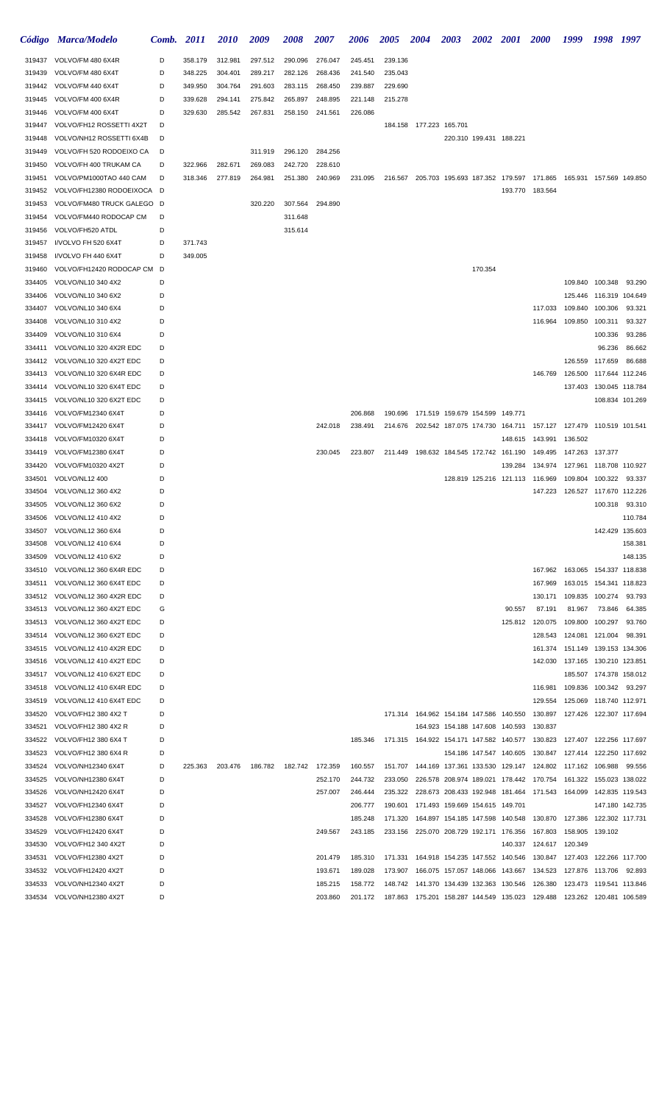|                  | Código Marca/Modelo                                   | Comb.  | <i>2011</i> | <i>2010</i>        | 2009    | 2008    | 2007    | 2006    | <b>2005</b> | <b>2004</b>                                 | <b>2003</b>                     | 2002                    | <b>2001</b>             | <b>2000</b>                                                                                                  | 1999                      | 1998            | 1997                    |
|------------------|-------------------------------------------------------|--------|-------------|--------------------|---------|---------|---------|---------|-------------|---------------------------------------------|---------------------------------|-------------------------|-------------------------|--------------------------------------------------------------------------------------------------------------|---------------------------|-----------------|-------------------------|
| 319437           | VOLVO/FM 480 6X4R                                     | D      | 358.179     | 312.981            | 297.512 | 290.096 | 276.047 | 245.451 | 239.136     |                                             |                                 |                         |                         |                                                                                                              |                           |                 |                         |
| 319439           | VOLVO/FM 480 6X4T                                     | D      | 348.225     | 304.401            | 289.217 | 282.126 | 268.436 | 241.540 | 235.043     |                                             |                                 |                         |                         |                                                                                                              |                           |                 |                         |
| 319442           | VOLVO/FM 440 6X4T                                     | D      | 349.950     | 304.764            | 291.603 | 283.115 | 268.450 | 239.887 | 229.690     |                                             |                                 |                         |                         |                                                                                                              |                           |                 |                         |
| 319445           | VOLVO/FM 400 6X4R                                     | D      | 339.628     | 294.141            | 275.842 | 265.897 | 248.895 | 221.148 | 215.278     |                                             |                                 |                         |                         |                                                                                                              |                           |                 |                         |
| 319446           | VOLVO/FM 400 6X4T                                     | D      | 329.630     | 285.542            | 267.831 | 258.150 | 241.561 | 226.086 |             |                                             |                                 |                         |                         |                                                                                                              |                           |                 |                         |
| 319447           | VOLVO/FH12 ROSSETTI 4X2T                              | D      |             |                    |         |         |         |         |             | 184.158 177.223 165.701                     |                                 |                         |                         |                                                                                                              |                           |                 |                         |
| 319448           | VOLVO/NH12 ROSSETTI 6X4B                              | D      |             |                    |         |         |         |         |             |                                             |                                 | 220.310 199.431 188.221 |                         |                                                                                                              |                           |                 |                         |
| 319449           | VOLVO/FH 520 RODOEIXO CA                              | D      |             |                    | 311.919 | 296.120 | 284.256 |         |             |                                             |                                 |                         |                         |                                                                                                              |                           |                 |                         |
| 319450           | VOLVO/FH 400 TRUKAM CA                                | D<br>D | 322.966     | 282.671<br>277.819 | 269.083 | 242.720 | 228.610 | 231.095 |             |                                             |                                 |                         |                         |                                                                                                              | 165.931 157.569 149.850   |                 |                         |
| 319451<br>319452 | VOLVO/PM1000TAO 440 CAM<br>VOLVO/FH12380 RODOEIXOCA D |        | 318.346     |                    | 264.981 | 251.380 | 240.969 |         |             |                                             |                                 |                         |                         | 216.567 205.703 195.693 187.352 179.597 171.865<br>193.770 183.564                                           |                           |                 |                         |
| 319453           | VOLVO/FM480 TRUCK GALEGO D                            |        |             |                    | 320.220 | 307.564 | 294.890 |         |             |                                             |                                 |                         |                         |                                                                                                              |                           |                 |                         |
| 319454           | VOLVO/FM440 RODOCAP CM                                | D      |             |                    |         | 311.648 |         |         |             |                                             |                                 |                         |                         |                                                                                                              |                           |                 |                         |
| 319456           | VOLVO/FH520 ATDL                                      | D      |             |                    |         | 315.614 |         |         |             |                                             |                                 |                         |                         |                                                                                                              |                           |                 |                         |
| 319457           | I/VOLVO FH 520 6X4T                                   | D      | 371.743     |                    |         |         |         |         |             |                                             |                                 |                         |                         |                                                                                                              |                           |                 |                         |
| 319458           | I/VOLVO FH 440 6X4T                                   | D      | 349.005     |                    |         |         |         |         |             |                                             |                                 |                         |                         |                                                                                                              |                           |                 |                         |
| 319460           | VOLVO/FH12420 RODOCAP CM D                            |        |             |                    |         |         |         |         |             |                                             |                                 | 170.354                 |                         |                                                                                                              |                           |                 |                         |
| 334405           | VOLVO/NL10 340 4X2                                    | D      |             |                    |         |         |         |         |             |                                             |                                 |                         |                         |                                                                                                              |                           | 109.840 100.348 | 93.290                  |
| 334406           | VOLVO/NL10 340 6X2                                    | D      |             |                    |         |         |         |         |             |                                             |                                 |                         |                         |                                                                                                              | 125.446                   | 116.319 104.649 |                         |
| 334407           | VOLVO/NL10 340 6X4                                    | D      |             |                    |         |         |         |         |             |                                             |                                 |                         |                         | 117.033                                                                                                      | 109.840                   | 100.306         | 93.321                  |
| 334408           | VOLVO/NL10 310 4X2                                    | D      |             |                    |         |         |         |         |             |                                             |                                 |                         |                         | 116.964                                                                                                      | 109.850                   | 100.311         | 93.327                  |
| 334409           | VOLVO/NL10 310 6X4                                    | D      |             |                    |         |         |         |         |             |                                             |                                 |                         |                         |                                                                                                              |                           | 100.336         | 93.286                  |
| 334411           | VOLVO/NL10 320 4X2R EDC                               | D      |             |                    |         |         |         |         |             |                                             |                                 |                         |                         |                                                                                                              |                           | 96.236          | 86.662                  |
| 334412           | VOLVO/NL10 320 4X2T EDC                               | D      |             |                    |         |         |         |         |             |                                             |                                 |                         |                         |                                                                                                              |                           | 126.559 117.659 | 86.688                  |
| 334413<br>334414 | VOLVO/NL10 320 6X4R EDC<br>VOLVO/NL10 320 6X4T EDC    | D<br>D |             |                    |         |         |         |         |             |                                             |                                 |                         |                         | 146.769                                                                                                      | 126.500 117.644 112.246   |                 | 137.403 130.045 118.784 |
| 334415           | VOLVO/NL10 320 6X2T EDC                               | D      |             |                    |         |         |         |         |             |                                             |                                 |                         |                         |                                                                                                              |                           |                 | 108.834 101.269         |
| 334416           | VOLVO/FM12340 6X4T                                    | D      |             |                    |         |         |         | 206.868 |             | 190.696 171.519 159.679 154.599 149.771     |                                 |                         |                         |                                                                                                              |                           |                 |                         |
| 334417           | VOLVO/FM12420 6X4T                                    | D      |             |                    |         |         | 242.018 | 238.491 |             | 214.676 202.542 187.075 174.730 164.711     |                                 |                         |                         |                                                                                                              |                           |                 |                         |
| 334418           | VOLVO/FM10320 6X4T                                    | D      |             |                    |         |         |         |         |             |                                             |                                 |                         | 148.615                 | 143.991                                                                                                      | 136.502                   |                 |                         |
| 334419           | VOLVO/FM12380 6X4T                                    | D      |             |                    |         |         | 230.045 | 223.807 |             | 211.449 198.632 184.545 172.742 161.190     |                                 |                         |                         | 149.495                                                                                                      | 147.263                   | 137.377         |                         |
| 334420           | VOLVO/FM10320 4X2T                                    | D      |             |                    |         |         |         |         |             |                                             |                                 |                         | 139.284                 | 134.974                                                                                                      | 127.961  118.708  110.927 |                 |                         |
| 334501           | VOLVO/NL12 400                                        | D      |             |                    |         |         |         |         |             |                                             |                                 |                         |                         | 128.819 125.216 121.113 116.969                                                                              | 109.804                   | 100.322         | 93.337                  |
| 334504           | VOLVO/NL12 360 4X2                                    | D      |             |                    |         |         |         |         |             |                                             |                                 |                         |                         | 147.223                                                                                                      |                           |                 |                         |
| 334505           | VOLVO/NL12 360 6X2                                    | D      |             |                    |         |         |         |         |             |                                             |                                 |                         |                         |                                                                                                              |                           | 100.318         | 93.310                  |
| 334506           | VOLVO/NL12 410 4X2                                    | D      |             |                    |         |         |         |         |             |                                             |                                 |                         |                         |                                                                                                              |                           |                 | 110.784                 |
| 334507           | VOLVO/NL12 360 6X4                                    | D      |             |                    |         |         |         |         |             |                                             |                                 |                         |                         |                                                                                                              |                           |                 | 142.429 135.603         |
| 334508           | VOLVO/NL12 410 6X4                                    | D      |             |                    |         |         |         |         |             |                                             |                                 |                         |                         |                                                                                                              |                           |                 | 158.381                 |
| 334509           | VOLVO/NL12 410 6X2                                    | D      |             |                    |         |         |         |         |             |                                             |                                 |                         |                         | 167.962                                                                                                      |                           |                 | 148.135                 |
| 334510<br>334511 | VOLVO/NL12 360 6X4R EDC<br>VOLVO/NL12 360 6X4T EDC    | D<br>D |             |                    |         |         |         |         |             |                                             |                                 |                         |                         | 167.969                                                                                                      | 163.065 154.337 118.838   |                 | 163.015 154.341 118.823 |
| 334512           | VOLVO/NL12 360 4X2R EDC                               | D      |             |                    |         |         |         |         |             |                                             |                                 |                         |                         | 130.171                                                                                                      | 109.835                   | 100.274         | 93.793                  |
| 334513           | VOLVO/NL12 360 4X2T EDC                               | G      |             |                    |         |         |         |         |             |                                             |                                 |                         | 90.557                  | 87.191                                                                                                       | 81.967                    | 73.846          | 64.385                  |
| 334513           | VOLVO/NL12 360 4X2T EDC                               | D      |             |                    |         |         |         |         |             |                                             |                                 |                         |                         | 125.812 120.075                                                                                              | 109.800                   | 100.297         | 93.760                  |
| 334514           | VOLVO/NL12 360 6X2T EDC                               | D      |             |                    |         |         |         |         |             |                                             |                                 |                         |                         | 128.543                                                                                                      | 124.081 121.004           |                 | 98.391                  |
| 334515           | VOLVO/NL12 410 4X2R EDC                               | D      |             |                    |         |         |         |         |             |                                             |                                 |                         |                         | 161.374                                                                                                      | 151.149                   |                 | 139.153 134.306         |
| 334516           | VOLVO/NL12 410 4X2T EDC                               | D      |             |                    |         |         |         |         |             |                                             |                                 |                         |                         | 142.030                                                                                                      | 137.165 130.210 123.851   |                 |                         |
| 334517           | VOLVO/NL12 410 6X2T EDC                               | D      |             |                    |         |         |         |         |             |                                             |                                 |                         |                         |                                                                                                              |                           |                 | 185.507 174.378 158.012 |
| 334518           | VOLVO/NL12 410 6X4R EDC                               | D      |             |                    |         |         |         |         |             |                                             |                                 |                         |                         | 116.981                                                                                                      | 109.836                   | 100.342         | 93.297                  |
| 334519           | VOLVO/NL12 410 6X4T EDC                               | D      |             |                    |         |         |         |         |             |                                             |                                 |                         |                         | 129.554                                                                                                      | 125.069                   |                 | 118.740 112.971         |
| 334520           | VOLVO/FH12 380 4X2 T                                  | D      |             |                    |         |         |         |         |             | 171.314  164.962  154.184  147.586  140.550 |                                 |                         |                         | 130.897                                                                                                      | 127.426  122.307  117.694 |                 |                         |
| 334521           | VOLVO/FH12 380 4X2 R                                  | D      |             |                    |         |         |         |         |             |                                             | 164.923 154.188 147.608 140.593 |                         |                         | 130.837                                                                                                      |                           |                 |                         |
| 334522           | VOLVO/FH12 380 6X4 T                                  | D      |             |                    |         |         |         | 185.346 |             |                                             |                                 |                         |                         | 171.315  164.922  154.171  147.582  140.577  130.823                                                         | 127.407  122.256  117.697 |                 |                         |
| 334523<br>334524 | VOLVO/FH12 380 6X4 R<br>VOLVO/NH12340 6X4T            | D<br>D | 225.363     | 203.476            | 186.782 | 182.742 | 172.359 | 160.557 |             |                                             |                                 |                         | 154.186 147.547 140.605 | 130.847  127.414  122.250  117.692<br>151.707  144.169  137.361  133.530  129.147  124.802  117.162  106.988 |                           |                 | 99.556                  |
| 334525           | VOLVO/NH12380 6X4T                                    | D      |             |                    |         |         | 252.170 | 244.732 | 233.050     |                                             |                                 |                         |                         | 226.578 208.974 189.021 178.442 170.754                                                                      | 161.322                   |                 | 155.023 138.022         |
| 334526           | VOLVO/NH12420 6X4T                                    | D      |             |                    |         |         | 257.007 | 246.444 | 235.322     |                                             |                                 |                         |                         | 228.673 208.433 192.948 181.464 171.543 164.099 142.835 119.543                                              |                           |                 |                         |
| 334527           | VOLVO/FH12340 6X4T                                    | D      |             |                    |         |         |         | 206.777 | 190.601     |                                             | 171.493 159.669 154.615 149.701 |                         |                         |                                                                                                              |                           |                 | 147.180 142.735         |
| 334528           | VOLVO/FH12380 6X4T                                    | D      |             |                    |         |         |         | 185.248 | 171.320     |                                             | 164.897 154.185 147.598 140.548 |                         |                         | 130.870                                                                                                      | 127.386                   | 122.302 117.731 |                         |
| 334529           | VOLVO/FH12420 6X4T                                    | D      |             |                    |         |         | 249.567 | 243.185 | 233.156     |                                             | 225.070 208.729 192.171 176.356 |                         |                         | 167.803                                                                                                      | 158.905                   | 139.102         |                         |
| 334530           | VOLVO/FH12 340 4X2T                                   | D      |             |                    |         |         |         |         |             |                                             |                                 |                         | 140.337                 | 124.617 120.349                                                                                              |                           |                 |                         |
| 334531           | VOLVO/FH12380 4X2T                                    | D      |             |                    |         |         | 201.479 | 185.310 | 171.331     |                                             | 164.918 154.235 147.552 140.546 |                         |                         | 130.847                                                                                                      |                           |                 |                         |
| 334532           | VOLVO/FH12420 4X2T                                    | D      |             |                    |         |         | 193.671 | 189.028 | 173.907     |                                             | 166.075 157.057 148.066 143.667 |                         |                         | 134.523                                                                                                      | 127.876                   | 113.706         | 92.893                  |
| 334533           | VOLVO/NH12340 4X2T                                    | D      |             |                    |         |         | 185.215 | 158.772 | 148.742     |                                             | 141.370 134.439 132.363 130.546 |                         |                         | 126.380                                                                                                      | 123.473                   |                 | 119.541 113.846         |
| 334534           | VOLVO/NH12380 4X2T                                    | D      |             |                    |         |         | 203.860 | 201.172 |             |                                             |                                 |                         |                         | 187.863 175.201 158.287 144.549 135.023 129.488                                                              |                           |                 |                         |